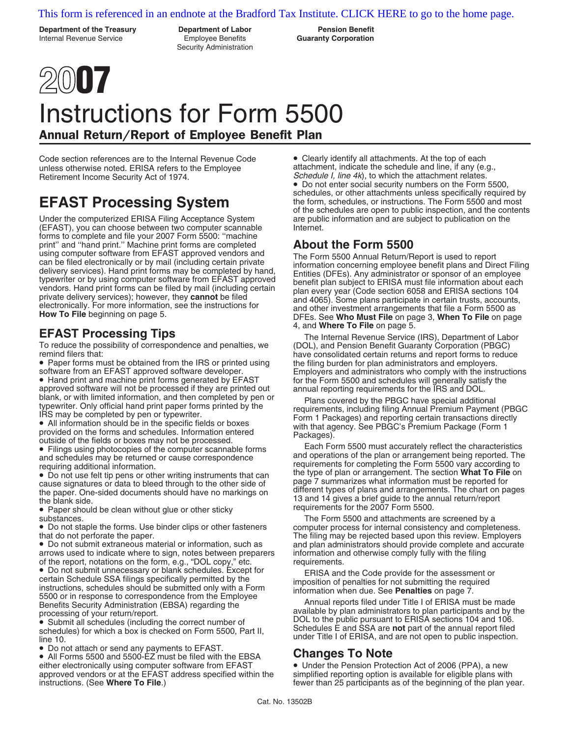# [This form is referenced in an endnote at the Bradford Tax Institute. CLICK HERE to go to the home page.](http://www.bradfordtaxinstitute.com/)

**Department of the Treasury Department of Labor Pension Benefit** Internal Revenue Service Employee Benefits **Guaranty Corporation**

Security Administration

# **2007**

# Instructions for Form 5500 Annual Return/Report of Employee Benefit Plan

Code section references are to the Internal Revenue Code • Clearly identify all attachments. At the top of each<br>
unless otherwise noted. ERISA refers to the Employee and attachment, indicate the schedule and line, if any ( unless otherwise noted. ERISA refers to the Employee Retirement Income Security Act of 1974. Schedule I, line 4k), to which the attachment relates.

Under the computerized ERISA Filing Acceptance System (EFAST), you can choose between two computer scannable Internet. forms to complete and file your 2007 Form 5500: ''machine print'' and ''hand print.'' Machine print forms are completed **About the Form 5500**

To reduce the possibility of correspondence and penalties, we (DOL), and Pension Benefit Guaranty Corporation (PBGC)

• Paper forms must be obtained from the IRS or printed using the filing burden for plan administrators and employers.<br>
Software from an EFAST approved software developer. Employers and administrators who comply with the in

approved software will not be processed if they are printed out annual reporting requirements for the IRS and DOL.<br>blank, or with limited information, and then completed by pen or plans covered by the PBGC have special add

• Do not staple the forms. Use binder clips or other fasteners computer process for internal consistency and completeness.<br>The filing may be rejected based upon this review. Employers

• Do not submit extraneous material or information, such as and plan administrators should provide complete and accurate arrows used to indicate where to sign, notes between preparers of the report, notations on the form, e.g., "DOL copy," etc. requirements.<br>• Do not submit unnecessary or blank schedules. Except for FRISA and

• Do not submit unrecessary or blank schedules. Except for<br>
ertain Schedule SSA filings specifically permitted by the<br>
instructions, schedules should be submitted only with a Form<br>
5500 or in response to correspondence fro

• Do not attach or send any payments to EFAST. • All Forms 5500 and 5500-EZ must be filed with the EBSA **Changes To Note** either electronically using computer software from EFAST • Under the Pension Protection Act of 2006 (PPA), a new<br>approved vendors or at the EFAST address specified within the simplified reporting option is available for el approved vendors or at the EFAST address specified within the instructions. (See **Where To File**.) *notational setupare than 25 participants as of the beginning of the plan year.* 

• Do not enter social security numbers on the Form 5500, schedules, or other attachments unless specifically required by **EFAST Processing System** the form, schedules, or instructions. The Form 5500 and most of the schedules are open to public inspection, and the contents are public information and are subject to publication on the

using computer software from EFAST approved vendors and<br>can be filed electronically or by mail (including certain private<br>delivery services). Hand print forms may be completed by hand,<br>delivery services). Hand print forms How To File beginning on page 5. **EFAST Processing Tips** The Internal Revenue Service (IRS), Department of Labor<br>
The Internal Revenue Service (IRS), Department of Labor

software from an EFAST approved software developer.<br>• Hand print and machine print forms generated by EFAST for the Form 5500 and schedules will generally satisfy the

blank, or with limited information, and then completed by pen or<br>
IRS may be completed by pen or typewriter.<br>
IRS may be completed by pen or typewriter.<br>
■ IRS may be completed by pen or typewriter.<br>
■ IRS may be complete

substances. The Form 5500 and attachments are screened by a The filing may be rejected based upon this review. Employers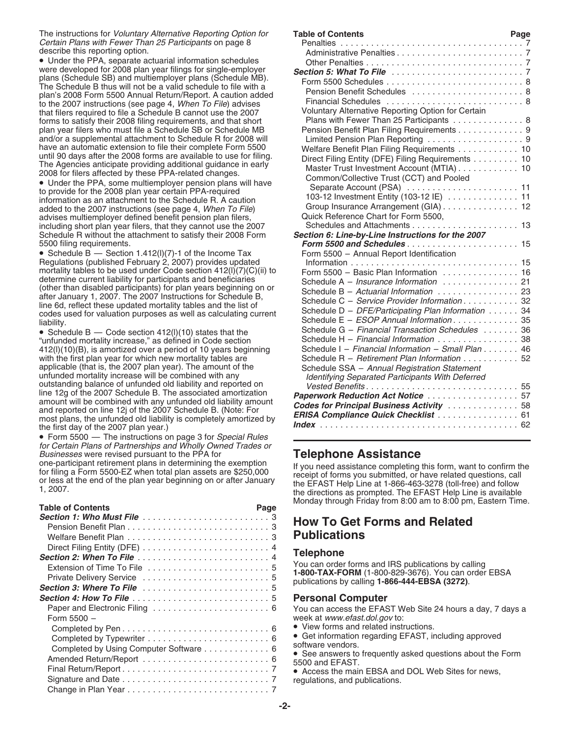The instructions for *Voluntary Alternative Reporting Option for* Certain Plans with Fewer Than 25 Participants on page 8 describe this reporting option.

• Form 5500 - The instructions on page 3 for Special Rules for Certain Plans of Partnerships and Wholly Owned Trades or<br>Businesses were revised pursuant to the PPA for Businesses were revised pursuant to the PPA for<br>
one-participant retirement plans in determining the exemption<br>
for filing a Form 5500-EZ when total plan assets are \$250,000<br>
or less at the end of the plan year beginning o

| <b>Table of Contents</b>               | Page | ivionday trirou               |
|----------------------------------------|------|-------------------------------|
|                                        |      | How To C                      |
|                                        |      |                               |
|                                        |      | <b>Publicati</b>              |
|                                        |      |                               |
|                                        |      | <b>Telephone</b>              |
|                                        |      | You can order                 |
|                                        |      | 1-800-TAX-F<br>publications b |
|                                        |      |                               |
|                                        |      | <b>Personal C</b>             |
|                                        |      | You can acce                  |
| Form $5500 -$                          |      | week at www.                  |
|                                        |      | • View forms                  |
|                                        |      | $\bullet$ Get informa         |
| Completed by Using Computer Software 6 |      | software vend                 |
|                                        |      | • See answe<br>5500 and EF/   |
|                                        |      | • Access the                  |
|                                        |      | regulations, a                |
|                                        |      |                               |

| The instructions for <i>Voluntary Alternative Reporting Option for</i>                                                          | <b>Table of Contents</b>                                                   | Page |
|---------------------------------------------------------------------------------------------------------------------------------|----------------------------------------------------------------------------|------|
| Certain Plans with Fewer Than 25 Participants on page 8                                                                         |                                                                            |      |
| describe this reporting option.                                                                                                 |                                                                            |      |
| • Under the PPA, separate actuarial information schedules                                                                       |                                                                            |      |
| were developed for 2008 plan year filings for single-employer                                                                   |                                                                            |      |
| plans (Schedule SB) and multiemployer plans (Schedule MB).                                                                      |                                                                            |      |
| The Schedule B thus will not be a valid schedule to file with a                                                                 | Pension Benefit Schedules  8                                               |      |
| plan's 2008 Form 5500 Annual Return/Report. A caution added                                                                     |                                                                            |      |
| to the 2007 instructions (see page 4, When To File) advises                                                                     | Voluntary Alternative Reporting Option for Certain                         |      |
| that filers required to file a Schedule B cannot use the 2007                                                                   | Plans with Fewer Than 25 Participants 8                                    |      |
| forms to satisfy their 2008 filing requirements, and that short<br>plan year filers who must file a Schedule SB or Schedule MB  | Pension Benefit Plan Filing Requirements 9                                 |      |
| and/or a supplemental attachment to Schedule R for 2008 will                                                                    |                                                                            |      |
| have an automatic extension to file their complete Form 5500                                                                    |                                                                            |      |
| until 90 days after the 2008 forms are available to use for filing.                                                             | Welfare Benefit Plan Filing Requirements 10                                |      |
| The Agencies anticipate providing additional guidance in early                                                                  | Direct Filing Entity (DFE) Filing Requirements 10                          |      |
| 2008 for filers affected by these PPA-related changes.                                                                          | Master Trust Investment Account (MTIA) 10                                  |      |
| • Under the PPA, some multiemployer pension plans will have                                                                     | Common/Collective Trust (CCT) and Pooled                                   |      |
| to provide for the 2008 plan year certain PPA-required                                                                          |                                                                            |      |
| information as an attachment to the Schedule R. A caution                                                                       | 103-12 Investment Entity (103-12 IE) 11                                    |      |
| added to the 2007 instructions (see page 4, When To File)                                                                       | Group Insurance Arrangement (GIA) 12                                       |      |
| advises multiemployer defined benefit pension plan filers,                                                                      | Quick Reference Chart for Form 5500,                                       |      |
| including short plan year filers, that they cannot use the 2007                                                                 |                                                                            |      |
| Schedule R without the attachment to satisfy their 2008 Form                                                                    | Section 6: Line-by-Line Instructions for the 2007                          |      |
| 5500 filing requirements.                                                                                                       |                                                                            |      |
| • Schedule B $-$ Section 1.412(I)(7)-1 of the Income Tax                                                                        | Form 5500 - Annual Report Identification                                   |      |
| Regulations (published February 2, 2007) provides updated                                                                       |                                                                            |      |
| mortality tables to be used under Code section 412(I)(7)(C)(ii) to                                                              | Form 5500 - Basic Plan Information $\ldots \ldots \ldots \ldots \ldots$ 16 |      |
| determine current liability for participants and beneficiaries                                                                  |                                                                            |      |
| (other than disabled participants) for plan years beginning on or                                                               | Schedule B - Actuarial Information  23                                     |      |
| after January 1, 2007. The 2007 Instructions for Schedule B,<br>line 6d, reflect these updated mortality tables and the list of | Schedule C - Service Provider Information 32                               |      |
| codes used for valuation purposes as well as calculating current                                                                | Schedule D - DFE/Participating Plan Information 34                         |      |
| liability.                                                                                                                      | Schedule E - ESOP Annual Information35                                     |      |
| • Schedule B $-$ Code section 412(I)(10) states that the                                                                        | Schedule G - Financial Transaction Schedules  36                           |      |
| "unfunded mortality increase," as defined in Code section                                                                       | Schedule H - Financial Information 38                                      |      |
| 412(I)(10)(B), is amortized over a period of 10 years beginning                                                                 | Schedule I - Financial Information - Small Plan 46                         |      |
| with the first plan year for which new mortality tables are                                                                     | Schedule R - Retirement Plan Information 52                                |      |
| applicable (that is, the 2007 plan year). The amount of the                                                                     | Schedule SSA - Annual Registration Statement                               |      |
| unfunded mortality increase will be combined with any                                                                           | Identifying Separated Participants With Deferred                           |      |
| outstanding balance of unfunded old liability and reported on                                                                   |                                                                            |      |
| line 12g of the 2007 Schedule B. The associated amortization                                                                    | Paperwork Reduction Act Notice 57                                          |      |
| amount will be combined with any unfunded old liability amount                                                                  | <b>Codes for Principal Business Activity  58</b>                           |      |
| and reported on line 12j of the 2007 Schedule B. (Note: For                                                                     | ERISA Compliance Quick Checklist 61                                        |      |
| most plans, the unfunded old liability is completely amortized by                                                               |                                                                            |      |
| the first day of the 2007 plan year.)<br>$\bullet$ Ferm EE00. The instructions on negative Consolel Dulge                       |                                                                            |      |
|                                                                                                                                 |                                                                            |      |

the directions as prompted. The EFAST Help Line is available Monday through Friday from 8:00 am to 8:00 pm, Eastern Time.

# How To Get Forms and Related **Publications**

You can order forms and IRS publications by calling<br>1-800-TAX-FORM (1-800-829-3676). You can order EBSA<br>publications by calling 1-866-444-EBSA (3272).

# **Personal Computer**

You can access the EFAST Web Site 24 hours a day, 7 days a week at www.efast.dol.gov to:

• View forms and related instructions.<br>• Get information regarding EFAST, including approved

software vendors.<br>• See answers to frequently asked questions about the Form<br>5500 and EFAST.

• Access the main EBSA and DOL Web Sites for news, regulations, and publications.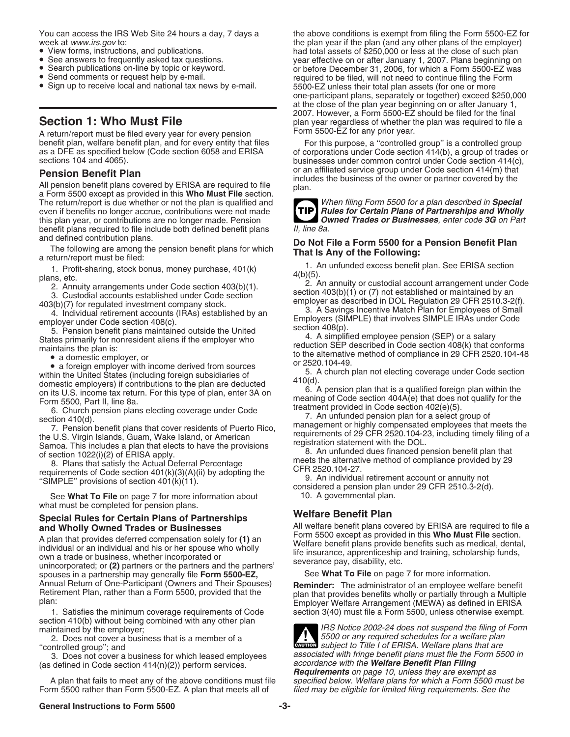- 
- 
- 
- 
- 

A return/report must be filed every year for every pension<br>benefit plan, welfare benefit plan, and for every entity that files benefit plan, welfare benefit plan, and for every entity that files For this purpose, a "controlled group" is a controlled group<br>as a DFE as specified below (Code section 6058 and ERISA of corporations under Code section 4

**Pension Benefit Plan**<br>
All pension benefit plans covered by ERISA are required to file<br>
a Form 5500 except as provided in this **Who Must File** section.<br>
The return/report is due whether or not the plan is qualified and<br>
T The return/report is due whether or not the plan is qualified and<br>even if benefits no longer accrue, contributions were not made<br>**TIP Rules for Certain Plans of Partnerships and Wholly** even if benefits no longer accrue, contributions were not made **Rules for Certain Plans of Partnerships and Wholly**<br>this plan year, or contributions are no longer made. Pension **Carl Connect Trades or Businesses**, enter co this plan year, or contributions are no longer made. Pension **CRADES ON**<br> **Denefit plans required to file include both defined benefit plans** [1], line 8a. benefit plans required to file include both defined benefit plans and defined contribution plans.

**Do Not File a Form 5500 for a Pension Benefit Plan**<br>The following are among the pension benefit plans for which<br>a return/report must be filed:<br>**That Is Any of the Following:**<br>1. An unfunded excess benefit plan. See ERISA

•• a domestic employer, or<br>
•• a domestic employer, or<br>
•• a domestic employer with income derived from sources<br>
•• a foreign subsidiaries of<br>
5. A church plan are deduced<br>
omestic employers) if contributions to the plan a

See What To File on page 7 for more information about 10. A governmental plan. what must be completed for pension plans.

# **Special Rules for Certain Plans of Partnerships Welfare Benefit Plan<br>
and Wholly Owned Trades or Businesses All welfare benefit plans co**

A plan that provides deferred compensation solely for (1) an<br>individual or an individual and his or her spouse who wholly<br>own a trade or business, whether incorporated or<br>unincorporated; or (2) partners or the partners and spouses in a partnership may generally file **Form 5500-EZ,** Annual Return of One-Participant (Owners and Their Spouses)

section 410(b) without being combined with any other plan maintained by the employer;

2. Does not cover a business that is a member of a ''controlled group''; and

3. Does not cover a business for which leased employees (as defined in Code section 414(n)(2)) perform services.

A plan that fails to meet any of the above conditions must file Form 5500 rather than Form 5500-EZ. A plan that meets all of

You can access the IRS Web Site 24 hours a day, 7 days a the above conditions is exempt from filing the Form 5500-EZ for veek at www.irs.gov to:<br>
• View forms, instructions, and publications.<br>
• See answers to frequently asked tax questions.<br>
• Search publications on-line by topic or keyword.<br>
• Search publications on-line by topic or keywo one-participant plans, separately or together) exceed \$250,000 at the close of the plan year beginning on or after January 1, 2007. However, a Form 5500-EZ should be filed for the final **Section 1: Who Must File** plan year regardless of whether the plan was required to file a<br>A return/report must be filed every year for every pension Form 5500-EZ for any prior year.

as a DFE as specified below (Code section 6058 and ERISA of corporations under Code section 414(b), a group of trades or<br>sections 104 and 4065). businesses under common control under Code section 414(c), or an affiliated service group under Code section 414(m) that

1. Profit-sharing, stock bonus, money purchase,  $401(k)$ <br>
plans, etc.<br>
2. Annuity arrangements under Code section  $403(b)(1)$ .<br>
3. Custodial accounts established under Code section  $403(b)(1)$ <br>
3. Custodial accounts establishe

States primarily for nonresident aliens if the employer who<br>maintains the plan is: reduction SEP described in Code section 408(k) that conforms<br>a domestic employer, or<br>a domestic employer, or

All welfare benefit plans covered by ERISA are required to file a Form 5500 except as provided in this **Who Must File** section.

Annual Heturn of One-Participant (Owners and Their Spouses)<br>
Reminder: The administrator of an employee welfare benefit<br>
Retirement Plan, rather than a Form 5500, provided that the<br>
plan that provides benefits wholly or pa section 3(40) must file a Form 5500, unless otherwise exempt.

| IRS Notice 2002-24 does not suspend the filing of Form<br>IRS Notice 2002-24 does not suspend the ming of 15500 or any required schedules for a welfare plan<br>subject to Title I of ERISA. Welfare plans that are |  |  |  |
|---------------------------------------------------------------------------------------------------------------------------------------------------------------------------------------------------------------------|--|--|--|
|                                                                                                                                                                                                                     |  |  |  |
| associated with fringe benefit plans must file the Form 5500 in                                                                                                                                                     |  |  |  |
| accordance with the Welfare Benefit Plan Filing                                                                                                                                                                     |  |  |  |
| <b>Requirements</b> on page 10, unless they are exempt as                                                                                                                                                           |  |  |  |
| specified below. Welfare plans for which a Form 5500 must be                                                                                                                                                        |  |  |  |
| filed may be eligible for limited filing requirements. See the                                                                                                                                                      |  |  |  |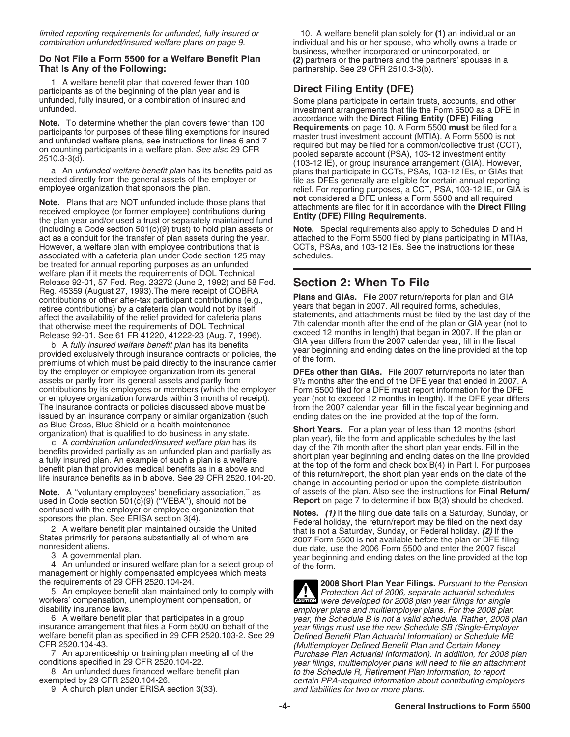# **Do Not File a Form 5500 for a Welfare Benefit Plan** (2) partners or the partners and the partners' spouses in a **That Is Any of the Following:** That Is Any of the **Following: Communisty** partnership. See 29 CFR 2510.3-3

1. A welfare benefit plan that covered fewer than 100 participants as of the beginning of the plan year and is **Direct Filing Entity (DFE)**

**Note.** Plans that are NOT unfunded include those plans that the net considered a DFE unless a Form 5500 and all required<br>received employee (or former employee) contributions during<br>the plan year and/or used a trust or sep (including a Code section 501(c)(9) trust) to hold plan assets or act as a conduit for the transfer of plan assets during the year. However, a welfare plan with employee contributions that is CCTs, PSAs, and 103-12 IEs. See the instructions for these<br>associated with a cafeteria plan under Code section 125 may schedules associated with a cafeteria plan under Code section 125 may be treated for annual reporting purposes as an unfunded welfare plan if it meets the requirements of DOL Technical Release 92-01, 57 Fed. Reg. 23272 (June 2, 1992) and 58 Fed. **Section 2: When To File** Frame and GIAs. File 2007 return/reports for plan and GIA<br>retiree contributions or other after-tax participant contributions (e.g.,<br>retiree contributions) by a cafeteria plan would not by itself<br>affect the availability of

b. A fully insured welfare benefit plan has its benefits<br>provided exclusively through insurance contracts or policies, the year beginning and ending dates on the line provided at the top<br>premiums of which must be paid dire by the employer or employee organization from its general **DFEs other than GIAs.** File 2007 return/reports no later than assets or partly from its general assets and partly from contributions by its employees or members (which the employer Form 5500 filed for a DFE must report information for the DFE<br>or employee organization forwards within 3 months of receipt). year (not to exceed 12 months in le The insurance contracts or policies discussed above must be from the 2007 calendar year, fill in the fiscal year beginning and issued by an insurance company or similar organization (such ending dates on the line provided at the top of the form.<br>As Blue Cross, Blue Shield or a health maintenance

used in Code section 501(c)(9) ("VEBA"), should not be

management or highly compensated employees which meets the requirements of 29 CFR 2520.104-24.

5. An employee benefit plan maintained only to comply with workers' compensation, unemployment compensation, or 5. An employee benefit plan maintained only to comply with<br>Workers' compensation, unemployment compensation, or<br>were developed for 2008 plan year filings for single

6. A welfare benefit plan that participates in a group year, the Schedule B is not a valid schedule. Rather, 2008 plan insurance arrangement that files a Form 5500 on behalf of the year filings must use the new Schedule SB welfare benefit plan as specified in 29 CFR 2520.103-2. See 29 Defined Benefit Plan Actuarial Information) or Schedule MB<br>Multiemployer Defined Benefit Plan and Certain Money) (Multiemployer Defined Benefit Plan and Certai

9. A church plan under ERISA section 3(33).

limited reporting requirements for unfunded, fully insured or 10. A welfare benefit plan solely for (1) an individual or an combination unfunded/insured welfare plans on page 9. individual and his or her spouse, who wholly owns a trade or business, whether incorporated or unincorporated, or **That Is Any of the Following:** partnership. See 29 CFR 2510.3-3(b).

unfunded, fully insured, or a combination of insured and Some plans participate in certain trusts, accounts, and other<br>investment arrangements that file the Form 5500 as a DFE in investment arrangements that file the Form 5500 as a DFE in accordance with the Direct Filing Entity (DFE) Filing **Note.** To determine whether the plan covers fewer than 100<br>participants for purposes of these filing exemptions for insured<br>and unfunded welfare plans, see instructions for lines 6 and 7<br>on counting participants in a welf

attached to the Form 5500 filed by plans participating in MTIAs,

Release 92-01. See 61 FR 41220, 41222-23 (Aug. 7, 1996). exceed 12 months in length) that began in 2007. If the plan or<br>Belease 92-01. See 61 FR 41220, 41222-23 (Aug. 7, 1996). GIA year differs from the 2007 calendar year,

91/2 months after the end of the DFE year that ended in 2007. A year (not to exceed 12 months in length). If the DFE year differs

as Blue Cross, Blue Shield or a health maintenance<br>
c. A combination unfunded/insured welfare plan has its<br>
c. A combination unfunded/insured welfare plan has its<br>
benefits provided partially as an unfunded plan and partia **Note.** A "voluntary employees' beneficiary association," as of assets of the plan. Also see the instructions for **Final Return/**<br>used in Code section 501(c)(9) ("VEBA"), should not be **Report** on page 7 to determine if bo

confused with the employer or employee organization that<br>sponsors the plan. See ERISA section 3(4).<br>2. A welfare benefit plan maintained outside the United<br>States primarily for persons substantially all of whom are<br>3007 Fo States primarily for persons substantially all of whom are<br>nonresident aliens.<br>3. A governmental plan.<br>4. An unfunded or insured welfare plan for a select group of the form.<br>4. An unfunded or insured welfare plan for a sel

2008 Short Plan Year Filings. Pursuant to the Pension<br>Protection Act of 2006, separate actuarial schedules disability insurance laws.<br>6. 6. 6. 6. 6. A welfare benefit plan that participates in a group *employer plans and multiemployer plans. For the 2008 plan* R 2520.104-43.<br>(Multiemployer Defined Benefit Plan and Certain Money (Multiemployer Defined Benefit Plan and Certain Money<br>7. An apprenticeship or training plan meeting all of the Purchase Plan Actuarial Information). In a 7. An apprenticeship or training plan meeting all of the Purchase Plan Actuarial Information). In addition, for 2008 plan conditions specified in 29 CFR 2520.104-22. nditions specified in 29 CFR 2520.104-22. year filings, multiemployer plans will need to file an attachment of<br>8. An unfunded dues financed welfare benefit plan states and to the Schedule R, Retirement Plan Information, to 8. An unfunded dues financed welfare benefit plan to the Schedule R, Retirement Plan Information, to report<br>certain PPA-required information about contributing emplo certain PPA-required information about contributing employers<br>and liabilities for two or more plans.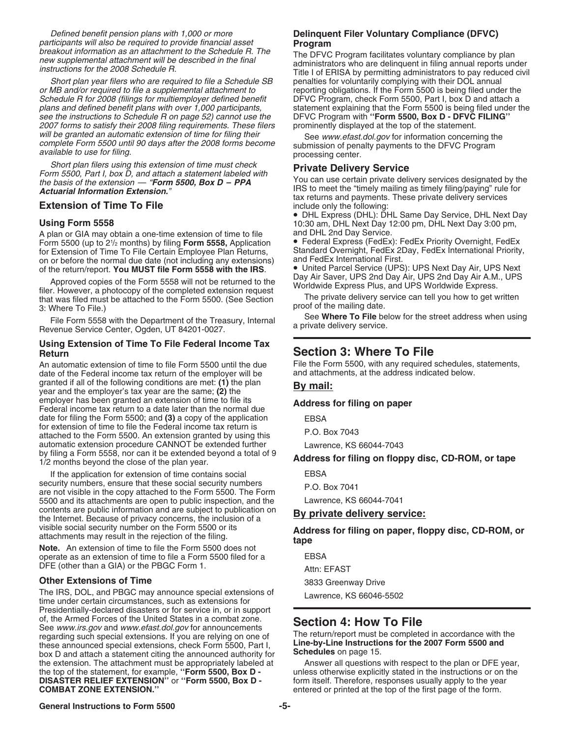Defined benefit pension plans with 1,000 or more **Delinquent Filer Voluntary Compliance (DFVC)**

Short plan year filers who are required to file a Schedule SB or MB and/or required to file a supplemental attachment to plans and defined benefit plans with over 1,000 participants, statement explaining that the Form 5500 is being filed under see the instructions to Schedule R on page 52) cannot use the DFVC Program with "Form 5500, Box D see the instructions to Schedule R on page 52) cannot use the DFVC Program with "**Form 5500, Box D - DFVC**<br>2007 forms to satisfy their 2008 filing requirements. These filers prominently displayed at the top of the statemen 2007 forms to satisfy their 2008 filing requirements. These filers<br>will be granted an automatic extension of time for filing their will be granted an automatic extension of time for filing their<br>complete Form 5500 until 90 days after the 2008 forms become<br>available to use for filing.<br>processing center.

Short plan filers using this extension of time must check<br>
Form 5500, Part I, box D, and attach a statement labeled with<br>
the basis of the extension — "Form 5500, Box D – PPA<br>
Actuarial Information Extension."<br>
Actuarial I

# **Extension of Time To File**

A plan or GIA may obtain a one-time extension of time to file and DHL 2nd Day Service. Form 5500 (up to  $2\frac{1}{2}$  months) by filing Form 5558, Application for Extension of Time To File Certain Employee Plan Returns, Standard Overnight, FedEx 2Day, FedEx International Priority, on or before the normal due date (not including any extensions) and FedEx International First. on or before the normal due date (not including any extensions) and FedEx International First.<br>of the return/report. You MUST file Form 5558 with the IRS. <br>• United Parcel Service (UPS): UPS Next Day Air, UPS Next

of the return/report. You MUST file Form 5558 with the IRS.<br>
Approved copies of the Form 5558 will not be returned to the<br>
filer. However, a photocopy of the completed extension request<br>
that was filed must be attached to

# **Using Extension of Time To File Federal Income Tax Return Section 3: Where To File**

An automatic extension of time to file Form 5500 until the due<br>date of the Federal income tax return of the employer will be and attachments, at the address indicated below. date of the Federal income tax return of the employer will be granted if all of the following conditions are met: **(1)** the plan **By mail:** year and the employer's tax year are the same; **(2)** the employer has been granted an extension of time to file its **Address for filing on paper** Federal income tax return to a date later than the normal due date for filing the Form 5500; and **(3)** a copy of the application EBSA for extension of time to file the Federal income tax return is for extension of time to file the Federal income tax return is P.O. Box 7043 attached to the Form 5500. An extension granted by using this automatic extension procedure CANNOT be extended further Lawrence, KS 66044-7043<br>by filing a Form 5558, nor can it be extended beyond a total of 9 by filing a Form 5558, nor can it be extended beyond a total of 9 **Address for filing on floppy disc, CD-ROM, or tape** 1/2 months beyond the close of the plan year.

If the application for extension of time contains social EBSA security numbers, ensure that these social security numbers<br>
are not visible in the copy attached to the Form 5500. The Form<br>
5500 and its attachments are open to public inspection, and the Lawrence, KS 66044-7041 5500 and its attachments are open to public inspection, and the contents are public information and are subject to publication on **By private delivery service:** the Internet. Because of privacy concerns, the inclusion of a

operate as an extension of time to file a Form 5500 filed for a DFE (other than a GIA) or the PBGC Form 1. Attn: EFAST

# **Other Extensions of Time 3833 Greenway Drive**

The IRS, DOL, and PBGC may announce special extensions of Lawrence, KS 66046-5502 time under certain circumstances, such as extensions for Presidentially-declared disasters or for service in, or in support of, the Armed Forces of the United States in a combat zone. of, the Armed Forces of the United States in a combat zone.<br>See www.irs.gov and www.efast.dol.gov for announcements<br>regarding such special extensions. If you are relying on one of The return/report must be completed in acc regarding such special extensions. If you are relying on one of The return/report must be completed in accordance with the return regarding such special extensions, check Form 5500 Part I these announced special extensions, check Form 5500, Part I, **Line-by-Line instructional intervalse in the 2007**<br>hox D and attach a statement citing the announced authority for **Schedules** on page 15. box D and attach a statement citing the announced authority for<br>the extension. The attachment must be appropriately labeled at **Answer all questions with respect to the plan or DFE** year, the extension. The attachment must be appropriately labeled at the top of the statement, for example, **''Form 5500, Box D -** unless otherwise explicitly stated in the instructions or on the **DISASTER RELIEF EXTENSION''** or **''Form 5500, Box D -** form itself. Therefore, responses usually apply to the year **COMBAT ZONE EXTENSION."** entered or printed at the top of the first page of the form.

participants will also be required to provide financial asset<br>
breakout information as an attachment to the Schedule R. The<br>
new supplemental attachment will be described in the final<br>
instructions for the 2008 Schedule R. reporting obligations. If the Form 5500 is being filed under the DFVC Program, check Form 5500, Part I, box D and attach a Schedule R for 2008 (filings for multiemployer defined benefit DFVC Program, check Form 5500, Part I, box D and attach a<br>plans and defined benefit plans with over 1,000 participants, statement explaining that the Form 5500

tax returns and payments. These private delivery services include only the following:

• DHL Express (DHL): DHL Same Day Service, DHL Next Day **Using Form 5558** 10:30 am, DHL Next Day 12:00 pm, DHL Next Day 3:00 pm,

**• Federal Express (FedEx): FedEx Priority Overnight, FedEx** 

File Form 5558 with the Department of the Treasury, Internal See Where To File below for the street address when using<br>Revenue Service Center, Ogden, UT 84201-0027.

visible social security number on the Form 5500 or its<br>attachments may result in the rejection of the filing.<br>**Address for filing on paper, floppy disc, CD-ROM, or**<br>**Note.** An extension of time to file the Form 5500 does n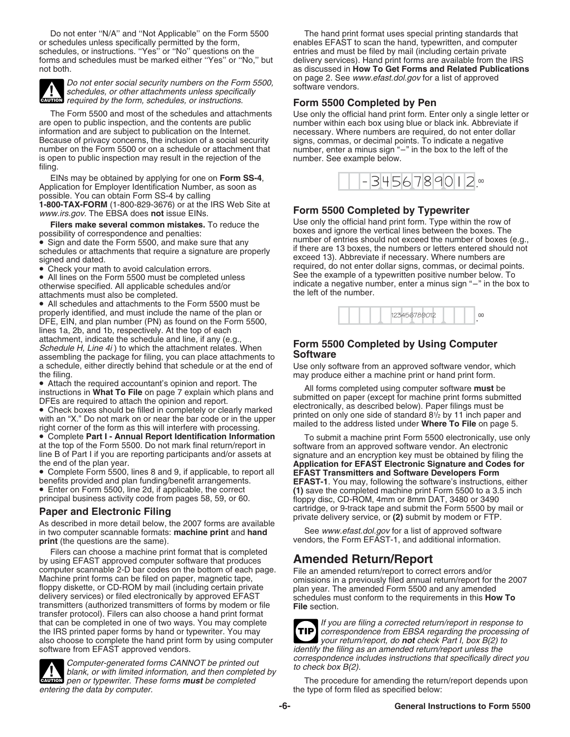Do not enter "N/A" and "Not Applicable" on the Form 5500 The hand print format uses special printing standards that or schedules unless specifically permitted by the form, enables EFAST to scan the hand, typewritten, and c schedules, or instructions. "Yes" or "No" questions on the forms and schedules must be marked either "Yes" or "No," but delivery services). Hand print forms are available from the IRS<br>as discussed in **How To Get Forms and Related Publication** 



Do not enter social security numbers on the Form 5500, schedules, or other attachments unless specifically software vendors. **CAUTION** required by the form, schedules, or instructions.

are open to public inspection, and the contents are public number within each box using blue or black ink. Abbreviate if information and are subject to publication on the Internet. information and are subject to publication on the Internet.<br>Because of privacy concerns, the inclusion of a social security signs, commas, or decimal points. To indicate a negative number on the Form 5500 or on a schedule or attachment that number, enter a minus sign "-<br>is open to public inspection may result in the rejection of the left of the number. See example below. is open to public inspection may result in the rejection of the filing.

EINs may be obtained by applying for one on **Form SS-4**, Application for Employer Identification Number, as soon as possible. You can obtain Form SS-4 by calling **1-800-TAX-FORM** (1-800-829-3676) or at the IRS Web Site at www.irs.gov. The EBSA does not issue EINs.

• All schedules and attachments to the Form 5500 must be properly identified, and must include the name of the plan or DFE, EIN, and plan number (PN) as found on the Form 5500, lines 1a, 2b, and 1b, respectively. At the top of each attachment, indicate the schedule and line, if any (e.g., attachment, indicate the schedule and line, if any (e.g., **Form 5500 Completed by Using Computer**<br>Schedule H, Line 4i ) to which the attachment relates. When **Software**<br>assembling the asckage for filing you can place attac assembling the package for filing, you can place attachments to a schedule, either directly behind that schedule or at the end of Use only software from an approved software vendor, which the filing. may produce either a machine print or hand print form.

with an "X." Do not mark on or near the bar code or in the upper<br>
right corner of the form as this will interfere with processing.<br>
• Complete Part I - Annual Report Identification Information<br>
To submit a machine print Fo

**Paper and Electronic Filing**<br>As described in more detail below, the 2007 forms are available<br>in two computer scannable formats: **machine print** and **hand**<br>in two computer scannable formats: **machine print** and **hand**<br>See in two computer scannable formats: **machine print** and **hand print** (the questions are the same).

Filers can choose a machine print format that is completed by using EFAST approved computer software that produces **Amended Return/Report** computer scannable 2-D bar codes on the bottom of each page. File an amended return/report to correct errors and/or<br>Machine print forms can be filed on paper, magnetic tape,<br>floppy diskette, or CD-ROM by mail (including ce transmitters (authorized transmitters of forms by modem or file **File** section. transfer protocol). Filers can also choose a hand print format that can be completed in one of two ways. You may complete  $\begin{array}{c} \blacksquare & \blacksquare & \blacksquare & \blacksquare \end{array}$  If you are filing a corrected return/report in response to the IRS printed paper forms by hand or typewriter. You may the IRS printed paper forms by hand or typewriter. You may **TIP** correspondence from EBSA regarding the processing of the processing of the processing of the processing of the processing of the band print form by using com also choose to complete the hand print form by using computer

Computer-generated forms CANNOT be printed out<br>
blank, or with limited information, and then completed by<br>
pen or typewriter. These forms **must** be completed<br>
The procedure for amending the return/report depends upon blank, or with limited information, and then completed by<br>**EXULION** pen or typewriter. These forms **must** be completed **The procedure for amending the return/report depends upon** entering the data by computer. The type of form filed as specified below:

enables EFAST to scan the hand, typewritten, and computer entries and must be filed by mail (including certain private as discussed in **How To Get Forms and Related Publications**<br>on page 2. See *www.efast.dol.gov* for a list of approved

# **Form 5500 Completed by Pen**

The Form 5500 and most of the schedules and attachments Use only the official hand print form. Enter only a single letter or are open to public inspection, and the contents are public  $n$  number within each box using blue signs, commas, or decimal points. To indicate a negative number, enter a minus sign  $-$ " in the box to the left of the



**Form 5500 Completed by Typewriter** Use only the official hand print form. Type within the row of Filers make several common mistakes. To reduce the<br>
• Sign and date the Form 5500, and make sure that any<br>
• Sign and date the Form 5500, and make sure that any<br>
• Sign and date the Form 5500, and make sure that any<br>
• Si



• Attach the required accountant's opinion and report. The<br>
instructions in **What To File** on page 7 explain which plans and<br>
DFEs are required to attach the opinion and report.<br> **Check boxes should be filled in completel** 

• Complete Part I - Annual Report Identification Information To submit a machine print Form 5500 electronically, use only at the top of the Form 5500. Do not mark final return/report in software from an approved software v line B of Part I if you are reporting participants and/or assets at signature and an encryption key must be obtained by filing the<br>the end of the plan year.<br>Complete Form 5500, lines 8 and 9, if applicable, to report all<br>b benefits provided and plan funding/benefit arrangements.<br>• Enter on Form 5500, line 2d, if applicable, the correct (1) save the completed machine print Form 5500 to a 3.5 inch<br>principal business activity code from pages 58 floppy disc, CD-ROM, 4mm or 8mm DAT, 3480 or 3490 cartridge, or 9-track tape and submit the Form 5500 by mail or

vendors, the Form EFAST-1, and additional information.

**TIP** software from EFAST approved vendors. in the state of the filling as an amended return/report unless the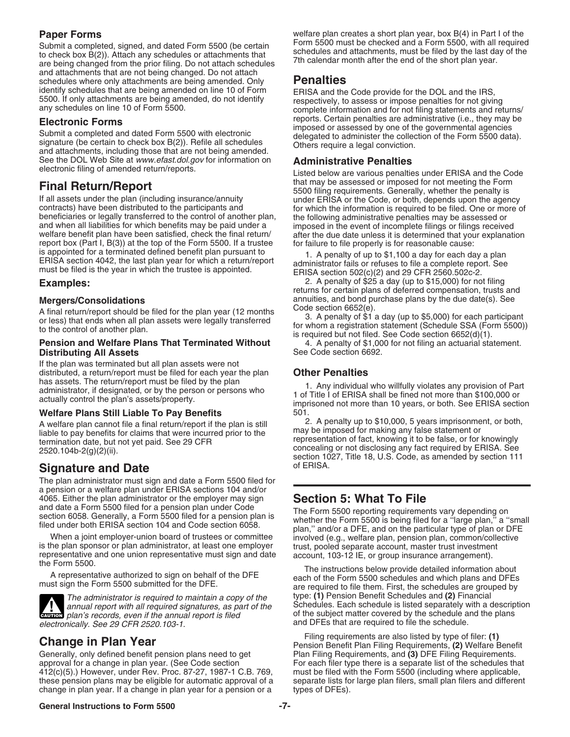Submit a completed, signed, and dated Form 5500 (be certain<br>to check box B(2)). Attach any schedules or attachments that<br>are being changed from the prior filing. Do not attach schedules<br>7th calendar month after the end of and attachments that are not being changed. Do not attach schedules where only attachments are being amended. Only **Penalties**<br>identify schedules that are being amended on line 10 of Form **FRISA** and the

See the DOL Web Site at *www.efast.dol.gov* for information on **Administrative Penalties**<br>electronic filing of amended return/reports.

and when all liabilities for which benefits may be paid under a<br>welfare benefit plan have been satisfied, check the final return/<br>report box (Part I, B(3)) at the top of the Form 5500. If a trustee<br>is appointed for a termi is appointed for a terminated defined benefit plan pursuant to<br>ERISA section 4042, the last plan year for which a return/report<br>must be filed is the year in which the trustee is appointed.<br>ERISA section 502(c)(2) and 29 CF

A final return/report should be filed for the plan year (12 months<br>or less) that ends when all plan assets were legally transferred<br>to the control of another plan.<br>to the control of another plan.<br>is required but not filed.

# **Pension and Welfare Plans That Terminated Without** 4. A penalty of \$1,000 for not filing an actuarial statement.<br>
See Code section 6692. **Distributing All Assets**

If the plan was terminated but all plan assets were not distributed, a return/report must be filed for each year the plan **Other Penalties**

A welfare plan cannot file a final return/report if the plan is still 2. A penalty up to \$10,000, 5 years imprisonme<br>liable to pay benefits for claims that were incurred prior to the may be imposed for making any false sta

# **Signature and Date** of ERISA.

The plan administrator must sign and date a Form 5500 filed for a pension or a welfare plan under ERISA sections 104 and/or 4065. Either the plan administrator or the employer may sign **Section 5: What To File**

ewing plan's records, even if the annual report is filed **for the subject matter covered by the schedule** a<br>electronically. See 29 CFR 2520.103-1.

Generally, only defined benefit pension plans need to get<br>approval for a change in plan year. (See Code section For each filer type there is a separate list of the schedules th 412(c)(5).) However, under Rev. Proc. 87-27, 1987-1 C.B. 769, must be filed with the Form 5500 (including where applicable,<br>these pension plans may be eligible for automatic approval of a separate lists for large plan file these pension plans may be eligible for automatic approval of a separate lists for change in plan year. If a change in plan year for a pension or a types of DFEs). change in plan year. If a change in plan year for a pension or a

**Paper Forms**<br>Submit a completed signed and dated Form 5500 (be certain Form 5500 must be checked and a Form 5500, with all required

identify schedules that are being amended on line 10 of Form<br>5500. If only attachments are being amended, do not identify<br>any schedules on line 10 of Form 5500.<br>complete information and for not filing statements and return **Electronic Forms**<br>
Submit a completed and dated Form 5500 with electronic<br>
signature (be certain to check box B(2)). Refile all schedules<br>
and attachments, including those that are not being amended.<br>
There require a lega

Listed below are various penalties under ERISA and the Code **Final Return/Report**<br>
If all assets under the plan (including insurance/annuity<br>
If all assets under the plan (including insurance/annuity<br>
ontracts) have been distributed to the participants and<br>
beneficiaries or legally

**Examples:** 2. A penalty of \$25 a day (up to \$15,000) for not filing returns for certain plans of deferred compensation, trusts and **Mergers/Consolidations**<br>A final return/report chould be filed for the plan year (12 menths Code section 6652(e).

administrator, if designated, or by the person or persons who<br>administrator, if designated, or by the person or persons who<br>actually control the plan's assets/property.<br>**Welfare Plans Still Liable To Pav Benefits** 501.<br>**We** 

**Welfare Plans Still Liable To Pay Benefits** 501.<br>A welfare plan cannot file a final return/report if the plan is still  $\qquad \qquad$  2. A penalty up to \$10,000, 5 years imprisonment, or both, liable to pay benefits for claims that were incurred prior to the<br>termination date, but not yet paid. See 29 CFR<br>2520.104b-2(g)(2)(ii).<br>2520.104b-2(g)(2)(ii).<br>2520.104b-2(g)(2)(ii).<br>2520.104b-2(g)(2)(ii).

and date a Form 5500 filed for a pension plan under Code<br>section 6058. Generally, a Form 5500 filed for a pension plan is<br>filed under both ERISA section 104 and Code section 6058.<br>When a joint employer-union board of trust

representative and one union representative must sign and date the Form 5500.<br>
The instructions below provide detailed information about<br>
A representative authorized to sign on behalf of the DFE<br>
must sign the Form 5500 su The administrator is required to maintain a copy of the type: **(1)** Pension Benefit Schedules and **(2)** Financial annual report with all required signatures, as part of the Schedules. Each schedule is listed separately with a description plan's records, even if the annual report is filed of the subject matter covered by the schedule a

Filing requirements are also listed by type of filer: **(1) Change in Plan Year** Pension Benefit Plan Filing Requirements, **(2)** Welfare Benefit For each filer type there is a separate list of the schedules that

# **General Instructions to Form 5500 -7-**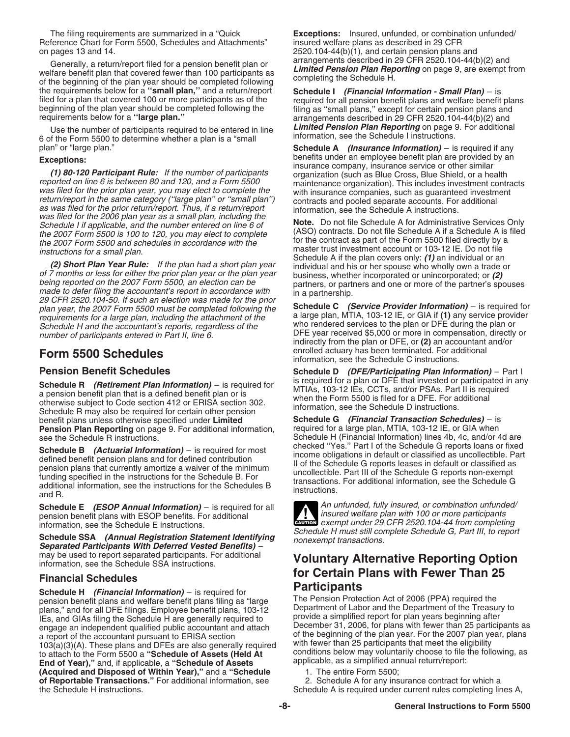Reference Chart for Form 5500, Schedules and Attachments" on pages 13 and 14.

Generally, a return/report filed for a pension benefit plan or<br>welfare benefit plan that covered fewer than 100 participants as<br>of the beginning of the plan year should be completed following<br>the requirements below for a the requirements below for a "small plan," and a return/report filed for a plan that covered 100 or more participants as of the required for all pension benefit plans and welfare benefit plans beginning of the plan year should be completed following the filing as "small plans," except beginning of the plan year should be completed following the filing as "small plans," except for certain pension plans and<br>
requirements below for a "large plan." and arrangements described in 29 CFR 2520.104-44(b)(2) and

Use the number of participants required to be entered in line<br>6 of the Form 5500 to determine whether a plan is a "small information, see the Schedule I instructions.<br>**Schedule A** (Insurance Information) – is required if a

**Exceptions:**<br> **Exceptions:**<br> **Exception and Explore the the temployee of participants**<br> **Exported on line 6 is between 80 and 120, and a Form 5500**<br> **Exported on line 6 is between 80 and 120, and a Form 5500**<br> **Exported** 

**Schedule A** if the plan covers only: (1) an individual or an<br>
(2) Short Plan Year Rule: If the plan had a short plan year<br>
of 7 months or less for either the prior plan year or the plan year<br>
being reported on the 2007 Fo plan year, the 2007 Form 5500 must be completed following the **Schedule C** *(Service Provider Information)* – is required for requirements for a large plan, including the attachment of the and a large plan, MTIA, 103-12 IE, or GIA if (1) any service provider including the accountant's reports requireless of the accountant's reports requirely so t Schedule H and the accountant's reports, regardless of the number of participants entered in Part II, line 6.

Schedule R *(Retirement Plan Information)* – is required for<br>a pension benefit plan that is a defined benefit plan or is<br>otherwise subject to Code section 412 or ERISA section 302.<br>Schedule R may also be required for certa benefit plans unless otherwise specified under **Limited Schedule G** *(Financial Transaction Schedules)* – is **Pension Plan Reporting** on page 9. For additional information,

**Schedule B** *(Actuarial Information)* – is required for most<br>defined benefit pension plans and for defined contribution<br>pension plans that currently amortize a waiver of the minimum<br>funding specified in the instructions f

pension benefit plans with ESOP benefits. For additional information, see the Schedule E instructions. **EXECUTE:** (ESCP ATTENTIFICATION) - is required for all<br>pension benefit plans with ESOP benefits. For additional<br>information, see the Schedule E instructions.

Schedule SSA *(Annual Registration Statement Identifying*<br>
Schedule G, Part III, to report<br>
Separated Participants With Deferred Vested Benefits) –<br>
may be used to report separated participants. For additional<br> **Molumbary** may be used to report separated participants. For additional **Voluntary Alternative Reporting Option** information, see the Schedule SSA instructions.

pension benefit plans and welfare benefit plans filing as "large The Pension Protection Act of 2006 (PPA) required the<br>plans," and for all DFF filings, Employee benefit plans, 103-12 Department of Labor and the Department plans," and for all DFE filings. Employee benefit plans, 103-12 Department of Labor and the Department of the Treasur<br>IEs, and GIAs filing the Schedule H are generally required to provide a simplified report for plan years engage an independent qualified public accountant and attach a report of the accountant pursuant to ERISA section 103(a)(3)(A). These plans and DFEs are also generally required with fewer than 25 participants that meet the eligibility<br>to attach to the Form 5500 a "**Schedule of Assets (Held At** conditions below may voluntarily choose t to attach to the Form 5500 a "**Schedule of Assets (Held At** conditions below may voluntarily choose to file the following, as a simplified annual return/report: **End of Year),"** and, if applicable, a "Schedule of Assets applicable, as a simplified annual return/report: **(Acquired and Disposed of Within Year),"** and a **"Schedule** 1. The entire Form 5500; **of Reportable Transactions."** For additional information, see 2. Schedule A for any insurance contract for which a<br>
Schedule A is required under current rules completing ling-<br>
Schedule A is required under current rules c

The filing requirements are summarized in a "Quick **Exceptions:** Insured, unfunded, or combination unfunded/<br>ference Chart for Form 5500, Schedules and Attachments" insured welfare plans as described in 29 CFR  $2520.104-44(b)(1)$ , and certain pension plans and arrangements described in 29 CFR 2520.104-44(b)(2) and

arrangements described in 29 CFR 2520.104-44(b)(2) and

**Schedule A** *(Insurance Information)* – is required if any

DFE year received \$5,000 or more in compensation, directly or indirectly from the plan or DFE, or **(2)** an accountant and/or **Form 5500 Schedules**<br> **Form 5500 Schedules**<br> **Form 5500 ScheduleS**<br> **information**, see the Schedule C instructions.

**Pension Benefit Schedules Schedule D** *(DFE/Participating Plan Information)* – Part I

see the Schedule R instructions.<br>Cabadule B (Actuarial Information) is required for most checked "Yes." Part I of the Schedule G reports loans or fixed

**Schedule E** (*ESOP Annual Information*) – is required for all **An** unfunded, fully insured, or combination unfunded/<br> **Annual Annual Insuration** and insured welfare plan with 100 or more participants

# **for Certain Plans with Fewer Than 25**<br>**Schedule H** *(Financial Information)* – is required for<br>**Participants Participants Protection Act of 2006** (PPA) required the

IEs, and GIAs filing the Schedule H are generally required to expressive a simplified report for plan years beginning after interaction of the generally required to the December 31, 2006, for plans with fewer than 25 parti of the beginning of the plan year. For the 2007 plan year, plans with fewer than 25 participants that meet the eligibility

Schedule A is required under current rules completing lines A,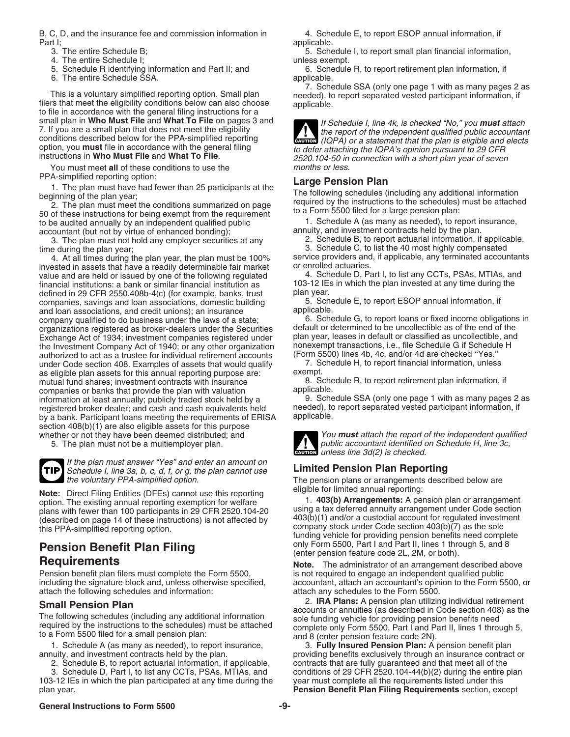B, C, D, and the insurance fee and commission information in 4. Schedule E, to report ESOP annual information, if Part I;<br>
3. The entire Schedule B;<br>
3. The entire Schedule B;

- 
- 5. Schedule R identifying information and Part II; and
- 6. The entire Schedule SSA. **All applicable.** Applicable.

This is a voluntary simplified reporting option. Small plan<br>filers that meet the eligibility conditions below can also choose<br>to file in accordance with the general filing instructions for a<br>small plan in **Who Must File** a

You must meet **all** of these conditions to use the PPA-simplified reporting option:

accountant (but not by virtue of enhanced bonding);<br>3. The plan must not hold any employer securities at any annuity, and investment contracts held by the plan.

3. The plan must not hold any employer securities at any

4. At all times during the plan year, the plan must be 100% service providers and service providers and service providers and actuaries. invested in assets that have a readily determinable fair market or enrolled actuaries.<br>value and are held or issued by one of the following regulated 4. Schedule D, Part I, to list any CCTs, PSAs, MTIAs, and value and are held or issued by one of the following regulated and the Schedule D, Part I, to list any CCTs, PSAs, MTIAs, and financial institutions: a bank or similar financial institution as  $\frac{103-12}{103}$  IEs in which financial institutions: a bank or similar financial institution as  $103-12$  IEs defined in 29 CFR 2550.408b-4(c) (for example, banks, trust plan year. defined in 29 CFR 2550.408b-4(c) (for example, banks, trust plan year.<br>companies, savings and loan associations, domestic building 5. Schedule E, to report ESOP annual information, if companies, savings and loan associations, domestic building 5. Sche<br>
and loan associations, and credit unions); an insurance applicable. and loan associations, and credit unions); an insurance applicable.<br>company qualified to do business under the laws of a state: <br>6. Schedule G, to report loans or fixed income obligations in company qualified to do business under the laws of a state; organizations registered as broker-dealers under the Securities default or determined to be uncollectible as of the end of the Exchange Act of 1934; investment companies registered under plan year, leases in default or classified as uncollectible, an<br>the Investment Company Act of 1940; or any other organization nonexempt transactions, i.e., file S the Investment Company Act of 1940; or any other organization nonexempt transactions, i.e., file Schedule G if Schedul<br>authorized to act as a trustee for individual retirement accounts (Form 5500) lines 4b, 4c, and/or 4d a authorized to act as a trustee for individual retirement accounts (Form 5500) lines 4b, 4c, and/or 4d are checked ''Yes.'' under Code section 408. Examples of assets that would qualify  $\frac{7.}{5}$  as eligible plan assets for this annual reporting purpose are: exempt. as eligible plan assets for this annual reporting purpose are: exempt.<br>mutual fund shares: investment contracts with insurance exercise 8. Schedule R, to report retirement plan information, if mutual fund shares; investment contracts with insurance  $\frac{8. \text{ Sches}}{2. \text{R}}$  applicable. companies or banks that provide the plan with valuation and pricable.<br>information at least annually: publicly traded stock held by a schedule SSA (only one page 1 with as many pages 2 as information at least annually; publicly traded stock held by a 9. Schedule SSA (only one page 1 with as many pages 2 as registered broker dealer; and cash and cash equivalents held needed), to report separated vested parti needed broker dealer; and cash and cash equivalents held meeded), to report that is registered broker held bro<br>http://www.participant.loans.meeting the requirements of FRISA applicable. by a bank. Participant loans meeting the requirements of ERISA section 408(b)(1) are also eligible assets for this purpose

**TIP**

If the plan must answer "Yes" and enter an amount on Schedule I, line 3a, b, c, d, f, or g, the plan cannot use **Limited Pension Plan Reporting**<br>the voluntary PPA-simplified option. The pension plans or arrangements description

**Note:** Direct Filing Entities (DFEs) cannot use this reporting<br>option. The existing annual reporting exemption for welfare<br>plans with fewer than 100 participants in 29 CFR 2520.104-20<br>(described on page 14 of these instru

# **Pension Benefit Plan Filing**<br> **Pension Benefit Plan Filing**<br> **Requirements**<br> **Pension Benefit Plan Filing**<br> **Pension feature code 2L, 2M, or both).**<br> **Pension Benefit Plan Filing**<br> **Pension feature code 2L, 2M, or both).**

Pension benefit plan filers must complete the Form 5500, is not required to engage an independent qualified public<br>including the signature block and, unless otherwise specified, accountant, attach an accountant's opinion t attach the following schedules and information: attach any schedules to the Form 5500.

2. Schedule B, to report actuarial information, if applicable.

103-12 IEs in which the plan participated at any time during the plan year.

5. Schedule I, to report small plan financial information, 4. The entire Schedule I;<br>5. Schedule R identifying information and Part II; and  $\begin{array}{c} \text{unless exempt.} \\ \text{6. Schedule R, to report retirement plan information, if} \end{array}$ 

small plan in **Who Must File** and **What To File** on pages 3 and If Schedule I, line 4k, is checked "No," you **must** attach T. If you are a small plan that does not meet the eligibility 7. If you are a small plan that does not meet the eligibility<br>conditions described below for the PPA-simplified reporting<br>(IQPA) or a statement that the plan is eligible and elects option, you must file in accordance with the general filing<br>instructions in Who Must File and What To File.<br>You must meet all of these conditions to use the<br>You must meet all of these conditions to use the<br>months or less.

1. The plan must have had fewer than 25 participants at the<br>
beginning of the plan year;<br>
2. The plan must meet the conditions summarized on page<br>
50 of these instructions for being exempt from the requirement<br>
to be audit

time during the plan year;<br>
4. At all times during the plan year, the plan must be 100% service providers and, if applicable, any terminated accountants



whether or not they have been deemed distributed; and <br>5. The plan must not be a multiemployer plan.<br>5. The plan must not be a multiemployer plan. public accountant identified on Schedule H, line 3c, public accountant identified<br>
unless line 3d(2) is checked.

The pension plans or arrangements described below are

**Note.** The administrator of an arrangement described above accountant, attach an accountant's opinion to the Form 5500, or

**Small Pension Plan**<br>
The following schedules (including any additional information<br>
The following schedules (including any additional information<br>
required by the instructions to the schedules) must be attached<br>
to a Form

1. Schedule A (as many as needed), to report insurance, 3. **Fully Insured Pension Plan:** A pension benefit plan providing benefits exclusively through an insurance contract or contracts that are fully guaranteed and that meet all of the 3. Schedule D, Part I, to list any CCTs, PSAs, MTIAs, and conditions of 29 CFR 2520.104-44(b)(2) during the entire plan<br>3-12 IEs in which the plan participated at any time during the vear must complete all the requirements Pension Benefit Plan Filing Requirements section, except

# **General Instructions to Form 5500 -9-**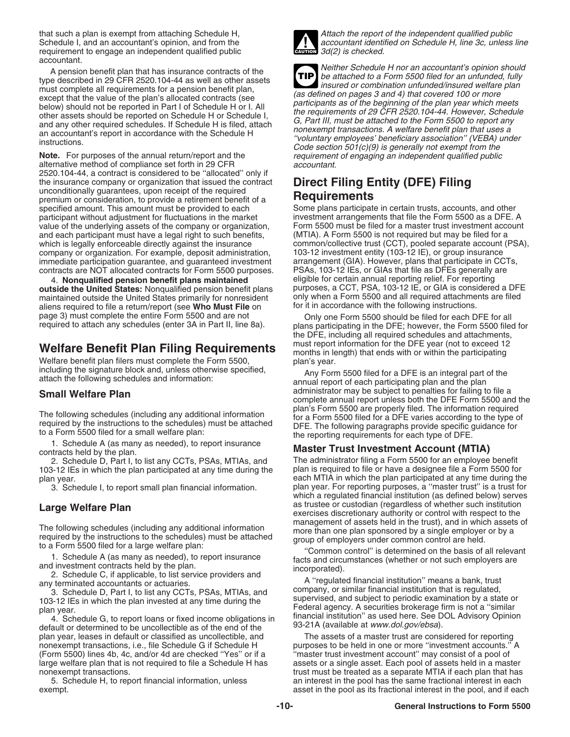Schedule I, and an accountant's opinion, and from the accountant identified public requirement to engage an independent qualified public  $\frac{1}{\text{column}}$  3d(2) is checked. requirement to engage an independent qualified public accountant.

alternative method of compliance set forth in 29 CFR 2520.104-44, a contract is considered to be ''allocated'' only if the insurance company or organization that issued the contract **Direct Filing Entity (DFE) Filing**<br>unconditionally guarantees, upon receipt of the required<br>premium or consideration, to provide a retirement benefit of a<br>**Re** premium or consideration, to provide a retirement benefit of a specified amount. This amount must be provided to each participant without adjustment for fluctuations in the market investment arrangements that file the Form 5500 as a DFE. A value of the underlying assets of the company or organization. Form 5500 must be filed for a master value of the underlying assets of the company or organization, Form 5500 must be filed for a master trust investment account account and each participant must have a legal right to such benefits, (MTIA). A Form 5500 is not and each participant must have a legal right to such benefits, which is legally enforceable directly against the insurance company or organization. For example, deposit administration, immediate participation guarantee, and guaranteed investment arrangement (GIA). However, plans that participate in CCTs, contracts are NOT allocated contracts for Form 5500 purposes. PSAs, 103-12 IEs, or GIAs that file as contracts are NOT allocated contracts for Form 5500 purposes.

**outside the United States:** Nonqualified pension benefit plans purposes, a CCT, PSA, 103-12 IE, or GIA is considered a DFE maintained outside the United States primarily for nonresident only when a Form 5500 and all required attachme<br>aliens required to file a return/report (see **Who Must File** on for it in accordance with the following instruc aliens required to file a return/report (see **Who Must File** on page 3) must complete the entire Form 5500 and are not

Welfare benefit plan filers must complete the Form 5500, plan's year.<br>including the signature block and, unless otherwise specified,  $\rho_{\text{av}}$  Form

1. Schedule D. Pany as needed), to report insurance **Master Trust Investment Account (MTIA)**<br>2. Schedule D. Part I. to list any CCTs. PSAs. MTIAs. and The administrator filing a Form 5500 for an employee benefit

103-12 IEs in which the plan participated at any time during the plan year. each MTIA in which the plan participated at any time during the

plan year, leases in default or classified as uncollectible, and The assets of a master trust are considered for reporting nonexempt transactions, i.e., file Schedule G if Schedule H purposes to be held in one or more "investment accounts."<br>(Form 5500) lines 4b, 4c, and/or 4d are checked "Yes" or if a "master trust investment account" may cons large welfare plan that is not required to file a Schedule H has assets or a single asset. Each pool of assets held in a master



that such a plan is exempt from attaching Schedule H,<br>Schedule I, and an accountant's opinion, and from the accountant identified on Schedule H, line 3c, unless line

A pension benefit plan that has insurance contracts of the<br>type described in 29 CFR 2520.104-44 as well as other assets<br>must complete all requirements for a pension benefit plan,<br>insured or combination unfunded/insured wel **TIP** Except that the value of the plan's allocated contracts (see<br>below) should not be reported in Part I of Schedule H or I. All<br>other assets should be reported on Schedule H or I. All<br>other assets should be reported on Sched requirement of engaging an independent qualified public accountant.

Some plans participate in certain trusts, accounts, and other common/collective trust (CCT), pooled separate account (PSA), 103-12 investment entity (103-12 IE), or group insurance 4. **Nonqualified pension benefit plans maintained** eligible for certain annual reporting relief. For reporting<br>tside the United States: Nonqualified pension benefit plans purposes, a CCT, PSA, 103-12 IE, or GIA is consider

page 3) must complete the entire Form 5500 and are not compared to the Form 5500 should be filed for each DFE for all<br>The Baham plans participating in the DFE; however, the Form 5500 filed for required to attach any schedu the DFE, including all required schedules and attachments, must report information for the DFE year (not to exceed 12 Welfare Benefit Plan Filing Requirements months in length) that ends with or within the participating

including the signature block and, unless otherwise specified, Any Form 5500 filed for a DFE is an integral part of the attach the following schedules and information: annual report of each participating plan and the plan administrator may be subject to penalties for failing to file a **Small Welfare Plan** complete annual report unless both the DFE Form 5500 and the The following schedules (including any additional information<br>
required tor a Form 5500 are properly filed. The information required<br>
required by the instructions to the schedules) must be attached<br>
to a Form 5500 filed fo

2. Schedule D, Part I, to list any CCTs, PSAs, MTIAs, and The administrator filing a Form 5500 for an employee benefit<br>3-12 IEs in which the plan participated at any time during the plan is required to file or have a desig 3. Schedule I, to report small plan financial information. plan year. For reporting purposes, a ''master trust'' is a trust for which a regulated financial institution (as defined below) serves **Large Welfare Plan Large Welfare Plan Exercises of custodian** (regardless of whether such institution exercises discretionary authority or control with respect to the

The following schedules (including any additional information<br>
required by the instructions to the schedules) must be attached<br>
to a Form 5500 filed for a large welfare plan:<br>
1. Schedule A (as many as needed), to report i

"master trust investment account" may consist of a pool of nonexempt transactions.<br>5. Schedule H, to report financial information, unless an interest in the pool has the same fractional interest in each 5. Schedule H, to report financial information, unless an interest in the pool has the same fractional interest in each exempt. asset in the pool as its fractional interest in the pool, and if each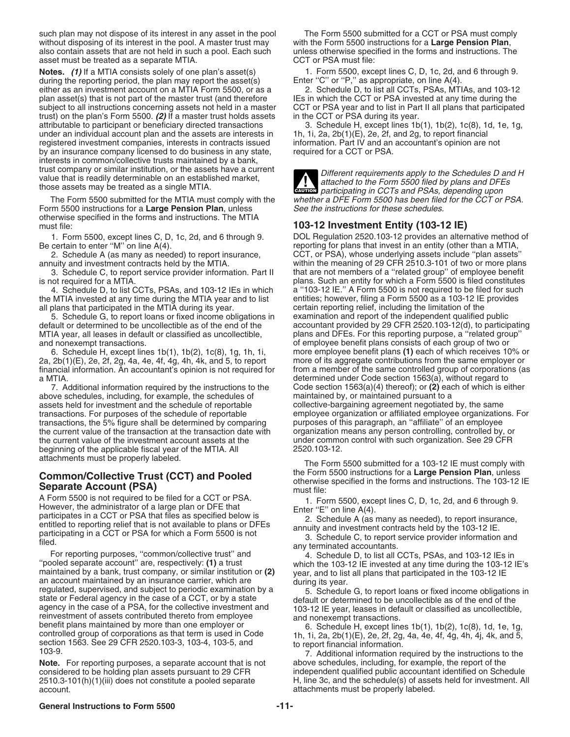such plan may not dispose of its interest in any asset in the pool The Form 5500 submitted for a CCT or PSA must comply without disposing of its interest in the pool. A master trust may with the Form 5500 instructions for a **Large Pension Plan**, also contain assets that are not held in such a pool. Each such unless otherwise specified in th also contain assets that are not held in such a pool. Each such asset must be treated as a separate MTIA. CCT or PSA must file:

**Notes.** (1) If a MTIA consists solely of one plan's asset(s) 1. Form 5500, except lines C, D, 1c, 2d, and 6 through 9. during the reporting period, the plan may report the asset(s) Enter "C" or "P," as appropriate, on lin during the reporting period, the plan may report the asset(s) Enter "C" or "P," as appropriate, on line A(4).<br>
either as an investment account on a MTIA Form 5500, or as a 2. Schedule D, to list all CCTs, PSAs, MTIAs, and either as an investment account on a MTIA Form 5500, or as a 2. Schedule D, to list all CCTs, PSAs, MTIAs, and 103-12<br>plan asset(s) that is not part of the master trust (and therefore IEs in which the CCT or PSA invested a plan asset(s) that is not part of the master trust (and therefore subject to all instructions concerning assets not held in a master CCT or PSA year and to list in Part II all plans that participated<br>trust) on the plan's Form 5500. (2) If a master trust holds assets in the CCT or PSA dur trust) on the plan's Form 5500. **(2)** If a master trust holds assets attributable to participant or beneficiary directed transactions under an individual account plan and the assets are interests in 1h, 1i, 2a, 2b(1)(E), 2e, 2f, and 2g, to report financial<br>registered investment companies, interests in contracts issued information. Part IV and an accounta registered investment companies, interests in contracts issued information. Part IV and an by an insurance company licensed to do business in any state, required for a CCT or PSA. by an insurance company licensed to do business in any state, interests in common/collective trusts maintained by a bank,

Form 5500 instructions for a Large Pension Plan, unless See the instructions for these schedules. otherwise specified in the forms and instructions. The MTIA

3. Schedule C, to report service provider information. Part II

the MTIA invested at any time during the MTIA year and to list entities; however, filing a Form 5500 as a 103-12 IE provides all plans that participated in the MTIA during its year.

default or determined to be uncollectible as of the end of the<br>MTIA year, all leases in default or classified as uncollectible,

2a,  $2b(1)(E)$ , 2e, 2f, 2g, 4a, 4e, 4f, 4g, 4h, 4k, and 5, to report

above schedules, including, for example, the schedules of maintained by, or maintained pursuant to a<br>assets held for investment and the schedule of reportable collective-bargaining agreement negotiated by, the same assets held for investment and the schedule of reportable transactions, the 5% figure shall be determined by comparing the current value of the transaction at the transaction date with organization means any person controlling, controlled by, or the current value of the investment account assets at the under common control with such organization. See 29 CFR<br>beginning of the applicable fiscal vear of the MTIA, All 2520.103-12. beginning of the applicable fiscal year of the MTIA. All

A Form 5500 is not required to be filed for a CCT or PSA.<br>
However, the administrator of a large plan or DFE that<br>
participates in a CCT or PSA that files as specified below is<br>
entitled to reporting relief that is not ava

med.<br>For reporting purposes, "common/collective trust" and 4. Schedule D, to list all CCTs, PSAs, and 103-12 IEs in<br>pooled separate account" are, respectively: (1) a trust which the 103-12 IE invested at any time during th "pooled separate account" are, respectively: (1) a trust which the 103-12 lE invested at any time during the 103-12 lE's<br>maintained by a bank, trust company, or similar institution or (2) year, and to list all plans that p agency in the case of a PSA, for the collective investment and<br>
reinvestment of assets contributed thereto from employee<br>
benefit plans maintained by more than one employer or<br>
controlled group of corporations as that term

Note. For reporting purposes, a separate account that is not above schedules, including, for example, the report of the account. attachments must be properly labeled.

3. Schedule H, except lines  $1b(1)$ ,  $1b(2)$ ,  $1c(8)$ , 1d, 1e, 1g,

Value that is readily determinable on an established market,<br>those assets may be treated as a single MTIA.<br>The Form 5500 submitted for the MTIA must comply with the whether a DFE Form 5500 has been filed for the CCT or PSA **!** whether a DFE Form 5500 has been filed for the CCT or PSA.

# must file: **103-12 Investment Entity (103-12 IE)**

1. Form 5500, except lines C, D, 1c, 2d, and 6 through 9. DOL Regulation 2520.103-12 provides an alternative method of reporting for plans that invest in an entity (other than a MTIA, certain to enter "M" on line A(4). The A(4). The certain to entity (other than a MTIA, reporting for plans that invest in an entity (other than a MTIA,  $\sim$  CCT, or PSA), whose underlying assets include "plan assets" CCT, or PSA), whose underlying assets include "plan assets" annuity and investment contracts held by the MTIA. within the meaning of 29 CFR 2510.3-101 of two or more plans is not required for a MTIA.<br>4. Schedule D, to list CCTs, PSAs, and 103-12 IEs in which a "103-12 IE." A Form 5500 is not required to be filed for such a "103-12 IE." A Form 5500 is not required to be filed for such certain reporting relief, including the limitation of the<br>examination and report of the independent qualified public 5. Schedule G, to report loans or fixed income obligations in examination and report of the independent qualified public plans and DFEs. For this reporting purpose, a "related group' and nonexempt transactions.<br>6. Schedule H, except lines 1b(1), 1b(2), 1c(8), 1g, 1h, 1i, more employee benefit plans (1) each of which receives 10 more employee benefit plans (1) each of which receives 10% or more of its aggregate contributions from the same employer or financial information. An accountant's opinion is not required for from a member of the same controlled group of corporations (as a MTIA. 1917)<br>T. Additional information required by the instructions to the determined under Code section 1563(a)(4) thereof); or (2) each of which is e Code section 1563(a)(4) thereof); or (2) each of which is either maintained by, or maintained pursuant to a transactions. For purposes of the schedule of reportable employee organization or affiliated employee organizations. For<br>transactions, the 5% figure shall be determined by comparing purposes of this paragraph, an "affiliat

attachments must be properly labeled.<br>The Form 5500 submitted for a 103-12 IE must comply with<br>the Form 5500 instructions for a Large Pension Plan, unless **Common/Collective Trust (CCT) and Pooled**<br> **Separate Account (PSA)**<br>
A Form 5500 is not required to be filed for a CCT or PSA.<br>
1 Form 5500 except lines C. D. 10. 2d, and 6 through 9

considered to be holding plan assets pursuant to 29 CFR independent qualified public accountant identified on Schedule 2510.3-101(h)(1)(iii) does not constitute a pooled separate H, line 3c, and the schedule(s) of assets held for investment. All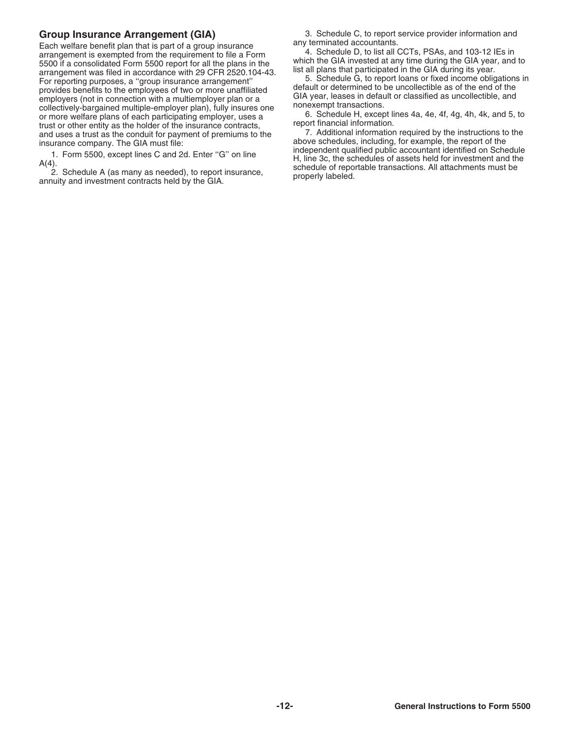Each welfare benefit plan that is part of a group insurance<br>
any terminated accountants and 103-12 IEs in<br>
arrangement is exempted from the requirement of file a Form<br>
a S500 if a consolidated Form 5500 report for all the

**Group Insurance Arrangement (GIA)** 3. Schedule C, to report service provider information and any terminated accountants.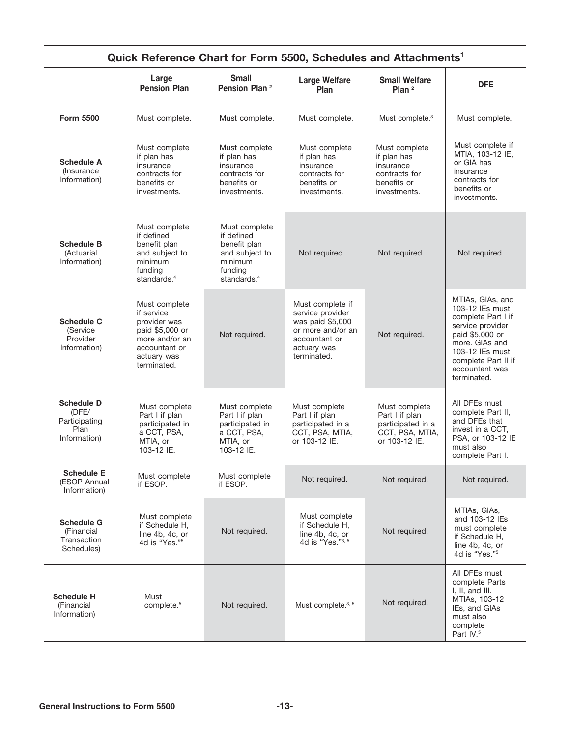|                                                                     |                                                                                                                                 | <b>Small</b>                                                                                                   |                                                                                                                              |                                                                                           |                                                                                                                                                                                               |
|---------------------------------------------------------------------|---------------------------------------------------------------------------------------------------------------------------------|----------------------------------------------------------------------------------------------------------------|------------------------------------------------------------------------------------------------------------------------------|-------------------------------------------------------------------------------------------|-----------------------------------------------------------------------------------------------------------------------------------------------------------------------------------------------|
|                                                                     | Large<br><b>Pension Plan</b>                                                                                                    | Pension Plan <sup>2</sup>                                                                                      | <b>Large Welfare</b><br>Plan                                                                                                 | <b>Small Welfare</b><br>Plan <sup>2</sup>                                                 | <b>DFE</b>                                                                                                                                                                                    |
| <b>Form 5500</b>                                                    | Must complete.                                                                                                                  | Must complete.                                                                                                 | Must complete.                                                                                                               | Must complete. <sup>3</sup>                                                               | Must complete.                                                                                                                                                                                |
| <b>Schedule A</b><br>(Insurance)<br>Information)                    | Must complete<br>if plan has<br>insurance<br>contracts for<br>benefits or<br>investments.                                       | Must complete<br>if plan has<br>insurance<br>contracts for<br>benefits or<br>investments.                      | Must complete<br>if plan has<br>insurance<br>contracts for<br>benefits or<br>investments.                                    | Must complete<br>if plan has<br>insurance<br>contracts for<br>benefits or<br>investments. | Must complete if<br>MTIA, 103-12 IE,<br>or GIA has<br>insurance<br>contracts for<br>benefits or<br>investments.                                                                               |
| <b>Schedule B</b><br>(Actuarial<br>Information)                     | Must complete<br>if defined<br>benefit plan<br>and subject to<br>minimum<br>funding<br>standards. $4$                           | Must complete<br>if defined<br>benefit plan<br>and subject to<br>minimum<br>funding<br>standards. <sup>4</sup> | Not required.                                                                                                                | Not required.                                                                             | Not required.                                                                                                                                                                                 |
| <b>Schedule C</b><br>(Service<br>Provider<br>Information)           | Must complete<br>if service<br>provider was<br>paid \$5,000 or<br>more and/or an<br>accountant or<br>actuary was<br>terminated. | Not required.                                                                                                  | Must complete if<br>service provider<br>was paid \$5,000<br>or more and/or an<br>accountant or<br>actuary was<br>terminated. | Not required.                                                                             | MTIAs, GIAs, and<br>103-12 IEs must<br>complete Part I if<br>service provider<br>paid \$5,000 or<br>more. GIAs and<br>103-12 IEs must<br>complete Part II if<br>accountant was<br>terminated. |
| <b>Schedule D</b><br>(DFE/<br>Participating<br>Plan<br>Information) | Must complete<br>Part I if plan<br>participated in<br>a CCT, PSA,<br>MTIA, or<br>103-12 IE.                                     | Must complete<br>Part I if plan<br>participated in<br>a CCT, PSA,<br>MTIA, or<br>103-12 IE.                    | Must complete<br>Part I if plan<br>participated in a<br>CCT, PSA, MTIA,<br>or 103-12 IE.                                     | Must complete<br>Part I if plan<br>participated in a<br>CCT, PSA, MTIA,<br>or 103-12 IE.  | All DFEs must<br>complete Part II,<br>and DFEs that<br>invest in a CCT,<br>PSA, or 103-12 IE<br>must also<br>complete Part I.                                                                 |
| <b>Schedule E</b><br>(ESOP Annual<br>Information)                   | Must complete<br>if ESOP.                                                                                                       | Must complete<br>if ESOP.                                                                                      | Not required.                                                                                                                | Not required.                                                                             | Not required.                                                                                                                                                                                 |
| <b>Schedule G</b><br>(Financial<br>Transaction<br>Schedules)        | Must complete<br>if Schedule H,<br>line 4b, 4c, or<br>4d is "Yes."5                                                             | Not required.                                                                                                  | Must complete<br>if Schedule H,<br>line 4b, 4c, or<br>4d is "Yes."3, 5                                                       | Not required.                                                                             | MTIAs, GIAs,<br>and 103-12 IEs<br>must complete<br>if Schedule H,<br>line 4b. 4c. or<br>4d is "Yes." <sup>5</sup>                                                                             |
| <b>Schedule H</b><br>(Financial<br>Information)                     | Must<br>complete. <sup>5</sup>                                                                                                  | Not required.                                                                                                  | Must complete. <sup>3, 5</sup>                                                                                               | Not required.                                                                             | All DFEs must<br>complete Parts<br>I, II, and III.<br>MTIAs, 103-12<br>IEs, and GIAs<br>must also<br>complete<br>Part IV. <sup>5</sup>                                                        |

# **Quick Reference Chart for Form 5500, Schedules and Attachments1**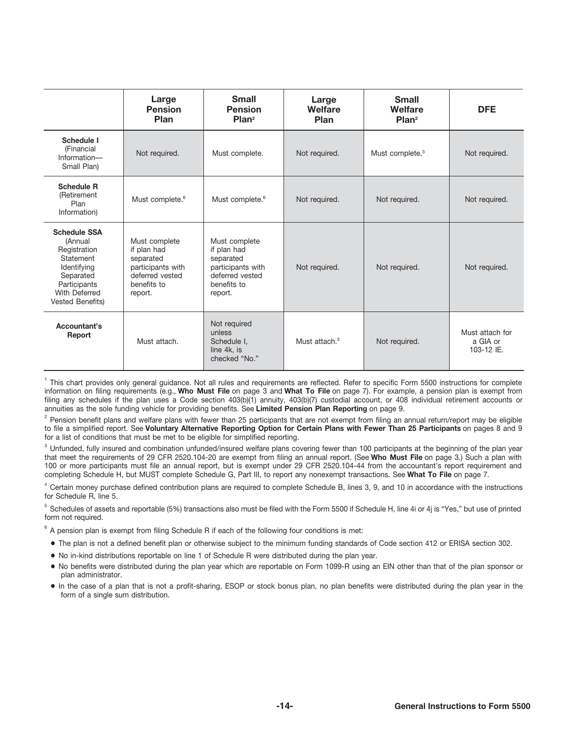|                                                                                                                                                     | Large<br><b>Pension</b><br>Plan                                                                             | <b>Small</b><br><b>Pension</b><br>Plan <sup>2</sup>                                                                          | Large<br>Welfare<br>Plan  | <b>Small</b><br>Welfare<br>Plan <sup>2</sup> | <b>DFE</b>                                |
|-----------------------------------------------------------------------------------------------------------------------------------------------------|-------------------------------------------------------------------------------------------------------------|------------------------------------------------------------------------------------------------------------------------------|---------------------------|----------------------------------------------|-------------------------------------------|
| <b>Schedule I</b><br>(Financial<br>Information-<br>Small Plan)                                                                                      | Not required.                                                                                               | Must complete.                                                                                                               | Not required.             | Must complete. <sup>3</sup>                  | Not required.                             |
| <b>Schedule R</b><br>(Retirement<br>Plan<br>Information)                                                                                            | Must complete. <sup>6</sup>                                                                                 | Must complete. <sup>6</sup>                                                                                                  | Not required.             | Not required.                                | Not required.                             |
| <b>Schedule SSA</b><br>(Annual<br>Registration<br>Statement<br>Identifying<br>Separated<br>Participants<br>With Deferred<br><b>Vested Benefits)</b> | Must complete<br>if plan had<br>separated<br>participants with<br>deferred vested<br>benefits to<br>report. | Must complete<br>if plan had<br>separated<br>participants with<br>Not required.<br>deferred vested<br>benefits to<br>report. |                           | Not required.                                | Not required.                             |
| Accountant's<br>Report                                                                                                                              | Must attach.                                                                                                | Not required<br>unless<br>Schedule I.<br>line 4k, is<br>checked "No."                                                        | Must attach. <sup>3</sup> | Not required.                                | Must attach for<br>a GIA or<br>103-12 IE. |

 $1$  This chart provides only general guidance. Not all rules and requirements are reflected. Refer to specific Form 5500 instructions for complete information on filing requirements (e.g., **Who Must File** on page 3 and **What To File** on page 7). For example, a pension plan is exempt from filing any schedules if the plan uses a Code section 403(b)(1) annuity, 403(b)(7) custodial account, or 408 individual retirement accounts or annuities as the sole funding vehicle for providing benefits. See **Limited Pension Plan Reporting** on page 9.

 $^2$  Pension benefit plans and welfare plans with fewer than 25 participants that are not exempt from filing an annual return/report may be eligible to file a simplified report. See **Voluntary Alternative Reporting Option for Certain Plans with Fewer Than 25 Participants** on pages 8 and 9 for a list of conditions that must be met to be eligible for simplified reporting.

 $^3$  Unfunded, fully insured and combination unfunded/insured welfare plans covering fewer than 100 participants at the beginning of the plan year that meet the requirements of 29 CFR 2520.104-20 are exempt from filing an annual report. (See **Who Must File** on page 3.) Such a plan with 100 or more participants must file an annual report, but is exempt under 29 CFR 2520.104-44 from the accountant's report requirement and completing Schedule H, but MUST complete Schedule G, Part III, to report any nonexempt transactions. See **What To File** on page 7.

 $^4$  Certain money purchase defined contribution plans are required to complete Schedule B, lines 3, 9, and 10 in accordance with the instructions for Schedule R, line 5.

 $^5$  Schedules of assets and reportable (5%) transactions also must be filed with the Form 5500 if Schedule H, line 4i or 4j is "Yes," but use of printed form not required.

 $^6$  A pension plan is exempt from filing Schedule R if each of the following four conditions is met:

- The plan is not a defined benefit plan or otherwise subject to the minimum funding standards of Code section 412 or ERISA section 302.
- No in-kind distributions reportable on line 1 of Schedule R were distributed during the plan year.
- No benefits were distributed during the plan year which are reportable on Form 1099-R using an EIN other than that of the plan sponsor or plan administrator.
- In the case of a plan that is not a profit-sharing, ESOP or stock bonus plan, no plan benefits were distributed during the plan year in the form of a single sum distribution.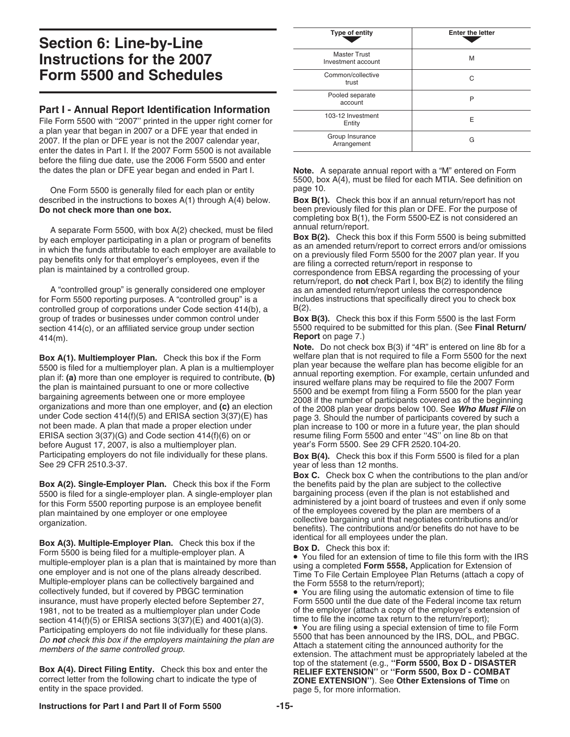# **Section 6: Line-by-Line Instructions for the 2007 Form 5500 and Schedules**

**Part I - Annual Report Identification Information** File Form 5500 with "2007" printed in the upper right corner for a plan year that began in 2007 or a DFE year that ended in 2007. If the plan or DFE year is not the 2007 calendar year, enter the dates in Part I. If the 2007 Form 5500 is not available before the filing due date, use the 2006 Form 5500 and enter

One Form 5500 is generally filed for each plan or entity described in the instructions to boxes A(1) through A(4) below. **Box B(1).** Check this box if an annual return/report has not **Do not check more than one box.** been previously filed for this plan or DFE. For the purpose of

A separate Form 5500, with box A(2) checked, must be filed<br>by each employer participating in a plan or program of benefits<br>in which the funds attributable to each employer are available to<br>pay benefits only for that employ

A "controlled group" is generally considered one employer as an amended return/report unless the correspondence for Form 5500 reporting purposes. A "controlled group" is a includes instructions that specifically direct you to check box controlled group of corporations under Code section  $414(b)$ , a  $B(2)$ . group of trades or businesses under common control under **Box B(3).** Check this box if this Form 5500 is the last Form 414(m). **Report** on page 7.)

**Box A(1). Multiemployer Plan.** Check this box if the Form welfare plan that is not required to file a Form 5500 for the next<br>5500 is filed for a multiemployer plan. A plan is a multiemployer plan year because the welfare 5500 is filed for a multiemployer plan. A plan is a multiemployer<br>plan year because the welfare plan has become eligible for an<br>plan if: (a) more than one employer is required to contribute, (b)<br>the plan is maintained purs organizations and more than one employer, and (c) an election of the 2008 plan year drops below 100. See Who Must File on under Code section 414(f)(5) and ERISA section 3(37)(E) has page 3. Should the number of participan not been made. A plan that made a proper election under plan increase to 100 or more in a future year, the plan should<br>ERISA section 3(37)(G) and Code section 414(f)(6) on or esume filing Form 5500 and enter "4S" on line 8 before August 17, 2007, is also a multiemployer plan. Participating employers do not file individually for these plans.<br>See 29 CFR 2510.3-37.<br>year of less than 12 months.

**Box A(2). Single-Employer Plan.** Check this box if the Form 5500 is filed for a single-employer plan. A single-employer plan bargaining process (even if the plan is not established and for this Form 5500 reporting purpose is an employee benefit administered by a joint board of trustees and even if only some plan maintained by one employee or one employee of the employees covered by the plan are members o

**Box A(3). Multiple-Employer Plan.** Check this box if the **Box D.** Check this box if:<br>
Form 5500 is being filed for a multiple-employer plan. A<br>
multiple-employer plan is a plan that is maintained by more than<br>
one employe Multiple-employer plans can be collectively bargained and end the Form 5558 to the return/report);<br>collectively funded, but if covered by PBGC termination • You are filing using the automatic extension of time to file insurance, must have properly elected before September 27, Form 5500 until the due date of the Federal income tax return 1981, not to be treated as a multiemployer plan under Code of the employer (attach a copy of the employer's extension of section 414(f)(5) or FRISA sections 3(37)(F) and 4001(a)(3). time to file the income tax return to t section 414(f)(5) or ERISA sections 3(37)(E) and 4001(a)(3). time to file the income tax return to the return/report);<br>Participating employers do not file individually for these plans  $\bullet$  You are filing using a special ex Participating employers do not file individually for these plans. • You are filling using a special extension of time to file Form<br>De not check this hov if the employers maintaining the plan are 5500 that has been announce

| Type of entity                            | <b>Enter the letter</b> |
|-------------------------------------------|-------------------------|
| <b>Master Trust</b><br>Investment account | M                       |
| Common/collective<br>trust                | C                       |
| Pooled separate<br>account                | P                       |
| 103-12 Investment<br>Entity               | F                       |
| Group Insurance<br>Arrangement            | G                       |

the dates the plan or DFE year began and ended in Part I. **Note.** A separate annual report with a "M" entered on Form 5500, box A(4), must be filed for each MTIA. See definition on

completing box B(1), the Form 5500-EZ is not considered an

return/report, do **not** check Part I, box B(2) to identify the filing

section 414(c), or an affiliated service group under section 5500 required to be submitted for this plan. (See **Final Return/** 

**Note.** Do not check box B(3) if "4R" is entered on line 8b for a welfare plan that is not required to file a Form 5500 for the next resume filing Form 5500 and enter "4S" on line 8b on that<br>year's Form 5500. See 29 CFR 2520.104-20.

year of less than 12 months.

**Box C.** Check box C when the contributions to the plan and/or the benefits paid by the plan are subject to the collective plan maintained by one employer or one employee<br>of the employees covered by the plan are members of a<br>organization.<br>Printle Fundance Plan, Obtahlished is the set of the substitutions and/or benefits). The contributions and

Do not check this box if the employers maintaining the plan are<br>Members of the same controlled group.<br>extension. The attachment must be appropriately labeled at the<br>extension. The attachment must be appropriately labeled a Box A(4). Direct Filing Entity. Check this box and enter the<br>correct letter from the following chart to indicate the type of<br>entity in the space provided.<br>entity in the space provided.<br>age 5. for more information. page 5, for more information.

# **Instructions for Part I and Part II of Form 5500 -15-**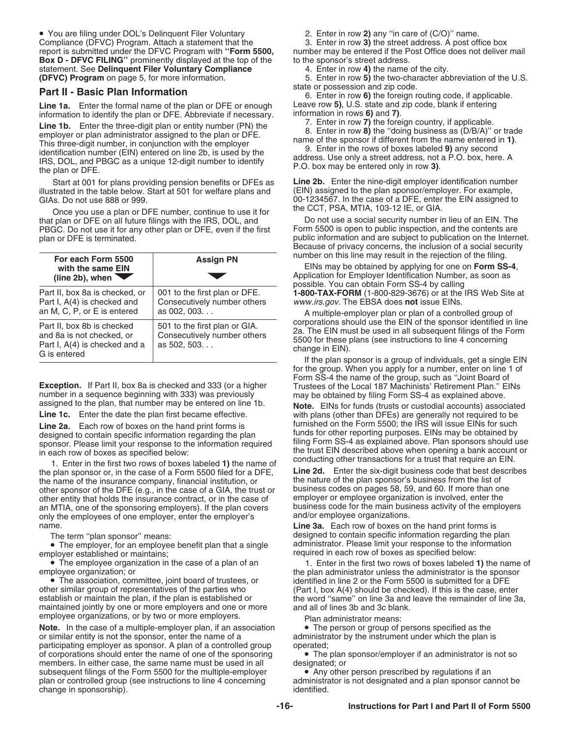• You are filing under DOL's Delinquent Filer Voluntary 2. Enter in row **2)** any ''in care of (C/O)'' name. Compliance (DFVC) Program. Attach a statement that the report is submitted under the DFVC Program with "**Form 5500**, **Box D - DFVC FILING''** prominently displayed at the top of the to the sponsor's street address.<br>
statement. See **Delinquent Filer Voluntary Compliance** 4. Enter in row 4) the name of the city. statement. See **Delinquent Filer Voluntary Compliance** (DFVC) Program on page 5, for more information.

Line 1a. Enter the formal name of the plan or DFE or enough Leave row 5), U.S. state and zip code, blank if entering information to identify the plan or DFE. Abbreviate if necessary. Information in rows 6) and 7).

information to identify the plan or DFE. Abbreviate if necessary.<br> **Line 1b.** Enter the three-digit plan or entity number (PN) the<br>
employer or plan administrator assigned to the plan or DFE.<br>
This three-digit number, in c

illustrated in the table below. Start at 501 for welfare plans and

Once you use a plan or DFE number, continue to use it for The CCT, PSA, MTIA, 103-12 IE, or GIA.<br>plan or DFE on all future filings with the IRS, DOL, and The not use a social security number in lieu of an EIN. The that plan or DFE on all future filings with the IRS, DOL, and Do not use a social security number in lieu of an EIN. The<br>PBGC, Do not use it for any other plan or DFE, even if the first Form 5500 is open to public inspecti PBGC. Do not use it for any other plan or DFE, even if the first

| For each Form 5500<br>with the same EIN<br>$(line 2b)$ , when                                            | <b>Assign PN</b>                                                             | number on this line may result in the rejection of the filing.<br>EINs may be obtained by applying for one on Form SS-4,<br>Application for Employer Identification Number, as soon as<br>possible. You can obtain Form SS-4 by calling |
|----------------------------------------------------------------------------------------------------------|------------------------------------------------------------------------------|-----------------------------------------------------------------------------------------------------------------------------------------------------------------------------------------------------------------------------------------|
| Part II, box 8a is checked, or<br>Part I, A(4) is checked and                                            | 001 to the first plan or DFE.<br>Consecutively number others                 | <b>1-800-TAX-FORM</b> (1-800-829-3676) or at the IRS Web Site at<br>www.irs.gov. The EBSA does not issue EINs.                                                                                                                          |
| an M, C, P, or E is entered                                                                              | as $002.003$                                                                 | A multiple-employer plan or plan of a controlled group of<br>corporations should use the EIN of the sponsor identified in line                                                                                                          |
| Part II, box 8b is checked<br>and 8a is not checked, or<br>Part I, A(4) is checked and a<br>G is entered | 501 to the first plan or GIA.<br>Consecutively number others<br>as 502, 503. | 2a. The EIN must be used in all subsequent filings of the Form<br>5500 for these plans (see instructions to line 4 concerning<br>change in EIN).                                                                                        |
|                                                                                                          |                                                                              | If the plan sponsor is a group of individuals, get a single EIN                                                                                                                                                                         |

**Exception.** If Part II, box 8a is checked and 333 (or a higher Trustees of the Local 187 Machinists' Retirement Plan." EINs number in a sequence beginning with 333) was previously may be obtained by filing Form SS-4 as ex

the plan sponsor or, in the case of a Form 5500 filed for a DFE, Line 2d. Enter the six-digit business code that best dest<br>the name of the insurance company, financial institution, or the nature of the plan sponsor's busin the name of the insurance company, financial institution, or the nature of the plan sponsor's business from the list of other sponsor of the DEF (e.g. in the case of a GIA the trust or business codes on pages 58, 59, and 6 other sponsor of the DFE (e.g., in the case of a GIA, the trust or business codes on pages 58, 59, and 60. If more than one<br>other entity that holds the insurance contract, or in the case of employer or employee organizatio other entity that holds the insurance contract, or in the case of an MTIA, one of the sponsoring employers). If the plan covers business code for the main business activity of the employers only the employees of one employer, enter the employer's name.

• The employer, for an employee benefit plan that a single employer established or maintains; example of the control of the required in each row of boxes as specified below:

• The association, committee, joint board of trustees, or identified in line 2 or the Form 5500 is submitted for a DFE other similar group of representatives of the parties who  $(Part 1, box A(4) should be checked)$ . If this is the case, enter other similar group of representatives of the parties who (Part I, box A(4) should be checked). If this is the case, enter<br>
establish or maintain the plan, if the plan is established or the word "same" on line 3a and leave maintained jointly by one or more employers and one or more and all of lines 3b and 3c blank.

employee organizations, or by two or more employers.<br> **Note.** In the case of a multiple-employer plan, if an association **Comment Occupy** of persons specified as the **Note.** In the case of a multiple-employer plan, if an association or similar entity is not the sponsor, enter the name of a participating employer as sponsor. A plan of a controlled group operated;<br>of corporations should enter the name of one of the sponsoring • The plan sponsor/employer if an administrator is not so of corporations should enter the name of one of the sponsoring members. In either case, the same name must be used in all designated; or subsequent filings of the Form 5500 for the multiple-employer • Any other person prescribed by regulations if an<br>plan or controlled group (see instructions to line 4 concerning administrator is not designated and a plan sp change in sponsorship).

number may be entered if the Post Office does not deliver mail

**(DFVC) Program** on page 5, for more information. 5. Enter in row **5)** the two-character abbreviation of the U.S. **Part II - Basic Plan Information** enters and zip comment of the foreign routing code, if applicable.<br>6. Enter in row 6) the foreign routing code, if applicable.

 Start at 001 for plans providing pension benefits or DFEs as **Line 2b.** Enter the nine-digit employer identification number GIAs. Do not use 888 or 999.<br>
Once you use a plan or DEE number, continue to use it for the CCT, PSA, MTIA, 103-12 IE, or GIA.

plan or DFE is terminated. public information and are subject to publication on the Internet. Because of privacy concerns, the inclusion of a social security number on this line may result in the rejection of the filing.

for the group. When you apply for a number, enter on line 1 of Form SS-4 the name of the group, such as ''Joint Board of may be obtained by filing Form SS-4 as explained above.

assigned to the plan, that number may be entered on line 1b.<br> **Note.** EINs for funds (trusts or custodial accounts) associated<br> **Line 1c.** Enter the date the plan first became effective.<br>
With plans (other than DFEs) are g with plans (other than DFEs) are generally not required to be furnished on the Form 5500; the IRS will issue EINs for such **Line 2a.** Each row of boxes on the hand print forms is<br>designed to contain specific information regarding the plan<br>sponsor. Please limit your response to the information required<br>in each row of boxes as specified below:<br>1

Line 3a. Each row of boxes on the hand print forms is The term "plan sponsor" means: designed to contain specific information regarding the plan<br>● The emplover, for an emplovee benefit plan that a single administrator. Please limit your response to the information

• The employee organization in the case of a plan of an **1.** Enter in the first two rows of boxes labeled **1)** the name of employee organization; or the word "same" on line 3a and leave the remainder of line 3a,

administrator by the instrument under which the plan is

administrator is not designated and a plan sponsor cannot be identified.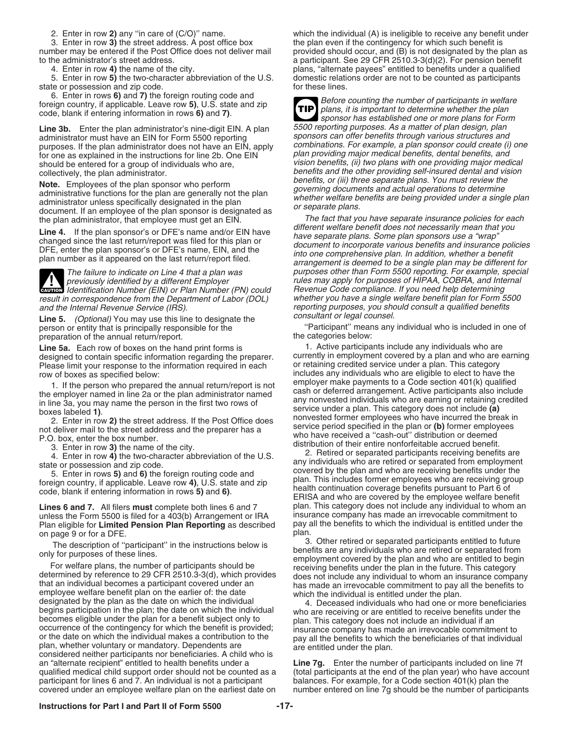3. Enter in row 3) the street address. A post office box the plan even if the contingency for which such benefit is number may be entered if the Post Office does not deliver mail provided should occur, and (B) is not desig

state or possession and zip code. for these lines.<br>6. Enter in rows 6) and 7) the foreign routing code and

**Line 3b.** Enter the plan administrator's nine-digit EIN. A plan 5500 reporting purposes. As a matter of plan design, plan<br>administrator must have an EIN for Form 5500 reporting sponsors can offer benefits through various administrator must have an EIN for Form 5500 reporting sponsors can offer benefits through various structures and<br>purposes. If the plan administrator does not have an EIN, apply combinations. For example, a plan sponsor co purposes. If the plan administrator does not have an EIN, apply for one as explained in the instructions for line 2b. One EIN plan providing major medical benefits, dental benefits, and should be entered for a group of individuals who are, vision benefits, (ii) two plans with one providing major medical

**Note.** Employees of the plan sponsor who perform<br>administrative functions for the plan are generally not the plan<br>administrator unless specifically designated in the plan<br>document. If an employee of the plan sponsor is de

**CAUTION** Identification Number (EIN) or Plan Number (PN) could result in correspondence from the Department of Labor (DOL) whether you have a single welfare benefit plan for Form 5500<br>and the Internal Revenue Service (IRS). end on the proporting purposes, you should consult a qualifie

ine 5. *(Optional)* You may use this line to designate the *consultant or legal counsel.*<br>Line same individual who is included in one of "Participant" means any individual who is included in one of person or entity that is principally responsible for the ''Participant'' means any individual who is included in one of the categories below: preparation of the annual return/report.

designed to contain specific information regarding the preparer. currently in employment covered by a plan and who are<br>Please limit your response to the information required in each expressioning credited service under a p Please limit your response to the information required in each

unless the Form 5500 is filed for a 403(b) Arrangement or IRA insurance company has made an irrevocable commitment to<br>Plan eligible for **Limited Pension Plan Reporting** as described pay all the benefits to which the indivi Plan eligible for **Limited Pension Plan Reporting** as described pay a<br>on page 9 or for a DEE on page 9 or for a DFE.<br>The description of "participant" in the instructions below is a plan.<br>The description of "participant" in the instructions below is a compact of the retired or separated participants entitled to fut

begins participation in the plan; the date on which the individual<br>becomes eligible under the plan for a benefit subject only to<br>occurrence of the contingency for which the benefit is provided;<br>or the date on which the ind an "alternate recipient" entitled to health benefits under a **Line 7g.** Enter the number of participants included on line 7f qualified medical child support order should not be counted as a (total participants at the end of the plan year) who have account participant for lines 6 and 7. An individual is not a participant balances. For example, fo participant for lines 6 and 7. An individual is not a participant balances. For example, for a Code section 401(k) plan the covered under an employee welfare plan on the earliest date on number entered on line 7g should be covered under an employee welfare plan on the earliest date on

2. Enter in row **2)** any "in care of (C/O)" name. which the individual (A) is ineligible to receive any benefit under 3. Enter in row **3)** the street address. A post office box the plan even if the contingency for which su provided should occur, and (B) is not designated by the plan as to the administrator's street address.<br>4. Enter in row 4) the name of the city.<br>plans, "alternate payees" entitled to benefits under a qualified<br>plans, "alternate payees" entitled to benefits under a qualified 4. Enter in row 4) the name of the city. plans, "alternate payees" entitled to benefits under a qualified<br>5. Enter in row 5) the two-character abbreviation of the U.S. domestic relations order are not to be counted as part domestic relations order are not to be counted as participants

Foreign country, if applicable. Leave row 5), U.S. state and zip<br>code, blank if entering information in rows 6) and 7).<br>Line 3b. Finter the plan administrator's nine-digit FIN. A plan 5500 reporting purposes. As a matter o **TIP** collectively, the plan administrator.<br>
Note Employees of the plan appropriative parform benefits, or (iii) three separate plans. You must review the

the plan administrator, that employee must get an EIN. The fact that you have separate insurance policies for each<br>I inset a little plan approacile as DEE's name and/as EIN have different welfare benefit does not necessari **Line 4.** If the plan sponsor's or DFE's name and/or EIN have different welfare benefit does not necessarily mean that you<br>changed since the last return/report was filed for this plan or<br>DFE, enter the plan sponsor's or DF The failure to indicate on Line 4 that a plan was purposes other than Form 5500 reporting. For example, special previously identified by a different Employer rules may apply for purposes of HIPAA, COBRA, and Internal<br>Identification Number (EIN) or Plan Number (PN) could Revenue Code compliance. If you need help determining reporting purposes, you should consult a qualified benefits<br>consultant or legal counsel.

**Line 5a.** Each row of boxes on the hand print forms is **1.** Active participants include any individuals who are designed to contain specific information regarding the preparer. Currently in employment covered by a plan an row of boxes as specified below:<br>I if the person who prepared the annual return/report is not employer make payments to a Code section 401(k) qualified 1. If the person who prepared the annual return/report is not<br>
the employer mame din line 2a or the plan administrator named<br>
in line 2a, or the plan administrator named<br>
in line 3a, or the plan administrator named<br>
in the

Lines 6 and 7. All filers must complete both lines 6 and 7 plan. This category does not include any individual to whom an unless the Form 5500 is filed for a 403(b) Arrangement or IRA insurance company has made an irrevoca

The description of "participant" in the instructions below is<br>
only for purposes of these lines.<br>
For welfare plans, the number of participants should be<br>
determined by reference to 29 CFR 2510.3-3(d), which provides<br>
that

# **Instructions for Part I and Part II of Form 5500 -17-**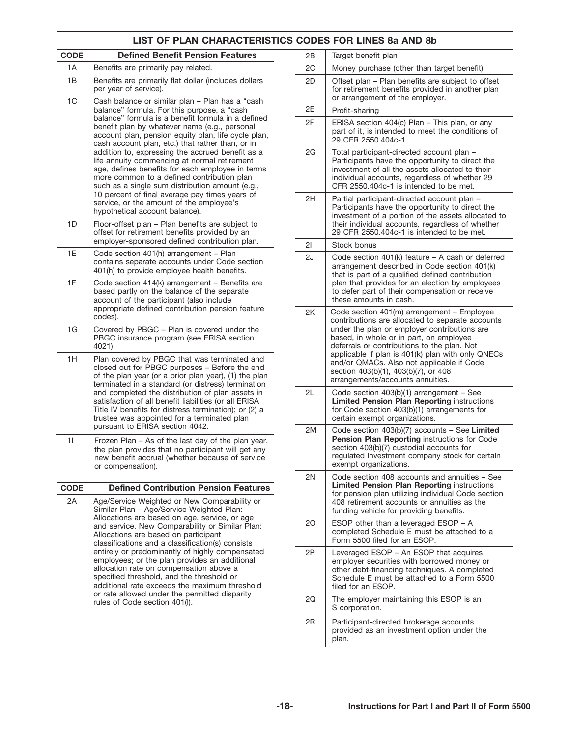# **LIST OF PLAN CHARACTERISTICS CODES FOR LINES 8a AND 8b**

| CODE | <b>Defined Benefit Pension Features</b>                                                                                                                                                                                                                                                                                                                                                                                                                                                                                                                                                                                                                                                                   |
|------|-----------------------------------------------------------------------------------------------------------------------------------------------------------------------------------------------------------------------------------------------------------------------------------------------------------------------------------------------------------------------------------------------------------------------------------------------------------------------------------------------------------------------------------------------------------------------------------------------------------------------------------------------------------------------------------------------------------|
| 1A   | Benefits are primarily pay related.                                                                                                                                                                                                                                                                                                                                                                                                                                                                                                                                                                                                                                                                       |
| 1B   | Benefits are primarily flat dollar (includes dollars<br>per year of service).                                                                                                                                                                                                                                                                                                                                                                                                                                                                                                                                                                                                                             |
| 1C   | Cash balance or similar plan - Plan has a "cash<br>balance" formula. For this purpose, a "cash<br>balance" formula is a benefit formula in a defined<br>benefit plan by whatever name (e.g., personal<br>account plan, pension equity plan, life cycle plan,<br>cash account plan, etc.) that rather than, or in<br>addition to, expressing the accrued benefit as a<br>life annuity commencing at normal retirement<br>age, defines benefits for each employee in terms<br>more common to a defined contribution plan<br>such as a single sum distribution amount (e.g.,<br>10 percent of final average pay times years of<br>service, or the amount of the employee's<br>hypothetical account balance). |
| 1D   | Floor-offset plan - Plan benefits are subject to<br>offset for retirement benefits provided by an<br>employer-sponsored defined contribution plan.                                                                                                                                                                                                                                                                                                                                                                                                                                                                                                                                                        |
| 1E   | Code section 401(h) arrangement - Plan<br>contains separate accounts under Code section<br>401(h) to provide employee health benefits.                                                                                                                                                                                                                                                                                                                                                                                                                                                                                                                                                                    |
| 1F   | Code section 414(k) arrangement - Benefits are<br>based partly on the balance of the separate<br>account of the participant (also include<br>appropriate defined contribution pension feature<br>codes).                                                                                                                                                                                                                                                                                                                                                                                                                                                                                                  |
| 1G   | Covered by PBGC - Plan is covered under the<br>PBGC insurance program (see ERISA section<br>4021).                                                                                                                                                                                                                                                                                                                                                                                                                                                                                                                                                                                                        |
| 1H   | Plan covered by PBGC that was terminated and<br>closed out for PBGC purposes - Before the end<br>of the plan year (or a prior plan year), (1) the plan<br>terminated in a standard (or distress) termination<br>and completed the distribution of plan assets in<br>satisfaction of all benefit liabilities (or all ERISA<br>Title IV benefits for distress termination); or (2) a<br>trustee was appointed for a terminated plan<br>pursuant to ERISA section 4042.                                                                                                                                                                                                                                      |
| 11   | Frozen Plan - As of the last day of the plan year,<br>the plan provides that no participant will get any<br>new benefit accrual (whether because of service<br>or compensation).                                                                                                                                                                                                                                                                                                                                                                                                                                                                                                                          |
| CODE | <b>Defined Contribution Pension Features</b>                                                                                                                                                                                                                                                                                                                                                                                                                                                                                                                                                                                                                                                              |
| 2A   | Age/Service Weighted or New Comparability or<br>Similar Plan - Age/Service Weighted Plan:<br>Allocations are based on age, service, or age<br>and service. New Comparability or Similar Plan:<br>Allocations are based on participant<br>classifications and a classification(s) consists<br>entirely or predominantly of highly compensated<br>employees; or the plan provides an additional<br>allocation rate on compensation above a<br>specified threshold, and the threshold or<br>additional rate exceeds the maximum threshold<br>or rate allowed under the permitted disparity<br>rules of Code section 401(I).                                                                                  |

| 2Β | Target benefit plan                                                                                                                                                                                                                                                                                                                                                                                                    |
|----|------------------------------------------------------------------------------------------------------------------------------------------------------------------------------------------------------------------------------------------------------------------------------------------------------------------------------------------------------------------------------------------------------------------------|
| 2C | Money purchase (other than target benefit)                                                                                                                                                                                                                                                                                                                                                                             |
| 2D | Offset plan - Plan benefits are subject to offset<br>for retirement benefits provided in another plan<br>or arrangement of the employer.                                                                                                                                                                                                                                                                               |
| 2Е | Profit-sharing                                                                                                                                                                                                                                                                                                                                                                                                         |
| 2F | ERISA section 404(c) Plan - This plan, or any<br>part of it, is intended to meet the conditions of<br>29 CFR 2550.404c-1.                                                                                                                                                                                                                                                                                              |
| 2G | Total participant-directed account plan -<br>Participants have the opportunity to direct the<br>investment of all the assets allocated to their<br>individual accounts, regardless of whether 29<br>CFR 2550.404c-1 is intended to be met.                                                                                                                                                                             |
| 2H | Partial participant-directed account plan -<br>Participants have the opportunity to direct the<br>investment of a portion of the assets allocated to<br>their individual accounts, regardless of whether<br>29 CFR 2550.404c-1 is intended to be met.                                                                                                                                                                  |
| 21 | Stock bonus                                                                                                                                                                                                                                                                                                                                                                                                            |
| 2J | Code section $401(k)$ feature – A cash or deferred<br>arrangement described in Code section 401(k)<br>that is part of a qualified defined contribution<br>plan that provides for an election by employees<br>to defer part of their compensation or receive<br>these amounts in cash.                                                                                                                                  |
| 2K | Code section 401(m) arrangement - Employee<br>contributions are allocated to separate accounts<br>under the plan or employer contributions are<br>based, in whole or in part, on employee<br>deferrals or contributions to the plan. Not<br>applicable if plan is 401(k) plan with only QNECs<br>and/or QMACs. Also not applicable if Code<br>section 403(b)(1), 403(b)(7), or 408<br>arrangements/accounts annuities. |
| 2L | Code section 403(b)(1) arrangement - See<br><b>Limited Pension Plan Reporting instructions</b><br>for Code section 403(b)(1) arrangements for<br>certain exempt organizations.                                                                                                                                                                                                                                         |
| 2M | Code section 403(b)(7) accounts - See Limited<br>Pension Plan Reporting instructions for Code<br>section 403(b)(7) custodial accounts for<br>regulated investment company stock for certain<br>exempt organizations.                                                                                                                                                                                                   |
| 2N | Code section 408 accounts and annuities - See<br><b>Limited Pension Plan Reporting instructions</b><br>for pension plan utilizing individual Code section<br>408 retirement accounts or annuities as the<br>funding vehicle for providing benefits.                                                                                                                                                                    |
| 20 | ESOP other than a leveraged ESOP - A<br>completed Schedule E must be attached to a<br>Form 5500 filed for an ESOP.                                                                                                                                                                                                                                                                                                     |
| 2Ρ | Leveraged ESOP - An ESOP that acquires<br>employer securities with borrowed money or<br>other debt-financing techniques. A completed<br>Schedule E must be attached to a Form 5500<br>filed for an ESOP.                                                                                                                                                                                                               |
| 2Q | The employer maintaining this ESOP is an<br>S corporation.                                                                                                                                                                                                                                                                                                                                                             |
| 2R | Participant-directed brokerage accounts<br>provided as an investment option under the<br>plan.                                                                                                                                                                                                                                                                                                                         |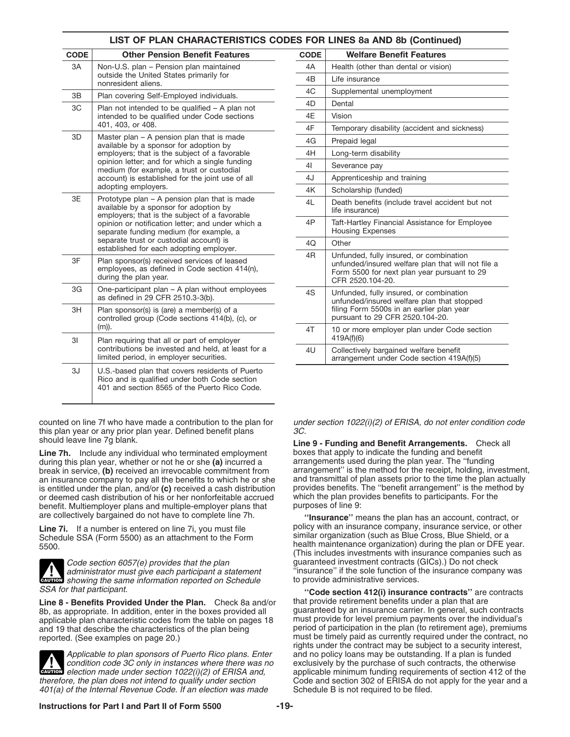| LIST OF PLAN CHARACTERISTICS CODES FOR LINES 8a AND 8b (Continued) |                                                                                                                                                   |             |                                                                                                                                             |
|--------------------------------------------------------------------|---------------------------------------------------------------------------------------------------------------------------------------------------|-------------|---------------------------------------------------------------------------------------------------------------------------------------------|
| <b>CODE</b>                                                        | <b>Other Pension Benefit Features</b>                                                                                                             | <b>CODE</b> | <b>Welfare Benefit Features</b>                                                                                                             |
| 3A                                                                 | Non-U.S. plan - Pension plan maintained                                                                                                           | 4A          | Health (other than dental or vision)                                                                                                        |
|                                                                    | outside the United States primarily for<br>nonresident aliens.                                                                                    |             | Life insurance                                                                                                                              |
| 3B                                                                 | Plan covering Self-Employed individuals.                                                                                                          | 4C          | Supplemental unemployment                                                                                                                   |
| ЗC                                                                 | Plan not intended to be qualified - A plan not                                                                                                    | 4D          | Dental                                                                                                                                      |
|                                                                    | intended to be qualified under Code sections                                                                                                      | 4E          | Vision                                                                                                                                      |
|                                                                    | 401, 403, or 408.                                                                                                                                 | 4F          | Temporary disability (accident and sid                                                                                                      |
| 3D                                                                 | Master plan - A pension plan that is made<br>available by a sponsor for adoption by                                                               | 4G          | Prepaid legal                                                                                                                               |
|                                                                    | employers; that is the subject of a favorable                                                                                                     | 4H          | Long-term disability                                                                                                                        |
|                                                                    | opinion letter; and for which a single funding<br>medium (for example, a trust or custodial                                                       | 41          | Severance pay                                                                                                                               |
|                                                                    | account) is established for the joint use of all                                                                                                  | 4J          | Apprenticeship and training                                                                                                                 |
|                                                                    | adopting employers.                                                                                                                               | 4K          | Scholarship (funded)                                                                                                                        |
|                                                                    | 3E<br>Prototype plan – A pension plan that is made<br>available by a sponsor for adoption by<br>employers; that is the subject of a favorable     | 4L          | Death benefits (include travel accider<br>life insurance)                                                                                   |
|                                                                    | opinion or notification letter; and under which a<br>separate funding medium (for example, a                                                      | 4P          | Taft-Hartley Financial Assistance for E<br><b>Housing Expenses</b>                                                                          |
|                                                                    | separate trust or custodial account) is<br>established for each adopting employer.                                                                | 4Q          | Other                                                                                                                                       |
| 3F                                                                 | Plan sponsor(s) received services of leased<br>employees, as defined in Code section 414(n),<br>during the plan year.                             | 4R          | Unfunded, fully insured, or combination<br>unfunded/insured welfare plan that w<br>Form 5500 for next plan year pursual<br>CFR 2520.104-20. |
| 3G                                                                 | One-participant plan - A plan without employees<br>as defined in 29 CFR 2510.3-3(b).                                                              | 4S          | Unfunded, fully insured, or combination<br>unfunded/insured welfare plan that st                                                            |
| 3H                                                                 | Plan sponsor(s) is (are) a member(s) of a<br>controlled group (Code sections 414(b), (c), or                                                      |             | filing Form 5500s in an earlier plan ye<br>pursuant to 29 CFR 2520.104-20.                                                                  |
|                                                                    | $(m)$ ).                                                                                                                                          | 4T          | 10 or more employer plan under Cod                                                                                                          |
| 3I                                                                 | Plan requiring that all or part of employer<br>contributions be invested and held, at least for a<br>limited period, in employer securities.      | 4U          | 419A(f)(6)<br>Collectively bargained welfare benefit<br>arrangement under Code section 419                                                  |
| 3J                                                                 | U.S.-based plan that covers residents of Puerto<br>Rico and is qualified under both Code section<br>401 and section 8565 of the Puerto Rico Code. |             |                                                                                                                                             |

counted on line 7f who have made a contribution to the plan for under section 1022(i)(2) of ERISA, do not enter condition code this plan year or any prior plan year. Defined benefit plans  $3C$ .<br>Should leave line 7g blank.

**Line 7h.** Include any individual who terminated employment boxes that apply to indicate the funding and benefit during this plan year. The "funding" of the or she (a) incurred a arrangements used during the plan year. The during this plan year, whether or not he or she **(a)** incurred a arrangements used during the plan year. The ''funding break in service, **(b)** received an irrevocable commitment from arrangement" is the method for the receipt, holding, investment an insurance company to pay all the benefits to which he or she and transmittal of plan assets an insurance company to pay all the benefits to which he or she and transmittal of plan assets prior to the time the plan actually<br>is entitled under the plan, and/or (c) received a cash distribution provides benefits. The is entitled under the plan, and/or **(c)** received a cash distribution provides benefits. The "benefit arrangement" is the met<br>or deemed cash distribution of his or her nonforfeitable accrued which the plan provides benefit or deemed cash distribution of his or her nonforfeitable accrued which the plan providencial or the participan<br>benefit, Multiemplover plans and multiple-employer plans that supposes of line 9: benefit. Multiemployer plans and multiple-employer plans that are collectively bargained do not have to complete line 7h.

Schedule SSA (Form 5500) as an attachment to the Form<br>5500.

![](_page_18_Picture_4.jpeg)

**CAUTION** showing the same information reported on Schedule to provide administrative services.<br> **EAUTION** showing the same information reported on Schedule to provide administrative services.

Line 8 - Benefits Provided Under the Plan. Check 8a and/or that provide retirement benefits under a plan that are<br>8b, as appropriate, In addition, enter in the boxes provided all guaranteed by an insurance carrier. In gene applicable plan characteristic codes from the table on pages 18 must provide for level premium payments over the individual's and 19 that describe the characteristics of the plan being period of participation in the plan ( and 19 that describe the characteristics of the plan being period of participation in the plan (to retirement age), premiums reported. (See examples on page 20.) must be timely paid as currently required under the contract

![](_page_18_Picture_7.jpeg)

401(a) of the Internal Revenue Code. If an election was made

| LIST OF PLAN CHARACTERISTICS CODES FOR LINES 8a AND 8b (Continued)                                                              |             |                                                                                                                                                                  |  |  |  |
|---------------------------------------------------------------------------------------------------------------------------------|-------------|------------------------------------------------------------------------------------------------------------------------------------------------------------------|--|--|--|
| <b>Other Pension Benefit Features</b>                                                                                           | <b>CODE</b> | <b>Welfare Benefit Features</b>                                                                                                                                  |  |  |  |
| 1-U.S. plan - Pension plan maintained                                                                                           | 4A          | Health (other than dental or vision)                                                                                                                             |  |  |  |
| side the United States primarily for<br>resident aliens.                                                                        | 4B          | Life insurance                                                                                                                                                   |  |  |  |
| n covering Self-Employed individuals.                                                                                           | 4C          | Supplemental unemployment                                                                                                                                        |  |  |  |
| n not intended to be qualified - A plan not                                                                                     | 4D          | Dental                                                                                                                                                           |  |  |  |
| nded to be qualified under Code sections                                                                                        | 4E          | Vision                                                                                                                                                           |  |  |  |
| , 403, or 408.                                                                                                                  | 4F          | Temporary disability (accident and sickness)                                                                                                                     |  |  |  |
| ster plan – A pension plan that is made<br>ilable by a sponsor for adoption by                                                  | 4G          | Prepaid legal                                                                                                                                                    |  |  |  |
| ployers; that is the subject of a favorable                                                                                     | 4H          | Long-term disability                                                                                                                                             |  |  |  |
| nion letter; and for which a single funding<br>dium (for example, a trust or custodial                                          | 41          | Severance pay                                                                                                                                                    |  |  |  |
| ount) is established for the joint use of all<br>pting employers.                                                               | 4J          | Apprenticeship and training                                                                                                                                      |  |  |  |
|                                                                                                                                 | 4K          | Scholarship (funded)                                                                                                                                             |  |  |  |
| totype plan – A pension plan that is made<br>ilable by a sponsor for adoption by<br>ployers; that is the subject of a favorable | 4L          | Death benefits (include travel accident but not<br>life insurance)                                                                                               |  |  |  |
| nion or notification letter; and under which a<br>arate funding medium (for example, a                                          | 4P          | Taft-Hartley Financial Assistance for Employee<br><b>Housing Expenses</b>                                                                                        |  |  |  |
| arate trust or custodial account) is<br>ablished for each adopting employer.                                                    | 4Q          | Other                                                                                                                                                            |  |  |  |
| n sponsor(s) received services of leased<br>oloyees, as defined in Code section 414(n),<br>ing the plan year.                   | 4R          | Unfunded, fully insured, or combination<br>unfunded/insured welfare plan that will not file a<br>Form 5500 for next plan year pursuant to 29<br>CFR 2520.104-20. |  |  |  |
| e-participant plan – A plan without employees<br>defined in 29 CFR 2510.3-3(b).                                                 | 4S          | Unfunded, fully insured, or combination<br>unfunded/insured welfare plan that stopped                                                                            |  |  |  |
| n sponsor(s) is (are) a member(s) of a<br>trolled group (Code sections 414(b), (c), or                                          |             | filing Form 5500s in an earlier plan year<br>pursuant to 29 CFR 2520.104-20.                                                                                     |  |  |  |
| n requiring that all or part of employer                                                                                        | 4T          | 10 or more employer plan under Code section<br>419A(f)(6)                                                                                                        |  |  |  |
| tributions be invested and held, at least for a<br>ted period, in employer securities.                                          | 4U          | Collectively bargained welfare benefit<br>arrangement under Code section 419A(f)(5)                                                                              |  |  |  |
|                                                                                                                                 |             |                                                                                                                                                                  |  |  |  |

**Line 9 - Funding and Benefit Arrangements.** Check all boxes that apply to indicate the funding and benefit

"Insurance" means the plan has an account, contract, or **Line 7i.** If a number is entered on line 7i, you must file **policy with an insurance company, insurance service, or other** Schedule SSA (Form 5500) as an attachment to the Form **If a similar organization** (such as Blue Cr health maintenance organization) during the plan or DFE year. (This includes investments with insurance companies such as Code section 6057(e) provides that the plan guaranteed investment contracts (GICs).) Do not check<br>daministrator must give each participant a statement "insurance" if the sole function of the insurance compan "insurance" if the sole function of the insurance company was to provide administrative services.

SSA for that participant. guaranteed by an insurance carrier. In general, such contracts must be timely paid as currently required under the contract, no rights under the contract may be subject to a security interest, Applicable to plan sponsors of Puerto Rico plans. Enter and no policy loans may be outstanding. If a plan is funded condition code 3C only in instances where there was no exclusively by the purchase of such contracts, the exclusively by the purchase of such contracts, the otherwise **CAUTION** election made under section 1022(i)(2) of ERISA and, applicable minimum funding requirements of section 412 of the<br>therefore, the plan does not intend to qualify under section Code and section 302 of ERISA do not Code and section 302 of ERISA do not apply for the year and a<br>Schedule B is not required to be filed.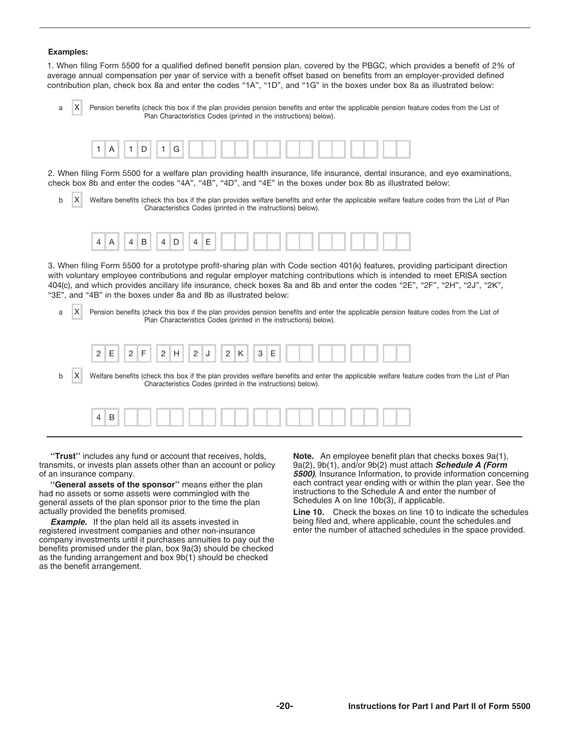# **Examples:**

1. When filing Form 5500 for a qualified defined benefit pension plan, covered by the PBGC, which provides a benefit of 2% of average annual compensation per year of service with a benefit offset based on benefits from an employer-provided defined contribution plan, check box 8a and enter the codes "1A", "1D", and "1G" in the boxes under box 8a as illustrated below:

a X Pension benefits (check this box if the plan provides pension benefits and enter the applicable pension feature codes from the List of Plan Characteristics Codes (printed in the instructions) below). X

![](_page_19_Picture_3.jpeg)

2. When filing Form 5500 for a welfare plan providing health insurance, life insurance, dental insurance, and eye examinations, check box 8b and enter the codes "4A", "4B", "4D", and "4E" in the boxes under box 8b as illustrated below:

b X Welfare benefits (check this box if the plan provides welfare benefits and enter the applicable welfare feature codes from the List of Plan Characteristics Codes (printed in the instructions) below). X

![](_page_19_Picture_6.jpeg)

3. When filing Form 5500 for a prototype profit-sharing plan with Code section 401(k) features, providing participant direction with voluntary employee contributions and regular employer matching contributions which is intended to meet ERISA section 404(c), and which provides ancillary life insurance, check boxes 8a and 8b and enter the codes "2E", "2F", "2H", "2J", "2K", "3E", and "4B" in the boxes under 8a and 8b as illustrated below:

a | X | Pension benefits (check this box if the plan provides pension benefits and enter the applicable pension feature codes from the List of Plan Characteristics Codes (printed in the instructions) below). X

![](_page_19_Picture_9.jpeg)

b  $|X|$  Welfare benefits (check this box if the plan provides welfare benefits and enter the applicable welfare feature codes from the List of Plan Characteristics Codes (printed in the instructions) below). X

|--|--|--|--|--|

**''Trust''** includes any fund or account that receives, holds, **Note.** An employee benefit plan that checks boxes 9a(1), transmits, or invests plan assets other than an account or policy  $9a(2)$ , 9b(1), and/or 9b(2) must attach **Schedule A (Form**<br>5500), Insurance Information, to provide information conce

had no assets or some assets were commingled with the instructions to the Schedule A and enter the number of general assets of the plan sponsor prior to the time the plan actually provided the benefits promised.

*Example.* If the plan held all its assets invested in registered investment companies and other non-insurance company investments until it purchases annuities to pay out the benefits promised under the plan, box 9a(3) should be checked as the funding arrangement and box 9b(1) should be checked as the benefit arrangement.

**5500)**, Insurance Information, to provide information concerning **''General assets of the sponsor''** means either the plan each contract year ending with or within the plan year. See the

> **Line 10.** Check the boxes on line 10 to indicate the schedules being filed and, where applicable, count the schedules and enter the number of attached schedules in the space provided.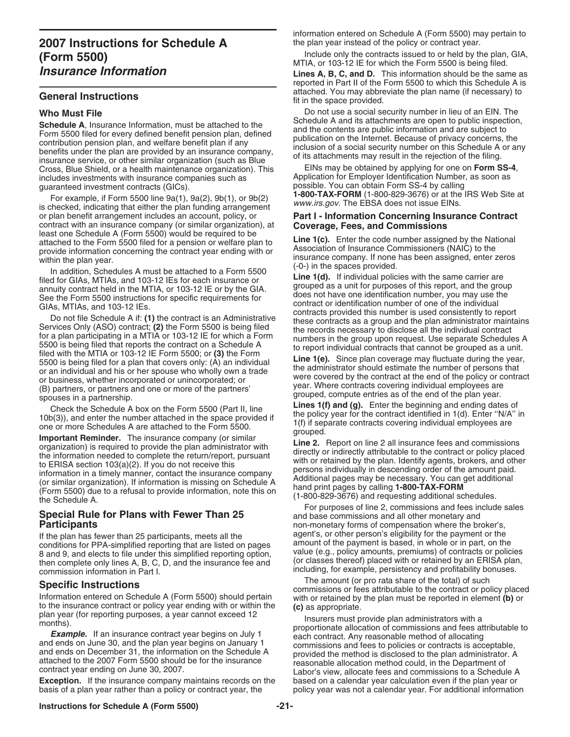# **2007 Instructions for Schedule A** the plan year instead of the policy or contract year.<br>**Eorm 5500)** Include only the contracts issued to or held by the plan, GIA, Include only the contracts issued to or held by the plan,<br>MTIA, or 103-12 IE for which the Form 5500 is being filed.<br>I jnes A, B, C, and D. This information should be the san

**Schedule A**, Insurance Information, must be attached to the<br>
Form 5500 filed for every defined benefit pension plan, defined<br>
contribution pension plan, and welfare benefit plan if any<br>
benefits under the plan are provide Cross, Blue Shield, or a health maintenance organization). This EINs may be obtained by applying for one on **Form SS-4**, includes investments with insurance companies such as

For example, if Form 5500 line 9a(1), 9a(2), 9b(1), or 9b(2)<br>is checked, indicating that either the plan funding arrangement<br>or plan benefit arrangement includes an account, policy, or **Part I - Information Concerning Insu** or plan benefit arrangement includes an account, policy, or **Part I - Information Concerning Insurance Contract**<br>contract with an insurance company (or similar organization), at **Coverage, Fees, and Commissions** least one Schedule A (Form 5500) would be required to be<br>attached to the Form 5500 filed for a pension or welfare plan to<br>provide information concerning the contract year ending with or<br>Association of Insurance Commissione

The addition, Schedules A must be attached to a Form 5500<br>
likely, and 103-12 [Es for each insurance or the parallely for the parameter are a unit for purped as a unit for purped as a unit for purped as unit for purped as

If the plan has fewer than 25 participants, meets all the agent's, or other person's eligibility for the payment or the conditions for PPA-simplified reporting that are listed on pages amount of the payment is based, in wh 8 and 9, and elects to file under this simplified reporting option,<br>then complete only lines A, B, C, D, and the insurance fee and<br>commission information in Part I.<br>Consistency and profitability bonuses.<br>The amount (or pro

**Exception.** If the insurance company maintains records on the based on a calendar year calculation even if the plan year or<br>basis of a plan year rather than a policy or contract year, the policy year was not a calendar ye basis of a plan year rather than a policy or contract year, the

information entered on Schedule A (Form 5500) may pertain to

**Lines A, B, C, and D.** This information should be the same as reported in Part II of the Form 5500 to which this Schedule A is **General Instructions General Instructions Exercise 20** attached. You may abbreviate the plan name (if necessary) to fit in the space provided.

**Who Must File**<br>Composition and its associal security number in lieu of an EIN. The<br>Schedule A and its attachments are open to public inspection.

guaranteed investment contracts (GICs).<br>For example, if Earn EE00 line 0o(1), 0o(2), 0b(1), ex 0b(2), **1-800-TAX-FORM** (1-800-829-3676) or at the IRS Web Site at

within the plan year. Insurance company. If none has been assigned, enter zeros<br>le oddition Schodules A must be attached to a Ferm FEOO (-0-) in the spaces provided.

For purposes of line 2, commissions and fees include sales **Special Rule for Plans with Fewer Than 25 and base commissions and all other monetary and base of line 2, commissions and fees include sales Participants**<br>If the plan has fewer than 25 participants meets all the all the agent's, or other person's eligibility for the payment or the

**Specific Instructions**<br>Information entered on Schedule A (Form 5500) should pertain<br>to the insurance contract or policy year ending with or within the<br>to the insurance contract or policy year ending with or within the<br>(c)

to the insurance contract or policy year ending with or within the<br>plan year (for reporting purposes, a year cannot exceed 12<br>months).<br>**Example.** If an insurance contract year begins on July 1<br>and ends on June 30, and the

# **Instructions for Schedule A (Form 5500) -21-**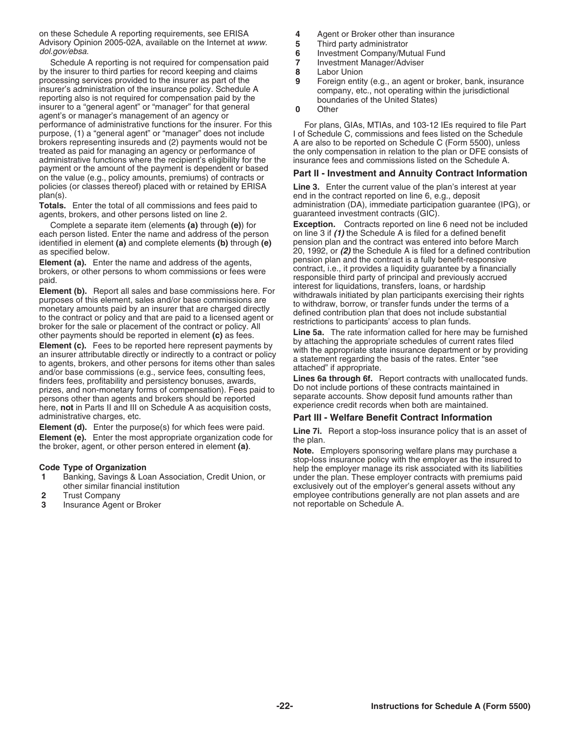on these Schedule A reporting requirements, see ERISA **4** Agent or Broker other than insurance Advisory Opinion 2005-02A, available on the Internet at www.<br>dol.gov/ebsa.<br>**6** Investment Company/Mutual Fund<br>Schedule A reporting is not required for compensation paid **7** Investment Manager/Adviser

Schedule A reporting is not required for compensation paid **7** Investment Manager/Adviser<br>the insurer to third parties for record keeping and claims **8** Labor Union by the insurer to third parties for record keeping and claims processing services provided to the insurer as part of the processing services provided to the insurer as part of the insurer's administration of the insurence policy. Schedule A<br>
insurer's administration of the insurance policy. Schedule A<br>
reporting also is not required for comp performance of administrative functions for the insurer. For this For plans, GIAs, MTIAs, and 103-12 IEs required to file Part<br>purpose, (1) a "general agent" or "manager" does not include I of Schedule C, commissions and f purpose, (1) a "general agent" or "manager" does not include brokers representing insureds and (2) payments would not be brokers representing insureds and (2) payments would not be A are also to be reported on Schedule C (Form 5500), unless treated as paid for managing an agency or performance of the only compensation in relation to the plan administrative functions where the recipient's eligibility for the payment or the amount of the payment is dependent or based payment of the amount of the payment is dependent or based<br>on the value (e.g., policy amounts, premiums) of contracts or<br>policies (or classes thereof) placed with or retained by ERISA<br>Line 3. Enter the current value of the plan(s). end in the contract reported on line 6, e.g., deposit

agents, brokers, and other persons listed on line 2.

each person listed. Enter the name and address of the person on line 3 if (1) the Schedule A is filed for a defined benefit<br>identified in element (a) and complete elements (b) through (e) pension plan and the contract was identified in element **(a)** and complete elements **(b)** through **(e)** 

**Element (a).** Enter the name and address of the agents,<br>
persion plant and the contract is a fully benefit-responsive<br>
praid.<br>
brokers, or other persons to whom commissions or fees were<br>
paid.<br> **Element (b).** Report all

**Example 1.** Enter the purpose(s) for which lees were paid.<br> **Element (e).** Enter the most appropriate organization code for<br>
the plan.<br> **Note.** Employers sponsoring welfare plans may purchase a<br> **Note.** Employers sponsori

- 
- 
- **3** Insurance Agent or Broker
- 
- 
- 
- 
- 
- 
- 

the only compensation in relation to the plan or DFE consists of insurance fees and commissions listed on the Schedule A.

**Line 3.** Enter the current value of the plan's interest at year **Totals.** Enter the total of all commissions and fees paid to administration (DA), immediate participation guarantee (IPG), or agents, brokers, and other persons listed on line 2.

Complete a separate item (elements **(a)** through **(e)**) for **Exception.** Contracts reported on line 6 need not be included as specified below.<br> **Element (a)** Enter the name and address of the agents pension plan and the contract is a fully benefit-responsive

# administrative charges, etc.<br>**Element (d).** Enter the purpose(s) for which fees were paid. **Part III - Welfare Benefit Contract Information**

stop-loss insurance policy with the employer as the insured to<br>Code Type of Organization<br>Banking, Savings & Loan Association, Credit Union, or under the plan. These employer contracts with premiums paid **1** Banking, Savings & Loan Association, Credit Union, or under the plan. These employer contracts with premiums paid other similar financial institution exclusively out of the employer's general assets without any exclusively out of the employer's general assets without any **2** Trust Company **and Structure Contributions** contributions generally are not plan assets and are **3** and are not plan assets and are not reportable on Schedule A.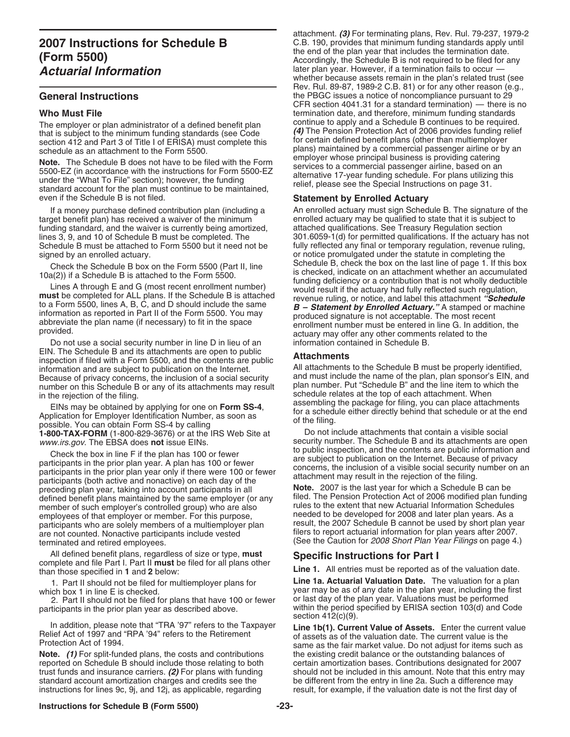**Note.** The Schedule B does not have to be filed with the Form<br>5500-EZ (in accordance with the instructions for Form 5500-EZ<br>under the "What To File" section); however, the funding<br>standard account for the plan must contin even if the Schedule B is not filed. **Statement by Enrolled Actuary**

target benefit plan) has received a waiver of the minimum enrolled actuary may be qualified to state that it is subjec<br>funding standard, and the waiver is currently being amortized, attached qualifications. See Treasury Re funding standard, and the waiver is currently being amortized, Schedule B must be attached to Form 5500 but it need not be signed by an enrolled actuary.

Do not use a social security number in line D in lieu of an information contained in Schedule B.<br>EIN. The Schedule B and its attachments are open to public Env. The oriental even in a security and the contents in species of private the subject of public<br>information and are subject to publication on the Internet.<br>Because of privacy concerns the inclusion of a social security a Because of privacy concerns, the inclusion of a social security and must include the name of the plan, plan sponsor's EIN, a<br>number on this Schedule B or any of its attachments may result plan number. Put "Schedule B" and number on this Schedule B or any of its attachments may result in the rejection of the filing.

EINs may be obtained by applying for one on **Form SS-4**,<br>Application for Employer Identification Number, as soon as<br>possible. You can obtain Form SS-4 by calling<br>**1-800-TAX-FORM** (1-800-829-3676) or at the IRS Web Site at<br> **1-800-TAX-FORM** (1-800-829-3676) or at the IRS Web Site at *www.irs.gov.* The EBSA does **not** issue EINs.

Check the box in line F if the plan has 100 or fewer<br>participants in the prior plan year. A plan has 100 or fewer<br>participants in the prior plan year. A plan has 100 or fewer<br>participants in the prior plan year only if the preceding plan year, taking into account participants in all defined benefit plans maintained by the same employer (or any member of such employer's controlled group) who are also rules to the extent that new Actuarial Information Schedules<br>employees of that employer or member. For this purpose. The eded to be developed for 2008 and later plan employees of that employer or member. For this purpose, entitled to be developed for 2008 and later plan years. As a<br>participants who are solely members of a multiemployer plan entitled the 2007 Schedule B cannot be used b participants who are solely members of a multiemployer plan are not counted. Nonactive participants include vested filers to report actuarial information for plan years after 2007. terminated and retired employees. (See the Caution for 2008 Short Plan Year Filings on page 4.)

All defined benefit plans, regardless of size or type, **must**<br>
complete and file Part I. Part II **must** be filed for all plans other<br>
than those specified in 1 and 2 below:<br>
1. Part II should not be filed for multiemployer

1. Part II should not be filed for multiemployer plans for

2. Part II should not be filed for plans that have 100 or fewer or last day of the plan year. Valuations must be performed participants in the prior plan year as described above.

In addition, please note that "TRA '97" refers to the Taxpayer **Line 1b(1). Current Value of Assets.** Enter the current value Relief Act of 1997 and "RPA '94" refers to the Retirement of assets as of the valuation date. The current value is the Protection Act of 1994.

**Note.** (1) For split-funded plans, the costs and contributions reported on Schedule B should include those relating to both standard account amortization charges and credits see the be different from the entry in line 2a. Such a difference may instructions for lines 9c, 9j, and 12j, as applicable, regarding result, for example, if the valuation

attachment. *(3)* For terminating plans, Rev. Rul. 79-237, 1979-2 **2007 Instructions for Schedule B** C.B. 190, provides that minimum funding standards apply until<br> *I* Fause FFOO) **(Form 5500) Constant of the end of the plan year that includes the termination date.**<br>Accordingly, the Schedule B is not required to be filed for any **Actuarial Information** later plan year. However, if a termination fails to occur whether because assets remain in the plan's related trust (see Rev. Rul. 89-87, 1989-2 C.B. 81) or for any other reason (e.g., **General Instructions** the PBGC issues a notice of noncompliance pursuant to 29 CFR section 4041.31 for a standard termination) — there is no **Who Must File**<br>The employer or plan administrator of a defined benefit plan continue to apply and a Schedule B continues to be required. The employer or plan administrator of a defined benefit plan<br>that is subject to the minimum funding standards (see Code<br>section 412 and Part 3 of Title I of ERISA) must complete this<br>schedule as an attachment to the Form 5

If a money purchase defined contribution plan (including a An enrolled actuary must sign Schedule B. The signature of the<br>get benefit plan) has received a waiver of the minimum<br>enrolled actuary may be qualified to state th lines 3, 9, and 10 of Schedule B must be completed. The 301.6059-1(d) for permitted qualifications. If the actuary has not Schedule B must be attached to Form 5500 but it need not be fully reflected any final or temporary or notice promulgated under the statute in completing the Schedule B, check the box on the last line of page 1. If this box Check the Schedule B box on the Form 5500 (Part II, line<br>
10a(2)) if a Schedule B is attached to the Form 5500 (Part II, line<br>
10a(2)) if a Schedule B is attached to the Form 5500.<br>
Lines A through E and G (most recent enr

schedule relates at the top of each attachment. When<br>assembling the package for filing, you can place attachments

security number. The Schedule B and its attachments are open<br>to public inspection, and the contents are public information and

filed. The Pension Protection Act of 2006 modified plan funding rules to the extent that new Actuarial Information Schedules

which box 1 in line E is checked. year may be as of any date in the plan year, including the first within the period specified by ERISA section 103(d) and Code section 412(c)(9).

same as the fair market value. Do not adjust for items such as the existing credit balance or the outstanding balances of certain amortization bases. Contributions designated for 2007 trust funds and insurance carriers. (2) For plans with funding should not be included in this amount. Note that this entry may standard account amortization charges and credits see the be different from the entry in line 2 result, for example, if the valuation date is not the first day of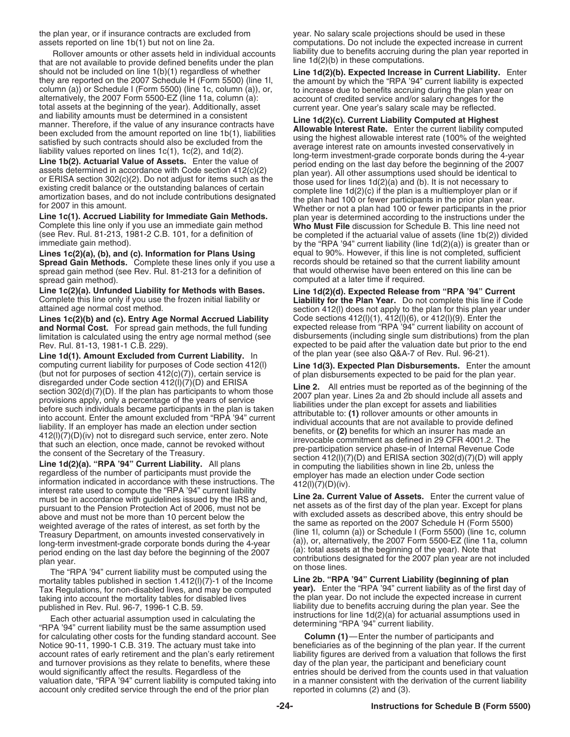the plan year, or if insurance contracts are excluded from year. No salary scale projections should be used in these

that are not available to provide defined benefits under the plan should not be included on line 1(b)(1) regardless of whether **Line 1d(2)(b). Expected Increase in Current Liability.** Enter they are reported on the 2007 Schedule H (Form 5500) (line 1l, the amount by which the "RPA '94" c

**Spread Gain Methods.** Complete these lines only if you use a records should be retained so that the current liability amount spread gain method (see Rev. Rul. 81-213 for a definition of that would otherwise have been ente spread gain method (see Rev. Rul. 81-213 for a definition of spread gain method). computed at a later time if required.

**Line 1c(2)(a). Unfunded Liability for Methods with Bases. Line 1d(2)(d). Expected Release from "RPA '94" Current**

**Lines 1c(2)(b) and (c). Entry Age Normal Accrued Liability** Code sections 412(l)(1), 412(l)(6), or 412(l)(9). Enter the limitation is calculated using the entry age normal method (see

**Line 1d(1). Amount Excluded from Current Liability.** In (but not for purposes of section 412(c)(7)), certain service is of plan disbursements expected to be paid for the plan year.<br>disregarded under Code section 412(l)(7)(D) and ERISA

interest rate used to compute the "RPA '94" current liability<br>must be in accordance with guidelines issued by the IRS and,<br>**Line 2a. Current Value of Assets.** Enter the current value of met assets as of the first day of the plan year. Except for plans<br>above and must not be Pension Protection Act of 2006, must not be<br>above and must not be more than 10 percent below the<br>weighted average of the rates of inte weighted average of the rates of interest, as set forth by the the same as reported on the 2007 Schedule H (Form 5500)<br>Treasury Department, on amounts invested conservatively in (line 1, column (a)) or Schedule I (Form 550

mortality tables published in section 1.412(l)(7)-1 of the Income **Line 2b. "RPA '94" Current Liability (beginning of plan** Tax Regulations, for non-disabled lives, and may be computed taking into account the mortality tables for disabled lives

Each other actuarial assumption used in calculating the<br>
"RPA '94" current liability must be the same assumption used determining "RPA '94" current liability.<br>
for calculating other costs for the funding standard account. for calculating other costs for the funding standard account. See Notice 90-11, 1990-1 C.B. 319. The actuary must take into beneficiaries as of the beginning of the plan year. If the current account rates of early retirement and the plan's early retirement and the plan's early retirement account rates of early retirement and the plan's early retirement liability figures are derived from a valuation that follows the and turnover provisions as they relate to benefits, where these day of the plan year, the pa and turnover provisions as they relate to benefits, where these would significantly affect the results. Regardless of the entries should be derived from the counts used in that valuation<br>valuation date, "RPA '94" current liability is computed taking into in a manner consistent with the valuation date, "RPA '94" current liability is computed taking into in a manner consistent with the account only credited service through the end of the prior plan reported in columns (2) and (3). account only credited service through the end of the prior plan

assets reported on line 1b(1) but not on line 2a. computations. Do not include the expected increase in current Rollover amounts or other assets held in individual accounts liability due to benefits accruing during the plan year reported in<br>are not available to provide defined benefits under the plan line 1d(2)(b) in these computati

they are reported on the 2007 Scheldule H (Form 5500) (line 11,<br>column (a)) or Scheldule I (Form 5500) (line 11, column (a); to increase due to benefits accruint of particular<br>alternatively, the 2007 Form 5500-EZ (line 11a **Line 1c(1). Accrued Liability for Immediate Gain Methods.** plan year is determined according to the instructions under the Complete this line only if you use an immediate gain method (see Rev. Rul. 81-213, 1981-2 C.B. 10 by the "RPA '94" current liability (line  $1d(2)(a)$ ) is greater than or equal to 90%. However, if this line is not completed, sufficient Lines 1c(2)(a), (b), and (c). Information for Plans Using equal to 90%. However, if this line is not completed, sufficient Spread Gain Methods. Complete these lines only if you use a records should be retained so that the

Complete this line only if you use the frozen initial liability or **Liability for the Plan Year.** Do not complete this line if Code section 412(I) does not apply to the plan for this plan year under **and Normal Cost.** For spread gain methods, the full funding expected release from "RPA '94" current liability on account of limitation is calculated using the entry age normal method (see disbursements (including single s Rev. Rul. 81-13, 1981-1 C.B. 229).<br>Line 1d(1) Amount Excluded from Current Liability In for the plan year (see also Q&A-7 of Rev. Rul. 96-21).

computing current liability for purposes of Code section 412(l) **Line 1d(3). Expected Plan Disbursements.** Enter the amount

disregarded under Code section 412(l)(7)(D) and ERISA<br>
provisions apply, only a percentage of the years of service<br>
provisions apply, only a percentage of the years of service<br>
provisions apply, only a percentage of the y

Treasury Department, on amounts invested conservatively in<br>
long-term investment-grade corporate bonds during the 4-year<br>
period ending on the last day before the beginning of the 2007<br>
plan year.<br>
The "RPA '94" current l

the plan year. Do not include the expected increase in current published in Rev. Rul. 96-7, 1996-1 C.B. 59. liability due to benefits accruing during the plan year. See the<br>Each other actuarial assumption used in calculating the instructions for line 1d(2)(a) for actuarial assumptions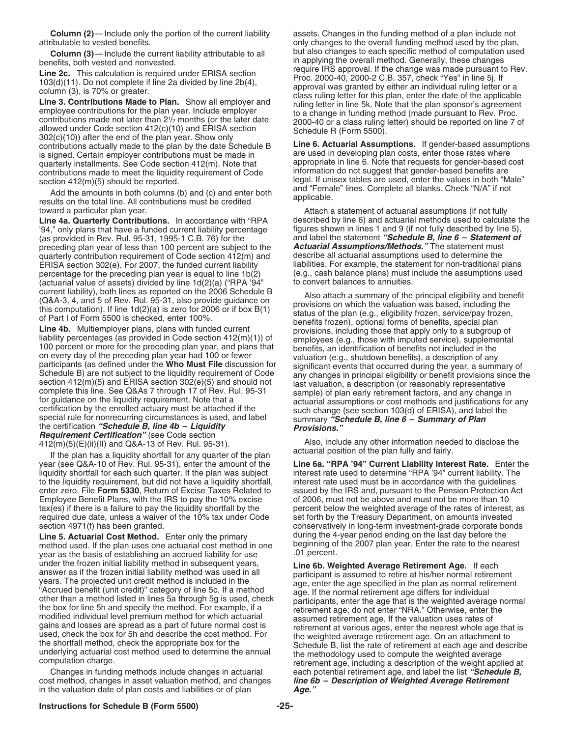attributable to vested benefits. only changes to the overall funding method used by the plan,

employee contributions for the plan year. Include employer<br>
contributions made not later than  $2^{1/2}$  months (or the later date<br>
allowed under Code section 412(c)(10) and ERISA section<br>  $302(c)(10)$ ) after the end of the p contributions actually made to the plan by the date Schedule B is signed. Certain employer contributions must be made in quarterly installments. See Code section 412(m). Note that appropriate in line 6. Note that requests for gender-based i<br>contributions made to meet the liquidity requirement of Code information do not suggest that gender-ba contributions made to meet the liquidity requirement of Code

Add the amounts in both columns (b) and (c) and enter both  $\frac{a_{10}}{a_{10}}$  results on the total line. All contributions must be credited applicable. toward a particular plan year.  $\blacksquare$  Attach a statement of actuarial assumptions (if not fully

'94," only plans that have a funded current liability percentage the figures shown in lines 1 and 9 (if not fully described by line 5), '<br>(as provided in Rev. Rul. 95-31, 1995-1 C.B. 76) for the the state and label the sta (as provided in Rev. Rul. 95-31, 1995-1 C.B. 76) for the and label the statement "Schedule B, line 6 – Statement<br>preceding plan year of less than 100 percent are subject to the **Actuarial Assumptions/Methods.**" The stateme preceding plan year of less than 100 percent are subject to the **Actuarial Assumptions/Methods.**" The statement must<br>quarterly contribution requirement of Code section 412(m) and describe all actuarial assumptions used to quarterly contribution requirement of Code section 412(m) and describe all actuarial assumptions used to determine the<br>ERISA section 302(e), For 2007, the funded current liability diabilities. For example, the statement fo ERISA section 302(e). For 2007, the funded current liability liabilities. For example, the statement for non-traditional plans<br>percentage for the preceding plan year is equal to line 1b(2) (e.g., cash balance plans) must i percentage for the preceding plan year is equal to line 1b(2) (e.g., cash balance plans) must included to annuities.<br>(actuarial value of assets) divided by line 1d(2)(a) ("RPA '94" to convert balances to annuities. (actuarial value of assets) divided by line  $1d(2)(a)$  ("RPA '94" current liability), both lines as reported on the 2006 Schedule B

*Requirement Certification"* (see Code section

If the plan has a liquidity shortfall for any quarter of the plan year (see Q&A-10 of Rev. Rul. 95-31), enter the amount of the liquidity shortfall for each such quarter. If the plan was subject interest rate used to determine "RPA '94" current liability. The to the liquidity requirement, but did not have a liquidity shortfall, interest rate used m to the liquidity requirement, but did not have a liquidity shortfall, interest rate used must be in accordance with the guidelines enter zero. File Form 5330, Return of Excise Taxes Related to issued by the IRS and, pursua enter zero. File Form 5330, Return of Excise Taxes Related to Employee Benefit Plans, with the IRS to pay the 10% excise of 2006, must not be above and must not be more than 10<br>tax(es) if there is a failure to pay the liquidity shortfall by the percent below the weighted average of t required due date, unless a waiver of the 10% tax under Code set forth by the Treasury Department, on amounts invested

**Line 5. Actuarial Cost Method.** Enter only the primary during the 4-year period ending on the last day before the method used. If the plan uses one actuarial cost method in one beginning of the 2007 plan year. Enter the rate to the nearest vear as the basis of establishing an accrued liability for use 01 percent. year as the basis of establishing an accrued liability for use under the frozen initial liability method in subsequent years, **Line 6b. Weighted Average Retirement Age.** If each

cost method, changes in asset valuation method, and changes *line 6b* in the valuation date of plan costs and liabilities or of plan **Age.**" in the valuation date of plan costs and liabilities or of plan

**Column (2)—Include only the portion of the current liability** assets. Changes in the funding method of a plan include not **Column (3)**—Include the current liability attributable to all but also changes to each specific method of computation used benefits, both vested and nonvested.<br> **in applying the overall method. Generally, these changes**<br> **ing 20** This calculation is required under EDISA section require IRS approval. If the change was made pursuant to Rev. **Line 2c.** This calculation is required under ERISA section<br>  $103(d)(11)$ . Do not complete if line 2a divided by line 2b(4),<br>
column (3), is 70% or greater.<br> **Line 3. Contributions Made to Plan.** Show all employer and<br>
empl

are used in developing plan costs, enter those rates where appropriate in line 6. Note that requests for gender-based cost section 412(m)(5) should be reported.<br>Add the amounts in both columns (b) and (c) and onter both and "Female" lines. Complete all blanks. Check "N/A" if not

Line 4a. Quarterly Contributions. In accordance with "RPA described by line 6) and actuarial methods used to calculate the<br>'94," only plans that have a funded current liability percentage figures shown in lines 1 and 9 (if

current liability, both lines as reported on the 2006 Schedule B<br>
(Q&A-3, 4, and 5 of Rev. Rul. 95-31, also provide guidance on<br>
this computation). If line 1d(2)(a) is zero for 2006 or if box B(1)<br>
this computation). If l

412(m)(5)(E)(ii)(III) and Q&A-13 of Rev. Rul. 95-31). Also, include any other information needed to disclose the<br>
the plan best of limitative bortfoll for any quarter of the plan

Line 6a. "RPA '94" Current Liability Interest Rate. Enter the percent below the weighted average of the rates of interest, as section 4971(f) has been granted. The section 4971(f) has been granted. Conservatively in long-term investment-grade corporate bonds

answer as if the frozen initial liability method was used in all<br>
years. The projected unit credit method is included in the<br>
"Accrued benefit (unit credit)" category of line 5c. If a method<br>
other than a method isted in l Changes in funding methods include changes in actuarial each potential retirement age, and label the list "Schedule B,<br>In method, changes in asset valuation method, and changes **line 6b – Description of Weighted Average Re**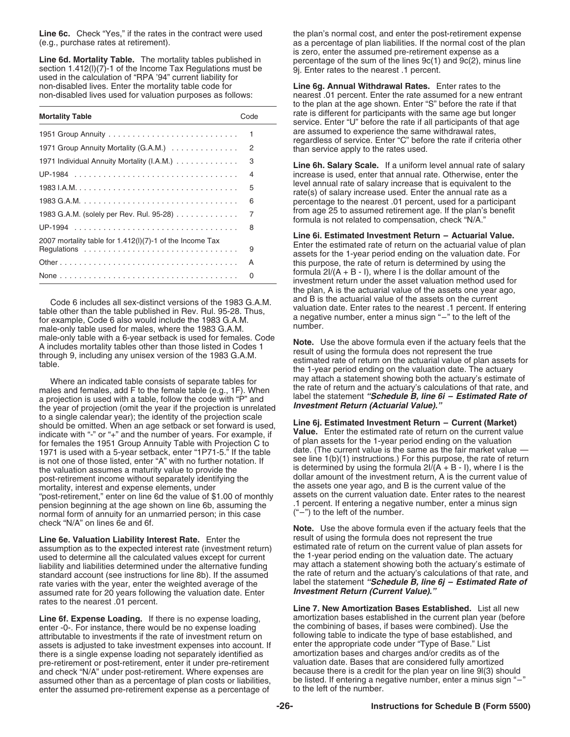**Line 6d. Mortality Table.** The mortality tables published in  $\frac{9j}{2}$ . Enter rates to the section 1.412(l)(7)-1 of the Income Tax Regulations must be used in the calculation of "RPA '94" current liability for  $\frac{1}{2}$ non-disabled lives. Enter the mortality table code for

| <b>Mortality Table</b>                                   | Code |
|----------------------------------------------------------|------|
|                                                          | 1    |
| 1971 Group Annuity Mortality (G.A.M.)                    | 2    |
| 1971 Individual Annuity Mortality (I.A.M.)               | 3    |
|                                                          | 4    |
|                                                          | 5    |
|                                                          | 6    |
| 1983 G.A.M. (solely per Rev. Rul. 95-28)                 | 7    |
|                                                          | 8    |
| 2007 mortality table for 1.412(I)(7)-1 of the Income Tax |      |
|                                                          | 9    |
|                                                          | A    |
|                                                          | 0    |

male-only table used for males, where the 1983 G.A.M.<br>male-only table with a 6-year setback is used for females. Code

males and females, add F to the female table (e.g., 1F). When the rate of return and the actuary's calculations of that rate, and a projection is used with a table, follow the code with "P" and a projection is used with a the year of projection (omit the year if the projection is unrelated **Investment Return (Actuarial Value).**" to a single calendar year); the identity of the projection scale<br>
should be omitted. When an age setback or set forward is used,<br>
indicate with "-" or "+" and the number of years. For example, if<br>
for females the 1951 Gro 1971 is used with a 5-year setback, enter "1P71-5." If the table is not one of those listed, enter "A" with no further notation. If the valuation assumes a maturity value to provide the interest is determined by using the formula 2I/(A + B - I), where I is the post-retirement income without separately identifying the dollar amount of the investment ret mortality, interest and expense elements, under the assets one year ago, and B is the current value of the<br>"post-retirement." enter on line 6d the value of \$1.00 of monthly assets on the current valuation date. Enter rates post-retirement," enter on line 6d the value of \$1.00 of monthly assets on the current valuation date. Enter rates to the neare<br>Percent, If entering a negative number, enter a minus sign nearest on line 6b assuming the sym pension beginning at the age shown on line 6b, assuming the .1 percent. If entering a negative number, enter a minus sign normal form of annuity for an unmarried person; in this case

**Line 6e. Valuation Liability Interest Rate.** Enter the result of using the formula does not represent the true<br>assumption as to the expected interest rate (investment return) estimated rate of return on the current value assumption as to the expected interest rate (investment return) estimated rate of return on the current value of plan assets for current superfunction date. The actuary liability and liabilities determined under the alternative funding rate varies with the year, enter the weighted average of the **Faction Called the statement** *"Schedule B, line*<br>6. Assumed rate for 20 years following the valuation date Foter **Investment Return (Current Value).** assumed rate for 20 years following the valuation date. Enter rates to the nearest .01 percent. **Line 7. New Amortization Bases Established.** List all new

enter -0-. For instance, there would be no expense loading attributable to investments if the rate of investment return on assets is adjusted to take investment expenses into account. If enter the appropriate code under "Type of Base." List<br>there is a single expense loading not separately identified as amortization bases and charges and/or cre there is a single expense loading not separately identified as amortization bases and charges and/or credits as of the<br>pre-retirement or post-retirement, enter it under pre-retirement valuation date. Bases that are conside pre-retirement or post-retirement, enter it under pre-retirement valuation date. Bases that are considered fully amortized<br>and check "N/A" under post-retirement. Where expenses are because there is a credit for the plan ye and check "N/A" under post-retirement. Where expenses are assumed other than as a percentage of plan costs or liabilities. enter the assumed pre-retirement expense as a percentage of

Line 6c. Check "Yes," if the rates in the contract were used the plan's normal cost, and enter the post-retirement expense (e.g., purchase rates at retirement). <br>is zero, enter the assumed pre-retirement expense as a<br>is zero, enter the assumed pre-retirement expense as a

non-disabled lives used for valuation purposes as follows: nearest .01 percent. Enter the rate assumed for a new entrant to the plan at the age shown. Enter "S" before the rate if that rate is different for participants with the same age but longer service. Enter "U" before the rate if all participants of that age are assumed to experience the same withdrawal rates,<br>regardless of service. Enter "C" before the rate if criteria other<br>than service apply to the rates used.

> Line 6h. Salary Scale. If a uniform level annual rate of salary increase is used, enter that annual rate. Otherwise, enter the level annual rate of salary increase that is equivalent to the rate(s) of salary increase used. Enter the annual rate as a percentage to the nearest .01 percent, used for a participant from age 25 to assumed retirement age. If the plan's benefit formula is not related to compensation, check "N/A."

Line 6i. Estimated Investment Return  $-$  Actuarial Value.<br>Enter the estimated rate of return on the actuarial value of plan<br>assets for the 1-year period ending on the valuation date. For this purpose, the rate of return is determined by using the formula  $2I/(A + B - I)$ , where I is the dollar amount of the investment return under the asset valuation method used for the plan, A is the actuarial value of the assets one year ago, Code 6 includes all sex-distinct versions of the 1983 G.A.M.<br>
table other than the table published in Rev. Rul. 95-28. Thus,<br>
for example, Code 6 also would include the 1983 G.A.M.<br>
megative number, enter a minus sign "-"

A includes mortality tables other than those listed in Codes 1<br>A includes mortality tables other than those listed in Codes 1<br>through 9, including any unisex version of the 1983 G.A.M.<br>table.<br>Mhere an indicated table consi Where an indicated table consists of separate tables for may attach a statement showing both the actuary's estimate of<br>les and females, add E to the female table (e.g., 1E). When the rate of return and the actuary's calcul

> see line 1(b)(1) instructions.) For this purpose, the rate of return dollar amount of the investment return, A is the current value of

check "N/A" on lines 6e and 6f.<br>**Note.** Use the above formula even if the actuary feels that the<br>**Note.** Use the above formula does not represent the true<br>result of using the formula does not represent the true used to determine all the calculated values except for current the 1-year period ending on the valuation date. The actuary<br>liability and liabilities determined under the alternative funding may attach a statement showing b standard account (see instructions for line 8b). If the assumed<br>the rate of return and the actuary's calculations of that rate, and<br>rate varies with the year, enter the weighted average of the label the statement "Schedule

Line 6f. Expense Loading. If there is no expense loading, amortization bases established in the current plan year (before enter -0- For instance there would be no expense loading the combining of bases, if bases were combi following table to indicate the type of base established, and enter the appropriate code under "Type of Base." List be listed. If entering a negative number, enter a minus sign "–" to the left of the number.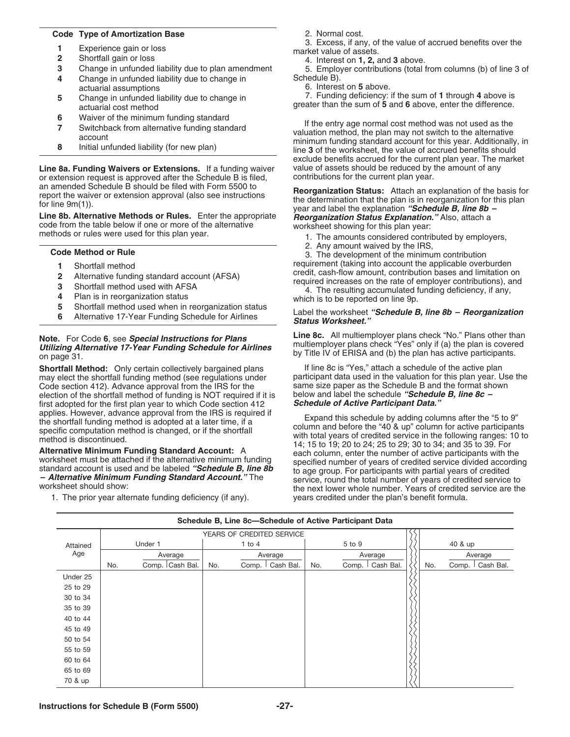# **Code Type of Amortization Base** 2. Normal cost.

- 
- 
- **2** Shortfall gain or loss 4. Interest on **1, 2,** and **3** above.
- **Change in unfunded liability due to change in**
- 
- 
- 
- 

**Line 8a. Funding Waivers or Extensions.** If a funding waiver value of assets should be reduced by the amount of a<br>The Schedule Bis approved after the Schedule B is filed. Contributions for the current plan year. or extension request is approved after the Schedule B is filed, an amended Schedule B should be filed with Form 5500 to

- 
- 
- 
- 
- 
- 

# **Note.** For Code 6, see **Special Instructions for Plans** Line 8c. All multiemployer plans check "No." Plans other than<br> **Utilizing Alternative 17-Year Funding Schedule for Airlines** multiemployer plans check "Yes" only if

**Shortfall Method:** Only certain collectively bargained plans If line 8c is "Yes," attach a schedule of the active plan<br>may elect the shortfall funding method (see regulations under participant data used in the valuation f may elect the shortfall funding method (see regulations under participant data used in the valuation for this plan year. Us<br>Code section 412), Advance approval from the IRS for the same size paper as the Schedule B and the Code section 412). Advance approval from the IRS for the same size paper as the Schedule B and the format showned election of the shortfall method of funding is NOT required if it is below and label the schedule "Schedule election of the shortfall method of funding is NOT required if it is below and label the schedule **"Schedul**"<br>**First adopted for the first plan year to which Code section 412 Schedule of Active Participant Data.** first adopted for the first plan year to which Code section 412 applies. However, advance approval from the IRS is required if

1. The prior year alternate funding deficiency (if any). years credited under the plan's benefit formula.

3. Excess, if any, of the value of accrued benefits over the<br> **1** Experience gain or loss market value of assets.<br> **2** Shortfall gain or loss **1** A Interest on **1**, **2**, and **3** above

**3** Change in unfunded liability due to plan amendment 5. Employer contributions (total from columns (b) of line 3 of <br>**4** Change in unfunded liability due to change in Schedule B).

actuarial assumptions<br>
Change in unfunded liability due to change in<br>
<sup>7</sup> Funding deficiency: if the sum of 1 through 4 above is<br>
<sup>7</sup> Funding deficiency: if the sum of 1 through 4 above is 7. Funding deficiency: if the sum of **1** through **4** above is **<sup>5</sup>** Change in unfunded liability due to change in greater than the sum of **5** and **6** above, enter the difference. actuarial cost method

**6**<br> **6** Waiver of the minimum funding standard<br> **16** Switchback from alternative funding standard<br> **16** Switchback from alternative funding standard<br> **16** account<br> **16** account minimum funding standard account for this ye exclude benefits accrued for the current plan year. The market value of assets should be reduced by the amount of any

an amended Schedule B should be filed with Form 5500 to<br>report the waiver or extension approval (also see instructions<br>for line 9m(1)).<br>Line 8b. Alternative Methods or Rules. Enter the appropriate<br>code from the table below

- 
- 

2. Any amount waived by the IRS,<br> **Code Method or Rule** 3. The development of the minimum contribution 1 Shortfall method<br>2 Alternative funding standard account (AESA) requirement (taking into account the applicable overburden<br>2 Alternative funding standard account (AESA) seedit, cash-flow amount, contribution bases and lim

2 Alternative funding standard account (AFSA)<br>
3 Shortfall method used with AFSA<br>
4 Plan is in reorganization status<br>
5 Shortfall method used when in reorganization status<br>
5 Shortfall method used when in reorganization st

# **<sup>5</sup>** Shortfall method used when in reorganization status Label the worksheet *"Schedule B, line 8b – Reorganization* **<sup>6</sup>** Alternative 17-Year Funding Schedule for Airlines *Status Worksheet."*

applies. However, advance approval from the IRS is required if<br>the shortfall funding method is adopted at a later time, if a<br>specific computation method is changed, or if the shortfall<br>method is discontinued.<br>Mernative Min

|          |                           |         |                 |     |          | Schedule B, Line 8c-Schedule of Active Participant Data |     |            |           |     |         |           |
|----------|---------------------------|---------|-----------------|-----|----------|---------------------------------------------------------|-----|------------|-----------|-----|---------|-----------|
|          | YEARS OF CREDITED SERVICE |         |                 |     |          |                                                         |     |            |           |     |         |           |
| Attained |                           | Under 1 |                 |     | 1 to $4$ |                                                         |     | $5$ to $9$ |           |     | 40 & up |           |
| Age      |                           |         | Average         |     |          | Average                                                 |     |            | Average   |     |         | Average   |
|          | No.                       |         | Comp. Cash Bal. | No. | Comp.    | Cash Bal.                                               | No. | Comp.      | Cash Bal. | No. | Comp.   | Cash Bal. |
| Under 25 |                           |         |                 |     |          |                                                         |     |            |           |     |         |           |
| 25 to 29 |                           |         |                 |     |          |                                                         |     |            |           |     |         |           |
| 30 to 34 |                           |         |                 |     |          |                                                         |     |            |           |     |         |           |
| 35 to 39 |                           |         |                 |     |          |                                                         |     |            |           |     |         |           |
| 40 to 44 |                           |         |                 |     |          |                                                         |     |            |           |     |         |           |
| 45 to 49 |                           |         |                 |     |          |                                                         |     |            |           |     |         |           |
| 50 to 54 |                           |         |                 |     |          |                                                         |     |            |           |     |         |           |
| 55 to 59 |                           |         |                 |     |          |                                                         |     |            |           |     |         |           |
| 60 to 64 |                           |         |                 |     |          |                                                         |     |            |           |     |         |           |
| 65 to 69 |                           |         |                 |     |          |                                                         |     |            |           |     |         |           |
| 70 & up  |                           |         |                 |     |          |                                                         |     |            |           |     |         |           |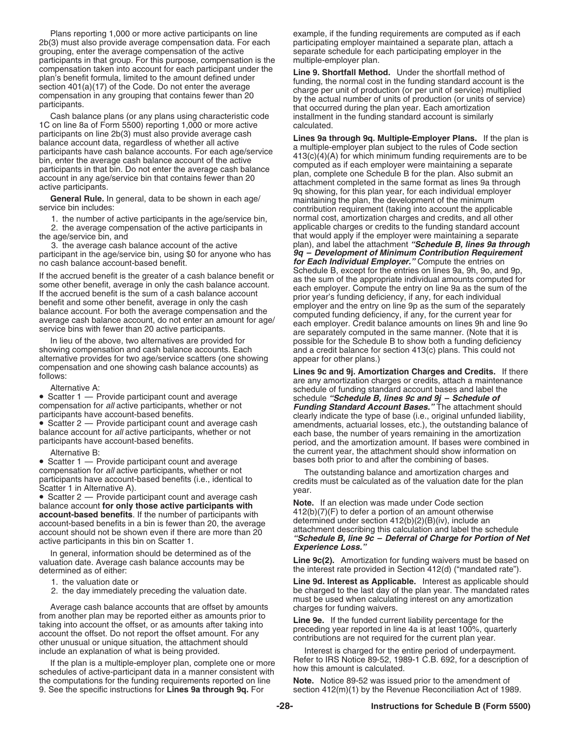2b(3) must also provide average compensation data. For each participating employer maintained a separate plan, attach a<br>grouping, enter the average compensation of the active separate schedule for each participating employ participants in that group. For this purpose, compensation is the multiple-employer plan.<br>
compensation taken into account for each participant under the line **9** Shortfall Meth

Cash balance plans (or any plans using characteristic code installment in the funding standard account is similarly<br>on line 8a of Form 5500) reporting 1,000 or more active calculated. 1C on line 8a of Form 5500) reporting 1,000 or more active participants on line 2b(3) must also provide average cash

participant in the age/service bin, using \$0 for anyone who has

In lieu of the above, two alternatives are provided for possible for the Schedule B to show both a funding deficiency<br>showing compensation and cash balance accounts. Each and a credit balance for section 413(c) plans. This alternative provides for two age/service scatters (one showing appear for other plans.)<br>compensation and one showing cash balance accounts) as **a state of and 91** Amort

• Scatter 1 — Provide participant count and average bases both prior to and after the combining of bases.<br>
compensation for all active participants, whether or not<br>
The outstanding balance and amortization charges

In general, information should be determined as of the<br>valuation date. Average cash balance accounts may be<br>determined as of either:<br>determined as of either:

Average cash balance accounts that are offset by amounts<br>from another plan may be reported either as amounts prior to<br>taking into account the offset, or as amounts after taking into<br>account the offset. Do not report the of

If the plan is a multiple-employer plan, complete one or more<br>schedules of active-participant data in a manner consistent with samount is calculated.<br>the computations for the funding requirements reported on line **Note.** N the computations for the funding requirements reported on line 9. See the specific instructions for **Lines 9a through 9q.** For

Plans reporting 1,000 or more active participants on line example, if the funding requirements are computed as if each separate schedule for each participating employer in the

compensation taken into account for each participant under the<br>plan's benefit formula, limited to the amount defined under<br>section 401(a)(17) of the Code. Do not enter the average<br>compensation in any grouping that contains

participants on line 2b(3) must also provide average cash<br>
balance account data, regardless of whether all active<br>
balance accounts. For each age/service<br>
bin, enter the average cash balance<br>
bin, enter the average cash ba 1. the number of active participants in the age/service bin, normal cost, amortization charges and credits, and all other 2. the average compensation of the active participants in applicable charges or credits to the funding standard account the age/service bin, and that would apply if the employer were maintaining a separate 3. the average cash balance account of the active plan), and label the attachment *"Schedule B, lines 9a through* no cash balance account-based benefit. *for Each Individual Employer.* Compute the entries on<br> *for Each Individual Employer.* Compute the entries on lines 9a, 9h, 9o, and 9p, If the accrued benefit is the greater of a cash balance benefit or<br>some other benefit, average in only the cash balance account.<br>If the accrued benefit is the sum of a cash balance account<br>benefit and some other benefit, a and a credit balance for section 413(c) plans. This could not

Follows:<br>
Follows:<br>
Alternative A:<br>
Scatter 1 — Provide participant count and average<br>
participants, whether or not<br>
participants have account-based benefits.<br>
Participants have account-based benefits.<br>
Participants are an participants have account-based benefits.<br>
• Scatter 2 — Provide participant count and average cash<br>
balance account for *all* active participants, whether or not<br>
participants have account-based benefits.<br>
participants ha Alternative B: the current year, the attachment should show information on

compensation for *all* active participants, whether or not<br>
Scatter 1 in Alternative A).<br>
Scatter 1 in Alternative A).<br>
Scatter 1 in Alternative A).<br>
Scatter 1 in Alternative A).<br>
Scatter 1 in Alternative A).<br>
Note active

the interest rate provided in Section 412(d) ("mandated rate").

1. the valuation date or **Line 9d. Interest as Applicable.** Interest as applicable should 2. the day immediately preceding the valuation date. be charged to the last day of the plan year. The mandated rates

include an explanation of what is being provided. Interest is charged for the entire period of underpayment.

section 412(m)(1) by the Revenue Reconciliation Act of 1989.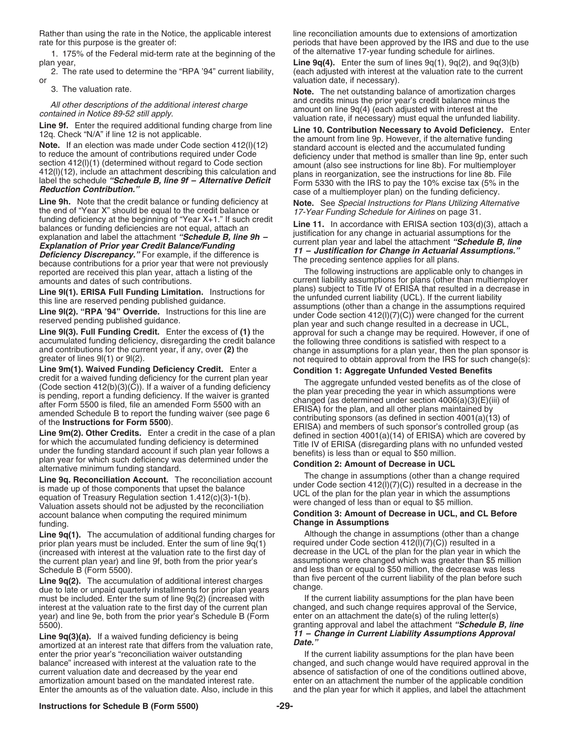Rather than using the rate in the Notice, the applicable interest line reconciliation amounts due to extensions of amortization

1. 175% of the Federal mid-term rate at the beginning of the

or valuation date, if necessary).

**Line 9h.** Note that the credit balance or funding deficiency at<br>
the end of "Year X" should be equal to the credit balance or<br>
funding deficiency at the beginning of "Year X+1." If such credit<br>
balances or funding defici

because contributions for a prior year that were not previously<br>reported are received this plan year, attach a listing of the The following instructions are applicable only to changes in

account balance when computing the required minimum **Condition 3: Amount of Decrease in UCL, and CL Before** funding. **Change in Assumptions**

**Line 9q(1).** The accumulation of additional funding charges for Although the change in assumptions (other than a change prior plane of additional funding charge of Although the change of Although the change of prior plane prior plan years must be included. Enter the sum of line 9q(1) required under Code section 412(l)(7)(C)) resulted in a<br>(increased with interest at the valuation rate to the first day of decrease in the UCL of the plan for (increased with interest at the valuation rate to the first day of decrease in the UCL of the plan for the plan year in which the<br>the current plan year) and line 9f, both from the prior year's assumptions were changed whic the current plan year) and line 9f, both from the prior year's Schedule B (Form 5500).

Line 9q(2). The accumulation of additional interest charges<br>
due to late or unpaid quarterly installments for prior plan years change.<br>
must be included. Enter the sum of line 9q(2) (increased with If the current liability must be included. Enter the sum of line  $9q(2)$  (increased with interest at the valuation rate to the first day of the current plan changed, and such change requires approval of the Service, vear) and line 9e, both from the prior year's Schedule B (Form enter on an attachment the date( year) and line 9e, both from the prior year's Schedule B (Form

*11 – Change in Current Liability Assumptions Approval*<br>
amortized at an interest rate that differs from the valuation rate, **Date."**<br> **Date."** and *Date."* and *Date of the prior year's "reconciliation waiver outstanding* enter the prior year's "reconciliation waiver outstanding current valuation date and decreased by the year end absence of satisfaction of one of the conditions outlined above,<br>amortization amount based on the mandated interest rate. enter on an attachment the number of the applic amortization amount based on the mandated interest rate.<br>Enter the amounts as of the valuation date. Also, include in this and the plan year for which it applies, and label the attachment

rate for this purpose is the greater of:<br>1. 175% of the Federal mid-term rate at the beginning of the statemative 17-year funding schedule for airlines.

plan year,<br>
2. The rate used to determine the "RPA '94" current liability, each adjusted with interest at the valuation rate to the curren (each adjusted with interest at the valuation rate to the current

3. The valuation rate.<br>All other descriptions of the additional interest above. **Note.** The net outstanding balance of amortization charges<br>All other descriptions of the additional interest above.

*All other descriptions of the additional interest charge*<br>
contained in Notice 89-52 still apply.<br>
Line 9f. Enter the required additional funding charge from line<br>
12q. Check "N/A" if line 12 is not applicable.<br>
12q. Che

amounts and dates of such contributions.<br> **Line 9/1)** FRISA Full Funding Limitation Instructions for plans) subject to Title IV of ERISA that resulted in a decrease in **Line 9I(1). ERISA Full Funding Limitation.** Instructions for<br>
this line are reserved pending published guidance.<br> **Line 9I(2). "RPA '94" Override.** Instructions for this line are<br> **Line 9I(2). "RPA '94" Override.** Instru

Line 9m(1). Waived Funding Deficiency Credit. Enter a<br>
credit for a waived funding deficiency for the current plan year<br>
(Code section 412(b)(3)(C)). If a waiver of a funding deficiency<br>
(Code section 412(b)(3)(C)). If a w

and less than or equal to \$50 million, the decrease was less than five percent of the current liability of the plan before such

5500).<br>**Line 9granting approval and label the attachment** *"Schedule B, line***<br>11 – Change in Current Liability Assumptions Approval** 

balance" increased with interest at the valuation rate to the changed, and such change would have required approval in the and the plan year for which it applies, and label the attachment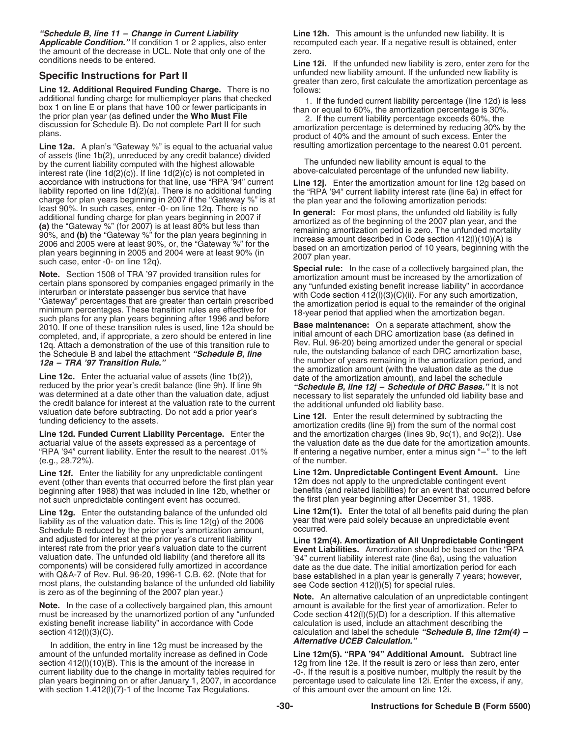*Applicable Condition."* If condition 1 or 2 applies, also enter the amount of the decrease in UCL. Note that only one of the zero. conditions needs to be entered. **Line 12i.** If the unfunded new liability is zero, enter zero for the

**Line 12. Additional Required Funding Charge.** There is no additional funding charge for multiemployer plans that checked additional funding charge for multiemployer plans that checked<br>box 1 on line E or plans that have 100 or fewer participants in<br>the prior plan year (as defined under the **Who Must File**<br>discussion for Schedule B). Do not co

Line 12a. A plan's "Gateway %" is equal to the actuarial value resulting amortization percentage to the nearest 0.01 percent. of assets (line 1b(2), unreduced by any credit balance) divided<br>by the current liability computed with the highest allowable<br>interest rate (line 1d(2)(c)). If line 1d(2)(c) is not completed in above-calculated percentage o accordance with instructions for that line, use "RPA '94" current **Line 12j.** Enter the amortization amount for line 12g based on liability reported on line 1d(2)(a). There is no additional funding the "RPA '94" current li charge for plan years beginning in 2007 if the "Gateway %" is at least 90%. In such cases, enter -0- on line 12q. There is no

least 90%. In such cases, enter-0- on line 12q. There is no<br>diditional funding charge for plan years beginning in 2007 if<br>additional funding charge for plan years beginning in 2007 if<br>**(a)** the "Gateway %" (for 2007) is a

was determined at a date other than the valuation date, adjust<br>the credit balance for interest at the valuation rate to the current<br>valuation and the additional unfunded old liability base.<br>valuation date before subtracti

 $(e.g., 28.72%)$ .

**Line 12f.** Enter the liability for any unpredictable contingent<br>event (other than events that occurred before the first plan year 12m does not apply to the unpredictable contingent event beginning after 1988) that was included in line 12b, whether or benefits (and related liabilities) for an event that occurred not such unpredictable contingent event has occurred.<br>
the first plan year beginning after Decem not such unpredictable contingent event has occurred.

Line 12g. Enter the outstanding balance of the unfunded old<br>liability as of the valuation date. This is line 12(g) of the 2006 year that were paid solely because an unpredictable event liability as of the valuation date. This is line 12(g) of the 2006 year that unpredictable event in the solution of the 2006 scheme 2006 were predicted. Schedule B reduced by the prior year's amortization amount, and adjusted for interest at the prior year's current liability<br>interest rate from the prior year's valuation date to the current<br>valuation date. The unfunded old liability (and therefore all its yar current liability inte valuation date. The unfunded old liability (and therefore all its components) will be considered fully amortized in accordance<br>components) will be considered fully amortized in accordance with Q&A-7 of Rev. Rul. 96-20, 199

**Note.** In the case of a collectively bargained plan, this amount amount is available for the first year of amortization. Refer to must be increased by the unamortized portion of any "unfunded Code section 412(I)(5)(D) for existing benefit increase liability" in accordance with Code section  $412(1)(3)(C)$ .

In addition, the entry in line 12g must be increased by the **Alternative UCEB Calculation."**<br>In additional Amount. Subtract line - In Subtract line for Subtract line Code Line 12m(5). "RPA '94" Additional Amount. Subtract amount of the unfunded mortality increase as defined in Code<br>section 412(I)(10)(B). This is the amount of the increase in 12g from line 12e. If the result is zero or less than zero, enter section 412(l)(10)(B). This is the amount of the increase in current liability due to the change in mortality tables required for -0-. If the result is a positive number, multiply the result by the plan years beginning on or after January 1, 2007, in accordance percentage used to ca plan years beginning on or after January 1, 2007, in accordance percentage used to calculate line 12i. Enter with section 1.412(I)(7)-1 of the Income Tax Regulations. with section  $1.412(1)(7)-1$  of the Income Tax Regulations.

*"Schedule B, line 11 – Change in Current Liability* **Line 12h.** This amount is the unfunded new liability. It is

**Specific Instructions for Part II** unfunded new liability amount. If the unfunded new liability is<br>Line 12. Additional Required Funding Charge. There is no follows:<br>follows:

the "RPA '94" current liability interest rate (line 6a) in effect for the plan year and the following amortization periods:

and the amortization charges (lines 9b, 9c(1), and 9c(2)). Use actuarial value of the assets expressed as a percentage of the valuation date as the due date for the amortization amounts.<br>"RPA '94" current liability. Enter the result to the nearest .01% fentering a negative number, ent If entering a negative number, enter a minus sign " $-$ " to the left

event (other than events that occurred before the first plan year 12m does not apply to the unpredictable contingent event<br>beginning after 1988) that was included in line 12b, whether or benefits (and related liabilities)

Code section  $412(I)(5)(D)$  for a description. If this alternative calculation is used, include an attachment describing the calculation and label the schedule "Schedule B, line 12m(4) –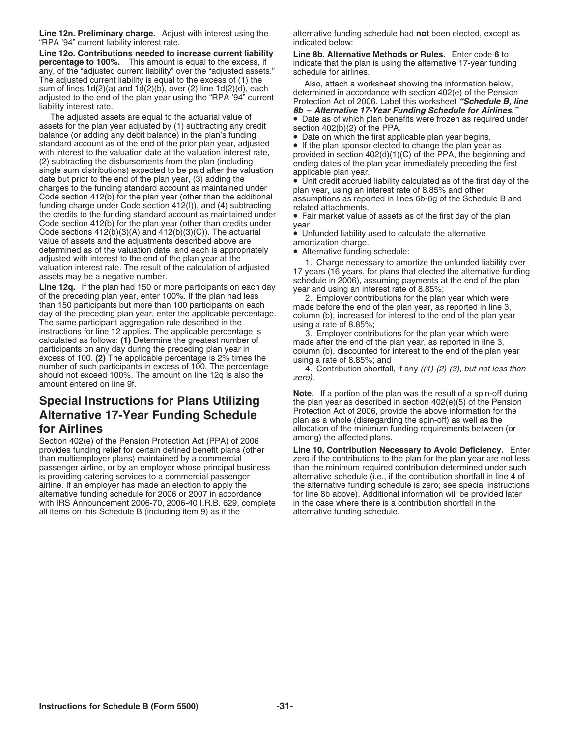**Line 12n. Preliminary charge.** Adjust with interest using the alternative funding schedule had not been elected, except as "RPA '94" current liability interest rate. indicated below:

**Line 12o. Contributions needed to increase current liability Line 8b. Alternative Methods or Rules.** Enter code **6** to **percentage to 100%.** This amount is equal to the excess, if indicate that the plan any, of the "adjusted current liability" over the "adjusted assets." schedule for airlines. any, of the "adjusted current liability" over the "adjusted assets."<br>The adjusted current liability is equal to the excess of (1) the

The adjusted current liability is equal to the excess of (1) the<br>
sum of lines 16(2)(a) and 1d(2)(b), over (2) line 1d(2)(d), and a morochance with section 402(e) of the Pension<br>
adjusted to the end of the plan year using

the credits to the funding standard account as maintained under<br>
Code section 412(b) for the plan year (other than credits under<br>
Code sections 412(b) (c) The adult and 12(b) (c) The adult and the character of the standar

# **Protection Act of 2006, provide the above information for Alternative 17-Year Funding Schedule**<br> **For Airlines** allocation of the minimum funding requirements between

Section 402(e) of the Pension Protection Act (PPA) of 2006<br>provides funding relief for certain defined benefit plans (other provides funding relief for certain defined benefit plans (other **Line 10. Contribution Necessary to Avoid Deficiency.** Enter than multiemployer plans) maintained by a commercial zero if the contributions to the plan for t is providing catering services to a commercial passenger alternative schedule (i.e., if the contribution shortfall in line 4 of with IRS Announcement 2006-70, 2006-40 I.R.B. 629, complete in the case where there is a contribution shortfall in the all items on this Schedule B (including item 9) as if the alternative funding schedule.

**Note.** If a portion of the plan was the result of a spin-off during **Special Instructions for Plans Utilizing** the plan year as described in section 402(e)(5) of the Pension **Altornation 17-Vegar Eunding Schoolule** allocation of the minimum funding requirements between (or among) the affected plans.

than multiemployer plans) maintained by a commercial example zero if the contributions to the plan for the plan year are not less passenger airline, or by an employer whose principal business than the minimum required cont than the minimum required contribution determined under such airline. If an employer has made an election to apply the the alternative funding schedule is zero; see special instructions<br>alternative funding schedule for 2006 or 2007 in accordance for line 8b above). Additional inform for line 8b above). Additional information will be provided later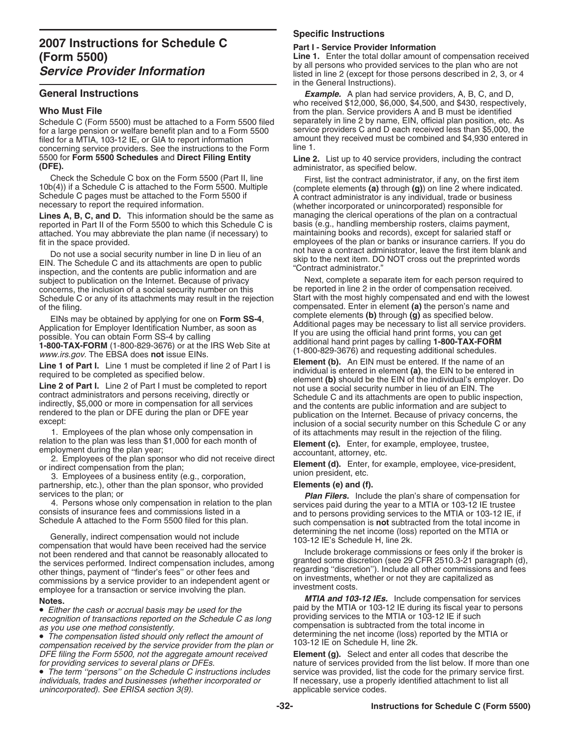for a large pension or welfare benefit plan and to a Form 5500 filed for a MTIA, 103-12 IE, or GIA to report information concerning service providers. See the instructions to the Form 5500 Schedules and Direct Filing Entity

Lines A, B, C, and D. This information should be the same as managing the clerical operations of the plan on a contractu<br>reported in Part II of the Form 5500 to which this Schedule C is basis (e.g., handling membership ros reported in Part II of the Form 5500 to which this Schedule C is basis (e.g., handling membership rosters, claims payment, attached. You may abbreviate the plan name (if necessary) to maintaining books and records), except attached. You may abbreviate the plan name (if necessary) to

Do not use a social security number in line D in lieu of an<br>EIN. The Schedule C and its attachments are open to public<br>inspection, and the contents are public information and are<br>subject to publication on the Internet. Bec subject to publication on the Internet. Because of privacy Next, complete a separate item for each person required concerns, the inclusion of a social security number on this be reported in line 2 in the order of compensat concerns, the inclusion of a social security number on this

1. Employees of the plan whose only compensation in of its attachments may result in the rejection of the filing.<br> $\frac{1}{2}$  relation to the plan was less than \$1,000 for each month of **Flement (c)** Enter for example emplo

relation to the plan was less than \$1,000 for each month of<br>employment during the plan year;<br>2. Employees of the plan sponsor who did not receive direct<br>or indirect compensation from the plan;<br>3. Employees of a business en

partnership, etc.), other than the plan sponsor, who provided **Elements (e) and (f).**<br>services to the plan: or **Plan Filers.** Inclu

Generally, indirect compensation would not include<br>
compensation that would have been received had the service<br>
not been rendered and that cannot be reasonably allocated to<br>
the services performed. Indirect compensation in

DFE filing the Form 5500, not the aggregate amount received<br> **Element (g).** Select and enter all codes that describe the<br>
nature of services provided from the list below. If more that

• The term "persons" on the Schedule C instructions includes service was provided, list the code for the primary service first.<br>
individuals, trades and businesses (whether incorporated or fine essary, use a properly ident unincorporated). See ERISA section 3(9).

# **Specific Instructions**

**Line 1.** Enter the total dollar amount of compensation received by all persons who provided services to the plan who are not by all persons who provided services to the plan who are not *Service Provider Information* listed in line 2 (except for those persons described in 2, 3, or 4 in the General Instructions).

**General Instructions Example.** A plan had service providers, A, B, C, and D, who received \$12,000, \$6,000, \$4,500, and \$430, respectively, **Who Must File**<br>Schedule C (Form 5500) must be attached to a Form 5500 filed separately in line 2 by name, EIN, official plan position, etc. As Schedule C (Form 5500) must be attached to a Form 5500 filed separately in line 2 by name, EIN, official plan position, etc. As<br>for a large pension or welfare benefit plan and to a Form 5500 service providers C and D each amount they received must be combined and \$4,930 entered in<br>line 1

5500 for **Form 5500 Schedules** and **Direct Filing Entity Line 2.** List up to 40 service providers, including the contract **(DFE).** administrator, as specified below.

Check the Schedule C box on the Form 5500 (Part II, line First, list the contract administrator, if any, on the first item 10b(4)) if a Schedule C is attached to the Form 5500. Multiple Schedule C pages must be attached to fit in the space provided.<br>
De not use a conjol equity number in line D in linu of an extended that a contract administrator, leave the first item blank and

Schedule C or any of its attachments may result in the rejection Start with the most highly compensated and end with the lowest of the filing.<br>Fils may be obtained by applying for one on **Form SS-4** complete elements **(b)** through **(g)** as specified below. EINs may be obtained by applying for one on **Form SS-4**,<br>
Application for Employer Identification Number, as soon as<br>
possible. You can obtain Form SS-4 by calling<br>
1-800-TAX-FORM (1-800-829-3676) or at the IRS Web Site at

**Line 1 of Part I.** Line 1 must be completed if line 2 of Part I is<br>required to be completed as specified below.<br>**Line 2 of Part I.** Line 2 of Part I must be completed to report<br>**contract administrators** and persons receiv

services to the plan; or<br>
4. Persons whose only compensation in relation to the plan<br>
4. Persons whose only compensation in relation to the plan<br>
consists of insurance fees and commissions listed in a<br>
Schedule A attached

**Notes.**<br>■ *MTIA and 103-12 IEs.* Include compensation for services<br>■ *Either the cash or accrual basis may be used for the*<br>● *Either the cash or accrual basis may be used for the*<br>● *Paid by the MTIA or 103-12 IE dur* ■ Either the cash or accrual basis may be used for the sales and by the MTIA or 103-12 IE during its fiscal year to persons recognition of transactions reported on the Schedule C as long<br>as you use one method consistently

nature of services provided from the list below. If more than one If necessary, use a properly identified attachment to list all applicable service codes.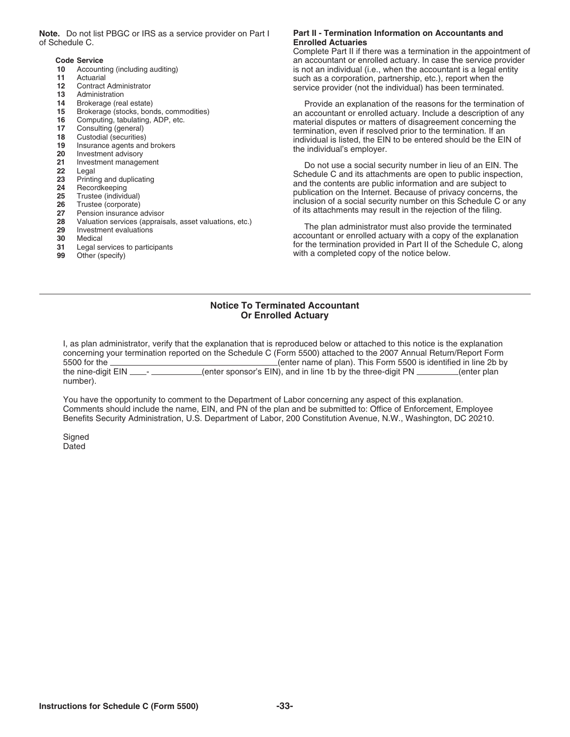**Note.** Do not list PBGC or IRS as a service provider on Part I **Part II - Termination Information on Accountants and**<br>**Enrolled Actuaries** 

- 
- 
- 
- 
- 
- 
- 
- 
- 
- 
- 
- 
- 
- 
- 
- 
- 
- 
- 
- 
- 
- 

# **Enrolled Actuaries**

Complete Part II if there was a termination in the appointment of **Code Service** an accountant or enrolled actuary. In case the service provider<br> **10** Accounting (including auditing) **and accountant of enrolled actuary.** In case the service provider<br> **10** Accounting (including auditing) **10** Accounting (including auditing) **is not an individual (i.e., when the accountant is a legal entity is not an individual (i.e., when the accountant is a legal entity such as a corporation partnership etc.) report when 11** Actuarial Actuarial such as a corporation, partnership, etc.), report when the service provider (not the individual) has been terminated 12 Contract Administrator service provider (not the individual) has been terminated.<br>13 Administration<br>14 Brokerage (real estate) **14 Brokerage (real estate**)

**14** Brokerage (real estate) **Provide an explanation of the reasons for the termination of the reasons for the termination of an explanation of the reasons for the termination of any countant or enrolled actuary. Include a** 16 Computing, tabulating, ADP, etc.<br>
17 Consulting (general)<br>
18 Custodial (securities)<br>
18 Custodial (securities)<br>
19 Insurance agents and brokers<br>
20 Investment advisory<br>
21 Investment management<br>
20 20 20 20 20 20 20 20

Equity investment management<br>
22 Legal<br>
23 Printing and duplicating<br>
23 Printing and duplicating<br>
24 Becordkeeping<br>
25 Trustee (individual)<br>
26 Trustee (individual)<br>
26 Trustee (corporate)<br>
27 Pension insurance advisor<br>
27

28 Valuation services (appraisals, asset valuations, etc.)<br>
29 Investment evaluations<br>
30 Medical accountant or enrolled actuary with a copy of the explanation **31** Legal services to participants for the termination provided in Part II of the Schedule C, along the Schedule C along with a completed copy of the notice below. with a completed copy of the notice below.

# **Notice To Terminated Accountant Or Enrolled Actuary**

I, as plan administrator, verify that the explanation that is reproduced below or attached to this notice is the explanation concerning your termination reported on the Schedule C (Form 5500) attached to the 2007 Annual Return/Report Form 5500 for the (enter name of plan). This Form 5500 is identified in line 2b by the nine-digit EIN \_\_\_\_\_\_\_\_\_\_\_\_\_(enter sponsor's EIN), and in line 1b by the three-digit PN \_\_\_\_\_\_(enter plan number).

You have the opportunity to comment to the Department of Labor concerning any aspect of this explanation. Comments should include the name, EIN, and PN of the plan and be submitted to: Office of Enforcement, Employee Benefits Security Administration, U.S. Department of Labor, 200 Constitution Avenue, N.W., Washington, DC 20210.

**Signed** Dated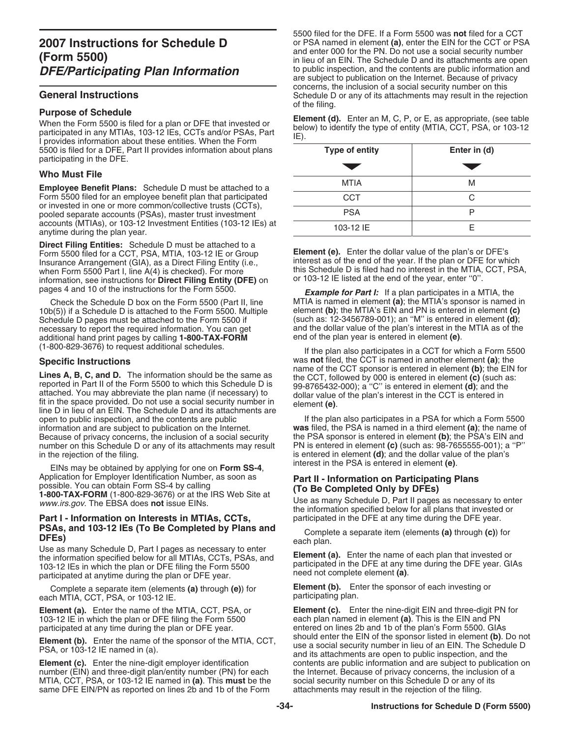5500 is filed for a DFE, Part II provides information about plans participating in the DFE.

# **Who Must File**

**Employee Benefit Plans:** Schedule D must be attached to a Form 5500 filed for an employee benefit plan that participated or invested in one or more common/collective trusts (CCTs), pooled separate accounts (PSAs), master trust investment accounts (MTIAs), or 103-12 Investment Entities (103-12 IEs) at anytime during the plan year.

**Direct Filing Entities:** Schedule D must be attached to a Form 5500 filed for a CCT, PSA, MTIA, 103-12 IE or Group **Element (e).** Enter the dollar value of the plan's or DFE's Insurance Arrangement (GIA), as a Direct Filing Entity (i.e., interest as of the end of the year. If the plan or DFE for which when Form 5500 Part I, line A(4) is checked). For more this Schedule D is filed had no interest information, see instructions for Direct Filing Entity (DFE) on

10b(5)) if a Schedule D is attached to the Form 5500. Multiple element **(b)**; the MTIA's EIN and PN is entered in element **(c)** Schedule D pages must be attached to the Form 5500 if necessary to report the required information. You can get additional hand print pages by calling **1-800-TAX-FORM** (1-800-829-3676) to request additional schedules.

**Lines A, B, C, and D.** The information should be the same as<br>reported in Part II of the Form 5500 to which this Schedule D is<br>attached. You may abbreviate the plan name (if necessary) to<br>fit in the space provided. Do not open to public inspection, and the contents are public **If the plan also participates in a PSA** for which a Form 5500<br>If the plan also participates in a PSA for which a Form 5500 information and are subject to publication information and are subject to publication on the Internet.<br>Because of privacy concerns, the inclusion of a social security Because of privacy concerns, the inclusion of a social security the PSA sponsor is entered in element **(b)**; the PSA's EIN and number on this Schedule D or any of its attachments may result PN is entered in element **(c)** ( number on this Schedule D or any of its attachments may result PN is entered in element **(c)** (such as: 98-7655555-001); a "P" in the rejection of the filing.

EINs may be obtained by applying for one on **Form SS-4**, Application for Employer Identification Number, as soon as Application for Employer Identification Number, as soon as<br>
possible. You can obtain Form SS-4 by calling<br> **1-800-TAX-FORM** (1-800-829-3676) or at the IRS Web Site at<br>
www.irs.gov. The EBSA does **not** issue EINs.<br> **Part I** 

# **Part I - Information on Interests in MTIAs, CCTs, PSAs, and 103-12 IEs (To Be Completed by Plans and** Complete a separate item (elements **(a)** through **(c)**) for each plan.<br>Use as many Schedule D, Part I pages as necessary to enter

the information specified below for all MTIAs, CCTs, PSAs, and<br>
103-12 IEs in which the plan or DFE filing the Form 5500<br>
participated in the DFE at any time during the DFE year. GIAs<br>
participated at anytime during the pl

each MTIA, CCT, PSA, or 103-12 IE.

103-12 IE in which the plan or DFE filing the Form 5500 participated at any time during the plan or DFE year.

number (EIN) and three-digit plan/entity number (PN) for each the Internet. Because of privacy concerns, the inclusion of a<br>MTIA, CCT, PSA, or 103-12 IE named in (a). This must be the social security number on this Schedul MTIA, CCT, PSA, or 103-12 IE named in (a). This must be the social security number on this Schedule D or any of same DFE EIN/PN as reported on lines 2b and 1b of the Form attachments may result in the rejection of the fili same DFE EIN/PN as reported on lines 2b and 1b of the Form

5500 filed for the DFE. If a Form 5500 was **not** filed for a CCT **2007 Instructions for Schedule D** or PSA named in element **(a)**, enter the EIN for the CCT or PSA and enter 000 for the PN. Do not use a social security number and enter 000 for the PN. Do not use a social security number<br>in lieu of an EIN. The Schedule D and its attachments are open<br>to public inspection, and the contents are public information and are subject to publication on the Internet. Because of privacy concerns, the inclusion of a social security number on this **General Instructions** Schedule D or any of its attachments may result in the rejection

of the filing.<br> **Purpose of Schedule**<br>
When the Form 5500 is filed for a plan or DFE that invested or<br>
participated in any MTIAs, 103-12 IEs, CCTs and/or PSAs, Part<br>
I provides information about these entities. When the Fo

| <b>Type of entity</b> | Enter in (d) |  |  |  |
|-----------------------|--------------|--|--|--|
|                       |              |  |  |  |
| <b>MTIA</b>           | M            |  |  |  |
| <b>CCT</b>            | C            |  |  |  |
| <b>PSA</b>            |              |  |  |  |
| 103-12 IE             | F            |  |  |  |

this Schedule D is filed had no interest in the MTIA, CCT, PSA, or 103-12 IE listed at the end of the year, enter "0".

pages 4 and 10 of the instructions for the Form 5500.<br>Check the Schedule D box on the Form 5500 (Part II, line MTIA is named in element (a); the MTIA's sponsor is named MTIA is named in element **(a)**; the MTIA's sponsor is named in element **(c)**<br>element **(b)**; the MTIA's EIN and PN is entered in element **(c)** and the dollar value of the plan's interest in the MTIA as of the end of the plan year is entered in element  $(e)$ .

If the plan also participates in a CCT for which a Form 5500 **Specific Instructions** was **not** filed, the CCT is named in another element **(a)**; the

is entered in element **(d)**; and the dollar value of the plan's interest in the PSA is entered in element **(e)**.

Complete a separate item (elements **(a)** through **(e)**) for **Element (b).** Enter the sponsor of each investing or **(a)** through **(e)** the sponsor of each investing or participating plan.

**Element (a).** Enter the name of the MTIA, CCT, PSA, or **Element (c).** Enter the nine-digit EIN and three-digit PN for 103-12 IE in which the plan or DFE filing the Form 5500 each plan named in element **(a)**. This is the E entered on lines 2b and 1b of the plan's Form 5500. GIAs<br>should enter the EIN of the sponsor listed in element (b). Do not **Element (b).** Enter the name of the sponsor of the MTIA, CCT,<br>PSA, or 103-12 IE named in (a).<br>and its attachments are open to public inspection, and the<br>and its attachments are open to public inspection, and the **Element (c).** Enter the nine-digit employer identification contents are public information and are subject to publication on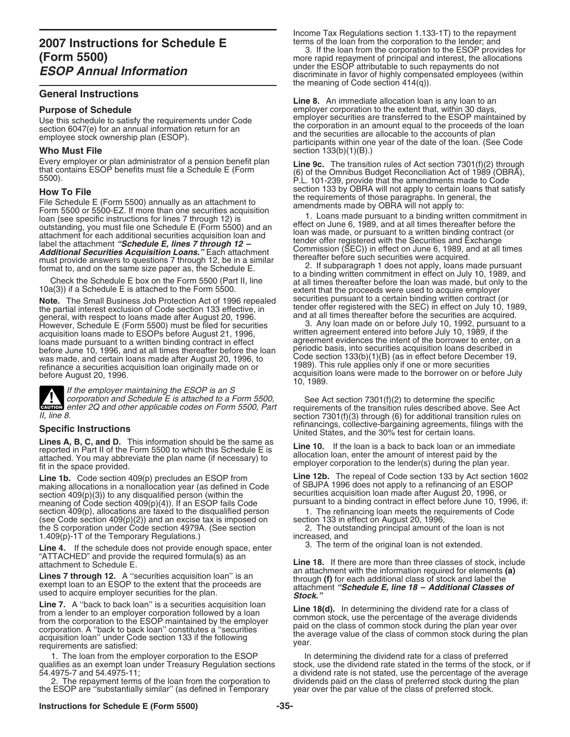# **General Instructions**

File Schedule E (Form 5500) annually as an attachment to<br>
Form 5500 or 5500-EZ. If more than one securities acquisition<br>
loan (see specific instructions for lines 7 through 12) is<br>
outstanding, you must file one Schedule must provide answers to questions 7 through 12, be in a similar thereafter before such securities were acquired.<br>
Surface provides not apply, loans made pursuant format to, and on the same size paper as, the Schedule E.

**Note.** The Small Business Job Protection Act of 1996 repealed securities pursuant to a certain binding written contract (or the partial interest exclusion of Code section 133 effective, in the der offer registered with th general, with respect to loans made after August 20, 1996. and at all times thereafter before the securities are acquired.<br>However, Schedule E (Form 5500) must be filed for securities [3] 3. Any loan made on or before July However, Schedule E (Form 5500) must be filed for securities acquisition loans made to ESOPs before August 21, 1996, loans made pursuant to a written binding contract in effect agreement evidences the intent of the borrower to enter, on all times the the loan agreement evidences the intent of the borrower to enter, on all times thereafte before June 10, 1996, and at all times thereafter before the loan was made, and certain loans made after August 20, 1996, to refinance a securities acquisition loan originally made on or<br>before August 20, 1996.

If the employer maintaining the ESOP is an S<br>corporation and Schedule E is attached to a Form 5500, Corporation and Schedule E is attached to a Form 5500,<br>
exance enter 2Q and other applicable codes on Form 5500, Part requirements of the transition rules described above. See Act<br>
Il line 8 **ENTION** enter 2Q and other applicable codes on Form 5500, Part

Lines A, B, C, and D. This information should be the same as<br>reported in Part II of the Form 5500 to which this Schedule E is<br>attached. You may abbreviate the plan name (if necessary) to<br>fit in the space provided.<br>In the s

making allocations in a nonallocation year (as defined in Code of SBJPA 1996 does not apply to a refinancing of an ESOP section 409(p)(3)) to any disqualified person (within the securities acquisition loan made after August 20, 1996, or<br>meaning of Code section 409(p)(4)). If an ESOP fails Code pursuant to a binding contract in effect before section  $409(p)$ , allocations are taxed to the disqualified person 1. The refinancing loan meets the requirements of  $(see Code section 409(p)(2))$  and an excise tax is imposed on section 133 in effect on August 20, 1996, (see Code section 409(p)(2)) and an excise tax is imposed on section 133 in effect on August 20, 1996,<br>the S corporation under Code section 4979A. (See section  $2.$  The outstanding principal amount of the Ioan is not the S corporation under Code section 4979A. (See section 2. The outs 1.409(p)-1T of the Temporary Regulations.) 1.409(p)-1T of the Temporary Regulations.)<br>**increased, and** if the schodule does not provide anough space, enter and all the original loan is not extended.

**Line 4.** If the schedule does not provide enough space, enter "ATTACHED" and provide the required formula(s) as an

Eine 18(d). In determining the dividend rate for a class of<br>from a lender to an employer corporation followed by a loan<br>from the corporation to the ESOP maintained by the employer<br>corporation. A "back to back loan" constit

1. The loan from the employer corporation to the ESOP and determining the dividend rate for a class of preferred qualifies as an exempt loan under Treasury Regulation sections stock, use the dividend rate stated in the ter

the ESOP are "substantially similar" (as defined in Temporary

Income Tax Regulations section 1.133-1T) to the repayment terms of the loan from the corporation to the lender; and

**3.** If the loan from the corporation to the ESOP provides for<br> **(Form 5500)** more rapid repayment of principal and interest, the allocations<br> **FOOD Annual Information** under the ESOP attributable to such repayments do not *ESOP Annual Information* discriminate in favor of highly compensated employees (within the meaning of Code section 414(q)).

**Line 8.** An immediate allocation loan is any loan to an **Purpose of Schedule**<br>
Lise this schedule to satisfy the requirements under Code employer securities are transferred to the ESOP maintained by Use this schedule to satisfy the requirements under Code<br>section 6047(e) for an annual information return for an<br>employee stock ownership plan (ESOP).<br>employee stock ownership plan (ESOP).<br>participants within one year of t **Who Must File** section 133(b)(1)(B).)

Every employer or plan administrator of a pension benefit plan<br>that contains ESOP benefits must file a Schedule E (Form (6) of the Omnibus Budget Reconciliation Act of 1989<br>5500).<br>P.L. 101-239, provide that the amendments **How To File**<br>
File Schoolule E (Ferm FEOO) appliedly as an attachment to the requirements of those paragraphs. In general, the

Check the Schedule E box on the Form 5500 (Part II, line the state of the proceeds were used to acquire employer<br>10a(3)) if a Schedule E is attached to the Form 5500 (Part II, line extent that the proceeds were used to acq tender offer registered with the SEC) in effect on July 10, 1989, and at all times thereafter before the securities are acquired.

written agreement entered into before July 10, 1989, if the agreement evidences the intent of the borrower to enter, on a Code section 133(b)(1)(B) (as in effect before December 19, 1989). This rule applies only if one or more securities acquisition loans were made to the borrower on or before July 10, 1989.

section 7301(f)(3) through (6) for additional transition rules on refinancings, collective-bargaining agreements, filings with the **Specific Instructions** United States, and the 30% test for certain loans.

**Line 1b.** Code section 409(p) precludes an ESOP from **Line 12b.** The repeal of Code section 133 by Act section 1602

pursuant to a binding contract in effect before June 10, 1996, if:<br>1. The refinancing loan meets the requirements of Code

Line 18. If there are more than three classes of stock, include an attachment with the information required for elements (a) **Lines 7 through 12.** A "securities acquisition loan" is an example the extent that the proceeds are through (f) for each additional class of stock and label the stead to acquire employer securities for the plan.<br> **Line 7** 

qualifies as an exempt loan under Treasury Regulation sections stock, use the dividend rate stated in the terms of the stock, or if<br>54.4975-7 and 54.4975-11;<br>54.4975-7 and 54.4975-11; 4975-7 and 54.4975-11;<br>2. The repayment terms of the loan from the corporation to dividends paid on the class of preferred stock during the plan dividends paid on the class of preferred stock during the plan year over the par value of the class of preferred stock.

# **Instructions for Schedule E (Form 5500) -35-**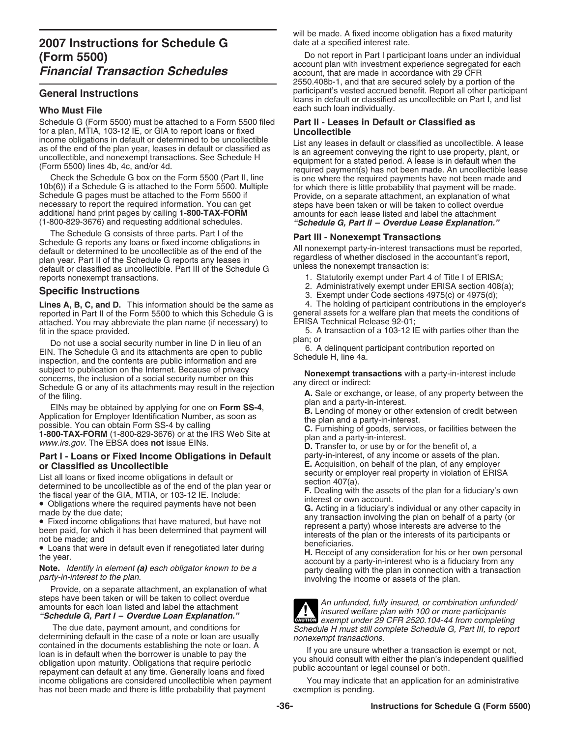Schedule G (Form 5500) must be attached to a Form 5500 filed **Part II - Leases in Default or Classified as** for a plan, MTIA, 103-12 IE, or GIA to report loans or fixed **Uncollectible**

additional hand print pages by calling **1-800-TAX-FORM** amounts for each lease listed and label the attachment (1-800-829-3676) and requesting additional schedules. *"Schedule G, Part II – Overdue Lease Explanation."*

The Schedule G consists of three parts. Part I of the<br>
Schedule G reports any loans or fixed income obligations in<br>
default or determined to be uncollectible as of the end of the<br>
plan year. Part II of the Schedule G repor reports nonexempt transactions. 1. Statutorily exempt under Part 4 of Title I of ERISA;

**Lines A, B, C, and D.** This information should be the same as  $\frac{4}{10}$ . The holding of participant contributions in the employer reported in Part II of the Form 5500 to which this Schedule G is general assets for a welf reported in Part II of the Form 5500 to which this Schedule G is general assets for a welfare plan retrached.<br>attached. You may abbreviate the plan name (if necessary) to ERISA Technical Release 92-01; attached. You may abbreviate the plan name (if necessary) to fit in the space provided.

Do not use a social security number in line D in lieu of an<br>EIN. The Schedule G and its attachments are open to public<br>inspection, and the contents are public information and are<br>subject to publication on the Internet. Bec

subject to publication on the Internet. Because of privacy<br>
scheelule G or any of its attachments may result in the rejection<br>
of the filing.<br>
EINs may be obtained by applying for one on **Form SS-4**,<br>
Application for Emplo

# **Part I - Loans or Fixed Income Obligations in Default** party-in-interest, of any income or assets of the plan.

Provide, on a separate attachment, an explanation of what

The due date, payment amount, and conditions for<br>
determining default in the case of a note or loan are usually<br>
contained in the documents establishing the note or loan. A<br>
loan is in default when the borrower is unable t income obligations are considered uncollectible when payment You may indicate that an application for an administrative has not been made and there is little probability that payment exemption is pending.

will be made. A fixed income obligation has a fixed maturity date at a specified interest rate.

Do not report in Part I participant loans under an individual<br>account plan with investment experience segregated for each<br>account, that are made in accordance with 29 CFR 2550.408b-1, and that are secured solely by a portion of the General Instructions **Contains and Contains and Contains and Contains and Contains and Contains and Contains and Contains and Contains and Contains and Contains and Contains and Contains and Contains and Contains and Conta** loans in default or classified as uncollectible on Part I, and list **Who Must File** each such loan individually.

income obligations in default or determined to be uncollectible<br>as of the end of the plan year, leases in default or classified as<br>uncollectible, and nonexempt transactions. See Schedule H<br>(Form 5500) lines 4b, 4c, and/or

- 
- 
- 

2. Administratively exempt under ERISA section 408(a); **Specific Instructions** 3. Exempt under Code sections 4975(c) or 4975(d);

5. A transaction of a 103-12 IE with parties other than the plan; or

**or Classified as Uncollectible**<br> **E.** Acquisition, on behalf of the plan, of any employer<br>
list all leans at fixed insame abligations in default or security or employer real property in violation of ERISA

List all loans or fixed income obligations in default or<br>
determined to be uncollectible as of the end of the plan year or<br>
the fiscal year of the GIA, MTIA, or 103-12 IE. Include:<br>
the fiscal year of the GIA, MTIA, or 10

![](_page_35_Picture_38.jpeg)

steps have been taken or will be taken to collect overdue<br>amounts for each loan listed and label the attachment<br>"Schedule G, Part I – Overdue Loan Explanation."<br>The due date, payment amount, and conditions for<br>The due date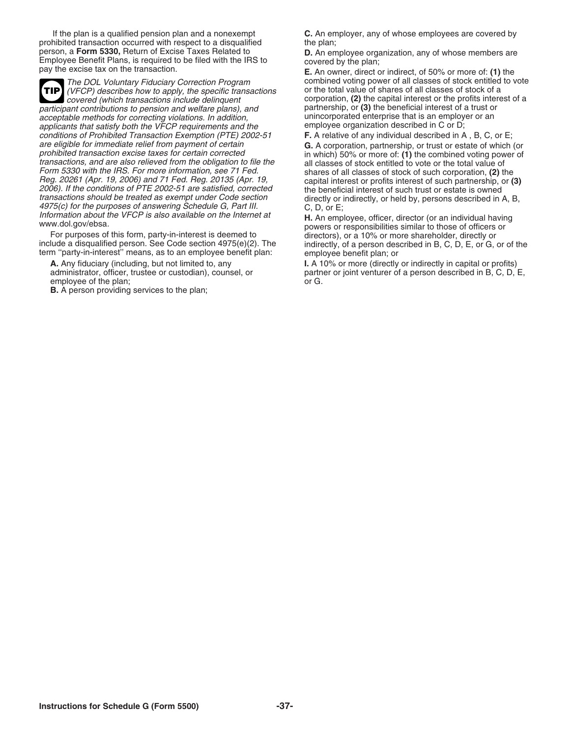If the plan is a qualified pension plan and a nonexempt **C.** An employer, any of whose employees are covered by prohibited transaction occurred with respect to a disqualified person, a Form 5330, Return of Excise Taxes Related to person, a Form 5330, Return of Excise Taxes Related to<br>
Employee Benefit Plans, is required to be filed with the IRS to<br>
pay the excise tax on the transaction.<br>
pay the excise tax on the transaction.<br> **E.** An owner, direct

(VFCP) describes how to apply, the specific transactions **TIP** participant contributions to pension and welfare plans), and partnership, or **(3)** the beneficial interest of a trust or acceptable methods for correcting violations. In addition, extending unincorporated enterprise that is an employ<br>applicants that satisfy both the VFCP requirements and the employee organization described in C or D; applicants that satisfy both the VFCP requirements and the employee organization described in C or D;<br>conditions of Prohibited Transaction Exemption (PTE) 2002-51 **F.** A relative of any individual described in A, B, C, or conditions of Prohibited Transaction Exemption (PTE) 2002-51 are eligible for immediate relief from payment of certain are eligible for immediate relief from payment of certain **G.** A corporation, partnership, or trust or estate of which (or prohibited transaction excise taxes for certain corrected transactions, and are also relieved from Form 5330 with the IRS. For more information, see 71 Fed. shares of all classes of stock of such corporation, (2) the<br>Reg. 20261 (Apr. 19, 2006) and 71 Fed. Reg. 20135 (Apr. 19, securital interest or profits interest of su Heg. 20261 (Apr. 19, 2006) and 71 Fed. Heg. 20135 (Apr. 19,<br>2006). If the conditions of PTE 2002-51 are satisfied, corrected the beneficial interest of such trust or estate is owned<br>transactions should be treated as exempt 4975(c) for the purposes of answering Schedule G, Part III. C, D, or E;<br>
Information about the VFCP is also available on the Internet at<br>
www.dol.gov/ebsa.<br>
For purposes of this form, party-in-interest is deemed to the dir

For purposes of this form, party-in-interest is deemed to include a disqualified person. See Code section 4975(e)(2). The term "party-in-interest" means, as to an employee benefit plan:

employee of the plan; or G.

**B.** A person providing services to the plan;

The DOL Voluntary Fiduciary Correction Program combined voting power of all classes of stock entitled to vote<br>(VFCP) describes how to apply, the specific transactions or the total value of shares of all classes of stock of covered (which transactions include delinquent corporation, **(2)** the capital interest or the profits interest of a<br>interest of a trust or the profits interest of a trust or partnership, or **(3)** the beneficial interest of

indirectly, of a person described in B, C, D, E, or G, or of the employee benefit plan; or

**A.** Any fiduciary (including, but not limited to, any **I.** A 10% or more (directly or indirectly in capital or profits) partner or joint venturer of a person described in B, C, D, E,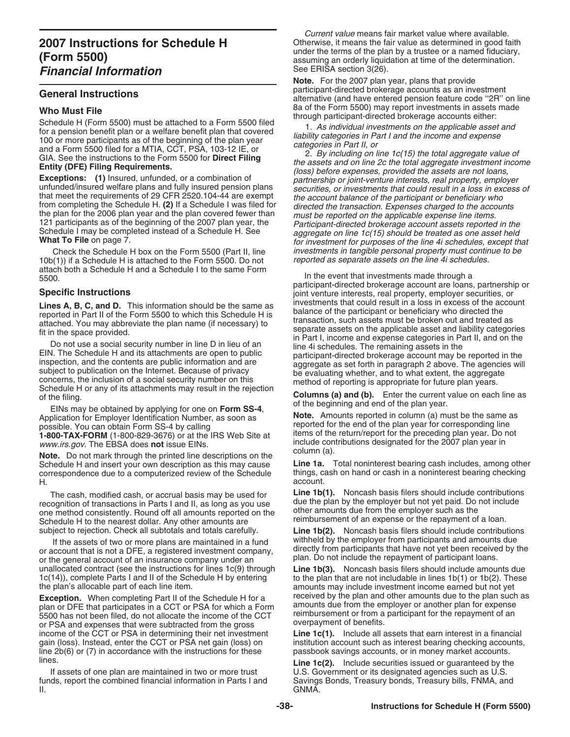$10b(1)$ ) if a Schedule H is attached to the Form 5500. Do not attach both a Schedule H and a Schedule I to the same Form

EINs may be obtained by applying for one on **Form SS-4**,<br>plication for Employer Identification Number, as soon as **Note.** Amounts reported in column (a) must be the same as Application for Employer Identification Number, as soon as **Note.** Amounts reported in column (a) must be the same a<br>**nossible, You can obtain Form SS-4 by calling** 

Note. Do not mark through the printed line descriptions on the<br>Schedule H and insert your own description as this may cause<br>Line 1a. Total noninterest bearing cash includes, among other Schedule H and insert your own description as this may cause **Line 1a.** Total noninterest bearing cash includes, among other<br>correspondence due to a computerized review of the Schedule things, cash on hand or cash in a non correspondence due to a computerized review of the Schedule things, cash of the schedule in a non-H. account.

recognition of transactions in Parts I and II, as long as you use due the plan by the employer but not yet paid. Do not include<br>one method consistently. Round off all amounts reported on the other amounts due from the empl Schedule H to the nearest dollar. Any other amounts are subject to rejection. Check all subtotals and totals carefully.

If the assets of two or more plans are maintained in a fund<br>or account that is not a DFE, a registered investment company,<br>or the general account of an insurance company under an<br>unallocated contract (see the instructions unallocated contract (see the instructions for lines 1c(9) through 1c(14)), complete Parts I and II of the Schedule H by entering

**Exception.** When completing Part II of the Schedule H for a received by the plan and other amounts due to the plan such plan such a received by the plan and other amounts due to the plan such plan such a portunity of  $\frac{$ plan or DFE that participates in a CCT or PSA for which a Form<br>5500 has not been filed, do not allocate the income of the CCT<br>or PSA and expenses that were subtracted from the gross<br>overpayment of benefits. income of the CCT or PSA in determining their net investment<br>gain (loss). Instead, enter the CCT or PSA net gain (loss) on institution account such as interest bearing checking accounts gain (loss). Instead, enter the CCT or PSA net gain (loss) on institution account such as interest bearing checking accounts, line 2b(6) or (7) in accordance with the instructions for these passbook savings accounts, or in lines. **Line 1c(2).** Include securities issued or guaranteed by the

funds, report the combined financial information in Parts I and Savings II.<br>GNMA. II. GNMA.

Current value means fair market value where available. **2007 Instructions for Schedule H** Otherwise, it means the fair value as determined in good faith under the terms of the plan by a trustee or a named fiduciary, **(Form 5500)**<br> **Einancial Information**<br> **Financial Information**<br>
See ERISA section 3(26).

**Note.** For the 2007 plan year, plans that provide participant-directed brokerage accounts as an investment **General Instructions** alternative (and have entered pension feature code ''2R'' on line **Who Must File**<br>
8a of the Form 5500) may report investments in assets made<br>
8a of the Form 5500) may report investments in assets made

Schedule H (Form 5500) must be attached to a Form 5500 filed<br>for a pension benefit plan or a welfare benefit plan that covered<br>for a pension benefit plan or a welfare benefit plan that covered<br>for a pension benefit plan or Check the Schedule H box on the Form 5500 (Part II, line investments in tangible personal property must continue to be<br>(1)) if a Schedule H is attached to the Form 5500. Do not reported as separate assets on the line 4i sc

In the event that investments made through a participant-directed brokerage account are loans, partnership or **participal instructions**<br>**Find are located by the same as** investments that could result in a loss in excess of the account<br>**I ines A B C and D** This information should be the same as investments that could result in a lo Lines A, B, C, and D. This information should be the same as<br>
reported in Part II of the Form 5500 to which this Schedule H is<br>
attached. You may abbreviate the plan name (if necessary) to<br>
fit in the space provided.<br>
Do n

Schedule H or any of its attachments may result in the rejection<br>of the filing.<br>**Columns (a) and (b).** Enter the current value on each line as<br>of the beginning and end of the plan year.

possible. You can obtain Form SS-4 by calling<br>1-800-TAX-FORM (1-800-829-3676) or at the IRS Web Site at items of the return/report for the preceding plan year. Do not<br>www.irs.gov. The EBSA does not issue EINs. include contributions designated for the 2007 plan year in column (a).

The cash, modified cash, or accrual basis may be used for **Line 1b(1).** Noncash basis filers should include contributions

Line 1b(2). Noncash basis filers should include contributions

to the plan that are not includable in lines  $1b(1)$  or  $1b(2)$ . These the plan's allocable part of each line item.<br> **Exception** When completing Part II of the Schedule H for a **received by the plan and other amounts due to the plan such as** 

passbook savings accounts, or in money market accounts.

If assets of one plan are maintained in two or more trust Full S. Government or its designated agencies such as U.S.<br>ds, report the combined financial information in Parts I and Full Savings Bonds, Treasury bonds, Treasury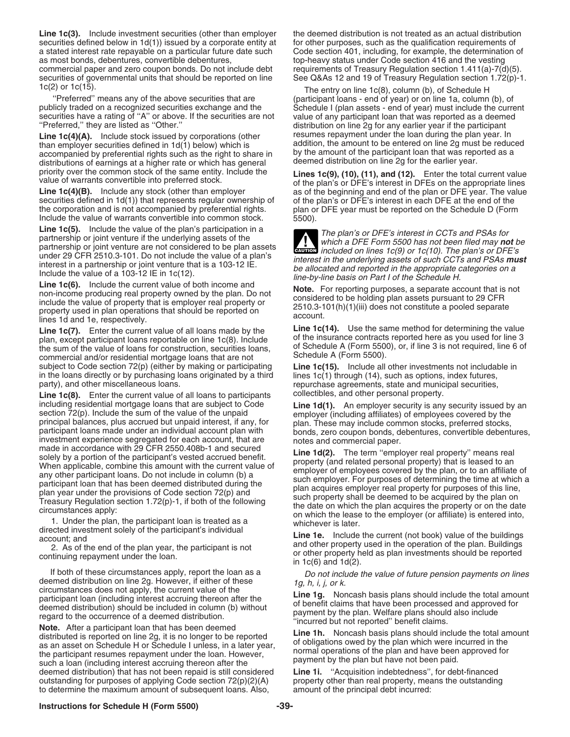Line 1c(3). Include investment securities (other than employer the deemed distribution is not treated as an actual distribution securities defined below in 1d(1)) issued by a corporate entity at for other purposes, such as the qualification requirements of a stated interest rate repayable on a particular future date such Code section 401, including a stated interest rate repayable on a particular future date such as most bonds, debentures, convertible debentures, endicated by the avy status under Code section 416 and the vesting<br>commercial paper and zero coupon bonds. Do not include debt requirements of Treasury Regulation section commercial paper and zero coupon bonds. Do not include debt requirements of Treasury Regulation section 1.411(a)-7(d)(5).<br>Securities of governmental units that should be reported on line See Q&As 12 and 19 of Treasury Regu securities of governmental units that should be reported on line

 ''Preferred'' means any of the above securities that are (participant loans - end of year) or on line 1a, column (b), of securities have a rating of "A" or above. If the securities are not value of any participant loan that was reported as a deemed<br>"Preferred," they are listed as "Other." show that is distribution on line 2g for any earlier

**Line 1c(4)(A).** Include stock issued by corporations (other than employer securities defined in  $1d(1)$  below) which is addition, the amount to be entered on line 2g must be reduced as a accompanied by preferential rights such as the right to share in by the amount of the particip accompanied by preferential rights such as the right to share in by the amount of the participant loan that was reported as the participant of the earlier year. distributions of earnings at a higher rate or which has general

securities defined in 1d(1)) that represents regular ownership of of the plan's or DFE's interest in each DFE at the end of the<br>the corporation and is not accompanied by preferential rights. plan or DFE year must be report the corporation and is not accompanied by preferential rights. plan or Include the value of warrants convertible into common stock. 5500). Include the value of warrants convertible into common stock.

**Line 1c(5).** Include the value of the plan's participation in a<br>partnership or joint venture if the underlying assets of the<br>partnership or joint venture are not considered to be plan assets<br>under 20 CEB 2510.2.101. De p

under 29 CFR 2510.3-101. Do not include the value of a plan's<br>interest in a partnership or joint venture that is a 103-12 IE.<br>Include the value of a 103-12 IE in 1c(12).<br>Include the value of a 103-12 IE in 1c(12).<br>Include

**Line 1c(7).** Enter the current value of all loans made by the plan, except participant loans reportable on line 1c(8). Include of the insurance contracts reported here as you used for line 3 the sum of the value of loans in the loans directly or by purchasing loans originated by a third lines  $1c(1)$  through (14), such as options, index futures,

**Line 1c(8).** Enter the current value of all loans to participants including residential mortgage loans that are subject to Code including residential mortgage loans that are subject to Code<br>
section 72(p). Including the sum of the value of the unpaid interaction<br>
principal balances, plus accrued but unpaid interest, if any, for<br>
principal balances

If both of these circumstances apply, report the loan as a<br>deemed distribution on line 2g. However, if either of these<br>participant loan (including interest accruing thereon after the<br>participant loan (including interest a

deemed distribution) that has not been repaid is still considered **Line 1i.** "Acquisition indebtedness", for debt-financed outstanding for purposes of applying Code section 72(p)(2)(A) property other than real property, me outstanding for purposes of applying Code section  $72(p)(2)(A)$  property other than real property, means to determine the maximum amount of subsequent loans. Also, amount of the principal debt incurred: to determine the maximum amount of subsequent loans. Also,

1c(2) or 1c(15).<br>"The entry on line 1c(8), column (b), of Schedule H<br>"Preferred" means any of the above securities that are (participant loans - end of year) or on line 1a, column Schedule I (plan assets - end of year) must include the current distribution on line 2g for any earlier year if the participant resumes repayment under the loan during the plan year. In

priority over the common stock of the same entity. Include the<br>value of warrants convertible into preferred stock.<br>
Lines 1c(9), (10), (11), and (12). Enter the total current value<br>
of the plan's or DFE's interest in DFEs as of the beginning and end of the plan or DFE year. The value

Line 1c(15). Include all other investments not includable in party), and other miscellaneous loans. repurchase agreements, state and municipal securities,  $\text{Line 1c(8)}$ . Enter the current value of all loans to participants collectibles, and other personal property.

directed investment solely of the participant's individual<br>account; and<br>2. As of the end of the plan year, the participant is not<br>continuing repayment under the loan.<br>3. As of the end of the plan year, the participant is n

# **Instructions for Schedule H (Form 5500) -39-**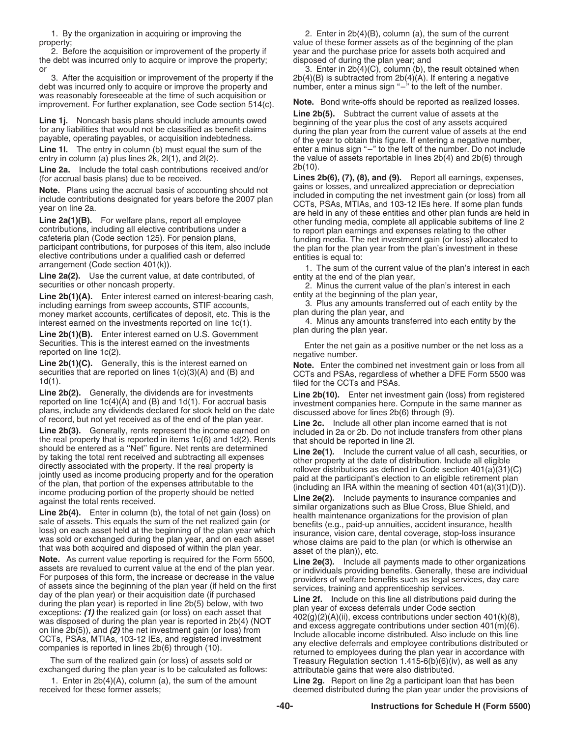the debt was incurred only to acquire or improve the property; disposed of during the plan year; and

3. After the acquisition or improvement of the property if the  $2b(4)(B)$  is subtracted from  $2b(4)(A)$ . If entering a negative bt was incurred only to acquire or improve the property and number, enter a minus sign "-" to t debt was incurred only to acquire or improve the property and was reasonably foreseeable at the time of such acquisition or improvement. For further explanation, see Code section 514(c). Note. Bond write-offs should be reported as realized losses.

Line 2a. Include the total cash contributions received and/or (for accrual basis plans) due to be received.

securities or other noncash property. **2.** Minus the current value of the plan's interest in each

**Line 2b(1)(A).** Enter interest earned on interest-bearing cash, entity at the beginning of the plan year,<br>including earnings from sweep accounts. STIF accounts. 3. Plus any amounts transferred out of each entity by the including earnings from sweep accounts, STIF accounts, 3. Plus any amounts transf<br>money market accounts, certificates of deposit, etc. This is the plan during the plan year, and money market accounts, certificates of deposit, etc. This is the plan during the plan year, and<br>interest earned on the investments reported on line 1c(1). 4. Minus any amounts transferred into each entity by the interest earned on the investments reported on line  $1c(1)$ . 4. Minus any amounts transferred into the intervention of the plan year.

**Line 2b(1)(B).** Enter interest earned on U.S. Government

Line 2b(4). Generally, the dividends are for investment sais  $\frac{1}{2}$  inter action (loss) from registered<br>Line 2b(4). Generally, the dividends are for investment comparison pains (loss) from registered<br>plans, include any

**Note.** As current value reporting is required for the Form 5500,<br>assets are revalued to current value at the end of the plan year.<br>For purposes of this form, the increase or decrease in the value of assets since the begi

exchanged during the plan year is to be calculated as follows: attributable gains that were also distributed.

1. Enter in 2b(4)(A), column (a), the sum of the amount **Line 2g.** Report on line 2g a participant loan that has been

1. By the organization in acquiring or improving the 2. Enter in 2b(4)(B), column (a), the sum of the current property;<br>2. Before the acquisition or improvement of the property if year and the purchase price for assets both acquired and year and the purchase price for assets both acquired and

or 3. After the acquisition or improvement of the property if the  $2b(4)(B)$  is subtracted from  $2b(4)(A)$ . If entering a negative

Line 2b(5). Subtract the current value of assets at the beginning of the year plus the cost of any assets acquired **Line 1j.** Noncash basis plans should include amounts owed<br>for any liabilities that would not be classified as benefit claims<br>payable, operating payables, or acquisition indebtedness.<br>operating payable, operating payables, Line 1l. The entry in column (b) must equal the sum of the enter a minus sign "-" to the left of the number. Do not include entry in column (a) plus lines 2k,  $2|(1)$ , and  $2|(2)$ . the value of assets reportable in lines  $2b(4)$  and  $2b(6)$  through  $\frac{2b(10)}{2b(10)}$ .

Lines 2b(6), (7), (8), and (9). Report all earnings, expenses, gains or losses, and unrealized appreciation or depreciation **Note.** Plans using the accrual basis of accounting should not<br>include contributions designated for years before the 2007 plan<br>include contributions designated for years before the 2007 plan<br>vear on line 2a.<br>**Line 2a(1)(B)** 

Securities. This is the interest earned on the investments<br>
reported on line 1c(2).<br>
Line 2b(1)(C). Generally, this is the interest earned on **Note.** Enter the combined net investment gain or loss from all

**Line 2b(1)(C).** Generally, this is the interest earned on **Note.** Enter the combined net investment gain or loss from all securities that are reported on lines  $1(c)(3)(A)$  and (B) and CCTs and PSAs, regardless of whether a

The sum of the realized gain (or loss) of assets sold or Treasury Regulation section  $1.415-6(b)(6)(iv)$ , as well as any

deemed distributed during the plan year under the provisions of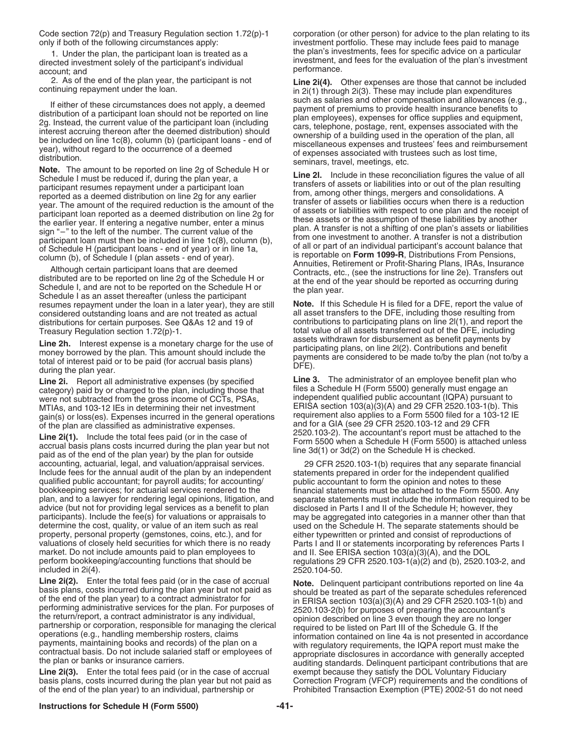only if both of the following circumstances apply: investment portfolio. These may include fees paid to manage

account; and performance.<br>
2. As of the end of the plan year, the participant is not **Line 2i(4)**.

resumes repayment under the loan in a later year), they are still **Note.** If this Schedule H is filed for a DFE, report the value<br>considered outstanding loans and are not treated as actual all asset transfers to the DFE, i distributions for certain purposes. See Q&As 12 and 19 of contributions to participating plans on line 2l(1), and report the Treasury Regulation section 1.72(p)-1.

**Line 2h.** Interest expense is a monetary charge for the use of<br>money borrowed by the plan. This amount should include the<br>total of interest paid or to be paid (for accrual basis plans)<br>during the plan year.<br>during the pla

**Line 2i.** Report all administrative expenses (by specified **Line 3.** The administrator of an employee benefit plan who category) paid by or charged to the plan, including those that files a Schedule H (Form 5500) generally must engage an were not subtracted from the gross income of CCTs, PSAs, independent qualified public accountant (IQPA) pursuant to<br>MTIAs, and 103-12 IFs in determining their net investment<br>MTIAs, and 103-12 IFs in determining their net i MTIAs, and 103-12 IEs in determining their net investment ERISA section 103(a)(3)(A) and 29 CFR 2520.103-1(b). This<br>gain(s) or loss(es), Expenses incurred in the general operations requirement also applies to a Form 5500 f gain(s) or loss(es). Expenses incurred in the general operations

**Line 2i(1).** Include the total fees paid (or in the case of<br>accrual basis plans costs incurred during the plan year but not<br>paid as of the end of the plan year) by the plan for outside<br>paid as of the end of the plan year accounting, actuarial, legal, and valuation/appraisal services. 29 CFR 2520.103-1(b) requires that any separate financial Include fees for the annual audit of the plan by an independent statements prepared in order for the independent qualified qualified public accountant; for payroll audits; for accounting/ public accountant to form the opin bookkeeping services; for actuarial services rendered to the plan, and to a lawyer for rendering legal opinions, litigation, and advice (but not for providing legal services as a benefit to plan participants). Include the fee(s) for valuations or appraisals to may be aggregated into categories in a manner other than that determine the cost, quality, or value of an item such as real used on the Schedule H. The sepa property, personal property (gemstones, coins, etc.), and for either typewritten or printed and consist of reproductions of valuations of closely held securities for which there is no ready Parts I and II or statements incorporating by references Parts I market. Do not include amounts paid to plan employees to and II. See ERISA section 103(a)(3)(A), and the DOL<br>perform bookkeeping/accounting functions that should be regulations 29 CFR 2520.103-1(a)(2) and (b), 2520.10 included in  $2i(4)$ .

**Line 2i(3).** Enter the total fees paid (or in the case of accrual exempt because they satisfy the DOL Voluntary Fiduciary basis plans, costs incurred during the plan year but not paid as Correction Program (VFCP) requirem

Code section 72(p) and Treasury Regulation section 1.72(p)-1 corporation (or other person) for advice to the plan relating to its 1. Under the plan, the participant loan is treated as a the plan's investments, fees for specific advice on a particular directed investment solely of the participant's individual investment, and fees for the evaluation of the plan's investment

2. As of the end of the plan year, the participant is not **Line 2i(4).** Other expenses are those that cannot be included continuing repayment under the loan. in 2i(1) through 2i(3). These may include plan expenditures

If either of these circumstances does not apply, a deemed<br>
digitivation of a parametric of premiums to provide headth insurance benefits to<br>
digitivation of a participant loan should not be reported on line in employees),

total value of all assets transferred out of the DFE, including<br>assets withdrawn for disbursement as benefit payments by

of the plan are classified as administrative expenses.<br> **and for a GIA (see 29 CFR 2520.103-12 and 29 CFR** 2541). The accountant's report must be attached to the

public accountant to form the opinion and notes to these<br>financial statements must be attached to the Form 5500. Any separate statements must include the information required to be disclosed in Parts I and II of the Schedule H; however, they used on the Schedule H. The separate statements should be regulations 29 CFR 2520.103-1(a)(2) and (b), 2520.103-2, and (2520.104-50.

**Line 2i(2).** Enter the total fees paid (or in the case of accrual<br>basis plans, costs incurred during the plan year but not paid as<br>basis performing administrative services for the plan. For purposes of<br>performing administ basis plans, costs incurred during the plan year but not paid as Correction Program (VFCP) requirements and the conditions of of the end of the plan year) to an individual, partnership or Prohibited Transaction Exemption ( Prohibited Transaction Exemption (PTE) 2002-51 do not need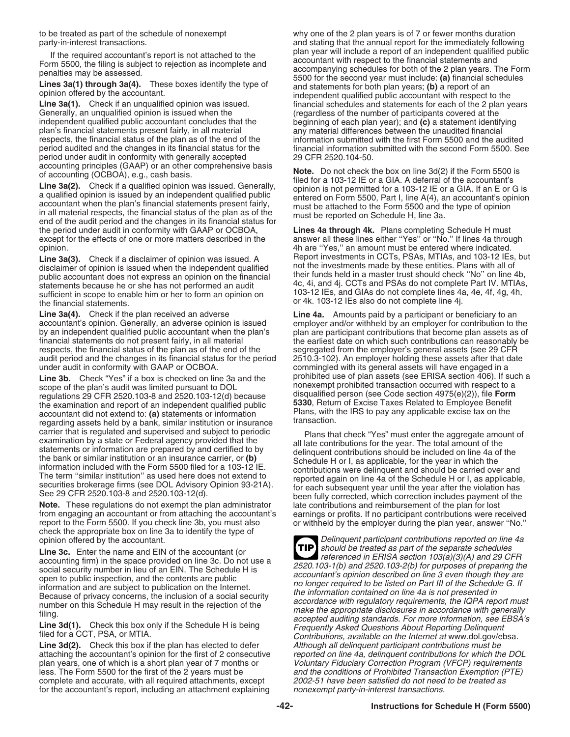Generally, an unqualified opinion is issued when the (regardless of the number of participants covered at the independent qualified public accountant concludes that the beginning of each plan year); and (c) a statement ide independent qualified public accountant concludes that the beginning of each plan year); and **(c)** a statement identifying plan's financial statements present fairly, in all material any material differences between the unaudited financial<br>
respects, the financial status of the plan as of the end of the and information submitted with the first period under audit in conformity with generally accepted

the period under audit in conformity with GAAP or OCBOA, **Lines 4a through 4k.** Plans completing Schedule H must except for the effects of one or more matters described in the answer all these lines either "Yes" or "No." If lines 4a through opinion. 4h are ''Yes,'' an amount must be entered where indicated.

public accountant does not express an opinion on the financial their funds held in a master trust should check ''No'' on line 4b,<br>statements because he or she has not performed an audit 4c, 4i, and 4j. CCTs and PSAs do not statements because he or she has not performed an audit<br>sufficient in scope to enable him or her to form an opinion on  $103-12$  IEs, and GIAs do not complete lines 4a, 4e, 4f, 4g, 4h,<br>the financial statements. or 4k. 103-1

**Line 3a(4).** Check if the plan received an adverse **Line 4a.** Amounts paid by a participant or beneficiary to an accountant's opinion. Generally, an adverse opinion is issued employer and/or withheld by an employer for contribution to the<br>by an independent qualified public accountant when the plan's plan are participant contributions by an independent qualified public accountant when the plan's plan are participant contributions that become plan assets as of financial statements do not present fairly, in all material the earliest date on which such con respects, the financial status of the plan as of the end of the segregated from the employer's general assets (see 29 CFR audit period and the changes in its financial status for the period 2510.3-102). An employer holding audit period and the changes in its financial status for the period

**Line 3b.** Check "Yes" if a box is checked on line 3a and the prohibited use of plan assets (see ERISA section 406). If such a scope of the plan's audit was limited pursuant to DOI connexempt prohibited transaction occurre scope of the plan's audit was limited pursuant to DOL nonexempt prohibited transaction occurred with respect to a<br>requilations 29 CFR 2520,103-8 and 2520,103-12(d) because disqualified person (see Code section 4975(e)(2)), regulations 29 CFR 2520.103-8 and 2520.103-12(d) because disqualified person (see Code section 4975(e)(2)), file **Form** the examination and report of an independent qualified public **5330**, Return of Excise Taxes Related to Employee Benefit<br>Plans, with the IRS to pay any applicable excise tax on the accountant did not extend to: **(a)** statements or information Plans, with the IRS to pay any applicable excise ta<br>Transaction extend to pany similar institution or insurance transaction. regarding assets held by a bank, similar institution or insurance

**Note.** These regulations do not exempt the plan administrator late contributions and reimbursement of the plan for lost from engaging an accountant or from attaching the accountant's earnings or profits. If no participant contributions were received report to the Form 5500. If you check line 3b, you must also or withheld by the employer dur check the appropriate box on line 3a to identify the type of

Line 3c. Enter the name and EIN of the accountant (or **Line 3c.** Brown be treated as part of the separate schedules accounting firm) in the space provided on line 3c. Do not use a **reference in ERISA section 103(a)(A)** and

**Line 3d(2).** Check this box if the plan has elected to defer *Although all delinquent participant contributions must be* attaching the accountant's opinion for the first of 2 consecutive *reported on line 4a, delinquent c* plan years, one of which is a short plan year of 7 months or Voluntary Fiduciary Correction Program (VFCP) requirements less. The Form 5500 for the first of the 2 years must be and the conditions of Prohibited Transaction Exemption (PTE)<br>complete and accurate, with all required attachments, except 2002-51 have been satisfied do not need to complete and accurate, with all required attachments, except for the accountant's report, including an attachment explaining nonexempt party-in-interest transactions.

to be treated as part of the schedule of nonexempt why one of the 2 plan years is of 7 or fewer months duration party-in-interest transactions.<br>If the required escountent's report is not attached to the plan year will include a report of an independent qualified public If the required accountant's report is not attached to the<br>
Form 5500, the filing is subject to rejection as incomplete and<br>
penalties may be assessed.<br>
Lines 3a(1) through 3a(4). These boxes identify the type of<br>
opinion opinion offered by the accountant.<br> **Line 3a(1).** Check if an unqualified opinion was issued.<br> **Change of the and statements for each of the 2 plan years**<br> **Generally, an unqualified opinion is issued when the discuss** (re information submitted with the first Form 5500 and the audited period audited and the changes in its financial status for the financial information submitted with the second Form 5500. See period under audit in conformity with generally accepted 29 CFR 2520.104-50.

accounting principles (GAAP) or an other comprehensive basis<br>of accounting (OCBOA), e.g., cash basis.<br> **Line 3a(2).** Check if a qualified opinion was issued. Generally,<br>
a qualified opinion is issued by an independent qual

**Line 3a(3).** Check if a disclaimer of opinion was issued. A Report investments in CCTs, PSAs, MTIAs, and 103-12 IEs, but disclaimer of opinion is issued when the independent qualified not the investments made by these ent not the investments made by these entities. Plans with all of their funds held in a master trust should check "No" on line 4b,

the earliest date on which such contributions can reasonably be under audit in conformity with GAAP or OCBOA.<br>Line 3b. Check "Yes" if a box is checked on line 3a and the prohibited use of plan assets (see ERISA section 406). If such a

carrier that is regulated and supervised and subject to periodic<br>examination by a state or Federal agency provided that the<br>statements or information are prepared by and certified to by<br>the bank or similar institution or a or withheld by the employer during the plan year, answer "No."

Delinquent participant contributions reported on line 4a<br>should be treated as part of the separate schedules **TIP** accounting firm) in the space provided on line 3c. Do not use a<br>social security number in lieu of an EIN. The Schedule H is<br>open to publication, and the contents are public<br>open to publication on the Internet.<br>Here account reported on line 4a, delinquent contributions for which the DOL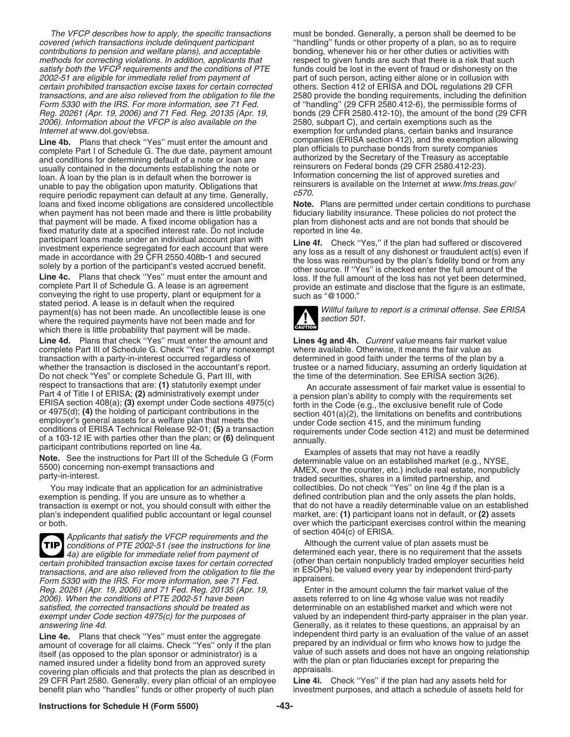covered (which transactions include delinquent participant "'handling'' funds or other property of a plan, so as to require<br>
contributions to pension and welfare plans), and acceptable bonding, whenever his or her other du contributions to pension and welfare plans), and acceptable methods for correcting violations. In addition, applicants that respect to given funds are such that there is a risk that such satisfy both the VFCP requirements and the conditions of PTE funds could be lost in the event o satisfy both the VFCP requirements and the conditions of PTE 2002-51 are eligible for immediate relief from payment of certain prohibited transaction excise taxes for certain corrected others. Section 412 of ERISA and DOL regulations 29 CFR<br>transactions, and are also relieved from the obligation to file the 2580 provide the bonding reguire transactions, and are also relieved from the obligation to file the Form 5330 with the IRS. For more information, see 71 Fed. only of "handling" (29 CFR 2580.412-6), the permissible forms of<br>Reg. 20261 (Apr. 19, 2006) and 71 Fed. Reg. 20135 (Apr. 19, bonds (29 CFR 2580.412-10), the amount 2006). Information about the VFCP is also available on the

**Line 4b.** Plans that check "Yes" must enter the amount and companies (ERISA section 412), and the exemption allo<br>complete Part Lof Schedule G. The due date payment amount plan officials to purchase bonds from surety compa complete Part I of Schedule G. The due date, payment amount and conditions for determining default of a note or loan are usually contained in the documents establishing the note or reinsurers on Federal bonds (29 CFR 2580.412-23).<br>Information concerning the list of approved sureties and loan. A loan by the plan is in default when the borrower is Information concerning the list of approved sureties and<br>Internation into the obligation upon maturity Obligations that Internations is available on the Internet unable to pay the obligation upon maturity. Obligations that reinsurers is a reinsure on the Internet can default at any time. Generally  $c570$ . require periodic repayment can default at any time. Generally,  $\frac{CO_7O_7}{CO_2}$  Plans are permitted under certain conditions to purchase loans and fixed income obligations are considered uncollectible **Note.** Plans are permitted under certain conditions to purch when payment has not been made and there is little probability fiduciary liability insurance. Th when payment has not been made and there is little probability that payment will be made. A fixed income obligation has a plan from dishonest acts and are not bonds that should be fixed maturity date at a specified interest rate. Do not include reported in line 4e.

stated period. A lease is in default when the required payment(s) has not been made. An uncollectible lease is one Willful failure to report is a criminal offense. See ERISA where the required payments have not been made. An uncollectible lease is one where the required payments have not been made and for which there is little probability that payment will be made.

Line 4d. Plans that check "Yes" must enter the amount and **Lines 4g and 4h.** Current value means fair market value complete Part III of Schedule G. Check "Yes" if any nonexempt where available. Otherwise, it means the fair complete Part III of Schedule G. Check "Yes" if any nonexempt where available. Otherwise, it means the fair value as<br>transaction with a party-in-interest occurred regardless of determined in good faith under the terms of t transaction with a party-in-interest occurred regardless of whether the transaction is disclosed in the accountant's report. trustee or a named fiduciary, assuming an orderly liquidation at Do not check "Yes" or complete Schedule G. Part III, with the time of the determination. See Do not check "Yes" or complete Schedule G, Part III, with respect to transactions that are: (1) statutorily exempt under An accurate assessment of fair market value is essential to Part 4 of Title I of ERISA; (2) administratively exempt under a pension plan's ability to comply wi Part 4 of Title I of ERISA; (2) administratively exempt under<br>
ERISA are pension plan's ability to comply with the requirements set<br>
EntSA section 408(a); (4) the holding of participant contributions in the<br>
or 4975(c) ar

You may indicate that an application for an administrative collectibles. Do not check "Yes" on line 4g if the plan is a<br>emption is pending. If you are unsure as to whether a emploided contribution plan and the only assets transaction is exempt or not, you should consult with either the plan's independent qualified public accountant or legal counsel market, are: **(1)** participant loans not in default, or **(2)** assets

Applicants that satisfy the VFCP requirements and the<br>conditions of PTE 2002-51 (see the instructions for line<br>a) are eligible for immediate relief from payment of<br>prohibited transaction excise taxes for certain corrected **TIP** certain prohibited transaction excise taxes for certain corrected<br>
transactions, and are also relieved from the obligation to file the<br>
Form 5330 with the IRS. For more information, see 71 Fed.<br>
Reg. 20261 (Apr. 19, 2006) Reg. 20261 (Apr. 19, 2006) and 71 Fed. Reg. 20135 (Apr. 19,<br>2006). When the conditions of PTE 2002-51 have been exempt under Code section 4975 $(c)$  for the purposes of. answering line 4d. Generally, as it relates to these questions, an appraisal by an

amount of coverage for all claims. Check "Yes" only if the plan prepared by an individual or firm who knows how to judge the<br>itself (as opposed to the plan sponsor or administrator) is a value of such assets and does not h itself (as opposed to the plan sponsor or administrator) is a value of such assets and does not have an ongoing rela<br>named insured under a fidelity bond from an approved surety with the plan or plan fiduciaries except for named insured under a fidelity bond from an approved surety with the plane covering plan officials and that protects the plan as described in appraisals. covering plan officials and that protects the plan as described in appraisals.<br>29 CFR Part 2580. Generally, every plan official of an employee **Line 4i.** Check "Yes" if the plan had any assets held for 29 CFR Part 2580. Generally, every plan official of an employee benefit plan who ''handles'' funds or other property of such plan investment purposes, and attach a schedule of assets held for

The VFCP describes how to apply, the specific transactions must be bonded. Generally, a person shall be deemed to be part of such person, acting either alone or in collusion with bonds (29 ČFR 2580.412-10), the amount of the bond (29 CFR 2580, subpart C), and certain exemptions such as the Internet at www.dol.gov/ebsa.<br> **I ine 4h** Plans that check "Yes" must enter the amount and companies (ERISA section 412), and the exemption allowing authorized by the Secretary of the Treasury as acceptable reinsurers on Federal bonds (29 CFR 2580.412-23).

participant loans made under an individual account plan with<br>investment experience segregated for each account that were<br>made in accordance with 29 CFR 2550.408b-1 and secured<br>solely by a portion of the participant's veste Line 4c. Plans that check "Yes" must enter the amount and loss. If the full amount of the loss has not yet been determined, complete Part II of Schedule G. A lease is an agreement complete Part II of Schedule G. A lease is

![](_page_42_Picture_11.jpeg)

exemption is pending. If you are unsure as to whether a defined contribution plan and the only assets the plan holds,<br>transaction is exempt or not, you should consult with either the that do not have a readily determinable over which the participant exercises control within the meaning of section 404(c) of ERISA.

assets referred to on line 4g whose value was not readily satisfied, the corrected transactions should be treated as determinable on an established market and which were not<br>exempt under Code section 4975(c) for the purposes of valued by an independent third-party appraiser in th Line 4e. Plans that check "Yes" must enter the aggregate independent third party is an evaluation of the value of an asset amount of coverage for all claims. Check "Yes" only if the plan

# **Instructions for Schedule H (Form 5500) -43-**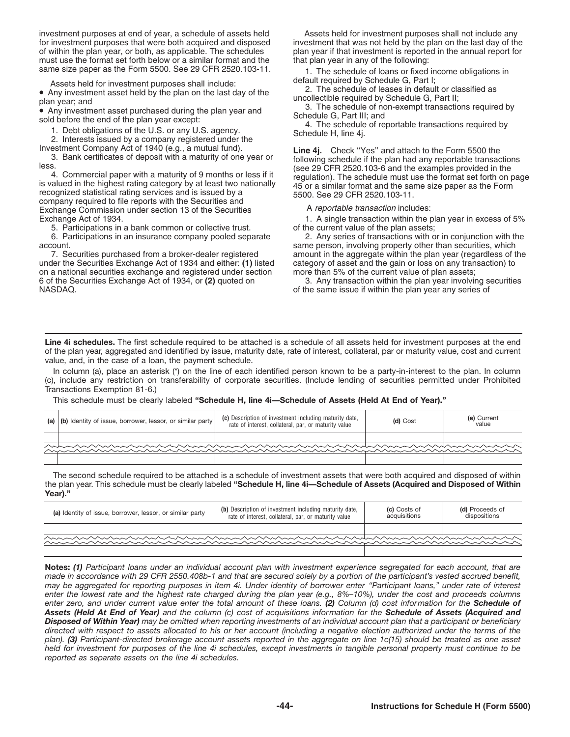investment purposes at end of year, a schedule of assets held Assets held for investment purposes shall not include any<br>for investment purposes that were both acquired and disposed investment that was not held by the plan for investment purposes that were both acquired and disposed of within the plan year, or both, as applicable. The schedules must use the format set forth below or a similar format and the that plan year in any of the following:

Assets held for investment purposes shall include:<br>
■<br>
Any investment asset held by the plan on the last day of the<br>
plan year; and<br>
■<br> **Any investment asset purchased during the plan year and**<br>
Schedule G, Part II; and<br>

company required to file reports with the Securities and Exchange Commission under section 13 of the Securities **A** reportable transaction includes:<br>
Exchange Act of 1934. **A strip 1994** 1. A single transaction within the p

5. Participations in a bank common or collective trust. <br>5. Participations in an insurance company pooled separate 2. Any series of transactions with or in conjunction with the 6. Participations in an insurance company pooled separate account.

7. Securities purchased from a broker-dealer registered amount in the aggregate within the plan year (regardless of the under the Securities Exchange Act of 1934 and either: (1) listed category of asset and the gain or los on a national securities exchange and registered under section more than 5% of the current value of plan assets; 6 of the Securities Exchange Act of 1934, or **(2)** quoted on 3. Any transaction within the plan year involving securities

plan year if that investment is reported in the annual report for

same size paper as the Form 5500. See 29 CFR 2520.103-11. 1. The schedule of loans or fixed income obligations in<br>Assets held for investment nurnoses shall include: default required by Schedule G, Part I;

Investment Company Act of 1940 (e.g., a mutual fund).<br>3. Bank certificates of deposit with a maturity of one year or following schedule if the plan had any reportable transactions less. (see 29 CFR 2520.103-6 and the examples provided in the<br>4. Commercial paper with a maturity of 9 months or less if it<br>is valued in the highest rating category by at least two nationally<br>recognized statistical rating

1. A single transaction within the plan year in excess of 5%

ount.<br>7. Securities purchased from a broker-dealer registered amount in the aggregate within the plan year (regardless of t category of asset and the gain or loss on any transaction) to

of the same issue if within the plan year any series of

**Line 4i schedules.** The first schedule required to be attached is a schedule of all assets held for investment purposes at the end of the plan year, aggregated and identified by issue, maturity date, rate of interest, collateral, par or maturity value, cost and current value, and, in the case of a loan, the payment schedule.

In column (a), place an asterisk (\*) on the line of each identified person known to be a party-in-interest to the plan. In column (c), include any restriction on transferability of corporate securities. (Include lending of securities permitted under Prohibited Transactions Exemption 81-6.)

This schedule must be clearly labeled **"Schedule H, line 4i—Schedule of Assets (Held At End of Year)."**

| (a) (b) Identity of issue, borrower, lessor, or similar party | (c) Description of investment including maturity date,<br>rate of interest, collateral, par, or maturity value | (d) Cost | (e) Current<br>value |
|---------------------------------------------------------------|----------------------------------------------------------------------------------------------------------------|----------|----------------------|
|                                                               |                                                                                                                |          |                      |
|                                                               |                                                                                                                |          |                      |
|                                                               |                                                                                                                |          |                      |

The second schedule required to be attached is a schedule of investment assets that were both acquired and disposed of within the plan year. This schedule must be clearly labeled **"Schedule H, line 4i—Schedule of Assets (Acquired and Disposed of Within Year)."**

| (a) Identity of issue, borrower, lessor, or similar party                                                              | (b) Description of investment including maturity date,<br>rate of interest, collateral, par, or maturity value | (c) Costs of<br>acquisitions | (d) Proceeds of<br>dispositions |
|------------------------------------------------------------------------------------------------------------------------|----------------------------------------------------------------------------------------------------------------|------------------------------|---------------------------------|
|                                                                                                                        |                                                                                                                |                              |                                 |
| <u>Music Andrews Andrews Andrews Andrews Andrews Andrews Andrews Andrews Andrews Andrews Andrews Andrews Andrews A</u> |                                                                                                                |                              |                                 |
|                                                                                                                        |                                                                                                                |                              |                                 |

**Notes:** *(1) Participant loans under an individual account plan with investment experience segregated for each account, that are made in accordance with 29 CFR 2550.408b-1 and that are secured solely by a portion of the participant's vested accrued benefit, may be aggregated for reporting purposes in item 4i. Under identity of borrower enter "Participant loans," under rate of interest enter the lowest rate and the highest rate charged during the plan year (e.g., 8%–10%), under the cost and proceeds columns enter zero, and under current value enter the total amount of these loans. (2) Column (d) cost information for the Schedule of Assets (Held At End of Year) and the column (c) cost of acquisitions information for the Schedule of Assets (Acquired and Disposed of Within Year) may be omitted when reporting investments of an individual account plan that a participant or beneficiary directed with respect to assets allocated to his or her account (including a negative election authorized under the terms of the plan). (3) Participant-directed brokerage account assets reported in the aggregate on line 1c(15) should be treated as one asset held for investment for purposes of the line 4i schedules, except investments in tangible personal property must continue to be reported as separate assets on the line 4i schedules.*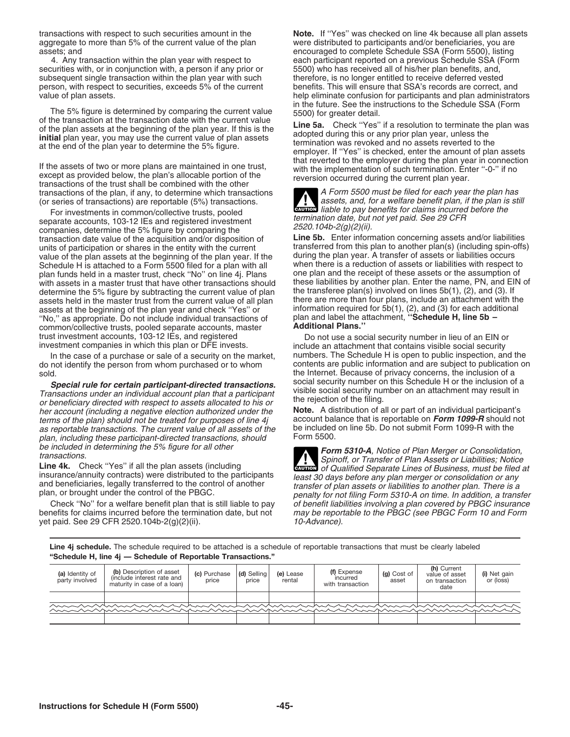securities with, or in conjunction with, a person if any prior or 5500) who has received all of his/her plan benefits, and, subsequent single transaction within the plan year with such therefore, is no longer entitled to r subsequent single transaction within the plan year with such

The 5% figure is determined by comparing the current value<br>of the transaction at the transaction date with the current value<br>of the plan assets at the beginning of the plan year. If this is the<br>initial plan year, you may u

If the assets of two or more plans are maintained in one trust,<br>except as provided below, the plan's allocable portion of the<br>transactions of the trust shall be combined with the other<br>transactions of the plan. If any, to transactions of the plan, if any, to determine which transactions (and a Form 5500 must be filed for each year the plan has (or series of transactions) are reportable (5%) transactions. (or series of transactions) are reportable  $(5%)$  transactions.

For investments in common/collective trusts, pooled<br>separate accounts, 103-12 IEs and registered investment<br>companies, determine the 5% figure by comparing the<br>transaction date value of the acquisition and/or disposition transaction date value of the acquisition and/or disposition of units of participation or shares in the entity with the current value of the plan assets at the beginning of the plan year. If the during the plan year. A transfer of assets or liabilities occurs<br>Schedule H is attached to a Form 5500 filed for a plan with all when there is a reduction Schedule H is attached to a Form 5500 filed for a plan with all when there is a reduction of assets or liabilities with respect to provide to a plan with all when there is a reduction of assets or the assumption of plan pl plan funds held in a master trust, check "No" on line 4j. Plans determine the 5% figure by subtracting the current value of plan the transferee plan(s) involved on lines 5b(1), (2), and (3). If<br>assets held in the master trust from the current value of all plan there are more than four assets held in the master trust from the current value of all plan assets at the beginning of the plan year and check "Yes" or assets at the beginning of the plan year and check ''Yes'' or information required for 5b(1), (2), and (3) for each additional ''No,'' as appropriate. Do not include individual transactions of plan and label the attachment, **''Schedule H, line 5b –** common/collective trusts, pooled separate accounts, master **Additional Plans.''** trust investment accounts, 103-12 IEs, and registered Do not use a social security number in lieu of an EIN or<br>investment companies in which this plan or DFE invests. The include an attachment that contains visible social

**Special rule for certain participant-directed transactions.** Social security number on this schedule H of the inclusion of a<br>Transactions under an individual account plan that a participant<br>or beneficiary directed with re her account (including a negative election authorized under the **Note.** A distribution of all or part of an individual participant's terms of the plan) should not be treated for purposes of line 4i account balance that is terms of the plan) should not be treated for purposes of line 4j account balance that is reportable on Form 1099-R should r<br>as reportable transactions. The current value of all assets of the be included on line 5b. Do not as reportable transactions. The current value of all assets of the be included on included on line submit  $\alpha$  be included on  $\alpha$  be included  $\alpha$ plan, including these participant-directed transactions, should be included in determining the 5% figure for all other

yet paid. See 29 CFR 2520.104b-2(g)(2)(ii).

transactions with respect to such securities amount in the **Note.** If "Yes" was checked on line 4k because all plan assets aggregate to more than 5% of the current value of the plan  $\frac{1}{2}$  were distributed to participan aggregate to more than 5% of the current value of the plan were distributed to participants and/or beneficiaries, you are<br>encouraged to complete Schedule SSA (Form 5500), listing encouraged to complete Schedule SSA (Form 5500), listing<br>4. Any transaction within the plan year with respect to each participant reported on a previous Schedule SSA (Forn each participant reported on a previous Schedule SSA (Form 5500) who has received all of his/her plan benefits, and, person, with respect to securities, exceeds 5% of the current benefits. This will ensure that SSA's records are correct, and<br>help eliminate confusion for participants and plan administratour states of the perminate confusi help eliminate confusion for participants and plan administrators

**CAUTION** liable to pay benefits for claims incurred before the pay is the pay benefits for claims incurred before the

transferred from this plan to another plan(s) (including spin-offs) during the plan year. A transfer of assets or liabilities occurs with assets in a master trust that have other transactions should these liabilities by another plan. Enter the name, PN, and EIN of determine the 5% figure by subtracting the current value of plan the transferee plan(s) in

include an attachment that contains visible social security In the case of a purchase or sale of a security on the market, numbers. The Schedule H is open to public inspection, and the do not identify the person from whom purchased or to whom contents are public information and are subject to publication on sold.<br>**the Internet. Because of privacy concerns, the inclusion of a**<br>**Special rule for certain participant-directed transactions** social security number on this Schedule H or the inclusion of a

be included in determining the 5% figure for all other<br>transactions.<br>Line 4k. Check "Yes" if all the plan assets (including structured by the Spinoff, or Transfer of Plan Assets or Liabilities; Notice<br>Line 4k. Check "Yes" insurance/annuity contracts) were distributed to the participants<br>and beneficiaries, legally transferred to the control of another<br>plan, or brought under the control of the PBGC.<br>plan, or brought under the control of the P Check "No" for a welfare benefit plan that is still liable to pay of benefit liabilities involving a plan covered by PBGC insurance benefits for claims incurred before the termination date, but not may be reportable to the PBGC (see PBGC Form 10 and Form  $y$ et paid. See 29 CFR 2520.104b-2(g)(2)(ii).

**Line 4j schedule.** The schedule required to be attached is a schedule of reportable transactions that must be clearly labeled **"Schedule H, line 4j — Schedule of Reportable Transactions."**

| (a) Identity of<br>party involved | (b) Description of asset<br>linclude interest rate and<br>maturity in case of a loan)                                | (c) Purchase<br>price | $\mathsf{Id}$ ) Selling<br>price | (e) Lease<br>rental | (f) Expense<br>incurred<br>with transaction | (g) Cost of<br>asset | (h) Current<br>value of asset<br>on transaction<br>date | (i) Net gain<br>or (loss) |
|-----------------------------------|----------------------------------------------------------------------------------------------------------------------|-----------------------|----------------------------------|---------------------|---------------------------------------------|----------------------|---------------------------------------------------------|---------------------------|
|                                   |                                                                                                                      |                       |                                  |                     |                                             |                      |                                                         |                           |
|                                   | <u>Munisharkan kanan kanan kanan kanan kanan kanan kanan kanan kanan kanan kanan kanan kanan kanan kanan kanan k</u> |                       |                                  |                     |                                             |                      |                                                         |                           |
|                                   |                                                                                                                      |                       |                                  |                     |                                             |                      |                                                         |                           |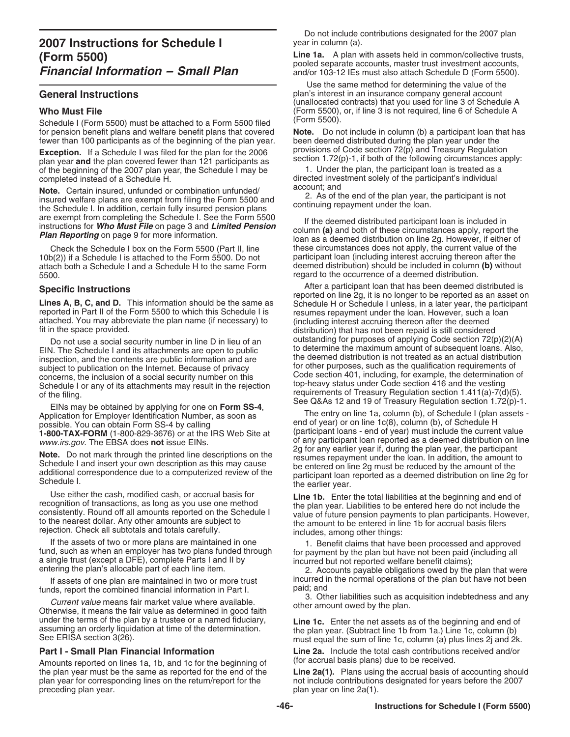Schedule I (Form 5500) must be attached to a Form 5500 filed

**Exception.** If a Schedule I was filed for the plan for the 2006 provisions of Code section  $\frac{72(p)}{2}$  and Treasury Hegulation plan year and the plan covered fewer than 121 participants as section 1.72(p)-1, if both of of the beginning of the 2007 plan year, the Schedule I may be

**Note.** Certain insured, unfunded or combination unfunded/<br>insured welfare plans are exempt from filing the Form 5500 and<br>the Schedule I. In addition, certain fully insured pension plans<br>continuing repayment under the loan

Check the Schedule I box on the Form 5500 (Part II, line 10b(2)) if a Schedule I is attached to the Form 5500. Do not attach both a Schedule I and a Schedule H to the same Form<br>5500.

EIN. The Schedule I and its attachments are open to public to determine the maximum amount of subsequent loans. Also, inspection, and the contents are public information and are the deemed distribution is not treated as an inspection, and the contents are public information and are the deemed distribution is not treated as an actual distribution subject to publication on the Internet. Because of privacy for other purposes, such as the qualif concerns, the inclusion of a social security number on this<br>
Code section 401, including, for example, the determination of<br>
Schedule I or any of its attachments may result in the rejection<br>
top-heavy status under Code sec Schedule I or any of its attachments may result in the rejection

EINs may be obtained by applying for one on **Form SS-4**,<br>plication for Employer Identification Number, as soon as The entry on line 1a, column (b), of Schedule I (plan assets -Application for Employer Identification Number, as soon as possible. You can obtain Form SS-4 by calling 1-800-TAX-FORM (1-800-829-3676) or at the IRS Web Site at www.irs.gov. The EBSA does not issue EINs.

If the assets of two or more plans are maintained in one that have been processed and approved<br>fund, such as when an employer has two plans funded through<br>a single trust (except a DFE), complete Parts I and II by<br>entering

funds, report the combined financial information in Part I. paid; and<br>3. Other liabilities such as acquisition indebtedness and any

**Sultaness and any Current value means fair market value where available.** Other amount owed by the plan. Otherwise, it means the fair value as determined in good faith under the terms of the plan by a trustee or a named f

Amounts reported on lines 1a, 1b, and 1c for the beginning of

Do not include contributions designated for the 2007 plan

**Line 1a.** A plan with assets held in common/collective trusts,<br> **Financial Information – Small Plan**<br>
and/or 103-12 IEs must also attach Schedule D (Form 5500). *Financial Information – Small Plan* and/or 103-12 IEs must also attach Schedule D (Form 5500).

 Use the same method for determining the value of the **General Instructions plan's interest in an insurance company general account** plan's interest in an insurance company general account (unallocated contracts) that you used for line 3 of Schedule A Who Must File<br>Schedule L(Form 5500) must be attached to a Form 5500 filed (Form 5500).<br>Schedule L(Form 5500) must be attached to a Form 5500 filed (Form 5500).

for pension benefit plans and welfare benefit plans that covered **Note.** Do not include in column (b) a participant loan that has fewer than 100 participants as of the beginning of the plan year. been deemed distributed du fewer than 100 participants as of the beginning of the plan year. been deemed distributed during the plan year under the<br>Exception If a Schedule Lwas filed for the plan for the 2006 provisions of Code section 72(p) and Tre

completed instead of a Schedule H. directed investment solely of the participant's individual<br>Note: Quite is used unfunded a service time unfunded (account: and

are exempt from completing the Schedule I. See the Form 5500<br>instructions for **Who Must File** on page 3 and **Limited Pension**<br>**Plan Reporting** on page 9 for more information.<br>Check the Schedule I box on the Form 5500 (Part participant loan (including interest accruing thereon after the deemed distribution) should be included in column (b) without regard to the occurrence of a deemed distribution.

**Specific Instructions**<br> **Specific Instructions**<br> **Lines A, B, C, and D.** This information should be the same as<br>
reported on line 2g, it is no longer to be reported as an asset on<br>
reported in Part II of the Form 5500 to Do not use a social security number in line D in lieu of an outstanding for purposes of applying Code section 72(p)(2)(A) of the filing.<br>
of the filing.<br>
Form 20.4 the state of Treasury Regulation section 1.411(a)-7(d)(5).<br>
See Q&As 12 and 19 of Treasury Regulation section 1.72(p)-1.

end of year) or on line  $1c(8)$ , column (b), of Schedule H (participant loans - end of year) must include the current value of any participant loan reported as a deemed distribution on line 2g for any earlier year if, during the plan year, the participant Note. Do not mark through the printed line descriptions on the<br>Schedule I and insert your own description as this may cause<br>additional correspondence due to a computerized review of the<br>Schedule I.<br>Schedule I.<br>Schedule I.

Use either the cash, modified cash, or accrual basis for<br>recognition of transactions, as long as you use one method<br>consistently. Round off all amounts reported on the Schedule I<br>to the nearest dollar. Any other amounts ar

If assets of one plan are maintained in two or more trust incurred in the normal operations of the plan but have not been<br>
ods, report the combined financial information in Part I and

under the terms of the plan by a trustee or a named fiduciary,<br>assuming an orderly liquidation at time of the determination.<br>See ERISA section 3(26).<br>See ERISA section 3(26). The of the determination. The plan year. (Subtr

**Part I - Small Plan Financial Information Line 2a.** Include the total cash contributions received and/or <br>Amounts reported on lines 1a 1b, and 1c for the beginning of (for accrual basis plans) due to be received.

the plan year must be the same as reported for the end of the **Line 2a(1).** Plans using the accrual basis of accounting should plan year for corresponding lines on the return/report for the  $\frac{1}{2007}$  not include contrib plan year for corresponding lines on the return/report for the not include contributions designated for years before the 2007 plan year on line 2a(1). plan year on line  $2a(1)$ .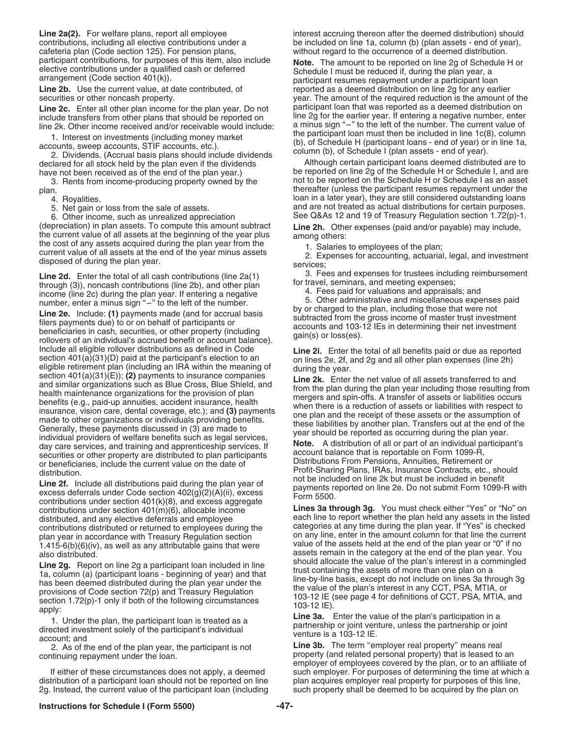**Line 2a(2).** For welfare plans, report all employee interest accruing thereon after the deemed distribution) should contributions, including all elective contributions under a be included on line 1a, column (b) (plan asse contributions, including all elective contributions under a be included on line 1a, column (b) (plan assets - end of year), cafeteria plan (Code section 125). For pension plans, without regard to the occurrence of a deemed

line 2k. Other income received and/or receivable would include: a minus sign "-" to the left of the number. The current value of

(depreciation) in plan assets. To compute this amount subtract<br>the current value of all assets at the beginning of the year plus<br>the cost of any assets acquired during the plan year from the<br>current value of all assets at

Include all eigible rollover distributions as defined in Code<br>section 401(a)(31)(D) paid at the participant's election to an<br>legible retirement plan (including an IRA within the meaning of<br>eligible retirement plan (includ

contributions under section 401(k)(8), and excess aggregate<br> **Lines 3a through 3g.** You must check either "Yes" or "No" on<br> **Lines 3a through 3g.** You must check either "Yes" or "No" on 1.415-6(b)(6)(iv), as well as any attributable gains that were

**Line 2g.** Report on line 2g a participant loan included in line<br>
1a, column (a) (participant loans - beginning of year) and that<br>
thas been deemed distributed during the plan year under the<br>
provisions of Code section 72(

distribution of a participant loan should not be reported on line plan acquires employer real property for purposes of this line,<br>2g. Instead, the current value of the participant loan (including such property shall be dee 2g. Instead, the current value of the participant loan (including

without regard to the occurrence of a deemed distribution. participant contributions, for purposes of this item, also include<br>
elective contributions under a qualified cash or deferred<br>
arrangement (Code section 401(k)).<br>
arrangement (Code section 401(k)).<br>
participant resumes rep **Line 2b.** Use the current value, at date contributed, of reported as a deemed distribution on line 2g for any earlier securities or other noncash property.<br>
year. The amount of the required reduction is the amount of year. The amount of the required reduction is the amount of the Line 2c. Enter all other plan income for the plan year. Do not participant loan that was reported as a deemed distribution on include transfers from other plans that should be reported on line 2g for the earlier year. If e 1. Interest on investments (including money market<br>
accounts, sweep accounts, STIF accounts, etc.).<br>
2. Dividends. (Accrual basis plans should include dividends<br>
declared for all stock held by the plan even if the dividend

Although certain participant loans deemed distributed are to have not been received as of the end of the plan year.) be reported on line 2g of the Schedule H or Schedule I, and are 3. Rents from income-producing property owned by the not to be reported on the Schedule H or Schedule I as an asset plan. thereafter (unless the participant resumes repayment under the 4. Royalities.<br>5. Net gain or loss from the sale of assets. **loan in a later year**), they are still considered outstanding loans<br>5. Net gain or loss from the sale of assets. **http://www.materican.org.** and are not treated and are not treated as actual distributions for certain purposes. 6. Other income, such as unrealized appreciation See Q&As 12 and 19 of Treasury Regulation section 1.72(p)-1.<br>(depreciation) in plan assets. To compute this amount subtract Line 2h. Other expenses (paid and/or payable) may

**Line 2d.** Enter the total of all cash contributions (line 2a(1) through (3), noncash contributions (line 2b), and other plan for travel, seminars, and meeting expenses;<br>income (line 2c) during the plan year. If entering a

distributed, and any elective deferrals and employee each line to report whether the plan held any assets in the listed contributions distributed or returned to employees during the categories at any time during the plan year. If "Yes" is checked<br>
plan year in accordance with Treasury Requilation section on any line, enter in the amount col plan year in accordance with Treasury Regulation section on any line, enter in the amount column for that line the current 1.415-6(b)(6)(iv), as well as any attributable gains that were value of the assets held at the end also distributed.<br> **assets remain in the category at the end of the plan year.** You<br> **assets remain in the category at the end of the plan year.** You

account; and<br>
2. As of the end of the plan year, the participant is not<br> **Line 3b.** The term "employer real property" means real<br>
property (and related personal property) that is leased to<br>
property (and related personal p property (and related personal property) that is leased to an employer of employees covered by the plan, or to an affiliate of If either of these circumstances does not apply, a deemed such employer. For purposes of determining the time at which a<br>tribution of a participant loan should not be reported on line plan acquires employer real property f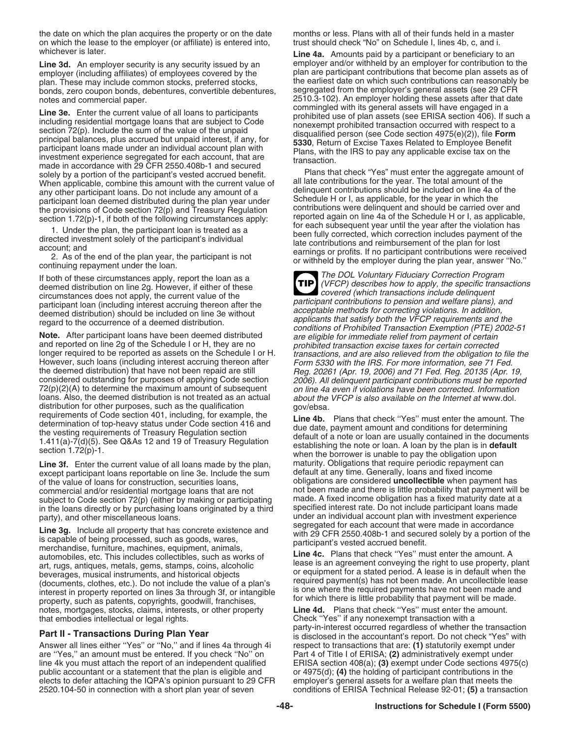the date on which the plan acquires the property or on the date months or less. Plans with all of their funds held in a master<br>on which the lease to the employer (or affiliate) is entered into, trust should check "No" on S on which the lease to the employer (or affiliate) is entered into, whichever is later.

plan. These may include common stocks, preferred stocks, the earliest date on which such contributions can reasonably be<br>bonds, zero coupon bonds, debentures, convertible debentures, segregated from the employer's general bonds, zero coupon bonds, debentures, convertible debentures,

**Line 3e.** Enter the current value of all loans to participants<br>
including residential mortgage loans that are subject to Code<br>
section 72(p). Include the sum of the value of the unpaid<br>
principal balances, plus accrued bu made in accordance with 29 CFR 2550.408b-1 and secured<br>solely by a portion of the participant's vested accrued benefit.<br>When applicable, combine this amount with the current value of all late contributions for the year. Th When applicable, combine this amount with the current value of all late contributions for the year. The total amount of the<br>any other participant loans. Do not include any amount of a delinquent contributions should be inc

the deemed distribution) that have not been repaid are still Fig. 20261 (Apr. 19, 2006) and 71 Fed. Reg. 20135 (Apr. 19, considered outstanding for purposes of applying Code section  $72(p)(2)(A)$  to determine the maximum amou distribution for other purposes, such as the qualification<br>
requirements of Code section 401, including, for example, the<br>
determination of top-heavy status under Code section 416 and<br>
the vesting requirements of Treasury

Line 3f. Enter the current value of all loans made by the plan, maturity. Obligations that require periodic repayment can except participant loans reportable on line 3e. Include the sum default at any time. Generally, loan except participant loans reportable on line 3e. Include the sum of the value of loans for construction, securities loans, obligations are considered **uncollectible** when payment has commercial and/or residential mortgage loans that are not not been made and there is little probability that payment will be<br>subject to Code section 72(p) (either by making or participating made. A fixed income obligation subject to Code section 72(p) (either by making or participating made. A fixed income obligation has a fixed maturity date at a<br>in the loans directly or by purchasing loans originated by a third specified interest rate. Do in the loans directly or by purchasing loans originated by a third

Line 3g. Include all property that has concrete existence and<br>is capable of being processed, such as goods, wares,<br>merchandise, furniture, machines, equipment, animals,<br>automobiles etc. This includes collectibles, such as art, rugs, antiques, metals, gems, stamps, coins, alcoholic become is an agreement conveying the right to use property, plant<br>beverages, musical instruments, and historical objects or equipment for a stated period. A lease notes, mortgages, stocks, claims, interests, or other property **Line 4d.** Plans that check ''Yes'' must enter the amount. that embodies intellectual or legal rights. Check ''Yes'' if any nonexempt transaction with a

Answer all lines either "Yes" or "No," and if lines 4a through 4i respect to transactions that are: **(1)** statutorily exempt under are "Yes," an amount must be entered. If you check "No" on Part 4 of Title I of ERISA; **(2)** are "Yes," an amount must be entered. If you check "No" on line 4k you must attach the report of an independent qualified public accountant or a statement that the plan is eligible and or 4975(d); **(4)** the holding of participant contributions in the elects to defer attaching the IQPA's opinion pursuant to 29 CFR<br>2520.104-50 in connection with a short plan year of seven

Line 4a. Amounts paid by a participant or beneficiary to an Line 3d. An employer security is any security issued by an employer and/or withheld by an employer for contribution to the employer (including affiliates) of employees covered by the plan are participant contributions that plan are participant contributions that become plan assets as of notes and commercial paper. 2510.3-102). An employer holding these assets after that date

any other participant loans. Do not include any amount of a<br>participant loan deemed distributed during the plan year under<br>the provisions of Code section 72(p) and Treasury Regulation<br>section 1.72(p)-1, if both of the foll

If both of these circumstances apply, report the loan as a<br>deemed distribution on line 2g. However, if either of these<br>circumstances does not apply, the current value of the<br>previous covered (which transactions include del **TIP** participant contributions to pension and welfare plans), and<br>participant loan (including interest accruing thereon after the<br>deemed distribution) should be included on line 3e without<br>regard to the occurrence of a deemed d and reported on line 2g of the Schedule I or H, they are no<br>
longer required to be reported as assets on the Schedule I or H.<br>
However, such loans (including interest accruing thereon after<br>
the deemed distribution) that h about the VFCP is also available on the Internet at www.dol.

party), and other miscellaneous loans. under an individual account plan with investment experience<br>https://www.communications.communications. and the second segregated for each account that were made in accordance

automobiles, etc. This includes collectibles, such as works of **Line 4c.** Plans that check ''Yes'' must enter the amount. A

party-in-interest occurred regardless of whether the transaction<br>is disclosed in the accountant's report. Do not check "Yes" with ERISA section 408(a); **(3)** exempt under Code sections 4975(c) conditions of ERISA Technical Release 92-01; **(5)** a transaction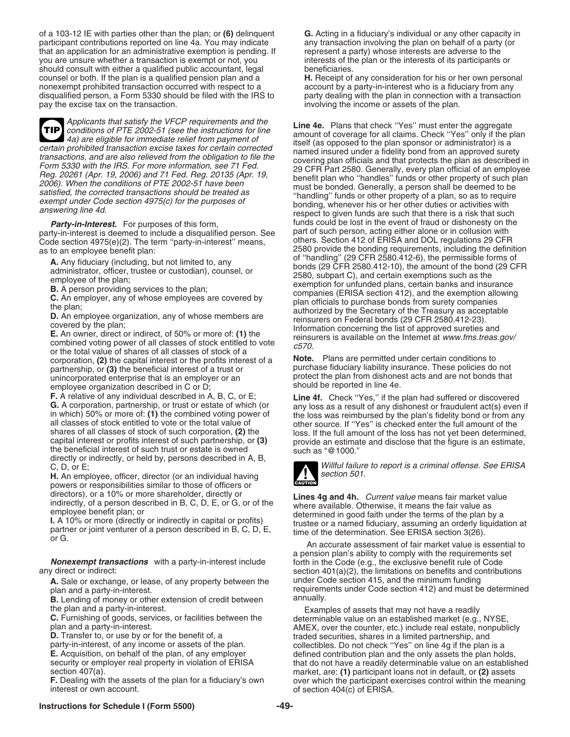of a 103-12 IE with parties other than the plan; or **(6)** delinquent **G.** Acting in a fiduciary's individual or any other capacity in participant contributions reported on line 4a. You may indicate any transaction involving the plan on behalf of a party (or that an application for an administrative exemption is pending. If represent a party) whose intere that an application for an administrative exemption is pending. If you are unsure whether a transaction is exempt or not, you interests of the plan or the interests of its participants or<br>should consult with either a qualified public accountant. legal beneficiaries. should consult with either a qualified public accountant, legal beneficiaries.<br> **H.** Receipt of any consideration for his or her own personal counsel or beneficiaries. counsel or both. If the plan is a qualified pension plan and a nonexempt prohibited transaction occurred with respect to a account by a party-in-interest who is a fiduciary from any<br>disqualified person, a Form 5330 should be filed with the IRS to party dealing with the plan in connect disqualified person, a Form 5330 should be filed with the IRS to pay the excise tax on the transaction. involving the income or assets of the plan.

Applicants that satisfy the VFCP requirements and the<br>
a) are eligible for immediate relief from payment of<br>
certain prohibited transaction excise taxes for certain corrected<br>
and insured under a fidelity bond from an anno **TIP**

party-in-interest is deemed to include a disqualified person. See part of such person, acting either alone or in collusion with Code section 4975(e)(2). The term "party-in-interest" means,

corporation, **(2)** the capital interest or the profits interest of a **Note.** Plans are permitted under certain conditions to partnership, or (3) the beneficial interest of a trust or *purchase fiduciary liability insurance*. These policies do not **(3)** the beneficial interest of a trust or *protect* the plan from dishonest acts and are not b unincorporated enterprise that is an employer or an protect the plan from dishone<br>employee organization described in C or D;<br>grad that the should be reported in line 4e. employee organization described in C or D;

directly or indirectly, or held by, persons described in A, B,

**H.** An employee, officer, director (or an individual having powers or responsibilities similar to those of officers or directors), or a 10% or more shareholder, directly or

**Nonexempt transactions** with a party-in-interest include forth in the Code (e.g., the exclusive benefit rule of Code any direct or indirect:<br>section 401(a)(2), the limitations on benefits and contribu

**A.** Sale or exchange, or lease, of any property between the plan and a party-in-interest.

**B.** Lending of money or other extension of credit between the plan and a party-in-interest.

**F.** Dealing with the assets of the plan for a fiduciary's own interest or own account.

Fransactions, and are also relieved from the obligation of the plan sponsor or administrator) is a<br>transactions, and are also relieved from the obligation to file the<br>Form 5330 with the IRS. For more information, see 71 Fe **Party-in-Interest.** For purposes of this form, **funds could be lost in the event of fraud** or dishonesty on the ty-in-interest is deemed to include a disqualified person. See part of such person, acting either alone or in as to an employee benefit plan:<br>
as to an employee benefit plan:<br>  $\frac{1}{2580}$  provide the bonding requirements, including the definition<br>
of "handling" (29 CFR 2580.412-6), the permissible forms of **A.** Any fiduciary (including, but not limited to, any<br>administrator, officer, trustee or custodian), counsel, or<br>administrator, officer, trustee or custodian), counsel, or<br>**B.** A person providing services to the plan;<br>**B** 

**F.** A relative of any individual described in A, B, C, or E;<br> **C.** A corporation, partnership, or trust or estate of which (or<br>
in which) 50% or more of: (1) the combined voting power of<br>
all classes of stock entitled to shares of all classes of stock of such corporation, (2) the loss. If the full amount of the loss has not yet been determined, capital interest or profits interest of such partnership, or (3) provide an estimate and disclos

![](_page_48_Picture_24.jpeg)

C, D, or E;<br>H. An employee officer director (or an individual having **CONTING SECTION** Section 501.

directors), or a 10% or more shareholder, directly or<br>indirectly, of a person described in B, C, D, E, or G, or of the<br>employee benefit plan; or<br>**L.** A 10% or more (directly or indirectly in capital or profits)<br>partner or

a pension plan's ability to comply with the requirements set section 401(a)(2), the limitations on benefits and contributions under Code section 415, and the minimum funding requirements under Code section 412) and must be determined annually.

the plan and a party-in-interest.<br> **C.** Furnishing of goods, services, or facilities between the<br>
plan and a party-in-interest.<br> **D.** Transfer to, or use by or for the benefit of, a<br> **D.** Transfer to, or use by or for the traded securities, shares in a limited partnership, and party-in-interest, of any income or assets of the plan. collectibles. Do not check "Yes" on line 4g if the plan is a<br>E. Acquisition, on behalf of the plan, of any employer defined contribution plan and the only assets the **E.** Acquisition, on behalf of the plan, of any employer defined contribution plan and the only assets the plan holds, security or employer real property in violation of ERISA that do not have a readily determinable value security or employer real property in violation of ERISA that do not have a readily determinable value on an established<br>market, are: (1) participant loans not in default, or (2) assets market, are: **(1)** participant loans not in default, or **(2)** assets over which the participant exercises control within the meaning of section  $404(c)$  of ERISA.

# **Instructions for Schedule I (Form 5500) -49-**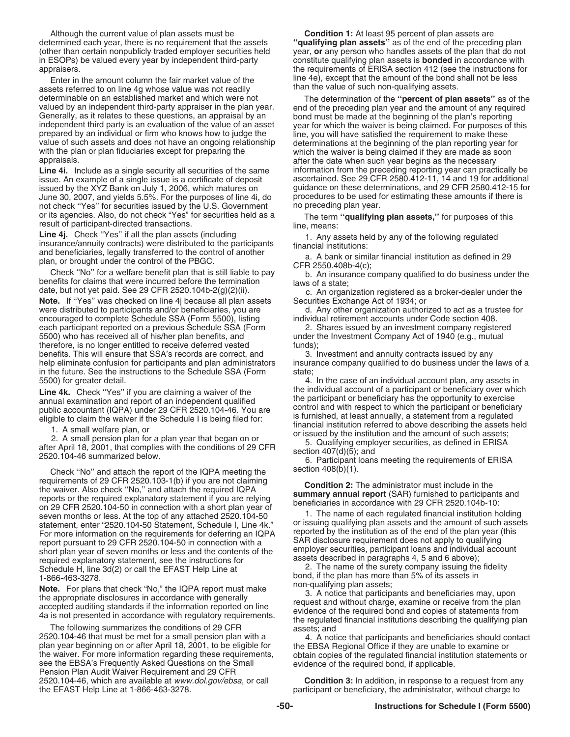determined each year, there is no requirement that the assets (other than certain nonpublicly traded employer securities held in ESOPs) be valued every year by independent third-party constitute qualifying plan assets is **bonded** in accordance with

Enter in the amount column the fair market value of the line 4e), except that the amount of the bond shall not<br>Sets referred to on line 4g whose value was not readily shall not be value of such non-qualifying assets. assets referred to on line 4g whose value was not readily<br>determinable on an established market and which were not valued by an independent third-party appraiser in the plan year. The end of the preceding plan year and the amount of any required Generally, as it relates to these questions, an appraisal by an independent third party is prepared by an individual or firm who knows how to judge the line, you will have satisfied the requirement to make these value of such assets and does not have an ongoing relationship determinations at the beginning of the value of such assets and does not have an ongoing relationship determinations at the beginning of the plan reporting year for with the plan or plan fiduciaries except for preparing the which the waiver is being claimed if they are made as soon appraisals.

issue. An example of a single issue is a certificate of deposit issued by the XYZ Bank on July 1, 2006, which matures on June 30, 2007, and yields 5.5%. For the purposes of line 4i, do procedures to be used for estimation to the U.S. Government amount of the price and the not check "Yes" for securities issued by the U.S. Government not check ''Yes'' for securities issued by the U.S. Government no preceding plan year. or its agencies. Also, do not check "Yes" for securities held as a The term "**qualifying plan assets,**" for purposes of this<br>result of participant-directed transactions. line, means:

**Line 4j.** Check "Yes" if all the plan assets (including 1. Any assets held by any of the following regulated insurance/annuity contracts) were distributed to the participants and beneficiaries, legally transferred to the

and beneficiaries, legally transferred to the control of another<br>
plan, or brought under the control of the PBGC.<br>
CFR 2550.408b-4(c);<br>
CFR 2550.408b-4(c);<br>
Let in surance company qualified to do business under the<br>
benefi **Note.** If "Yes" was checked on line 4j because all plan assets Securities Exchange Act of 1934; or were distributed to participants and/or beneficiaries, you are distributed to participants and/or beneficiaries, you are d were distributed to participants and/or beneficiaries, you are encouraged to complete Schedule SSA (Form 5500), listing individual retirement accounts under Code section 408.<br>
each participant reported on a previous Schedule SSA (Form 2. Shares issued by an investment company register each participant reported on a previous Schedule SSA (Form 5500) who has received all of his/her plan benefits, and therefore, is no longer entitled to receive deferred vested funds);<br>benefits. This will ensure that SSA's records are correct, and funds 3. Investment and annuity contracts issued by any benefits. This will ensure that SSA's records are correct, and 3. Investment and annuity contracts issued by any<br>help eliminate confusion for participants and plan administrators insurance company qualified to do business help eliminate confusion for participants and plan administrators in the future. See the instructions to the Schedule SSA (Form state;<br>5500) for greater detail. 4.

Check "No" and attach the report of the IQPA meeting the section  $408(b)(1)$ .<br>requirements of 29 CFR 2520.103-1(b) if you are not claiming requirements of 29 CFR 2520.103-1(b) if you are not claiming<br>the waiver. Also check "No," and attach the required IQPA<br>reports or the required explanatory statement if you are relying<br>on 29 CFR 2520.104-50 in connection wi seven months or less. At the top of any attached 2520.104-50 1. The name of each regulated financial institution holding<br>statement, enter "2520, 104-50. Statement, Schedule LLine 4k " 0r issuing qualifying plan assets and statement, enter "2520.104-50 Statement, Schedule I, Line 4k." or issuing qualitying plan assets and the amount of such assets and the amount of such assets and the amount of such assets and the plan year (this For more information on the requirements for deferring an IQPA reported by the institution as of the end of the plan year (the reported by the institution as of the end of the plan year (the reported by the plan year (the report pursuant to 29 CFR 2520.104-50 in connection with a SAR disclosure requirement does not apply to qualifying<br>short plan vear of seven months or less and the contents of the employer securities, participant loans and short plan year of seven months or less and the contents of the employer securities, participant loans and individual accour-<br>
required explanatory statement, see the instructions for assets described in paragraphs 4, 5 an Schedule H, line 3d(2) or call the EFAST Help Line at 1-866-463-3278.

2520.104-46 that must be met for a small pension plan with a<br>
plan year beginning on or after April 18, 2001, to be eligible for<br>
the EBSA Regional Office if they are unable to examine or<br>
the waiver. For more information 2520.104-46, which are available at www.dol.gov/ebsa, or call the EFAST Help Line at 1-866-463-3278.

Although the current value of plan assets must be **Condition 1:** At least 95 percent of plan assets are<br>termined each year, there is no requirement that the assets "qualifying plan assets" as of the end of the preceding pl year, or any person who handles assets of the plan that do not appraisers.<br>
For the appropriate the market value of the structions for the structions for the structions for the structions for<br>
For the the amount column the fair market value of the structure of the 4e), except that the

determinable on an established market and which were not<br>valued by an independent third-party appraiser in the plan year. end of the preceding plan year and the amount of any required year for which the waiver is being claimed. For purposes of this after the date when such year begins as the necessary Line 4i. Include as a single security all securities of the same information from the preceding reporting year can practically be issue. An example of a single issue is a certificate of deposit ascertained. See 29 CFR 2580 guidance on these determinations, and 29 CFR 2580.412-15 for procedures to be used for estimating these amounts if there is

under the Investment Company Act of 1940 (e.g., mutual

4. In the case of an individual account plan, any assets in **Line 4k.** Check "Yes" if you are claiming a waiver of the the individual account of a participant or beneficiary over which<br>
annual examination and report of an independent qualified<br>
public accountant (IQPA) under 29 CFR

bond, if the plan has more than 5% of its assets in non-qualifying plan assets;

**Note.** For plans that check "No," the IQPA report must make<br>the appropriate disclosures in accordance with generally<br>accepted auditing standards if the information reported on line<br>4a is not presented in accordance with r

participant or beneficiary, the administrator, without charge to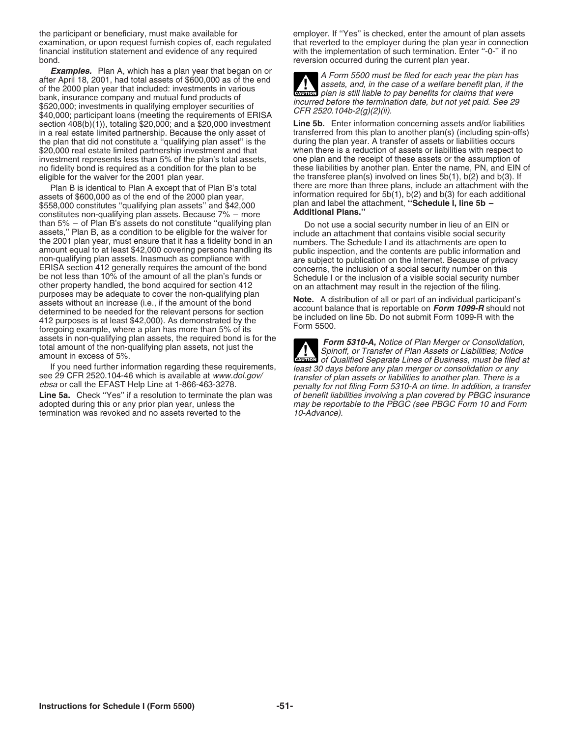examination, or upon request furnish copies of, each regulated that reverted to the employer during the plan year in connect financial institution statement and evidence of any required with the implementation of such term financial institution statement and evidence of any required bond. **reversion occurred during the current plan year.** The current plan year.

**Examples.** Plan A, which has a plan year that began on or<br>of the 2000 plan year that included: investments in various<br>bank, insurance company and mutual fund products of<br>bank, insurance company and mutual fund products of  $$40,000;$  investments in qualifying employer securities of *incurred before the termination date, but not yet paid. See 29*<br>\$40,000; participant loans (meeting the requirements of ERISA  $CFR 2520.104b-2(g)(2)(ii)$ .<br>section 40 in a real estate limited partnership. Because the only asset of transferred from this plan to another plan(s) (including spin-c<br>the plan that did not constitute a "qualifying plan asset" is the during the plan year. A tran the plan that did not constitute a "qualifying plan asset" is the during the plan year. A transfer of assets or liabilities occurs<br>\$20.000 real estate limited partnership investment and that when there is a reduction of as \$20,000 real estate limited partnership investment and that when there is a reduction of assets or liabilities with respect to investment represents less than 5% of the plan's total assets, one plan and the receipt of thes investment represents less than 5% of the plan's total assets, no fidelity bond is required as a condition for the plan to be eligible for the waiver for the 2001 plan year. the transferee plan(s) involved on lines 5b(1), b(2) and b(3). If

S558,000 constitutes "qualifying plan assets" and \$42,000<br>
\$558,000 constitutes "qualifying plan assets" and \$42,000<br>
than 5% – of Plan B's assets do not constitute "qualifying plan<br>
than 5% – of Plan B's assets do not con than 5% – of Plan B's assets do not constitute "qualifying plan<br>
ansests," Plan B, as a condition to be eligible for the waiver for<br>
the 2001 plan year, must ensure that it has a fidelity bond in an<br>
amount equal to at le

termination was revoked and no assets reverted to the

the participant or beneficiary, must make available for employer. If "Yes" is checked, enter the amount of plan assets<br>examination, or upon request furnish copies of, each regulated that reverted to the employer during the

plan is still liable to pay benefits for claims that were

section 408(b)(1)), totaling \$20,000; and a \$20,000 investment<br>in a real estate limited partnership. Because the only asset of transferred from this plan to another plan(s) (including spin-offs) these liabilities by another plan. Enter the name, PN, and EIN of Plan B is identical to Plan A except that of Plan B's total there are more than three plans, include an attachment with the<br>assets of \$600,000 as of the end of the 2000 plan year, information required for 5b(1), b(2) and b

assets in non-qualifying plan assets, the required bond is for the<br>total amount of the non-qualifying plan assets, not just the<br>amount in excess of 5%.<br>If you need further information regarding these requirements,<br>If you n **!** If you need further information regarding these requirements,<br>see 29 CFR 2520.104-46 which is available at *www.dol.gov/*<br>ebsa or call the EFAST Help Line at 1-866-463-3278.<br>Line 5a. Check "Yes" if a resolution to terminat **Line 5a.** Check "Yes" if a resolution to terminate the plan was of benefit liabilities involving a plan covered by PBGC insurance adopted during this or any prior plan year, unless the may be reportable to the PBGC (see P may be reportable to the PBGC (see PBGC Form 10 and Form<br>10-Advance).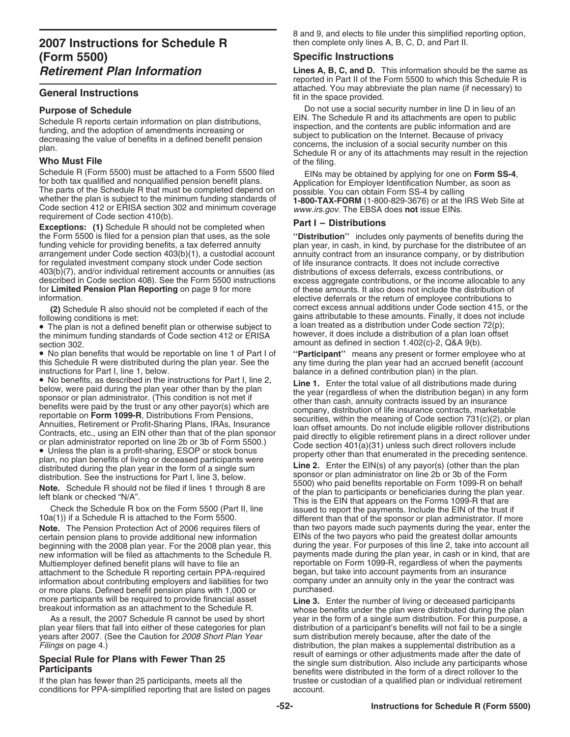Schedule R (Form 5500) must be attached to a Form 5500 filed<br>for both tax qualified and nonqualified pension benefit plans.<br>The parts of the Schedule R that must be completed depend on<br>whether the plan is subject to the mi Frequirement of Code section 410(b).<br> **Part I – Distributions**<br> **Exceptions:** (1) Schedule R should not be completed when<br>
the Form 5500 is filed for a pension plan that uses, as the sole<br> **Part I – Distributions**<br> **Part I** 

the Form 5500 is filed for a pension plan that uses, as the sole "Distribution" includes only payments of benefits during the funding vehicle for providing benefits, a tax deferred annuity plan year, in cash, in kind, by p funding vehicle for providing benefits, a tax deferred annuity plan year, in cash, in kind, by purchase for the distributee of an arrangement under Code section 403(b)(1), a custodial account annuity contract from an insur for regulated investment company stock under Code section 403(b)(7), and/or individual retirement accounts or annuities (as distributions of excess deferrals, excess contributions, or described in Code section 408). See the Form 5500 instructions excess aggregate contributions, or the income allocable to any for **Limited Pension Plan Reporting** on page 9 for more of these amounts. It also does not inclu

**(2)** Schedule R also should not be completed if each of the

• The plan is not a defined benefit plan or otherwise subject to a loan treated as a distribution under Code section 72(p);<br>the minimum funding standards of Code section 412 or FBISA bowever, it does include a distribution the minimum funding standards of Code section 412 or ERISA section 302. **amount as defined in section 1.402(c)-2, Q&A 9(b).** amount as defined in section 1.402(c)-2, Q&A 9(b).

• No plan benefits that would be reportable on line 1 of Part I of "**Participant**" means any present or former employee who at this Schedule R were distributed during the plan year. See the any time during the plan year ha

beginning with the 2008 plan year. For the 2008 plan year, this new information will be filed as attachments to the Schedule R. attachment to the Schedule R reporting certain PPA-required began, but take into account payments from an insurance<br>information about contributing employers and liabilities for two company under an annuity only in the year information about contributing employers and liabilities for two company under more plans. Defined benefit pension plans with 1,000 or purchased. or more plans. Defined benefit pension plans with 1,000 or more participants will be required to provide financial asset

plan year filers that fall into either of these categories for plan distribution of a participant's benefits will not fail to be vears after the date of the vears after the date of the vears after the date of the years after 2007. (See the Caution for *2008 Short Plan Year* sum distribution merely beause. Filings on page

conditions for PPA-simplified reporting that are listed on pages

8 and 9, and elects to file under this simplified reporting option, then complete only lines A, B, C, D, and Part II.

**Retirement Plan Information Lines A, B, C, and D.** This information should be the same as reported in Part II of the Form 5500 to which this Schedule R is **attached.** You may abbreviate the plan name (if necessary) to **General Instructions** fit in the space provided.

**Purpose of Schedule**<br>
Do not use a social security number in line D in lieu of an<br>
EIN. The Schedule R and its attachments are open to public Schedule R reports certain information on plan distributions,<br>
funding, and the adoption of amendments increasing or<br>
decreasing the value of benefits in a defined benefit pension<br>
plan.<br> **Who Must File**<br>
Who Must File<br>
Wh

annuity contract from an insurance company, or by distribution of life insurance contracts. It does not include corrective of these amounts. It also does not include the distribution of information.<br>(2) Schedule Balso should not be completed if each of the correct excess annual additions under Code section 415, or the following conditions is met:<br>
• The plan is not a defined benefit plan or otherwise subject to a loan treated as a distribution under Code section 72(p);

this Schedule R were distributed during the plan year. See the any time during the plan year had an accrued benefit (account instructions for Part I, line 1, below.

instructions for Part I, line 1, below.<br>
• No benefits, as described in the instructions for Part I, line 2,<br>
• No benefits were paid during the plan year other than by the plan<br>
below, were paid during the plan year other

distributed during the plan year in the form of a single sum<br>distribution. See the instructions for Part I, line 3, below. sponsor or plan administrator on line 2b or 3b of the Form<br>Note a Caback is Debauld not be filed if **Note.** Schedule R should not be filed if lines 1 through 8 are<br>left blank or checked "N/A".<br>Check the Schedule R box on the Form 5500 (Part II, line<br>Check the Schedule R box on the Form 5500 (Part II, line<br>is is the EN th Check the Schedule R box on the Form 5500 (Part II, line issued to report the payments. Include the EIN of the trust if<br>10a(1)) if a Schedule R is attached to the Form 5500. different than that of the sponsor or plan admin **Note.** The Pension Protection Act of 2006 requires filers of than two payors made such payments during the year, enter the certain pension plans to provide additional new information EINs of the two payors who paid the gr EINs of the two payors who paid the greatest dollar amounts during the year. For purposes of this line 2, take into account all new information will be filed as attachments to the Schedule R. payments made during the plan year, in cash or in kind, that are<br>Multiemployer defined benefit plans will have to file an reportable on Form 1099-R, regardles reportable on Form 1099-R, regardless of when the payments began, but take into account payments from an insurance

more participants will be required to provide financial asset<br>breakout information as an attachment to the Schedule R. Whose benefits under the plan were distributed during the plan As a result, the 2007 Schedule R cannot be used by short year in the form of a single sum distribution. For this purpose, a<br>In year filers that fall into either of these categories for plan distribution of a participant's distribution, the plan makes a supplemental distribution as a result of earnings or other adjustments made after the date of Special Rule for Plans with Fewer Than 25<br>Participants<br>If the plan has fewer than 25 participants, meets all the structure of the single sum distribution. Also include any participants whose<br>If the plan has fewer than 25 p trustee or custodian of a qualified plan or individual retirement account.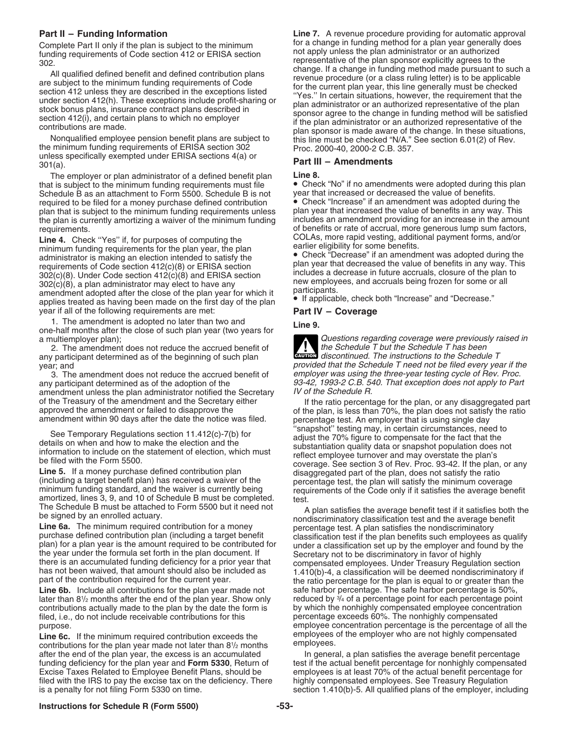Complete Part II only if the plan is subject to the minimum for a change in funding method for a plan year generally<br>funding requirements of Code section 412 or EBISA section for apply unless the plan administrator or an a

The employer or plan administrator of a defined benefit plan **Line 8.**<br>It is subject to the minimum funding requirements must file **Check "No"** if no amendments were adopted during this plan that is subject to the minimum funding requirements must file  $\bullet$  Check "No" if no amendments were adopted during Schedule B as an attachment to Form 5500. Schedule B is not year that increased or decreased the value of b Schedule B as an attachment to Form 5500. Schedule B is not year that increased or decreased the value of benefits.<br>
required to be filed for a money purchase defined contribution • Check "Increase" if an amendment was ado required to be filed for a money purchase defined contribution • Check "Increase" if an amendment was adopted during the<br>plan that is subject to the minimum funding requirements unless plan year that increased the value of plan that is subject to the minimum funding requirements unless plan year that increased the value of benefits in any way. This<br>the plan is currently amortizing a waiver of the minimum funding includes an amendment providi the plan is currently amortizing a waiver of the minimum funding

Line 4. Check "Yes" if, for purposes of computing the COLAS, more rapid vesting, additional payment for the plan minimum funding requirements for the plan year, the plan earlier eligibility for some benefits.<br>administrator is making an election intended to satisfy the Check "Decrease" if an amendment was adopted during the administrator is making an election intended to satisfy the<br>requirements of Code section 412(c)(8) or ERISA section<br>302(c)(8). Under Code section 412(c)(8) and ERISA section<br>302(c)(8), a plan administrator may elect to hav year if all of the following requirements are met: **Part IV – Coverage**

1. The amendment is adopted no later than two and one-half months after the close of such plan year (two years for<br>a multiemployer plan);

2. The amendment does not reduce the accrued benefit of any participant determined as of the beginning of such plan

any participant determined as of the adoption of the  $93-42$ , 1993-2 C.B. 540. That exception does not apply to Part amendment unless the plan administrator potitied the Secretary  $\frac{1}{2}$  IV of the Schedule R. amendment unless the plan administrator notified the Secretary

Line 6b. Include all contributions for the plan year made not safe harbor percentage. The safe harbor percentage is 50%,<br>later than 8<sup>1</sup>/<sub>2</sub> months after the end of the plan year. Show only reduced by <sup>3/</sup><sub>4</sub> of a percenta later than 8 $\frac{1}{2}$  months after the end of the plan year. Show only and reduced by  $\frac{3}{4}$  of a percentage point for each percentage point contributions actually made to the plan by the date the form is by which the nonhighly compensated employee concentration filed, i.e., do not include receivable contributions for this percentage exceeds 60%. The nonhighly compensated

contributions for the plan year made not later than 81/2 months employees. after the end of the plan year, the excess is an accumulated In general, a plan satisfies the average benefit percentage funding deficiency for the plan year and **Form 5330**, Return of test if the actual benefit percentage Excise Taxes Related to Employee Benefit Plans, should be employees is at least 70% of the actual benefit percentage for filed with the IRS to pay the excise tax on the deficiency. There highly compensated employees. See T filed with the IRS to pay the excise tax on the deficiency. There highly compensated employees. See Treasury Regulation is a penalty for not filing Form 5330 on time.

**Part II – Funding Information**<br>Complete Part II only if the plan is subject to the minimum for a change in funding method for a plan year generally does funding requirements of Code section 412 or ERISA section<br>
202.<br>
All qualified defined benefit and defined contribution plans<br>
are subject to the minimum funding requirements of Code<br>
are subject to the minimum funding req

requirements.<br> **Line 4** Check "Yes" if for purposes of computing the COLAs, more rapid vesting, additional payment forms, and/or

Questions regarding coverage were previously raised in the Schedule T but the Schedule T has been **ENTION** discontinued. The instructions to the Schedule T year; and provided that the Schedule T need not be filed every year if the 3. The amendment does not reduce the accrued benefit of employer was using the three-year testing cycle of Rev. Proc.

of the Treasury of the amendment and the Secretary either and the secretary either approved the amendment or failed to disapprove the amendment or failed to disapprove the amendment within 90 days after the date the notice See Temporary Regulations section 11.412(c)-7(b) for<br>details on when and how to make the election and the<br>information to include on the statement of election, which must<br>be filed with the Form 5500.<br>Line 5. If a money purc

The Schedule B must be attached to Form 5500 but it need not<br>
be signed by an enrolled actuary.<br> **Line 6a.** The minimum required contribution for a money<br>
purchase defined contribution plan (including a target benefit<br>
pla purpose. employee concentration percentage is the percentage of all the Line 6c. If the minimum required contribution exceeds the employees of the employer who are not highly compensated<br>contributions for the plan year made not later than 8<sup>1</sup>/<sub>2</sub> months employees.

> test if the actual benefit percentage for nonhighly compensated section 1.410(b)-5. All qualified plans of the employer, including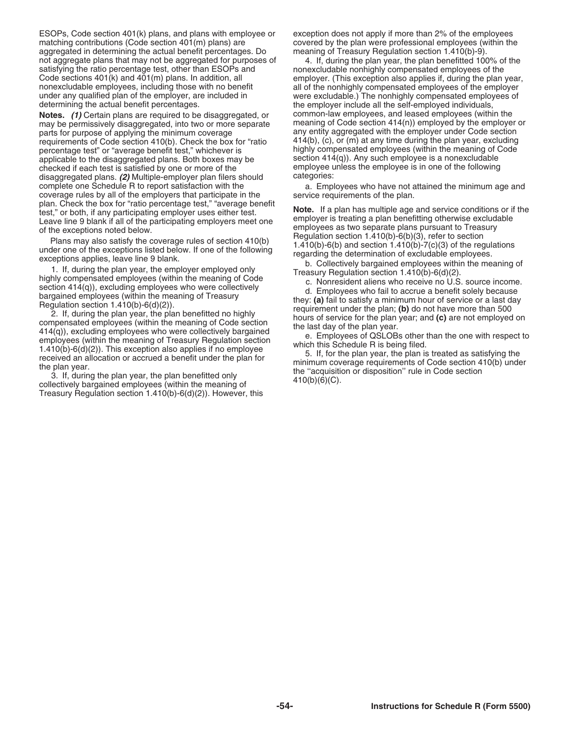ESOPs, Code section 401(k) plans, and plans with employee or exception does not apply if more than 2% of the employees aggregated in determining the actual benefit percentages. Do not aggregate plans that may not be aggregated for purposes of 4. If, during the plan year, the plan benefitted 100% of the satisfying the ratio percentage test, other than ESOPs and nonexcludable nonhighly compensated employees of the<br>Code sections 401(k) and 401(m) plans. In addition, all employer. (This exception also applies if, during the nonexcludable employees, including those with no benefit all of the nonhighly compensated employees of the employer<br>under any qualified plan of the employer, are included in were excludable.) The nonhighly compensated empl determining the actual benefit percentages. The employer include all the self-employed individuals,

**Notes.** (1) Certain plans are required to be disaggregated, or common-law employees, and leased employees (within the may be permissively disaggregated, into two or more separate meaning of Code section 414(n)) employed b may be permissively disaggregated, into two or more separate meaning of Code section 414(n)) employed by the employer<br>parts for purpose of applying the minimum coverage same any entity aggregated with the employer under Co parts for purpose of applying the minimum coverage any entity aggregated with the employer under Code section<br>
requirements of Code section 410(b). Check the box for "ratio 414(b), (c), or (m) at any time during the plan y requirements of Code section 410(b). Check the box for "ratio 414(b), (c), or (m) at any time during the plan year, excluding<br>percentage test" or "average benefit test." whichever is highly compensated employees (within th percentage test" or "average benefit test," whichever is applicable to the disaggregated plans. Both boxes may be section 414(q)). Any such employee is a nonexcludable<br>checked if each test is satisfied by one or more of the employee unless the employee is in one of the following checked if each test is satisfied by one or more of the employee unless the employee unless the employee unless the employee unless the employee is in one of the following employee is: disaggregated plans. (2) Multiple-employer plan filers should complete one Schedule R to report satisfaction with the a. Employees who have not attained the minimum age and coverage rules by all of the employers that participate in the service requirements of the plan.<br>
plan. Check the box for "ratio percentage test," "average benefit

plan. Check the box or "ratio percentage test," "average tensel" and spain as multiple age and service conditions or if the back in the weaptions noted below.<br>
Leave line 9 blank if all of the participating employer uses

Treasury Regulation section 1.410(b)-6(d)(2)). However, this

covered by the plan were professional employees (within the meaning of Treasury Regulation section 1.410(b)-9).

employer. (This exception also applies if, during the plan year, were excludable.) The nonhighly compensated employees of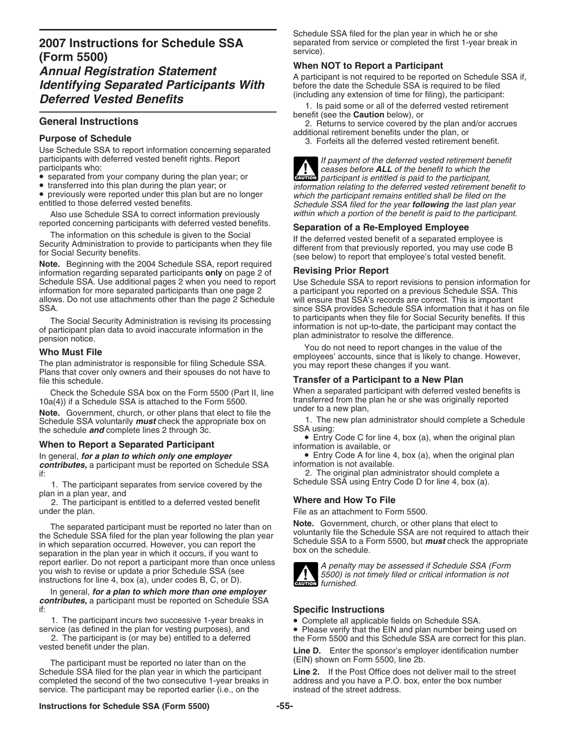# **2007 Instructions for Schedule SSA** separate<br>(Farme FFOO) **(Form 5500)**<br> **Annual Registration Statement**<br> *Mentifying Separated Participants With* A participant is not required to be reported on Schedule SSA if,<br> **Identifying Separated Participants With** before the date the Sch Identifying Separated Participants With before the date the Schedule SSA is required to be filed<br> **Deferred Vested Benefits** (including any extension of time for filing), the participant:

Use Schedule SSA to report information concerning separated

- 
- 

Also use Schedule SSA to correct information previously reported concerning participants with deferred vested benefits.

information for more separated participants than one page 2 a participant you reported on a previous Schedule SSA. This is important<br>allows. Do not use attachments other than the page 2 Schedule will ensure that SSA's reco SSA. SSA provides Schedule SSA provides Schedule SSA information that it has on file

Who Must File<br>The plan administrator is responsible for filing Schedule SSA.<br>Plans that cover only owners and their spouses do not have to<br>file this schedule.<br>Transfer of a Participant to a New Plan

Check the Schedule SSA box on the Form 5500 (Part II, line When a separated participant with deferred vested benefits is<br>10a(4)) if a Schedule SSA is attached to the Form 5500. It ansferred from the plan he or she was orig

Note. Government, church, or other plans that elect to file the Schedule SSA voluntarily *must* check the appropriate box on 1. The new plan administrator should complete a Schedule the schedule and complete lines 2 through 3c.

*contributes,* a participant must be reported on Schedule SSA if:

1. The participant separates from service covered by the plan in a plan year, and

2. The participant is entitled to a deferred vested benefit<br>
The as an attachment to For<br>
File as an attachment to For

The separated participant must be reported no later than on<br>the Schedule SSA filed for the plan year following the plan year<br>in which separation occurred. However, you can report the<br>separation in the plan year in which it report earlier. Do not report a participant more than once unless<br>you wish to revise or update a prior Schedule SSA (see<br>instructions for line 4, box (a), under codes B, C, or D).

In general, *for a plan to which more than one employer contributes,* a participant must be reported on Schedule SSA

1. The participant incurs two successive 1-year breaks in • Complete all applicable fields on Schedule SSA.<br>service (as defined in the plan for vesting purposes), and • Please verify that the EIN and plan number being

2. The participant is (or may be) entitled to a deferred the Form 5500 and this Schedule SSA are correct for this plan.<br>I ine D Fotor the sponsor's employer identification number

The participant must be reported no later than on the Schedule SSA filed for the plan year in which the participant **Line 2.** If the Post Office does not deliver mail to the street completed the second of the two consecutive 1-year breaks in address and you have a P.O. box, e service. The participant may be reported earlier (i.e., on the

Schedule SSA filed for the plan year in which he or she separated from service or completed the first 1-year break in

**Deferred Vested Benefits**<br> **External of the deferred vested retirement**<br> **External of the deferred vested retirement**<br> **External of the deferred vested retirement**<br> **External of the deferred vested retirement**<br> **External** 

**beneral Instructions**<br>
2. Returns to service covered by the plan and/or accrues<br>
additional retirement benefits under the plan, or

additional retirement benefits under the plan, or **Purpose of Schedule** 3. Forfeits all the deferred vested retirement benefit.

![](_page_54_Picture_30.jpeg)

participants with deferred vested benefit rights. Report for the payment of the deferred vested retirement benefit<br>
participants who:<br>
Separated from your company during the plan year; or<br>
Separated from your company durin • transferred into this plan during the plan year; or<br>
• previously were reported under this plan but are no longer<br>
• previously were reported under this plan but are no longer<br>
• previously were reported under this plan

reported concerning participants with deferred vested benefits.<br>
The information on this schedule is given to the Social<br>
Security Administration to provide to participants when they file<br>
for Social Security benefits.<br>
No

Schedule SSA. Use additional pages 2 when you need to report Use Schedule SSA to report revisions to pension information for<br>information for more separated participants than one page 2 aparticipant you reported on a previo will ensure that SSA's records are correct. This is important The Social Security Administration is revising its processing<br>of participant plan data to avoid inaccurate information in the<br>pension notice.<br>Whe Must File<br>Must File<br>Must File<br>of the pension notice.<br>Note that the participa

# **Transfer of a Participant to a New Plan**

transferred from the plan he or she was originally reported under to a new plan,

**SSA USING 2018 Vertex 2 through 3c. • Entry Code C for line 4, box (a), when the original plan When to Report a Separated Participant information is available, or** 

In general, **for a plan to which only one employer** • Entry Code A for line 4, box (a), when the original plan **contributes.** a participant must be reported on Schedule SSA information is not available.

2. The original plan administrator should complete a Schedule SSA using Entry Code D for line 4, box (a).

File as an attachment to Form 5500.

![](_page_54_Picture_46.jpeg)

**ENUTION** furnished.

# **Specific Instructions**

vice (as defined in the plan for vesting purposes), and • Please verify that the EIN and plan number being used on<br>2. The participant is (or may be) entitled to a deferred the Form 5500 and this Schedule SSA are correct fo

Line D. Enter the sponsor's employer identification number (EIN) shown on Form 5500, line 2b.

address and you have a P.O. box, enter the box number instead of the street address.

# **Instructions for Schedule SSA (Form 5500) -55-**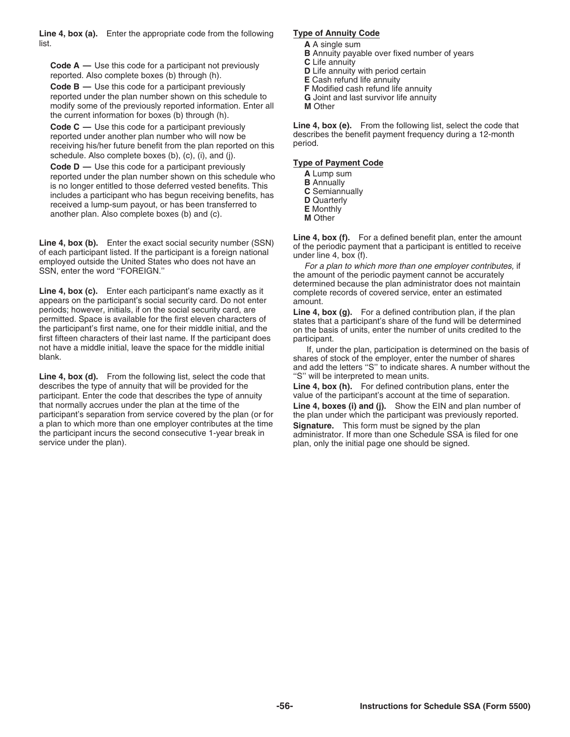**Line 4, box (a).** Enter the appropriate code from the following **Type of Annuity Code** list. **A** A single sum

Code A — Use this code for a participant not previously<br>
reported. Also complete boxes (b) through (h).<br>
Code B — Use this code for a participant previously<br>
Code B — Use this code for a participant previously<br>
F Modified

reported under the plan number shown on this schedule to **G** Joint and last survivor life annuity<br>modify some of the previously reported information. Enter all **M** Other modify some of the previously reported information. Enter all the current information for boxes (b) through (h).

reported under another plan number who will now be describer of the benefit from the plan reported on this period. receiving his/her future benefit from the plan reported on this

schedule. Also complete boxes (b), (c), (i), and (j).<br> **Code D** — Use this code for a participant previously<br> **Code D** — Use this code for a participant previously<br> **Code D** — Use this code for a participant previously<br> **A** reported under the plan number shown on this schedule who **A** Lump sum is a larger strike the sum **B** Annually is no longer entitled to those deferred vested benefits. This<br>
includes a participant who has begun receiving benefits, has<br>
received a lump-sum payout, or has been transferred to<br> **D** Quarterly<br> **E** Monthly<br> **E** Monthly<br>

**Line 4, box (f).** Enter the amount<br>of each participant listed. If the participant is a foreign national<br>employed outside the United States who does not have an<br>SSN, enter the word "FOREIGN." for a plan to which more than

appears on the participant's social security card. Do not enter periods; however, initials, if on the social security card, are periods; nowever, initials, if on the social security card, are<br>permitted. Space is available for the first eleven characters of<br>the participant's share of the fund will be determined<br>the participant's first name, one for first fifteen characters of their last name. If the participant does not have a middle initial, leave the space for the middle initial.

**Line 4, box (d).** From the following list, select the code that describes the type of annuity that will be provided for the **Line 4, box (h).** For defined contribution plans, enter the participant. Enter the code that describes the type of annuity value of the participant's account at the time of separation. that normally accrues under the plan at the time of the **Line 4, boxes (i) and (j).** Show the EIN and plan number of participant's separation from service covered by the plan (or for the plan under which the participant wa participant's separation from service covered by the plan (or for a plan to which more than one employer contributes at the time a plan to which more than one employer contributes at the time<br>the participant incurs the second consecutive 1-year break in<br>service under the plan).<br>service under the plan).

- 
- **B** Annuity payable over fixed number of years **C** Life annuity
- 
- 
- 
- 
- 
- 

**Code C** — Use this code for a participant previously **Line 4, box (e).** From the following list, select the code that reported under another plan number who will now be describes the benefit payment frequency during a 12-

- 
- 
- 
- 
- 
- 

determined because the plan administrator does not maintain<br>**Line 4, box (c).** Enter each participant's name exactly as it<br>amount. complete records of covered service, enter an estimated<br>amount.

not have a middle initial, leave the space for the middle initial If, under the plan, participation is determined on the basis of blank.<br>Blank. shares of stock of the employer, enter the number of shares and add the letters "S" to indicate shares. A number without the "S" will be interpreted to mean units.

plan, only the initial page one should be signed.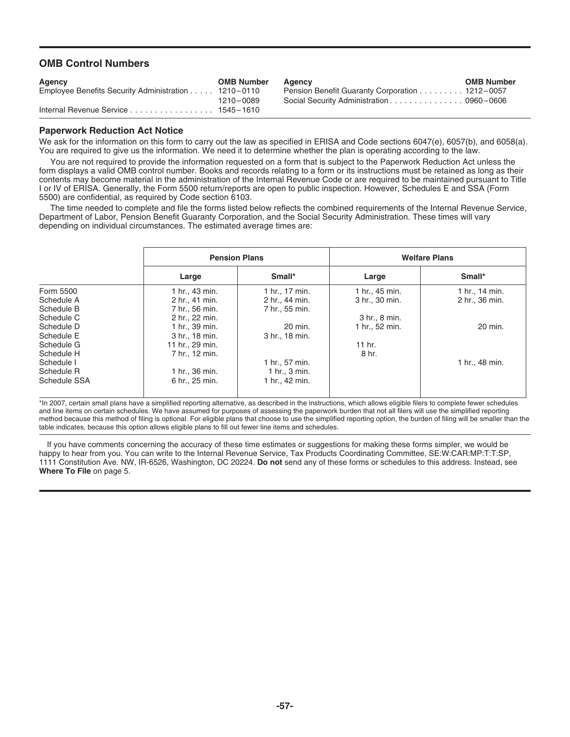# **OMB Control Numbers**

| <b>Agency</b><br>Employee Benefits Security Administration 1210-0110 | <b>OMB Number</b> | Agency<br><b>Pension Benefit Guaranty Corporation  1212-0057</b> | <b>OMB Number</b> |
|----------------------------------------------------------------------|-------------------|------------------------------------------------------------------|-------------------|
|                                                                      | 1210-0089         | Social Security Administration 0960-0606                         |                   |
| Internal Revenue Service 1545–1610                                   |                   |                                                                  |                   |

# **Paperwork Reduction Act Notice**

We ask for the information on this form to carry out the law as specified in ERISA and Code sections 6047(e), 6057(b), and 6058(a). You are required to give us the information. We need it to determine whether the plan is operating according to the law.

You are not required to provide the information requested on a form that is subject to the Paperwork Reduction Act unless the form displays a valid OMB control number. Books and records relating to a form or its instructions must be retained as long as their contents may become material in the administration of the Internal Revenue Code or are required to be maintained pursuant to Title I or IV of ERISA. Generally, the Form 5500 return/reports are open to public inspection. However, Schedules E and SSA (Form 5500) are confidential, as required by Code section 6103.

The time needed to complete and file the forms listed below reflects the combined requirements of the Internal Revenue Service, Department of Labor, Pension Benefit Guaranty Corporation, and the Social Security Administration. These times will vary depending on individual circumstances. The estimated average times are:

|              | <b>Pension Plans</b> |                | <b>Welfare Plans</b> |                |  |  |
|--------------|----------------------|----------------|----------------------|----------------|--|--|
|              | Large                | Small*         | Large                | Small*         |  |  |
| Form 5500    | 1 hr., 43 min.       | 1 hr., 17 min. | 1 hr., 45 min.       | 1 hr., 14 min. |  |  |
| Schedule A   | 2 hr., 41 min.       | 2 hr., 44 min. | 3 hr., 30 min.       | 2 hr., 36 min. |  |  |
| Schedule B   | 7 hr., 56 min.       | 7 hr., 55 min. |                      |                |  |  |
| Schedule C   | 2 hr., 22 min.       |                | 3 hr., 8 min.        |                |  |  |
| Schedule D   | 1 hr., 39 min.       | 20 min.        | 1 hr., 52 min.       | 20 min.        |  |  |
| Schedule E   | 3 hr., 18 min.       | 3 hr., 18 min. |                      |                |  |  |
| Schedule G   | 11 hr., 29 min.      |                | $11$ hr.             |                |  |  |
| Schedule H   | 7 hr., 12 min.       |                | 8 hr.                |                |  |  |
| Schedule I   |                      | 1 hr., 57 min. |                      | 1 hr., 48 min. |  |  |
| Schedule R   | 1 hr., 36 min.       | 1 hr., 3 min.  |                      |                |  |  |
| Schedule SSA | 6 hr., 25 min.       | 1 hr., 42 min. |                      |                |  |  |

\*In 2007, certain small plans have a simplified reporting alternative, as described in the instructions, which allows eligible filers to complete fewer schedules and line items on certain schedules. We have assumed for purposes of assessing the paperwork burden that not all filers will use the simplified reporting method because this method of filing is optional. For eligible plans that choose to use the simplified reporting option, the burden of filing will be smaller than the table indicates, because this option allows eligible plans to fill out fewer line items and schedules.

If you have comments concerning the accuracy of these time estimates or suggestions for making these forms simpler, we would be happy to hear from you. You can write to the Internal Revenue Service, Tax Products Coordinating Committee, SE:W:CAR:MP:T:T:SP, 1111 Constitution Ave. NW, IR-6526, Washington, DC 20224. **Do not** send any of these forms or schedules to this address. Instead, see **Where To File** on page 5.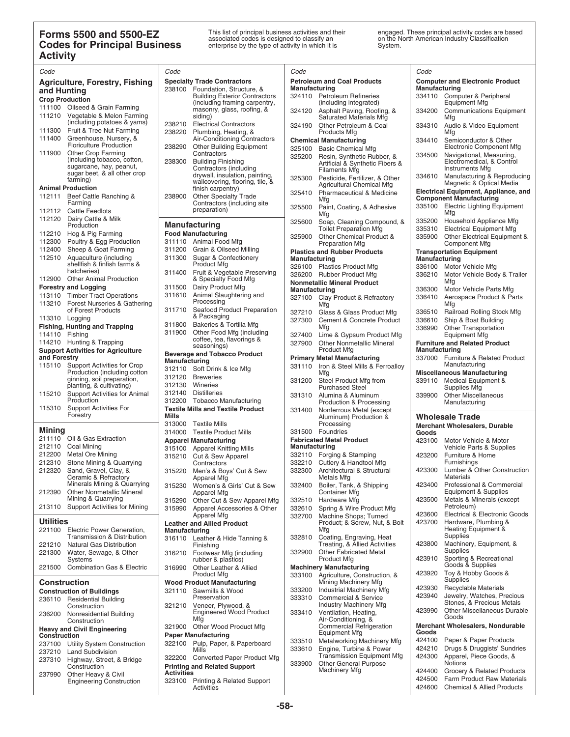# **Forms 5500 and 5500-EZ**<br>
This list of principal business activities and their engaged. These principal activity codes are based<br> **Codes for Principal Business** enterprise by the type of activity in which it is System.<br>
Sy **Activity**

| Code                   |                                                                  | Code              |                                                                       | Code                    |                                                               | Code             |                                                                      |
|------------------------|------------------------------------------------------------------|-------------------|-----------------------------------------------------------------------|-------------------------|---------------------------------------------------------------|------------------|----------------------------------------------------------------------|
|                        | Agriculture, Forestry, Fishing                                   |                   | <b>Specialty Trade Contractors</b>                                    |                         | <b>Petroleum and Coal Products</b>                            |                  | <b>Computer and Electronic Product</b>                               |
| and Hunting            |                                                                  | 238100            | Foundation, Structure, &                                              | Manufacturing           | 324110 Petroleum Refineries                                   | Manufacturing    |                                                                      |
| <b>Crop Production</b> |                                                                  |                   | <b>Building Exterior Contractors</b><br>(including framing carpentry, |                         | (including integrated)                                        |                  | 334110 Computer & Peripheral<br>Equipment Mfg                        |
|                        | 111100 Oilseed & Grain Farming                                   |                   | masonry, glass, roofing, &                                            | 324120                  | Asphalt Paving, Roofing, &                                    | 334200           | <b>Communications Equipment</b>                                      |
|                        | 111210 Vegetable & Melon Farming<br>(including potatoes & yams)  |                   | siding)                                                               |                         | <b>Saturated Materials Mfg</b>                                |                  | Mfg                                                                  |
|                        | 111300 Fruit & Tree Nut Farming                                  | 238210<br>238220  | <b>Electrical Contractors</b><br>Plumbing, Heating, &                 | 324190                  | Other Petroleum & Coal<br>Products Mfg                        | 334310           | Audio & Video Equipment<br>Mfg                                       |
|                        | 111400 Greenhouse, Nursery, &                                    |                   | Air-Conditioning Contractors                                          |                         | <b>Chemical Manufacturing</b>                                 | 334410           | Semiconductor & Other                                                |
|                        | <b>Floriculture Production</b>                                   | 238290            | <b>Other Building Equipment</b>                                       | 325100                  | <b>Basic Chemical Mfg</b>                                     |                  | Electronic Component Mfg                                             |
| 111900                 | <b>Other Crop Farming</b><br>(including tobacco, cotton,         |                   | Contractors                                                           |                         | 325200 Resin, Synthetic Rubber, &                             | 334500           | Navigational, Measuring,                                             |
|                        | sugarcane, hay, peanut,                                          | 238300            | <b>Building Finishing</b><br>Contractors (including                   |                         | Artificial & Synthetic Fibers &                               |                  | Electromedical, & Control<br><b>Instruments Mfg</b>                  |
|                        | sugar beet, & all other crop                                     |                   | drywall, insulation, painting,                                        | 325300                  | Filaments Mfg<br>Pesticide, Fertilizer, & Other               | 334610           | Manufacturing & Reproducing                                          |
|                        | farming)<br><b>Animal Production</b>                             |                   | wallcovering, flooring, tile, &<br>finish carpentry)                  |                         | Agricultural Chemical Mfg                                     |                  | Magnetic & Optical Media                                             |
| 112111                 | Beef Cattle Ranching &                                           | 238900            | <b>Other Specialty Trade</b>                                          | 325410                  | <b>Pharmaceutical &amp; Medicine</b>                          |                  | Electrical Equipment, Appliance, and                                 |
|                        | Farming                                                          |                   | Contractors (including site                                           |                         | Mfg                                                           |                  | <b>Component Manufacturing</b><br>335100 Electric Lighting Equipment |
|                        | 112112 Cattle Feedlots                                           |                   | preparation)                                                          | 325500                  | Paint, Coating, & Adhesive<br>Mfg                             |                  | Mfg                                                                  |
| 112120                 | Dairy Cattle & Milk                                              |                   |                                                                       | 325600                  | Soap, Cleaning Compound, &                                    | 335200           | Household Appliance Mfg                                              |
|                        | Production<br>112210 Hog & Pig Farming                           |                   | <b>Manufacturing</b><br><b>Food Manufacturing</b>                     |                         | <b>Toilet Preparation Mfg</b>                                 | 335310           | <b>Electrical Equipment Mfg</b>                                      |
|                        | 112300 Poultry & Egg Production                                  |                   | 311110 Animal Food Mfg                                                | 325900                  | Other Chemical Product &                                      | 335900           | Other Electrical Equipment &                                         |
| 112400                 | Sheep & Goat Farming                                             | 311200            | Grain & Oilseed Milling                                               |                         | <b>Preparation Mfg</b><br><b>Plastics and Rubber Products</b> |                  | <b>Component Mfg</b><br><b>Transportation Equipment</b>              |
|                        | 112510 Aquaculture (including                                    | 311300            | Sugar & Confectionery                                                 | Manufacturing           |                                                               | Manufacturing    |                                                                      |
|                        | shellfish & finfish farms &<br>hatcheries)                       |                   | <b>Product Mfg</b>                                                    |                         | 326100 Plastics Product Mfg                                   | 336100           | Motor Vehicle Mfg                                                    |
|                        | 112900 Other Animal Production                                   |                   | 311400 Fruit & Vegetable Preserving<br>& Specialty Food Mfg           |                         | 326200 Rubber Product Mfg                                     | 336210           | Motor Vehicle Body & Trailer                                         |
|                        | <b>Forestry and Logging</b>                                      | 311500            | Dairy Product Mfg                                                     |                         | <b>Nonmetallic Mineral Product</b>                            |                  | Mfg                                                                  |
|                        | 113110 Timber Tract Operations                                   | 311610            | Animal Slaughtering and                                               | Manufacturing<br>327100 | Clay Product & Refractory                                     | 336300<br>336410 | Motor Vehicle Parts Mfg<br>Aerospace Product & Parts                 |
|                        | 113210 Forest Nurseries & Gathering                              |                   | Processing                                                            |                         | Mfa                                                           |                  | Mfg                                                                  |
|                        | of Forest Products                                               | 311710            | Seafood Product Preparation                                           | 327210                  | Glass & Glass Product Mfg                                     | 336510           | Railroad Rolling Stock Mfg                                           |
| 113310 Logging         |                                                                  | 311800            | & Packaging<br>Bakeries & Tortilla Mfg                                | 327300                  | <b>Cement &amp; Concrete Product</b>                          | 336610           | Ship & Boat Building                                                 |
| 114110 Fishing         | <b>Fishing, Hunting and Trapping</b>                             | 311900            | Other Food Mfg (including                                             |                         | Mfg                                                           | 336990           | <b>Other Transportation</b><br><b>Equipment Mfg</b>                  |
|                        | 114210 Hunting & Trapping                                        |                   | coffee, tea, flavorings &                                             | 327400<br>327900        | Lime & Gypsum Product Mfg<br><b>Other Nonmetallic Mineral</b> |                  | <b>Furniture and Related Product</b>                                 |
|                        | <b>Support Activities for Agriculture</b>                        |                   | seasonings)                                                           |                         | Product Mfg                                                   | Manufacturing    |                                                                      |
| and Forestry           |                                                                  | Manufacturing     | <b>Beverage and Tobacco Product</b>                                   |                         | <b>Primary Metal Manufacturing</b>                            |                  | 337000 Furniture & Related Product                                   |
|                        | 115110 Support Activities for Crop                               |                   | 312110 Soft Drink & Ice Mfg                                           | 331110                  | Iron & Steel Mills & Ferroalloy                               |                  | Manufacturing                                                        |
|                        | Production (including cotton<br>ginning, soil preparation,       |                   | 312120 Breweries                                                      | 331200                  | Mfg<br>Steel Product Mfg from                                 | 339110           | <b>Miscellaneous Manufacturing</b><br>Medical Equipment &            |
|                        | planting, & cultivating)                                         |                   | 312130 Wineries                                                       |                         | <b>Purchased Steel</b>                                        |                  | Supplies Mfg                                                         |
| 115210                 | Support Activities for Animal                                    | 312140            | <b>Distilleries</b>                                                   | 331310                  | Alumina & Aluminum                                            | 339900           | <b>Other Miscellaneous</b>                                           |
| 115310                 | Production<br><b>Support Activities For</b>                      |                   | 312200 Tobacco Manufacturing                                          |                         | Production & Processing                                       |                  | Manufacturing                                                        |
|                        | Forestry                                                         | Mills             | <b>Textile Mills and Textile Product</b>                              | 331400                  | Nonferrous Metal (except<br>Aluminum) Production &            |                  | <b>Wholesale Trade</b>                                               |
|                        |                                                                  |                   | 313000 Textile Mills                                                  |                         | Processing                                                    |                  | <b>Merchant Wholesalers, Durable</b>                                 |
| <b>Mining</b>          |                                                                  |                   | 314000 Textile Product Mills                                          |                         | 331500 Foundries                                              | Goods            |                                                                      |
| 211110                 | Oil & Gas Extraction                                             |                   | <b>Apparel Manufacturing</b>                                          |                         | <b>Fabricated Metal Product</b>                               | 423100           | Motor Vehicle & Motor                                                |
| 212110<br>212200       | Coal Mining<br>Metal Ore Mining                                  | 315100            | <b>Apparel Knitting Mills</b>                                         | Manufacturing           | 332110 Forging & Stamping                                     | 423200           | Vehicle Parts & Supplies<br>Furniture & Home                         |
| 212310                 | Stone Mining & Quarrying                                         |                   | 315210 Cut & Sew Apparel<br>Contractors                               | 332210                  | Cutlery & Handtool Mfg                                        |                  | Furnishings                                                          |
| 212320                 | Sand, Gravel, Clay, &                                            | 315220            | Men's & Boys' Cut & Sew                                               | 332300                  | Architectural & Structural                                    | 423300           | Lumber & Other Construction                                          |
|                        | Ceramic & Refractory                                             |                   | Apparel Mfg                                                           |                         | Metals Mfg                                                    |                  | Materials                                                            |
|                        | Minerals Mining & Quarrying<br><b>Other Nonmetallic Mineral</b>  | 315230            | Women's & Girls' Cut & Sew                                            | 332400                  | Boiler, Tank, & Shipping                                      | 423400           | Professional & Commercial<br>Equipment & Supplies                    |
| 212390                 | Mining & Quarrying                                               | 315290            | Apparel Mfg<br>Other Cut & Sew Apparel Mfg                            | 332510                  | Container Mfg<br>Hardware Mfg                                 | 423500           | Metals & Minerals (except                                            |
| 213110                 | Support Activities for Mining                                    | 315990            | Apparel Accessories & Other                                           | 332610                  | Spring & Wire Product Mfg                                     |                  | Petroleum)                                                           |
|                        |                                                                  |                   | Apparel Mfg                                                           | 332700                  | Machine Shops; Turned                                         | 423600           | Electrical & Electronic Goods                                        |
| <b>Utilities</b>       |                                                                  |                   | <b>Leather and Allied Product</b>                                     |                         | Product; & Screw, Nut, & Bolt                                 | 423700           | Hardware, Plumbing &<br>Heating Equipment &                          |
|                        | 221100 Electric Power Generation,<br>Transmission & Distribution | Manufacturing     | 316110 Leather & Hide Tanning &                                       | 332810                  | Mfg<br>Coating, Engraving, Heat                               |                  | Supplies                                                             |
| 221210                 | <b>Natural Gas Distribution</b>                                  |                   | Finishing                                                             |                         | Treating, & Allied Activities                                 | 423800           | Machinery, Equipment, &                                              |
| 221300                 | Water, Sewage, & Other                                           |                   | 316210 Footwear Mfg (including                                        | 332900                  | <b>Other Fabricated Metal</b>                                 |                  | Supplies                                                             |
|                        | Systems                                                          |                   | rubber & plastics)                                                    |                         | <b>Product Mfg</b>                                            | 423910           | Sporting & Recreational<br>Goods & Supplies                          |
|                        | 221500 Combination Gas & Electric                                | 316990            | Other Leather & Allied<br><b>Product Mfg</b>                          |                         | <b>Machinery Manufacturing</b>                                | 423920           | Toy & Hobby Goods &                                                  |
| <b>Construction</b>    |                                                                  |                   | <b>Wood Product Manufacturing</b>                                     | 333100                  | Agriculture, Construction, &<br>Mining Machinery Mfg          |                  | Supplies                                                             |
|                        | <b>Construction of Buildings</b>                                 | 321110            | Sawmills & Wood                                                       | 333200                  | Industrial Machinery Mfg                                      | 423930           | <b>Recyclable Materials</b>                                          |
|                        | 236110 Residential Building                                      |                   | Preservation                                                          | 333310                  | <b>Commercial &amp; Service</b>                               | 423940           | Jewelry, Watches, Precious                                           |
|                        | Construction                                                     | 321210            | Veneer, Plywood, &                                                    |                         | <b>Industry Machinery Mfg</b>                                 | 423990           | Stones, & Precious Metals<br><b>Other Miscellaneous Durable</b>      |
| 236200                 | Nonresidential Building                                          |                   | <b>Engineered Wood Product</b><br>Mfg                                 | 333410                  | Ventilation, Heating,<br>Air-Conditioning, &                  |                  | Goods                                                                |
|                        | Construction                                                     |                   | 321900 Other Wood Product Mfg                                         |                         | <b>Commercial Refrigeration</b>                               |                  | Merchant Wholesalers, Nondurable                                     |
| Construction           | <b>Heavy and Civil Engineering</b>                               |                   | <b>Paper Manufacturing</b>                                            |                         | <b>Equipment Mfg</b>                                          | Goods            |                                                                      |
| 237100                 | <b>Utility System Construction</b>                               | 322100            | Pulp, Paper, & Paperboard                                             | 333510                  | Metalworking Machinery Mfg                                    | 424100           | Paper & Paper Products                                               |
| 237210                 | <b>Land Subdivision</b>                                          |                   | <b>Mills</b>                                                          | 333610                  | Engine, Turbine & Power<br>Transmission Equipment Mfg         | 424210<br>424300 | Drugs & Druggists' Sundries<br>Apparel, Piece Goods, &               |
| 237310                 | Highway, Street, & Bridge                                        |                   | 322200 Converted Paper Product Mfg                                    | 333900                  | <b>Other General Purpose</b>                                  |                  | Notions                                                              |
| 237990                 | Construction<br>Other Heavy & Civil                              | <b>Activities</b> | <b>Printing and Related Support</b>                                   |                         | <b>Machinery Mfg</b>                                          | 424400           | Grocery & Related Products                                           |
|                        | Engineering Construction                                         |                   | 323100 Printing & Related Support                                     |                         |                                                               |                  | 424500 Farm Product Raw Materials                                    |

| <b>Petroleum and Coal Products</b><br><b>Specialty Trade Contractors</b><br><b>Agriculture, Forestry, Fishing</b><br>Manufacturing<br>Manufacturing<br>238100<br>Foundation, Structure, &<br>and Hunting<br><b>Building Exterior Contractors</b><br>324110 Petroleum Refineries<br><b>Crop Production</b><br>(including framing carpentry,<br>(including integrated)<br>111100 Oilseed & Grain Farming<br>masonry, glass, roofing, &<br>Asphalt Paving, Roofing, &<br>324120<br>334200<br>111210 Vegetable & Melon Farming<br>siding)<br><b>Saturated Materials Mfg</b><br>Mfg<br>(including potatoes & yams)<br>238210<br><b>Electrical Contractors</b><br>324190<br>Other Petroleum & Coal<br>334310<br>111300 Fruit & Tree Nut Farming<br>238220<br>Plumbing, Heating, &<br>Products Mfg<br>Mfg<br>111400<br>Greenhouse, Nursery, &<br>Air-Conditioning Contractors<br><b>Chemical Manufacturing</b><br>334410<br><b>Floriculture Production</b><br>238290<br>Other Building Equipment<br>325100<br><b>Basic Chemical Mfg</b><br><b>Other Crop Farming</b><br>111900<br>Contractors<br>334500<br>325200<br>Resin, Synthetic Rubber, &<br>(including tobacco, cotton,<br><b>Building Finishing</b><br>238300<br>Artificial & Synthetic Fibers &<br>sugarcane, hay, peanut,<br>Contractors (including<br><b>Filaments Mfg</b><br>sugar beet, & all other crop<br>drywall, insulation, painting,<br>334610<br>Pesticide, Fertilizer, & Other<br>325300<br>farming)<br>wallcovering, flooring, tile, &<br>Agricultural Chemical Mfg<br><b>Animal Production</b><br>finish carpentry)<br>325410<br>Pharmaceutical & Medicine<br>Beef Cattle Ranching &<br>112111<br>238900<br><b>Other Specialty Trade</b><br><b>Component Manufacturing</b><br>Mfg<br>Farming<br>Contractors (including site<br>Paint, Coating, & Adhesive<br>325500<br>preparation)<br>112112 Cattle Feedlots<br>Mfg<br>Mfg<br>Dairy Cattle & Milk<br>112120<br>335200<br>Soap, Cleaning Compound, &<br>325600<br><b>Manufacturing</b><br>Production<br><b>Toilet Preparation Mfg</b><br>335310<br><b>Food Manufacturing</b><br>112210 Hog & Pig Farming<br>Other Chemical Product &<br>335900<br>325900<br>Poultry & Egg Production<br>311110 Animal Food Mfg<br>112300<br><b>Preparation Mfg</b><br>Sheep & Goat Farming<br>311200 Grain & Oilseed Milling<br>112400<br><b>Transportation Equipment</b><br><b>Plastics and Rubber Products</b><br>112510 | <b>Computer and Electronic Product</b><br>334110 Computer & Peripheral<br><b>Equipment Mfg</b><br><b>Communications Equipment</b><br>Audio & Video Equipment<br>Semiconductor & Other<br>Electronic Component Mfg<br>Navigational, Measuring,<br>Electromedical, & Control<br>Instruments Mfg<br>Manufacturing & Reproducin<br>Magnetic & Optical Media<br>Electrical Equipment, Appliance, an<br>335100 Electric Lighting Equipment<br>Household Appliance Mfg<br><b>Electrical Equipment Mfg</b> |
|----------------------------------------------------------------------------------------------------------------------------------------------------------------------------------------------------------------------------------------------------------------------------------------------------------------------------------------------------------------------------------------------------------------------------------------------------------------------------------------------------------------------------------------------------------------------------------------------------------------------------------------------------------------------------------------------------------------------------------------------------------------------------------------------------------------------------------------------------------------------------------------------------------------------------------------------------------------------------------------------------------------------------------------------------------------------------------------------------------------------------------------------------------------------------------------------------------------------------------------------------------------------------------------------------------------------------------------------------------------------------------------------------------------------------------------------------------------------------------------------------------------------------------------------------------------------------------------------------------------------------------------------------------------------------------------------------------------------------------------------------------------------------------------------------------------------------------------------------------------------------------------------------------------------------------------------------------------------------------------------------------------------------------------------------------------------------------------------------------------------------------------------------------------------------------------------------------------------------------------------------------------------------------------------------------------------------------------------------------------------------------------------------------------------------|----------------------------------------------------------------------------------------------------------------------------------------------------------------------------------------------------------------------------------------------------------------------------------------------------------------------------------------------------------------------------------------------------------------------------------------------------------------------------------------------------|
|                                                                                                                                                                                                                                                                                                                                                                                                                                                                                                                                                                                                                                                                                                                                                                                                                                                                                                                                                                                                                                                                                                                                                                                                                                                                                                                                                                                                                                                                                                                                                                                                                                                                                                                                                                                                                                                                                                                                                                                                                                                                                                                                                                                                                                                                                                                                                                                                                            |                                                                                                                                                                                                                                                                                                                                                                                                                                                                                                    |
|                                                                                                                                                                                                                                                                                                                                                                                                                                                                                                                                                                                                                                                                                                                                                                                                                                                                                                                                                                                                                                                                                                                                                                                                                                                                                                                                                                                                                                                                                                                                                                                                                                                                                                                                                                                                                                                                                                                                                                                                                                                                                                                                                                                                                                                                                                                                                                                                                            |                                                                                                                                                                                                                                                                                                                                                                                                                                                                                                    |
|                                                                                                                                                                                                                                                                                                                                                                                                                                                                                                                                                                                                                                                                                                                                                                                                                                                                                                                                                                                                                                                                                                                                                                                                                                                                                                                                                                                                                                                                                                                                                                                                                                                                                                                                                                                                                                                                                                                                                                                                                                                                                                                                                                                                                                                                                                                                                                                                                            |                                                                                                                                                                                                                                                                                                                                                                                                                                                                                                    |
|                                                                                                                                                                                                                                                                                                                                                                                                                                                                                                                                                                                                                                                                                                                                                                                                                                                                                                                                                                                                                                                                                                                                                                                                                                                                                                                                                                                                                                                                                                                                                                                                                                                                                                                                                                                                                                                                                                                                                                                                                                                                                                                                                                                                                                                                                                                                                                                                                            |                                                                                                                                                                                                                                                                                                                                                                                                                                                                                                    |
|                                                                                                                                                                                                                                                                                                                                                                                                                                                                                                                                                                                                                                                                                                                                                                                                                                                                                                                                                                                                                                                                                                                                                                                                                                                                                                                                                                                                                                                                                                                                                                                                                                                                                                                                                                                                                                                                                                                                                                                                                                                                                                                                                                                                                                                                                                                                                                                                                            |                                                                                                                                                                                                                                                                                                                                                                                                                                                                                                    |
|                                                                                                                                                                                                                                                                                                                                                                                                                                                                                                                                                                                                                                                                                                                                                                                                                                                                                                                                                                                                                                                                                                                                                                                                                                                                                                                                                                                                                                                                                                                                                                                                                                                                                                                                                                                                                                                                                                                                                                                                                                                                                                                                                                                                                                                                                                                                                                                                                            |                                                                                                                                                                                                                                                                                                                                                                                                                                                                                                    |
|                                                                                                                                                                                                                                                                                                                                                                                                                                                                                                                                                                                                                                                                                                                                                                                                                                                                                                                                                                                                                                                                                                                                                                                                                                                                                                                                                                                                                                                                                                                                                                                                                                                                                                                                                                                                                                                                                                                                                                                                                                                                                                                                                                                                                                                                                                                                                                                                                            |                                                                                                                                                                                                                                                                                                                                                                                                                                                                                                    |
|                                                                                                                                                                                                                                                                                                                                                                                                                                                                                                                                                                                                                                                                                                                                                                                                                                                                                                                                                                                                                                                                                                                                                                                                                                                                                                                                                                                                                                                                                                                                                                                                                                                                                                                                                                                                                                                                                                                                                                                                                                                                                                                                                                                                                                                                                                                                                                                                                            |                                                                                                                                                                                                                                                                                                                                                                                                                                                                                                    |
|                                                                                                                                                                                                                                                                                                                                                                                                                                                                                                                                                                                                                                                                                                                                                                                                                                                                                                                                                                                                                                                                                                                                                                                                                                                                                                                                                                                                                                                                                                                                                                                                                                                                                                                                                                                                                                                                                                                                                                                                                                                                                                                                                                                                                                                                                                                                                                                                                            |                                                                                                                                                                                                                                                                                                                                                                                                                                                                                                    |
|                                                                                                                                                                                                                                                                                                                                                                                                                                                                                                                                                                                                                                                                                                                                                                                                                                                                                                                                                                                                                                                                                                                                                                                                                                                                                                                                                                                                                                                                                                                                                                                                                                                                                                                                                                                                                                                                                                                                                                                                                                                                                                                                                                                                                                                                                                                                                                                                                            |                                                                                                                                                                                                                                                                                                                                                                                                                                                                                                    |
|                                                                                                                                                                                                                                                                                                                                                                                                                                                                                                                                                                                                                                                                                                                                                                                                                                                                                                                                                                                                                                                                                                                                                                                                                                                                                                                                                                                                                                                                                                                                                                                                                                                                                                                                                                                                                                                                                                                                                                                                                                                                                                                                                                                                                                                                                                                                                                                                                            |                                                                                                                                                                                                                                                                                                                                                                                                                                                                                                    |
|                                                                                                                                                                                                                                                                                                                                                                                                                                                                                                                                                                                                                                                                                                                                                                                                                                                                                                                                                                                                                                                                                                                                                                                                                                                                                                                                                                                                                                                                                                                                                                                                                                                                                                                                                                                                                                                                                                                                                                                                                                                                                                                                                                                                                                                                                                                                                                                                                            |                                                                                                                                                                                                                                                                                                                                                                                                                                                                                                    |
|                                                                                                                                                                                                                                                                                                                                                                                                                                                                                                                                                                                                                                                                                                                                                                                                                                                                                                                                                                                                                                                                                                                                                                                                                                                                                                                                                                                                                                                                                                                                                                                                                                                                                                                                                                                                                                                                                                                                                                                                                                                                                                                                                                                                                                                                                                                                                                                                                            |                                                                                                                                                                                                                                                                                                                                                                                                                                                                                                    |
|                                                                                                                                                                                                                                                                                                                                                                                                                                                                                                                                                                                                                                                                                                                                                                                                                                                                                                                                                                                                                                                                                                                                                                                                                                                                                                                                                                                                                                                                                                                                                                                                                                                                                                                                                                                                                                                                                                                                                                                                                                                                                                                                                                                                                                                                                                                                                                                                                            | Other Electrical Equipment &                                                                                                                                                                                                                                                                                                                                                                                                                                                                       |
|                                                                                                                                                                                                                                                                                                                                                                                                                                                                                                                                                                                                                                                                                                                                                                                                                                                                                                                                                                                                                                                                                                                                                                                                                                                                                                                                                                                                                                                                                                                                                                                                                                                                                                                                                                                                                                                                                                                                                                                                                                                                                                                                                                                                                                                                                                                                                                                                                            | <b>Component Mfg</b>                                                                                                                                                                                                                                                                                                                                                                                                                                                                               |
|                                                                                                                                                                                                                                                                                                                                                                                                                                                                                                                                                                                                                                                                                                                                                                                                                                                                                                                                                                                                                                                                                                                                                                                                                                                                                                                                                                                                                                                                                                                                                                                                                                                                                                                                                                                                                                                                                                                                                                                                                                                                                                                                                                                                                                                                                                                                                                                                                            |                                                                                                                                                                                                                                                                                                                                                                                                                                                                                                    |
| Sugar & Confectionery<br>Aquaculture (including<br>311300<br>Manufacturing<br>Manufacturing<br>shellfish & finfish farms &<br><b>Product Mfg</b>                                                                                                                                                                                                                                                                                                                                                                                                                                                                                                                                                                                                                                                                                                                                                                                                                                                                                                                                                                                                                                                                                                                                                                                                                                                                                                                                                                                                                                                                                                                                                                                                                                                                                                                                                                                                                                                                                                                                                                                                                                                                                                                                                                                                                                                                           |                                                                                                                                                                                                                                                                                                                                                                                                                                                                                                    |
| 326100 Plastics Product Mfg<br>336100<br>hatcheries)<br>Fruit & Vegetable Preserving<br>311400                                                                                                                                                                                                                                                                                                                                                                                                                                                                                                                                                                                                                                                                                                                                                                                                                                                                                                                                                                                                                                                                                                                                                                                                                                                                                                                                                                                                                                                                                                                                                                                                                                                                                                                                                                                                                                                                                                                                                                                                                                                                                                                                                                                                                                                                                                                             | Motor Vehicle Mfg                                                                                                                                                                                                                                                                                                                                                                                                                                                                                  |
| 326200 Rubber Product Mfg<br>336210<br>112900 Other Animal Production<br>& Specialty Food Mfg<br>Mfg                                                                                                                                                                                                                                                                                                                                                                                                                                                                                                                                                                                                                                                                                                                                                                                                                                                                                                                                                                                                                                                                                                                                                                                                                                                                                                                                                                                                                                                                                                                                                                                                                                                                                                                                                                                                                                                                                                                                                                                                                                                                                                                                                                                                                                                                                                                       | Motor Vehicle Body & Trailer                                                                                                                                                                                                                                                                                                                                                                                                                                                                       |
| <b>Nonmetallic Mineral Product</b><br>Dairy Product Mfg<br><b>Forestry and Logging</b><br>311500<br>336300<br>Manufacturing                                                                                                                                                                                                                                                                                                                                                                                                                                                                                                                                                                                                                                                                                                                                                                                                                                                                                                                                                                                                                                                                                                                                                                                                                                                                                                                                                                                                                                                                                                                                                                                                                                                                                                                                                                                                                                                                                                                                                                                                                                                                                                                                                                                                                                                                                                | Motor Vehicle Parts Mfg                                                                                                                                                                                                                                                                                                                                                                                                                                                                            |
| 311610<br>Animal Slaughtering and<br>113110 Timber Tract Operations<br>327100 Clay Product & Refractory<br>336410                                                                                                                                                                                                                                                                                                                                                                                                                                                                                                                                                                                                                                                                                                                                                                                                                                                                                                                                                                                                                                                                                                                                                                                                                                                                                                                                                                                                                                                                                                                                                                                                                                                                                                                                                                                                                                                                                                                                                                                                                                                                                                                                                                                                                                                                                                          | Aerospace Product & Parts                                                                                                                                                                                                                                                                                                                                                                                                                                                                          |
| Processing<br>113210 Forest Nurseries & Gathering<br>Mfg<br>Mfg                                                                                                                                                                                                                                                                                                                                                                                                                                                                                                                                                                                                                                                                                                                                                                                                                                                                                                                                                                                                                                                                                                                                                                                                                                                                                                                                                                                                                                                                                                                                                                                                                                                                                                                                                                                                                                                                                                                                                                                                                                                                                                                                                                                                                                                                                                                                                            |                                                                                                                                                                                                                                                                                                                                                                                                                                                                                                    |
| 311710 Seafood Product Preparation<br>of Forest Products<br>Glass & Glass Product Mfg<br>336510<br>327210<br>& Packaging                                                                                                                                                                                                                                                                                                                                                                                                                                                                                                                                                                                                                                                                                                                                                                                                                                                                                                                                                                                                                                                                                                                                                                                                                                                                                                                                                                                                                                                                                                                                                                                                                                                                                                                                                                                                                                                                                                                                                                                                                                                                                                                                                                                                                                                                                                   | Railroad Rolling Stock Mfg                                                                                                                                                                                                                                                                                                                                                                                                                                                                         |
| 113310 Logging<br>327300<br>Cement & Concrete Product<br>336610<br>311800<br>Bakeries & Tortilla Mfg<br><b>Fishing, Hunting and Trapping</b>                                                                                                                                                                                                                                                                                                                                                                                                                                                                                                                                                                                                                                                                                                                                                                                                                                                                                                                                                                                                                                                                                                                                                                                                                                                                                                                                                                                                                                                                                                                                                                                                                                                                                                                                                                                                                                                                                                                                                                                                                                                                                                                                                                                                                                                                               | Ship & Boat Building                                                                                                                                                                                                                                                                                                                                                                                                                                                                               |
| Mfg<br>336990<br>311900<br>Other Food Mfg (including<br>114110 Fishing<br>Lime & Gypsum Product Mfg<br>327400                                                                                                                                                                                                                                                                                                                                                                                                                                                                                                                                                                                                                                                                                                                                                                                                                                                                                                                                                                                                                                                                                                                                                                                                                                                                                                                                                                                                                                                                                                                                                                                                                                                                                                                                                                                                                                                                                                                                                                                                                                                                                                                                                                                                                                                                                                              | <b>Other Transportation</b><br><b>Equipment Mfg</b>                                                                                                                                                                                                                                                                                                                                                                                                                                                |
| coffee, tea, flavorings &<br>114210 Hunting & Trapping<br>327900<br><b>Other Nonmetallic Mineral</b>                                                                                                                                                                                                                                                                                                                                                                                                                                                                                                                                                                                                                                                                                                                                                                                                                                                                                                                                                                                                                                                                                                                                                                                                                                                                                                                                                                                                                                                                                                                                                                                                                                                                                                                                                                                                                                                                                                                                                                                                                                                                                                                                                                                                                                                                                                                       | <b>Furniture and Related Product</b>                                                                                                                                                                                                                                                                                                                                                                                                                                                               |
| seasonings)<br><b>Product Mfg</b><br>Manufacturing<br><b>Support Activities for Agriculture</b>                                                                                                                                                                                                                                                                                                                                                                                                                                                                                                                                                                                                                                                                                                                                                                                                                                                                                                                                                                                                                                                                                                                                                                                                                                                                                                                                                                                                                                                                                                                                                                                                                                                                                                                                                                                                                                                                                                                                                                                                                                                                                                                                                                                                                                                                                                                            |                                                                                                                                                                                                                                                                                                                                                                                                                                                                                                    |
| <b>Beverage and Tobacco Product</b><br>and Forestry<br><b>Primary Metal Manufacturing</b><br>Manufacturing                                                                                                                                                                                                                                                                                                                                                                                                                                                                                                                                                                                                                                                                                                                                                                                                                                                                                                                                                                                                                                                                                                                                                                                                                                                                                                                                                                                                                                                                                                                                                                                                                                                                                                                                                                                                                                                                                                                                                                                                                                                                                                                                                                                                                                                                                                                 | 337000 Furniture & Related Product                                                                                                                                                                                                                                                                                                                                                                                                                                                                 |
| 115110 Support Activities for Crop<br>Iron & Steel Mills & Ferroalloy<br>331110<br>312110 Soft Drink & Ice Mfg                                                                                                                                                                                                                                                                                                                                                                                                                                                                                                                                                                                                                                                                                                                                                                                                                                                                                                                                                                                                                                                                                                                                                                                                                                                                                                                                                                                                                                                                                                                                                                                                                                                                                                                                                                                                                                                                                                                                                                                                                                                                                                                                                                                                                                                                                                             | Manufacturing                                                                                                                                                                                                                                                                                                                                                                                                                                                                                      |
| Production (including cotton<br>Mfg<br>312120 Breweries<br>ginning, soil preparation,                                                                                                                                                                                                                                                                                                                                                                                                                                                                                                                                                                                                                                                                                                                                                                                                                                                                                                                                                                                                                                                                                                                                                                                                                                                                                                                                                                                                                                                                                                                                                                                                                                                                                                                                                                                                                                                                                                                                                                                                                                                                                                                                                                                                                                                                                                                                      | <b>Miscellaneous Manufacturing</b>                                                                                                                                                                                                                                                                                                                                                                                                                                                                 |
| Steel Product Mfg from<br>339110<br>331200<br>312130 Wineries<br>planting, & cultivating)<br><b>Purchased Steel</b>                                                                                                                                                                                                                                                                                                                                                                                                                                                                                                                                                                                                                                                                                                                                                                                                                                                                                                                                                                                                                                                                                                                                                                                                                                                                                                                                                                                                                                                                                                                                                                                                                                                                                                                                                                                                                                                                                                                                                                                                                                                                                                                                                                                                                                                                                                        | Medical Equipment &<br>Supplies Mfg                                                                                                                                                                                                                                                                                                                                                                                                                                                                |
| <b>Distilleries</b><br><b>Support Activities for Animal</b><br>312140<br>115210<br>Alumina & Aluminum<br>331310<br>339900                                                                                                                                                                                                                                                                                                                                                                                                                                                                                                                                                                                                                                                                                                                                                                                                                                                                                                                                                                                                                                                                                                                                                                                                                                                                                                                                                                                                                                                                                                                                                                                                                                                                                                                                                                                                                                                                                                                                                                                                                                                                                                                                                                                                                                                                                                  | Other Miscellaneous                                                                                                                                                                                                                                                                                                                                                                                                                                                                                |
| Production<br>312200 Tobacco Manufacturing<br>Production & Processing                                                                                                                                                                                                                                                                                                                                                                                                                                                                                                                                                                                                                                                                                                                                                                                                                                                                                                                                                                                                                                                                                                                                                                                                                                                                                                                                                                                                                                                                                                                                                                                                                                                                                                                                                                                                                                                                                                                                                                                                                                                                                                                                                                                                                                                                                                                                                      | Manufacturing                                                                                                                                                                                                                                                                                                                                                                                                                                                                                      |
| <b>Support Activities For</b><br>115310<br><b>Textile Mills and Textile Product</b><br>Nonferrous Metal (except<br>331400<br>Forestry<br>Mills<br>Aluminum) Production &<br><b>Wholesale Trade</b>                                                                                                                                                                                                                                                                                                                                                                                                                                                                                                                                                                                                                                                                                                                                                                                                                                                                                                                                                                                                                                                                                                                                                                                                                                                                                                                                                                                                                                                                                                                                                                                                                                                                                                                                                                                                                                                                                                                                                                                                                                                                                                                                                                                                                         |                                                                                                                                                                                                                                                                                                                                                                                                                                                                                                    |
| 313000 Textile Mills<br>Processing                                                                                                                                                                                                                                                                                                                                                                                                                                                                                                                                                                                                                                                                                                                                                                                                                                                                                                                                                                                                                                                                                                                                                                                                                                                                                                                                                                                                                                                                                                                                                                                                                                                                                                                                                                                                                                                                                                                                                                                                                                                                                                                                                                                                                                                                                                                                                                                         | <b>Merchant Wholesalers, Durable</b>                                                                                                                                                                                                                                                                                                                                                                                                                                                               |
| Mining<br>331500 Foundries<br>314000 Textile Product Mills<br>Goods                                                                                                                                                                                                                                                                                                                                                                                                                                                                                                                                                                                                                                                                                                                                                                                                                                                                                                                                                                                                                                                                                                                                                                                                                                                                                                                                                                                                                                                                                                                                                                                                                                                                                                                                                                                                                                                                                                                                                                                                                                                                                                                                                                                                                                                                                                                                                        |                                                                                                                                                                                                                                                                                                                                                                                                                                                                                                    |
| 211110 Oil & Gas Extraction<br><b>Fabricated Metal Product</b><br><b>Apparel Manufacturing</b><br>423100                                                                                                                                                                                                                                                                                                                                                                                                                                                                                                                                                                                                                                                                                                                                                                                                                                                                                                                                                                                                                                                                                                                                                                                                                                                                                                                                                                                                                                                                                                                                                                                                                                                                                                                                                                                                                                                                                                                                                                                                                                                                                                                                                                                                                                                                                                                   |                                                                                                                                                                                                                                                                                                                                                                                                                                                                                                    |
|                                                                                                                                                                                                                                                                                                                                                                                                                                                                                                                                                                                                                                                                                                                                                                                                                                                                                                                                                                                                                                                                                                                                                                                                                                                                                                                                                                                                                                                                                                                                                                                                                                                                                                                                                                                                                                                                                                                                                                                                                                                                                                                                                                                                                                                                                                                                                                                                                            | Motor Vehicle & Motor                                                                                                                                                                                                                                                                                                                                                                                                                                                                              |
| 212110<br>Coal Mining<br>Manufacturing<br>315100 Apparel Knitting Mills                                                                                                                                                                                                                                                                                                                                                                                                                                                                                                                                                                                                                                                                                                                                                                                                                                                                                                                                                                                                                                                                                                                                                                                                                                                                                                                                                                                                                                                                                                                                                                                                                                                                                                                                                                                                                                                                                                                                                                                                                                                                                                                                                                                                                                                                                                                                                    | Vehicle Parts & Supplies                                                                                                                                                                                                                                                                                                                                                                                                                                                                           |
| 212200<br>Metal Ore Mining<br>332110 Forging & Stamping<br>423200<br>315210<br>Cut & Sew Apparel                                                                                                                                                                                                                                                                                                                                                                                                                                                                                                                                                                                                                                                                                                                                                                                                                                                                                                                                                                                                                                                                                                                                                                                                                                                                                                                                                                                                                                                                                                                                                                                                                                                                                                                                                                                                                                                                                                                                                                                                                                                                                                                                                                                                                                                                                                                           | Furniture & Home                                                                                                                                                                                                                                                                                                                                                                                                                                                                                   |
| 212310<br>Stone Mining & Quarrying<br>Cutlery & Handtool Mfg<br>332210<br>Contractors<br>212320<br>Sand, Gravel, Clay, &<br>Men's & Boys' Cut & Sew<br>332300<br>Architectural & Structural<br>315220                                                                                                                                                                                                                                                                                                                                                                                                                                                                                                                                                                                                                                                                                                                                                                                                                                                                                                                                                                                                                                                                                                                                                                                                                                                                                                                                                                                                                                                                                                                                                                                                                                                                                                                                                                                                                                                                                                                                                                                                                                                                                                                                                                                                                      | Furnishings<br>423300 Lumber & Other Construction                                                                                                                                                                                                                                                                                                                                                                                                                                                  |
| Ceramic & Refractory<br>Materials<br>Metals Mfg<br>Apparel Mfg<br>Minerals Mining & Quarrying<br>Boiler, Tank, & Shipping<br>332400<br>Women's & Girls' Cut & Sew<br>315230                                                                                                                                                                                                                                                                                                                                                                                                                                                                                                                                                                                                                                                                                                                                                                                                                                                                                                                                                                                                                                                                                                                                                                                                                                                                                                                                                                                                                                                                                                                                                                                                                                                                                                                                                                                                                                                                                                                                                                                                                                                                                                                                                                                                                                                | 423400 Professional & Commercial                                                                                                                                                                                                                                                                                                                                                                                                                                                                   |
| 212390 Other Nonmetallic Mineral<br><b>Container Mfg</b><br>Apparel Mfg<br>423500                                                                                                                                                                                                                                                                                                                                                                                                                                                                                                                                                                                                                                                                                                                                                                                                                                                                                                                                                                                                                                                                                                                                                                                                                                                                                                                                                                                                                                                                                                                                                                                                                                                                                                                                                                                                                                                                                                                                                                                                                                                                                                                                                                                                                                                                                                                                          | Equipment & Supplies                                                                                                                                                                                                                                                                                                                                                                                                                                                                               |
| Mining & Quarrying<br>332510<br>Hardware Mfg<br>Other Cut & Sew Apparel Mfg<br>315290<br><b>Support Activities for Mining</b><br>213110                                                                                                                                                                                                                                                                                                                                                                                                                                                                                                                                                                                                                                                                                                                                                                                                                                                                                                                                                                                                                                                                                                                                                                                                                                                                                                                                                                                                                                                                                                                                                                                                                                                                                                                                                                                                                                                                                                                                                                                                                                                                                                                                                                                                                                                                                    | Metals & Minerals (except<br>Petroleum)                                                                                                                                                                                                                                                                                                                                                                                                                                                            |
| Spring & Wire Product Mfg<br>Apparel Accessories & Other<br>332610<br>315990<br>423600<br>Apparel Mfg<br>Machine Shops; Turned<br>332700                                                                                                                                                                                                                                                                                                                                                                                                                                                                                                                                                                                                                                                                                                                                                                                                                                                                                                                                                                                                                                                                                                                                                                                                                                                                                                                                                                                                                                                                                                                                                                                                                                                                                                                                                                                                                                                                                                                                                                                                                                                                                                                                                                                                                                                                                   | Electrical & Electronic Goods                                                                                                                                                                                                                                                                                                                                                                                                                                                                      |
| Utilities<br>423700<br>Product; & Screw, Nut, & Bolt<br><b>Leather and Allied Product</b>                                                                                                                                                                                                                                                                                                                                                                                                                                                                                                                                                                                                                                                                                                                                                                                                                                                                                                                                                                                                                                                                                                                                                                                                                                                                                                                                                                                                                                                                                                                                                                                                                                                                                                                                                                                                                                                                                                                                                                                                                                                                                                                                                                                                                                                                                                                                  | Hardware, Plumbing &                                                                                                                                                                                                                                                                                                                                                                                                                                                                               |
| Mfg<br>221100<br>Electric Power Generation,<br>Manufacturing                                                                                                                                                                                                                                                                                                                                                                                                                                                                                                                                                                                                                                                                                                                                                                                                                                                                                                                                                                                                                                                                                                                                                                                                                                                                                                                                                                                                                                                                                                                                                                                                                                                                                                                                                                                                                                                                                                                                                                                                                                                                                                                                                                                                                                                                                                                                                               | Heating Equipment &                                                                                                                                                                                                                                                                                                                                                                                                                                                                                |
| Supplies<br>Transmission & Distribution<br>332810<br>Coating, Engraving, Heat<br>316110 Leather & Hide Tanning &<br>Treating, & Allied Activities<br>423800                                                                                                                                                                                                                                                                                                                                                                                                                                                                                                                                                                                                                                                                                                                                                                                                                                                                                                                                                                                                                                                                                                                                                                                                                                                                                                                                                                                                                                                                                                                                                                                                                                                                                                                                                                                                                                                                                                                                                                                                                                                                                                                                                                                                                                                                |                                                                                                                                                                                                                                                                                                                                                                                                                                                                                                    |
| 221210<br><b>Natural Gas Distribution</b><br>Finishing<br>Supplies<br><b>Other Fabricated Metal</b><br>332900<br>221300<br>Water, Sewage, & Other<br>Footwear Mfg (including<br>316210                                                                                                                                                                                                                                                                                                                                                                                                                                                                                                                                                                                                                                                                                                                                                                                                                                                                                                                                                                                                                                                                                                                                                                                                                                                                                                                                                                                                                                                                                                                                                                                                                                                                                                                                                                                                                                                                                                                                                                                                                                                                                                                                                                                                                                     | Machinery, Equipment, &                                                                                                                                                                                                                                                                                                                                                                                                                                                                            |
| 423910<br><b>Product Mfg</b><br>Systems<br>rubber & plastics)                                                                                                                                                                                                                                                                                                                                                                                                                                                                                                                                                                                                                                                                                                                                                                                                                                                                                                                                                                                                                                                                                                                                                                                                                                                                                                                                                                                                                                                                                                                                                                                                                                                                                                                                                                                                                                                                                                                                                                                                                                                                                                                                                                                                                                                                                                                                                              | Sporting & Recreational                                                                                                                                                                                                                                                                                                                                                                                                                                                                            |
| <b>Combination Gas &amp; Electric</b><br><b>Machinery Manufacturing</b><br>221500<br>Other Leather & Allied<br>316990                                                                                                                                                                                                                                                                                                                                                                                                                                                                                                                                                                                                                                                                                                                                                                                                                                                                                                                                                                                                                                                                                                                                                                                                                                                                                                                                                                                                                                                                                                                                                                                                                                                                                                                                                                                                                                                                                                                                                                                                                                                                                                                                                                                                                                                                                                      | Goods & Supplies                                                                                                                                                                                                                                                                                                                                                                                                                                                                                   |
| 423920<br>Product Mfg<br>Agriculture, Construction, &<br>333100<br>Supplies                                                                                                                                                                                                                                                                                                                                                                                                                                                                                                                                                                                                                                                                                                                                                                                                                                                                                                                                                                                                                                                                                                                                                                                                                                                                                                                                                                                                                                                                                                                                                                                                                                                                                                                                                                                                                                                                                                                                                                                                                                                                                                                                                                                                                                                                                                                                                | Toy & Hobby Goods &                                                                                                                                                                                                                                                                                                                                                                                                                                                                                |
| Mining Machinery Mfg<br>Construction<br><b>Wood Product Manufacturing</b><br>423930                                                                                                                                                                                                                                                                                                                                                                                                                                                                                                                                                                                                                                                                                                                                                                                                                                                                                                                                                                                                                                                                                                                                                                                                                                                                                                                                                                                                                                                                                                                                                                                                                                                                                                                                                                                                                                                                                                                                                                                                                                                                                                                                                                                                                                                                                                                                        | Recyclable Materials                                                                                                                                                                                                                                                                                                                                                                                                                                                                               |
| <b>Industrial Machinery Mfg</b><br>333200<br>Sawmills & Wood<br><b>Construction of Buildings</b><br>321110<br>423940<br>Preservation<br>333310                                                                                                                                                                                                                                                                                                                                                                                                                                                                                                                                                                                                                                                                                                                                                                                                                                                                                                                                                                                                                                                                                                                                                                                                                                                                                                                                                                                                                                                                                                                                                                                                                                                                                                                                                                                                                                                                                                                                                                                                                                                                                                                                                                                                                                                                             | Jewelry, Watches, Precious                                                                                                                                                                                                                                                                                                                                                                                                                                                                         |
| <b>Commercial &amp; Service</b><br>236110 Residential Building<br>Industry Machinery Mfg<br>Veneer, Plywood, &<br>Construction<br>321210                                                                                                                                                                                                                                                                                                                                                                                                                                                                                                                                                                                                                                                                                                                                                                                                                                                                                                                                                                                                                                                                                                                                                                                                                                                                                                                                                                                                                                                                                                                                                                                                                                                                                                                                                                                                                                                                                                                                                                                                                                                                                                                                                                                                                                                                                   | Stones, & Precious Metals                                                                                                                                                                                                                                                                                                                                                                                                                                                                          |
| 423990<br><b>Engineered Wood Product</b><br>333410<br>Ventilation, Heating,<br>Nonresidential Building<br>236200                                                                                                                                                                                                                                                                                                                                                                                                                                                                                                                                                                                                                                                                                                                                                                                                                                                                                                                                                                                                                                                                                                                                                                                                                                                                                                                                                                                                                                                                                                                                                                                                                                                                                                                                                                                                                                                                                                                                                                                                                                                                                                                                                                                                                                                                                                           | Other Miscellaneous Durable                                                                                                                                                                                                                                                                                                                                                                                                                                                                        |
| Goods<br>Mfg<br>Air-Conditioning, &<br>Construction                                                                                                                                                                                                                                                                                                                                                                                                                                                                                                                                                                                                                                                                                                                                                                                                                                                                                                                                                                                                                                                                                                                                                                                                                                                                                                                                                                                                                                                                                                                                                                                                                                                                                                                                                                                                                                                                                                                                                                                                                                                                                                                                                                                                                                                                                                                                                                        |                                                                                                                                                                                                                                                                                                                                                                                                                                                                                                    |
| <b>Commercial Refrigeration</b><br>321900 Other Wood Product Mfg<br><b>Heavy and Civil Engineering</b><br><b>Equipment Mfg</b><br>Goods                                                                                                                                                                                                                                                                                                                                                                                                                                                                                                                                                                                                                                                                                                                                                                                                                                                                                                                                                                                                                                                                                                                                                                                                                                                                                                                                                                                                                                                                                                                                                                                                                                                                                                                                                                                                                                                                                                                                                                                                                                                                                                                                                                                                                                                                                    | Merchant Wholesalers, Nondurable                                                                                                                                                                                                                                                                                                                                                                                                                                                                   |
| <b>Paper Manufacturing</b><br>Construction<br>424100<br>333510<br>Metalworking Machinery Mfg                                                                                                                                                                                                                                                                                                                                                                                                                                                                                                                                                                                                                                                                                                                                                                                                                                                                                                                                                                                                                                                                                                                                                                                                                                                                                                                                                                                                                                                                                                                                                                                                                                                                                                                                                                                                                                                                                                                                                                                                                                                                                                                                                                                                                                                                                                                               | Paper & Paper Products                                                                                                                                                                                                                                                                                                                                                                                                                                                                             |
| Pulp, Paper, & Paperboard<br>322100<br>237100 Utility System Construction<br>Engine, Turbine & Power<br>333610<br>424210<br>Mills                                                                                                                                                                                                                                                                                                                                                                                                                                                                                                                                                                                                                                                                                                                                                                                                                                                                                                                                                                                                                                                                                                                                                                                                                                                                                                                                                                                                                                                                                                                                                                                                                                                                                                                                                                                                                                                                                                                                                                                                                                                                                                                                                                                                                                                                                          | Drugs & Druggists' Sundries                                                                                                                                                                                                                                                                                                                                                                                                                                                                        |
| 237210<br><b>Land Subdivision</b><br><b>Transmission Equipment Mfg</b><br>424300<br>322200 Converted Paper Product Mfg<br>Highway, Street, & Bridge<br>237310                                                                                                                                                                                                                                                                                                                                                                                                                                                                                                                                                                                                                                                                                                                                                                                                                                                                                                                                                                                                                                                                                                                                                                                                                                                                                                                                                                                                                                                                                                                                                                                                                                                                                                                                                                                                                                                                                                                                                                                                                                                                                                                                                                                                                                                              | Apparel, Piece Goods, &                                                                                                                                                                                                                                                                                                                                                                                                                                                                            |
| Other General Purpose<br>333900<br>Notions<br><b>Printing and Related Support</b><br>Construction                                                                                                                                                                                                                                                                                                                                                                                                                                                                                                                                                                                                                                                                                                                                                                                                                                                                                                                                                                                                                                                                                                                                                                                                                                                                                                                                                                                                                                                                                                                                                                                                                                                                                                                                                                                                                                                                                                                                                                                                                                                                                                                                                                                                                                                                                                                          |                                                                                                                                                                                                                                                                                                                                                                                                                                                                                                    |
| <b>Machinery Mfg</b><br>424400<br><b>Activities</b><br>237990<br>Other Heavy & Civil<br>424500<br>323100 Printing & Related Support<br><b>Engineering Construction</b>                                                                                                                                                                                                                                                                                                                                                                                                                                                                                                                                                                                                                                                                                                                                                                                                                                                                                                                                                                                                                                                                                                                                                                                                                                                                                                                                                                                                                                                                                                                                                                                                                                                                                                                                                                                                                                                                                                                                                                                                                                                                                                                                                                                                                                                     | Grocery & Related Products<br>Farm Product Raw Materials                                                                                                                                                                                                                                                                                                                                                                                                                                           |

|                                                                  | Code             |                                                                  | Code                    |                                                                         |
|------------------------------------------------------------------|------------------|------------------------------------------------------------------|-------------------------|-------------------------------------------------------------------------|
| <b>Trade Contractors</b>                                         | Manufacturing    | <b>Petroleum and Coal Products</b>                               | Manufacturing           | <b>Computer and Electronic Prod</b>                                     |
| Foundation, Structure, &<br><b>Building Exterior Contractors</b> | 324110           | <b>Petroleum Refineries</b>                                      | 334110                  | Computer & Periphera                                                    |
| (including framing carpentry,<br>masonry, glass, roofing, &      |                  | (including integrated)                                           |                         | Equipment Mfg                                                           |
| siding)                                                          | 324120           | Asphalt Paving, Roofing, &<br>Saturated Materials Mfg            | 334200                  | <b>Communications Equip</b><br>Mfg                                      |
| <b>Electrical Contractors</b><br>Plumbing, Heating, &            |                  | 324190 Other Petroleum & Coal<br>Products Mfg                    | 334310                  | Audio & Video Equipm<br>Mfg                                             |
| Air-Conditioning Contractors                                     |                  | <b>Chemical Manufacturing</b>                                    | 334410                  | Semiconductor & Othe                                                    |
| Other Building Equipment<br>Contractors                          | 325100<br>325200 | <b>Basic Chemical Mfg</b>                                        | 334500                  | <b>Electronic Component</b><br>Navigational, Measurir                   |
| <b>Building Finishing</b>                                        |                  | Resin, Synthetic Rubber, &<br>Artificial & Synthetic Fibers &    |                         | Electromedical, & Con                                                   |
| Contractors (including<br>drywall, insulation, painting,         | 325300           | <b>Filaments Mfg</b><br>Pesticide, Fertilizer, & Other           | 334610                  | Instruments Mfg<br>Manufacturing & Repro                                |
| wallcovering, flooring, tile, &<br>finish carpentry)             |                  | Agricultural Chemical Mfg                                        |                         | Magnetic & Optical Me                                                   |
| Other Specialty Trade                                            | 325410           | <b>Pharmaceutical &amp; Medicine</b><br>Mfg                      |                         | <b>Electrical Equipment, Appliane</b><br><b>Component Manufacturing</b> |
| Contractors (including site<br>preparation)                      | 325500           | Paint, Coating, & Adhesive                                       |                         | 335100 Electric Lighting Equip                                          |
| cturing                                                          | 325600           | Mtg<br>Soap, Cleaning Compound, &                                | 335200                  | Mfg<br>Household Appliance I                                            |
| าufacturing                                                      |                  | <b>Toilet Preparation Mfg</b><br>325900 Other Chemical Product & | 335310<br>335900        | Electrical Equipment M<br><b>Other Electrical Equipr</b>                |
| Animal Food Mfg                                                  |                  | <b>Preparation Mfg</b>                                           |                         | Component Mfg                                                           |
| Grain & Oilseed Milling<br>Sugar & Confectionery                 | Manufacturing    | <b>Plastics and Rubber Products</b>                              | Manufacturing           | <b>Transportation Equipment</b>                                         |
| <b>Product Mfg</b>                                               |                  | 326100 Plastics Product Mfg                                      | 336100                  | Motor Vehicle Mfg                                                       |
| Fruit & Vegetable Preserving<br>& Specialty Food Mfg             |                  | 326200 Rubber Product Mfg                                        | 336210                  | Motor Vehicle Body &<br>Mfg                                             |
| Dairy Product Mfg                                                | Manufacturing    | <b>Nonmetallic Mineral Product</b>                               | 336300                  | Motor Vehicle Parts Mt                                                  |
| Animal Slaughtering and<br>Processing                            |                  | 327100 Clay Product & Refractory<br>Mfg                          | 336410                  | Aerospace Product & I<br>Mfg                                            |
| <b>Seafood Product Preparation</b>                               | 327210           | Glass & Glass Product Mfg                                        | 336510                  | <b>Railroad Rolling Stock</b>                                           |
| & Packaging<br>Bakeries & Tortilla Mfg                           | 327300           | Cement & Concrete Product                                        | 336610                  | Ship & Boat Building                                                    |
| Other Food Mfg (including                                        | 327400           | Mfg<br>Lime & Gypsum Product Mfg                                 | 336990                  | Other Transportation<br>Equipment Mfg                                   |
| coffee, tea, flavorings &<br>seasonings)                         | 327900           | <b>Other Nonmetallic Mineral</b>                                 |                         | <b>Furniture and Related Product</b>                                    |
| and Tobacco Product                                              |                  | <b>Product Mfg</b><br><b>Primary Metal Manufacturing</b>         | Manufacturing<br>337000 | Furniture & Related Pr                                                  |
| uring<br>Soft Drink & Ice Mfg                                    | 331110           | Iron & Steel Mills & Ferroalloy                                  |                         | Manufacturing                                                           |
| Breweries                                                        | 331200           | Mfg<br>Steel Product Mfg from                                    | 339110                  | <b>Miscellaneous Manufacturing</b><br>Medical Equipment &               |
| Wineries<br>Distilleries                                         |                  | <b>Purchased Steel</b>                                           |                         | Supplies Mfg                                                            |
| Tobacco Manufacturing                                            | 331310           | Alumina & Aluminum<br>Production & Processing                    | 339900                  | <b>Other Miscellaneous</b><br>Manufacturing                             |
| ills and Textile Product                                         | 331400           | Nonferrous Metal (except<br>Aluminum) Production &               |                         | <b>Wholesale Trade</b>                                                  |
| <b>Textile Mills</b>                                             |                  | Processing<br>331500 Foundries                                   |                         | <b>Merchant Wholesalers, Durabl</b>                                     |
| <b>Textile Product Mills</b><br><b>Manufacturing</b>             |                  | <b>Fabricated Metal Product</b>                                  | Goods<br>423100         | Motor Vehicle & Motor                                                   |
| Apparel Knitting Mills                                           | Manufacturing    |                                                                  |                         | Vehicle Parts & Suppli                                                  |
| Cut & Sew Apparel<br>Contractors                                 |                  | 332110 Forging & Stamping<br>332210 Cutlery & Handtool Mfg       | 423200                  | Furniture & Home<br>Furnishings                                         |
| Men's & Boys' Cut & Sew                                          | 332300           | Architectural & Structural                                       | 423300                  | Lumber & Other Const                                                    |
| Apparel Mfg<br>Women's & Girls' Cut & Sew                        | 332400           | Metals Mfg<br>Boiler, Tank, & Shipping                           | 423400                  | Materials<br>Professional & Comme                                       |
| Apparel Mfg<br>Other Cut & Sew Apparel Mfg                       | 332510           | Container Mfg<br>Hardware Mfg                                    | 423500                  | Equipment & Supplies<br>Metals & Minerals (exc                          |
| Apparel Accessories & Other                                      | 332610           | Spring & Wire Product Mfg                                        |                         | Petroleum)                                                              |
| Apparel Mfg                                                      | 332700           | Machine Shops; Turned<br>Product; & Screw, Nut, & Bolt           | 423600<br>423700        | Electrical & Electronic<br>Hardware, Plumbing &                         |
| nd Allied Product<br>uring                                       |                  | Mfg                                                              |                         | Heating Equipment &                                                     |
| Leather & Hide Tanning &<br>Finishing                            | 332810           | Coating, Engraving, Heat<br>Treating, & Allied Activities        | 423800                  | Supplies<br>Machinery, Equipment                                        |
| Footwear Mfg (including                                          | 332900           | <b>Other Fabricated Metal</b>                                    | 423910                  | Supplies<br>Sporting & Recreationa                                      |
| rubber & plastics)<br>Other Leather & Allied                     |                  | <b>Product Mfg</b><br><b>Machinery Manufacturing</b>             |                         | Goods & Supplies                                                        |
| Product Mfg<br>oduct Manufacturing                               | 333100           | Agriculture, Construction, &<br>Mining Machinery Mfg             | 423920                  | Toy & Hobby Goods &<br>Supplies                                         |
| Sawmills & Wood                                                  | 333200           | Industrial Machinery Mfg                                         | 423930                  | Recyclable Materials                                                    |
| Preservation                                                     | 333310           | <b>Commercial &amp; Service</b><br>Industry Machinery Mfg        | 423940                  | Jewelry, Watches, Pre<br>Stones, & Precious Me                          |
| Veneer, Plywood, &<br><b>Engineered Wood Product</b><br>Mfg      | 333410           | Ventilation, Heating,                                            | 423990                  | Other Miscellaneous D<br>Goods                                          |
| Other Wood Product Mfg                                           |                  | Air-Conditioning, &<br><b>Commercial Refrigeration</b>           |                         | <b>Merchant Wholesalers, Nondu</b>                                      |
| nufacturing                                                      | 333510           | <b>Equipment Mfg</b><br>Metalworking Machinery Mfg               | Goods<br>424100         | Paper & Paper Produc                                                    |
| Pulp, Paper, & Paperboard<br>Mills                               | 333610           | Engine, Turbine & Power                                          | 424210                  | Drugs & Druggists' Sur                                                  |
| Converted Paper Product Mfg<br>and Related Support               | 333900           | Transmission Equipment Mfg<br><b>Other General Purpose</b>       | 424300                  | Apparel, Piece Goods,<br>Notions                                        |
|                                                                  |                  | Machinery Mfg                                                    | 424400<br>424500        | Grocery & Related Pro<br>Farm Product Raw Ma                            |
| Printing & Related Support                                       |                  |                                                                  |                         |                                                                         |

| Code                    |                                                                                   |
|-------------------------|-----------------------------------------------------------------------------------|
|                         | <b>Computer and Electronic Product</b>                                            |
| Manufacturing<br>334110 |                                                                                   |
|                         | Computer & Peripheral<br>Equipment Mfg                                            |
| 334200                  | <b>Communications Equipment</b><br>Mfa                                            |
| 334310                  | Audio & Video Equipment<br>Mfa                                                    |
| 334410                  | Semiconductor & Other<br>Electronic Component Mfg                                 |
| 334500                  | Navigational, Measuring,<br>Electromedical, & Control                             |
| 334610                  | <b>Instruments Mfg</b><br>Manufacturing & Reproducing<br>Magnetic & Optical Media |
|                         | Electrical Equipment, Appliance, and                                              |
|                         | <b>Component Manufacturing</b>                                                    |
| 335100                  | <b>Electric Lighting Equipment</b><br>Mfg                                         |
| 335200                  | Household Appliance Mfg                                                           |
| 335310                  | <b>Electrical Equipment Mfg</b>                                                   |
| 335900                  | Other Electrical Equipment &<br>Component Mfg                                     |
| Manufacturing           | <b>Transportation Equipment</b>                                                   |
| 336100                  | Motor Vehicle Mfg                                                                 |
| 336210                  | Motor Vehicle Body & Trailer<br>Mfa                                               |
| 336300                  | Motor Vehicle Parts Mfg                                                           |
| 336410                  | Aerospace Product & Parts<br>Mfg                                                  |
| 336510                  | Railroad Rolling Stock Mfg                                                        |
| 336610                  | Ship & Boat Building                                                              |
| 336990                  | <b>Other Transportation</b><br>Equipment Mfg                                      |
| Manufacturing           | <b>Furniture and Related Product</b>                                              |
| 337000                  | <b>Furniture &amp; Related Product</b>                                            |
|                         | Manufacturing                                                                     |
| 339110                  | <b>Miscellaneous Manufacturing</b><br>Medical Equipment &                         |
|                         | Supplies Mfg                                                                      |
| 339900                  | <b>Other Miscellaneous</b><br>Manufacturing                                       |
|                         | <b>Wholesale Trade</b>                                                            |
|                         | <b>Merchant Wholesalers, Durable</b>                                              |
| Goods                   |                                                                                   |
| 423100                  | Motor Vehicle & Motor<br><b>Vehicle Parts &amp; Supplies</b>                      |
| 423200                  | Furniture & Home<br>Furnishings                                                   |
| 423300                  | Lumber & Other Construction                                                       |
| 423400                  | Materials<br>Professional & Commercial                                            |
| 423500                  | Equipment & Supplies<br>Metals & Minerals (except                                 |
|                         | Petroleum)                                                                        |
| 423600                  | Electrical & Electronic Goods                                                     |
| 423700                  | Hardware, Plumbing &<br>Heating Equipment &                                       |
| 423800                  | Supplies<br>Machinery, Equipment, &                                               |
| 423910                  | Supplies<br>Sporting & Recreational                                               |
| 423920                  | Goods & Supplies<br>Toy & Hobby Goods &                                           |
|                         | Supplies                                                                          |
| 423930                  | Recyclable Materials                                                              |
| 423940                  | Jewelry, Watches, Precious<br>Stones, & Precious Metals                           |
| 423990                  | <b>Other Miscellaneous Durable</b><br>Goods                                       |
|                         | Merchant Wholesalers, Nondurable                                                  |
| Goods<br>424100         | Paper & Paper Products                                                            |
| 424210                  | Drugs & Druggists' Sundries                                                       |
| 424300                  | Apparel, Piece Goods, &<br><b>Notions</b>                                         |
| 424400                  | Grocery & Related Products                                                        |
| 424500                  | Farm Product Raw Materials                                                        |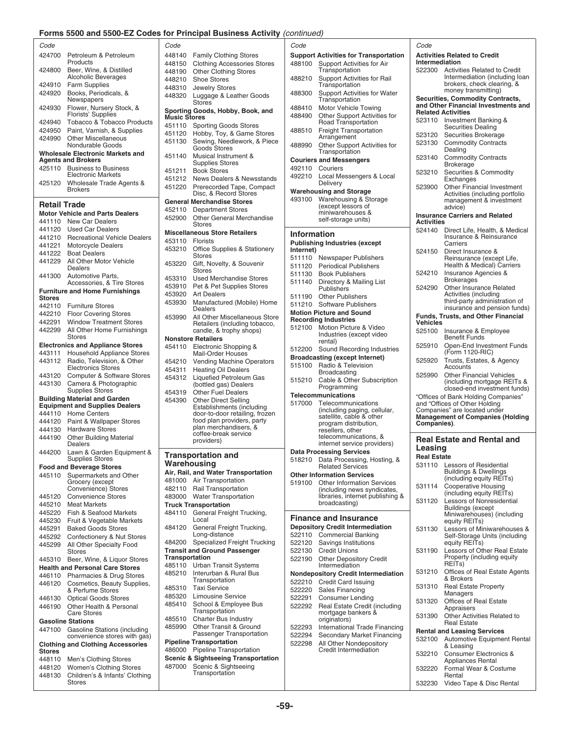# for Principal Business Activity (continued)

|                     | Forms 5500 and 5500-EZ Codes                                                                 |
|---------------------|----------------------------------------------------------------------------------------------|
| Code                |                                                                                              |
| 424700              | Petroleum & Petroleum                                                                        |
|                     | Products                                                                                     |
| 424800              | Beer, Wine, & Distilled<br>Alcoholic Beverages                                               |
| 424910              | <b>Farm Supplies</b>                                                                         |
| 424920              | Books, Periodicals, &                                                                        |
| 424930              | Newspapers<br>Flower, Nursery Stock, &                                                       |
|                     | Florists' Supplies                                                                           |
| 424940              | <b>Tobacco &amp; Tobacco Products</b>                                                        |
| 424950              | Paint, Varnish, & Supplies                                                                   |
| 424990              | <b>Other Miscellaneous</b><br>Nondurable Goods                                               |
|                     | <b>Wholesale Electronic Markets and</b>                                                      |
|                     | <b>Agents and Brokers</b>                                                                    |
| 425110              | <b>Business to Business</b><br><b>Electronic Markets</b>                                     |
| 425120              | Wholesale Trade Agents &                                                                     |
|                     | <b>Brokers</b>                                                                               |
| <b>Retail Trade</b> |                                                                                              |
|                     | <b>Motor Vehicle and Parts Dealers</b>                                                       |
| 441110              | <b>New Car Dealers</b>                                                                       |
| 441120              | <b>Used Car Dealers</b>                                                                      |
| 441210              | <b>Recreational Vehicle Dealers</b>                                                          |
| 441221              | <b>Motorcycle Dealers</b>                                                                    |
| 441222              | <b>Boat Dealers</b>                                                                          |
| 441229              | All Other Motor Vehicle<br>Dealers                                                           |
| 441300              | Automotive Parts,<br>Accessories, & Tire Stores                                              |
|                     | <b>Furniture and Home Furnishings</b>                                                        |
| Stores              |                                                                                              |
| 442110              | <b>Furniture Stores</b>                                                                      |
| 442210              | <b>Floor Covering Stores</b>                                                                 |
| 442291              | <b>Window Treatment Stores</b>                                                               |
| 442299              | All Other Home Furnishings                                                                   |
|                     | Stores                                                                                       |
| 443111              | <b>Electronics and Appliance Stores</b>                                                      |
| 443112              | <b>Household Appliance Stores</b><br>Radio, Television, & Other<br><b>Electronics Stores</b> |
| 443120              | Computer & Software Stores                                                                   |
| 443130              | Camera & Photographic                                                                        |
|                     | <b>Supplies Stores</b>                                                                       |
|                     | <b>Building Material and Garden</b><br><b>Equipment and Supplies Dealers</b>                 |
| 444110              | <b>Home Centers</b>                                                                          |
| 444120              | Paint & Wallpaper Stores                                                                     |
| 444130              | <b>Hardware Stores</b>                                                                       |
| 444190              | <b>Other Building Material</b>                                                               |
| 444200              | ealers<br>Lawn & Garden Equipment &                                                          |
|                     | <b>Supplies Stores</b>                                                                       |
|                     | <b>Food and Beverage Stores</b>                                                              |
| 445110              | Supermarkets and Other<br>Grocery (except                                                    |
|                     | Convenience) Stores                                                                          |
| 445120              | <b>Convenience Stores</b>                                                                    |
| 445210              | <b>Meat Markets</b>                                                                          |
| 445220              | Fish & Seafood Markets                                                                       |
| 445230              | Fruit & Vegetable Markets                                                                    |
| 445291              | <b>Baked Goods Stores</b>                                                                    |
| 445292              | Confectionery & Nut Stores                                                                   |
| 445299              | All Other Specialty Food<br><b>Stores</b>                                                    |
| 445310              | Beer, Wine, & Liquor Stores                                                                  |
|                     | <b>Health and Personal Care Stores</b>                                                       |
| 446110<br>446120    | Pharmacies & Drug Stores<br>Cosmetics, Beauty Supplies,                                      |
|                     | & Perfume Stores                                                                             |
| 446130              | <b>Optical Goods Stores</b>                                                                  |
| 446190              | Other Health & Personal<br><b>Care Stores</b>                                                |
|                     | <b>Gasoline Stations</b>                                                                     |
| 447100              | Gasoline Stations (including                                                                 |
|                     | convenience stores with gas)                                                                 |
| Stores              | <b>Clothing and Clothing Accessories</b>                                                     |
| 448110              | Men's Clothing Stores                                                                        |
|                     | 448120 Women's Clothing Stores                                                               |

| Code             |                                                                              | Code                                                                                    | Code                                                                                 | Code                                                             |                                                                                              |
|------------------|------------------------------------------------------------------------------|-----------------------------------------------------------------------------------------|--------------------------------------------------------------------------------------|------------------------------------------------------------------|----------------------------------------------------------------------------------------------|
| 424700           | Petroleum & Petroleum<br>Products                                            | 448140<br><b>Family Clothing Stores</b><br><b>Clothing Accessories Stores</b><br>448150 | <b>Support Activities for Transportation</b><br>488100<br>Support Activities for Air | <b>Activities Related to Credit</b><br>Intermediation            |                                                                                              |
| 424800           | Beer, Wine, & Distilled<br><b>Alcoholic Beverages</b>                        | 448190<br><b>Other Clothing Stores</b><br>448210<br><b>Shoe Stores</b>                  | Transportation<br>488210<br>Support Activities for Rail                              |                                                                  | 522300 Activities Related to Credit<br>Intermediation (including loan                        |
| 424920           | 424910 Farm Supplies<br>Books, Periodicals, &<br>Newspapers                  | 448310<br><b>Jewelry Stores</b><br>448320<br>Luggage & Leather Goods                    | Transportation<br>488300                                                             | <b>Support Activities for Water</b>                              | brokers, check clearing, &<br>money transmitting)<br><b>Securities, Commodity Contracts,</b> |
| 424930           | Flower, Nursery Stock, &<br>Florists' Supplies                               | <b>Stores</b><br>Sporting Goods, Hobby, Book, and                                       | Transportation<br>488410<br>Motor Vehicle Towing<br>488490                           | <b>Related Activities</b><br>Other Support Activities for        | and Other Financial Investments and                                                          |
|                  | 424940 Tobacco & Tobacco Products                                            | <b>Music Stores</b><br>451110 Sporting Goods Stores                                     | Road Transportation                                                                  | 523110 Investment Banking &                                      |                                                                                              |
|                  | 424950 Paint, Varnish, & Supplies                                            | 451120 Hobby, Toy, & Game Stores                                                        | <b>Freight Transportation</b><br>488510                                              |                                                                  | <b>Securities Dealing</b><br>Securities Brokerage                                            |
| 424990           | <b>Other Miscellaneous</b><br>Nondurable Goods                               | Sewing, Needlework, & Piece<br>451130                                                   | Arrangement<br>488990                                                                | 523120<br>523130<br>Other Support Activities for                 | <b>Commodity Contracts</b>                                                                   |
|                  | Wholesale Electronic Markets and                                             | <b>Goods Stores</b><br>Musical Instrument &<br>451140                                   | Transportation                                                                       | Dealing<br>523140                                                | <b>Commodity Contracts</b>                                                                   |
|                  | <b>Agents and Brokers</b><br>425110 Business to Business                     | <b>Supplies Stores</b>                                                                  | <b>Couriers and Messengers</b><br>492110 Couriers                                    | <b>Brokerage</b>                                                 |                                                                                              |
|                  | <b>Electronic Markets</b>                                                    | <b>Book Stores</b><br>451211                                                            | 492210<br>Local Messengers & Local                                                   | 523210                                                           | Securities & Commodity                                                                       |
| 425120           | Wholesale Trade Agents &                                                     | 451212 News Dealers & Newsstands<br>Prerecorded Tape, Compact<br>451220                 | Delivery                                                                             | Exchanges<br>523900                                              | <b>Other Financial Investment</b>                                                            |
|                  | <b>Brokers</b>                                                               | Disc, & Record Stores                                                                   | <b>Warehousing and Storage</b><br>Warehousing & Storage<br>493100                    |                                                                  | Activities (including portfolio<br>management & investment                                   |
| Retail Trade     |                                                                              | <b>General Merchandise Stores</b><br>452110 Department Stores                           | (except lessors of                                                                   | advice)                                                          |                                                                                              |
|                  | <b>Motor Vehicle and Parts Dealers</b>                                       | 452900<br><b>Other General Merchandise</b>                                              | miniwarehouses &<br>self-storage units)                                              | <b>Insurance Carriers and Related</b>                            |                                                                                              |
|                  | 441110 New Car Dealers<br>441120 Used Car Dealers                            | <b>Stores</b>                                                                           |                                                                                      | <b>Activities</b><br>524140                                      | Direct Life, Health, & Medical                                                               |
|                  | 441210 Recreational Vehicle Dealers                                          | <b>Miscellaneous Store Retailers</b>                                                    | <b>Information</b>                                                                   |                                                                  | Insurance & Reinsurance                                                                      |
|                  | 441221 Motorcycle Dealers                                                    | 453110 Florists<br>453210<br>Office Supplies & Stationery                               | <b>Publishing Industries (except</b>                                                 | Carriers                                                         |                                                                                              |
|                  | 441222 Boat Dealers                                                          | <b>Stores</b>                                                                           | Internet)<br>511110 Newspaper Publishers                                             | 524150                                                           | Direct Insurance &<br>Reinsurance (except Life,                                              |
|                  | 441229 All Other Motor Vehicle<br>Dealers                                    | Gift, Novelty, & Souvenir<br>453220                                                     | 511120 Periodical Publishers                                                         |                                                                  | Health & Medical) Carriers                                                                   |
|                  | 441300 Automotive Parts,                                                     | <b>Stores</b><br>453310<br>Used Merchandise Stores                                      | 511130<br><b>Book Publishers</b>                                                     | 524210                                                           | Insurance Agencies &                                                                         |
|                  | Accessories, & Tire Stores                                                   | 453910<br>Pet & Pet Supplies Stores                                                     | 511140<br>Directory & Mailing List<br>Publishers                                     | <b>Brokerages</b><br>524290                                      | Other Insurance Related                                                                      |
| <b>Stores</b>    | <b>Furniture and Home Furnishings</b>                                        | 453920<br><b>Art Dealers</b>                                                            | 511190<br><b>Other Publishers</b>                                                    |                                                                  | Activities (including                                                                        |
|                  | 442110 Furniture Stores                                                      | 453930<br>Manufactured (Mobile) Home<br>Dealers                                         | 511210 Software Publishers                                                           |                                                                  | third-party administration of<br>insurance and pension funds)                                |
|                  | 442210 Floor Covering Stores                                                 | 453990<br>All Other Miscellaneous Store                                                 | <b>Motion Picture and Sound</b>                                                      |                                                                  | <b>Funds, Trusts, and Other Financial</b>                                                    |
| 442291           | <b>Window Treatment Stores</b>                                               | Retailers (including tobacco,                                                           | <b>Recording Industries</b><br>512100 Motion Picture & Video                         | <b>Vehicles</b>                                                  |                                                                                              |
|                  | 442299 All Other Home Furnishings<br><b>Stores</b>                           | candle, & trophy shops)<br><b>Nonstore Retailers</b>                                    | Industries (except video                                                             | 525100<br><b>Benefit Funds</b>                                   | Insurance & Employee                                                                         |
|                  | <b>Electronics and Appliance Stores</b>                                      | 454110<br>Electronic Shopping &                                                         | rental)                                                                              | 525910                                                           | Open-End Investment Funds                                                                    |
|                  | 443111 Household Appliance Stores                                            | <b>Mail-Order Houses</b>                                                                | 512200 Sound Recording Industries<br><b>Broadcasting (except Internet)</b>           |                                                                  | (Form 1120-RIC)                                                                              |
|                  | 443112 Radio, Television, & Other<br><b>Electronics Stores</b>               | 454210 Vending Machine Operators                                                        | 515100 Radio & Television                                                            | 525920<br>Accounts                                               | Trusts, Estates, & Agency                                                                    |
|                  | 443120 Computer & Software Stores                                            | 454311<br><b>Heating Oil Dealers</b><br>454312<br><b>Liquefied Petroleum Gas</b>        | <b>Broadcasting</b>                                                                  | 525990                                                           | <b>Other Financial Vehicles</b>                                                              |
| 443130           | Camera & Photographic                                                        | (bottled gas) Dealers                                                                   | 515210<br>Programming                                                                | Cable & Other Subscription                                       | (including mortgage REITs &                                                                  |
|                  | <b>Supplies Stores</b>                                                       | <b>Other Fuel Dealers</b><br>454319                                                     | <b>Telecommunications</b>                                                            |                                                                  | closed-end investment funds)<br>"Offices of Bank Holding Companies"                          |
|                  | <b>Building Material and Garden</b><br><b>Equipment and Supplies Dealers</b> | 454390<br><b>Other Direct Selling</b><br>Establishments (including                      | 517000<br>Telecommunications                                                         | and "Offices of Other Holding                                    |                                                                                              |
|                  | 444110 Home Centers                                                          | door-to-door retailing, frozen                                                          | (including paging, cellular,<br>satellite, cable & other                             | Companies" are located under                                     | <b>Management of Companies (Holding</b>                                                      |
|                  | 444120 Paint & Wallpaper Stores                                              | food plan providers, party<br>plan merchandisers, &                                     | program distribution,                                                                | Companies).                                                      |                                                                                              |
| 444190           | 444130 Hardware Stores<br><b>Other Building Material</b>                     | coffee-break service                                                                    | resellers, other<br>telecommunications, &                                            |                                                                  |                                                                                              |
|                  | Dealers                                                                      | providers)                                                                              | internet service providers)                                                          | Leasing                                                          | <b>Real Estate and Rental and</b>                                                            |
|                  | 444200 Lawn & Garden Equipment &                                             | <b>Transportation and</b>                                                               | <b>Data Processing Services</b>                                                      | <b>Real Estate</b>                                               |                                                                                              |
|                  | Supplies Stores<br><b>Food and Beverage Stores</b>                           | Warehousing                                                                             | 518210<br><b>Related Services</b>                                                    | Data Processing, Hosting, &<br>531110                            | <b>Lessors of Residential</b>                                                                |
|                  | 445110 Supermarkets and Other                                                | Air, Rail, and Water Transportation                                                     | <b>Other Information Services</b>                                                    |                                                                  | <b>Buildings &amp; Dwellings</b><br>(including equity REITs)                                 |
|                  | Grocery (except<br>Convenience) Stores                                       | 481000 Air Transportation<br>482110 Rail Transportation                                 | <b>Other Information Services</b><br>519100                                          | 531114                                                           | <b>Cooperative Housing</b>                                                                   |
|                  | 445120 Convenience Stores                                                    | 483000 Water Transportation                                                             |                                                                                      | (including news syndicates,<br>libraries, internet publishing &  | (including equity REITs)                                                                     |
|                  | 445210 Meat Markets                                                          | <b>Truck Transportation</b>                                                             | broadcasting)                                                                        | 531120                                                           | Lessors of Nonresidential<br><b>Buildings (except</b>                                        |
| 445220           | Fish & Seafood Markets                                                       | General Freight Trucking,<br>484110<br>Local                                            | <b>Finance and Insurance</b>                                                         |                                                                  | Miniwarehouses) (including                                                                   |
| 445230<br>445291 | Fruit & Vegetable Markets<br><b>Baked Goods Stores</b>                       | General Freight Trucking,<br>484120                                                     | <b>Depository Credit Intermediation</b>                                              | equity REITs)<br>531130                                          | Lessors of Miniwarehouses &                                                                  |
| 445292           | Confectionery & Nut Stores                                                   | Long-distance                                                                           | 522110 Commercial Banking                                                            |                                                                  | Self-Storage Units (including                                                                |
| 445299           | All Other Specialty Food                                                     | 484200 Specialized Freight Trucking                                                     | Savings Institutions<br>522120                                                       | equity REITs)                                                    |                                                                                              |
|                  | Stores<br>445310 Beer, Wine, & Liquor Stores                                 | <b>Transit and Ground Passenger</b><br>Transportation                                   | 522130<br><b>Credit Unions</b><br>522190<br><b>Other Depository Credit</b>           | 531190                                                           | Lessors of Other Real Estate<br>Property (including equity                                   |
|                  | <b>Health and Personal Care Stores</b>                                       | 485110 Urban Transit Systems                                                            | Intermediation                                                                       | REIT <sub>s</sub> )                                              |                                                                                              |
|                  | 446110 Pharmacies & Drug Stores                                              | Interurban & Rural Bus<br>485210                                                        | <b>Nondepository Credit Intermediation</b>                                           | 531210<br>& Brokers                                              | Offices of Real Estate Agents                                                                |
| 446120           | Cosmetics, Beauty Supplies,                                                  | Transportation<br><b>Taxi Service</b><br>485310                                         | <b>Credit Card Issuing</b><br>522210                                                 | 531310                                                           | <b>Real Estate Property</b>                                                                  |
| 446130           | & Perfume Stores<br><b>Optical Goods Stores</b>                              | 485320<br>Limousine Service                                                             | <b>Sales Financing</b><br>522220<br>522291<br><b>Consumer Lending</b>                | Managers                                                         |                                                                                              |
| 446190           | Other Health & Personal                                                      | School & Employee Bus<br>485410                                                         | 522292                                                                               | 531320<br>Real Estate Credit (including<br>Appraisers            | Offices of Real Estate                                                                       |
|                  | <b>Care Stores</b>                                                           | Transportation<br><b>Charter Bus Industry</b><br>485510                                 | mortgage bankers &<br>originators)                                                   | 531390                                                           | Other Activities Related to                                                                  |
| 447100           | <b>Gasoline Stations</b><br><b>Gasoline Stations (including</b>              | Other Transit & Ground<br>485990                                                        | 522293                                                                               | <b>Real Estate</b><br>International Trade Financing              |                                                                                              |
|                  |                                                                              |                                                                                         |                                                                                      | <b>Rental and Leasing Services</b><br>Secondary Market Financing |                                                                                              |
|                  | convenience stores with gas)                                                 | Passenger Transportation                                                                | 522294                                                                               |                                                                  |                                                                                              |
|                  | <b>Clothing and Clothing Accessories</b>                                     | <b>Pipeline Transportation</b>                                                          | 522298<br>All Other Nondepository                                                    | & Leasing                                                        | 532100 Automotive Equipment Rental                                                           |
| <b>Stores</b>    |                                                                              | 486000 Pipeline Transportation                                                          | Credit Intermediation                                                                | 532210                                                           | Consumer Electronics &                                                                       |
| 448110<br>448120 | Men's Clothing Stores<br>Women's Clothing Stores                             | <b>Scenic &amp; Sightseeing Transportation</b><br>Scenic & Sightseeing<br>487000        |                                                                                      |                                                                  | Appliances Rental                                                                            |
| 448130           | Children's & Infants' Clothing<br>Stores                                     | Transportation                                                                          |                                                                                      | 532220<br>Rental                                                 | Formal Wear & Costume<br>532230 Video Tape & Disc Rental                                     |

| Code       |                                                         |
|------------|---------------------------------------------------------|
|            | <b>Support Activities for Transportation</b>            |
| 188100     | Support Activities for Air                              |
|            | Transportation                                          |
| 188210     | <b>Support Activities for Rail</b>                      |
|            | Transportation                                          |
| 188300     | <b>Support Activities for Water</b>                     |
|            | Transportation                                          |
| 188410     | Motor Vehicle Towing                                    |
| 188490     | Other Support Activities for                            |
|            | Road Transportation                                     |
| 188510     | <b>Freight Transportation</b>                           |
|            | Arrangement                                             |
| 188990     | Other Support Activities for                            |
|            | Transportation                                          |
|            | <b>Couriers and Messengers</b>                          |
| 192110     | Couriers                                                |
| 192210     | Local Messengers & Local                                |
|            | Delivery                                                |
|            | <b>Narehousing and Storage</b>                          |
| 193100     | Warehousing & Storage                                   |
|            | (except lessors of                                      |
|            | miniwarehouses &                                        |
|            | self-storage units)                                     |
|            |                                                         |
| nformation |                                                         |
|            | Publishing Industries (except                           |
| nternet)   |                                                         |
| 511110     | Newspaper Publishers                                    |
| 511120     | <b>Periodical Publishers</b>                            |
| 511130     | <b>Book Publishers</b>                                  |
| 511140     | Directory & Mailing List                                |
|            | Publishers                                              |
| 511190     | <b>Other Publishers</b>                                 |
| 511210     | Software Publishers                                     |
|            | <b>Motion Picture and Sound</b>                         |
|            | Recording Industries                                    |
| 512100     | Motion Picture & Video                                  |
|            | Industries (except video                                |
| 512200     | rental)<br>Sound Recording Industries                   |
|            |                                                         |
|            | Broadcasting (except Internet)                          |
| 515100     | Radio & Television                                      |
|            | Broadcasting                                            |
| 515210     | Cable & Other Subscription<br>Programming               |
|            |                                                         |
| 517000     | <b>Felecommunications</b>                               |
|            | Telecommunications<br>(including paging, cellular,      |
|            | satellite, cable & other                                |
|            | program distribution,                                   |
|            | resellers, other                                        |
|            | telecommunications, &                                   |
|            | internet service providers)                             |
|            | <b>Data Processing Services</b>                         |
| 18210ء     | Data Processing, Hosting, &                             |
|            | <b>Related Services</b>                                 |
|            | Other Information Services                              |
| 519100     | <b>Other Information Services</b>                       |
|            | (including news syndicates,                             |
|            | libraries, internet publishing &<br>broadcasting)       |
|            |                                                         |
|            | <b>Finance and Insurance</b>                            |
|            | <b>Depository Credit Intermediation</b>                 |
| 22110      | <b>Commercial Banking</b>                               |
| 22120      | Savings Institutions                                    |
|            |                                                         |
| 22130      | <b>Credit Unions</b>                                    |
| 22190      | <b>Other Depository Credit</b><br>Intermediation        |
|            |                                                         |
|            | <b>Nondepository Credit Intermediation</b>              |
| 22210      | Credit Card Issuing                                     |
| 22220      | <b>Sales Financing</b>                                  |
| 22291      | Consumer Lending                                        |
| 22292      | Real Estate Credit (including                           |
|            | mortgage bankers &<br>originators)                      |
|            |                                                         |
| 522293     | International Trade Financing                           |
| 22294      | Secondary Market Financing                              |
| 22298      | All Other Nondepository<br><b>Credit Intermediation</b> |
|            |                                                         |
|            |                                                         |
|            |                                                         |

# 448190 Other Clothing Stores<br>488210 Shoe Stores<br>Transport Activities for Rail Intermediation (including loan 448210 Shoe Stores<br>198210 Shokers, check clearing loan 424920 Books, Periodicals, &<br>
448320 Luggage & Leather Goods<br>
A48320 Luggage & Leather Goods<br>
A48320 Luggage & Leather Goods<br>
Support Activities for Water<br>
Transportation<br>
Transportation<br>
Transportation<br>
Support Activities 453930 Manufactured (Mobile) Home 511210 Software Publishers third-party administration of Dealers Dealers and Dealers and Dealers and Dealers and Dealers served insurance and pension funds) Funds, Trusts, and Other Financial<br>Vehicles<br>525100 Insurance & Employee 44312 Liquefied Petroleum Gas<br>
443130 Cable & Other Subscription (including mortgage REITs & Programming Conductions)<br>
443130 Other Fuel Dealers (including mortgage REITs & closed-end investment funds)<br>
454390 Other Direct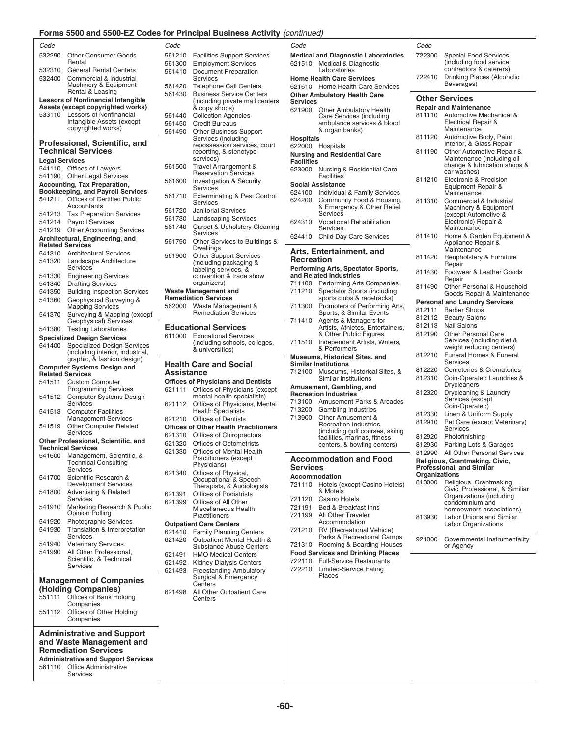# **For Principal Business Activity** (continued)

|                       | Forms 5500 and 5500-EZ Codes for Principal Business Activity (continued)   |            |                                                              |                   |                                                                |
|-----------------------|----------------------------------------------------------------------------|------------|--------------------------------------------------------------|-------------------|----------------------------------------------------------------|
| Code                  |                                                                            | Code       |                                                              | Code              |                                                                |
| 532290                | <b>Other Consumer Goods</b>                                                | 561210     | <b>Facilities Support Services</b>                           |                   | Medical and Diagnostic Laboratorie                             |
| 532310                | Rental<br><b>General Rental Centers</b>                                    | 561300     | <b>Employment Services</b>                                   | 621510            | Medical & Diagnostic<br>Laboratories                           |
| 532400                | Commercial & Industrial                                                    | 561410     | <b>Document Preparation</b><br>Services                      |                   | <b>Home Health Care Services</b>                               |
|                       | Machinery & Equipment                                                      | 561420     | <b>Telephone Call Centers</b>                                |                   | 621610 Home Health Care Services                               |
|                       | Rental & Leasing                                                           | 561430     | <b>Business Service Centers</b>                              |                   | <b>Other Ambulatory Health Care</b>                            |
|                       | <b>Lessors of Nonfinancial Intangible</b>                                  |            | (including private mail centers                              | Services          |                                                                |
|                       | Assets (except copyrighted works)                                          |            | & copy shops)                                                |                   | 621900 Other Ambulatory Health                                 |
|                       | 533110 Lessors of Nonfinancial<br>Intangible Assets (except                | 561440     | <b>Collection Agencies</b>                                   |                   | Care Services (including<br>ambulance services & blood         |
|                       | copyrighted works)                                                         | 561490     | 561450 Credit Bureaus<br><b>Other Business Support</b>       |                   | & organ banks)                                                 |
|                       |                                                                            |            | Services (including                                          | <b>Hospitals</b>  |                                                                |
|                       | Professional, Scientific, and                                              |            | repossession services, court                                 |                   | 622000 Hospitals                                               |
|                       | <b>Technical Services</b>                                                  |            | reporting, & stenotype<br>services)                          |                   | <b>Nursing and Residential Care</b>                            |
| <b>Legal Services</b> |                                                                            | 561500     | Travel Arrangement &                                         | <b>Facilities</b> |                                                                |
|                       | 541110 Offices of Lawyers<br>541190 Other Legal Services                   |            | <b>Reservation Services</b>                                  |                   | 623000 Nursing & Residential Care<br><b>Facilities</b>         |
|                       | <b>Accounting, Tax Preparation,</b>                                        | 561600     | Investigation & Security                                     |                   | <b>Social Assistance</b>                                       |
|                       | <b>Bookkeeping, and Payroll Services</b>                                   |            | Services                                                     |                   | 624100 Individual & Family Services                            |
|                       | 541211 Offices of Certified Public                                         | 561710     | <b>Exterminating &amp; Pest Control</b><br>Services          | 624200            | Community Food & Housing                                       |
|                       | Accountants                                                                | 561720     | <b>Janitorial Services</b>                                   |                   | & Emergency & Other Relie                                      |
|                       | 541213 Tax Preparation Services<br>541214 Payroll Services                 | 561730     | <b>Landscaping Services</b>                                  | 624310            | Services<br><b>Vocational Rehabilitation</b>                   |
|                       | 541219 Other Accounting Services                                           | 561740     | Carpet & Upholstery Cleaning                                 |                   | Services                                                       |
|                       | Architectural, Engineering, and                                            |            | Services                                                     |                   | 624410 Child Day Care Services                                 |
|                       | <b>Related Services</b>                                                    | 561790     | Other Services to Buildings &<br>Dwellings                   |                   |                                                                |
|                       | 541310 Architectural Services                                              | 561900     | <b>Other Support Services</b>                                |                   | Arts, Entertainment, and                                       |
|                       | 541320 Landscape Architecture                                              |            | (including packaging &                                       | <b>Recreation</b> |                                                                |
|                       | Services                                                                   |            | labeling services, &<br>convention & trade show              |                   | Performing Arts, Spectator Sports,<br>and Related Industries   |
|                       | 541330 Engineering Services<br>541340 Drafting Services                    |            | organizers)                                                  |                   | 711100 Performing Arts Companies                               |
| 541350                | <b>Building Inspection Services</b>                                        |            | <b>Waste Management and</b>                                  | 711210            | Spectator Sports (including                                    |
| 541360                | Geophysical Surveying &                                                    |            | <b>Remediation Services</b>                                  |                   | sports clubs & racetracks)                                     |
|                       | <b>Mapping Services</b>                                                    | 562000     | Waste Management &                                           | 711300            | Promoters of Performing Art                                    |
| 541370                | Surveying & Mapping (except<br>Geophysical) Services                       |            | <b>Remediation Services</b>                                  | 711410            | Sports, & Similar Events<br>Agents & Managers for              |
|                       | 541380 Testing Laboratories                                                |            | <b>Educational Services</b>                                  |                   | Artists, Athletes, Entertainer                                 |
|                       | <b>Specialized Design Services</b>                                         |            | 611000 Educational Services                                  |                   | & Other Public Figures                                         |
| 541400                | <b>Specialized Design Services</b>                                         |            | (including schools, colleges,<br>& universities)             | 711510            | Independent Artists, Writers<br>& Performers                   |
|                       | (including interior, industrial,                                           |            |                                                              |                   | Museums, Historical Sites, and                                 |
|                       | graphic, & fashion design)<br><b>Computer Systems Design and</b>           |            | <b>Health Care and Social</b>                                |                   | <b>Similar Institutions</b>                                    |
|                       | <b>Related Services</b>                                                    | Assistance |                                                              | 712100            | Museums, Historical Sites, &                                   |
| 541511                | <b>Custom Computer</b>                                                     |            | <b>Offices of Physicians and Dentists</b>                    |                   | Similar Institutions                                           |
|                       | <b>Programming Services</b>                                                |            | 621111 Offices of Physicians (except                         |                   | Amusement, Gambling, and<br><b>Recreation Industries</b>       |
| 541512                | <b>Computer Systems Design</b><br>Services                                 |            | mental health specialists)                                   |                   | 713100 Amusement Parks & Arcade                                |
|                       | 541513 Computer Facilities                                                 | 621112     | Offices of Physicians, Mental<br><b>Health Specialists</b>   | 713200            | Gambling Industries                                            |
|                       | <b>Management Services</b>                                                 |            | 621210 Offices of Dentists                                   | 713900            | Other Amusement &                                              |
| 541519                | <b>Other Computer Related</b>                                              |            | <b>Offices of Other Health Practitioners</b>                 |                   | <b>Recreation Industries</b>                                   |
|                       | Services                                                                   |            | 621310 Offices of Chiropractors                              |                   | (including golf courses, skiir<br>facilities, marinas, fitness |
|                       | Other Professional, Scientific, and<br>Technical Services                  |            | 621320 Offices of Optometrists                               |                   | centers, & bowling centers)                                    |
|                       | 541600 Management, Scientific, &                                           | 621330     | Offices of Mental Health<br>Practitioners (except            |                   |                                                                |
|                       | <b>Technical Consulting</b>                                                |            | Physicians)                                                  | <b>Services</b>   | <b>Accommodation and Food</b>                                  |
|                       | Services                                                                   | 621340     | Offices of Physical.                                         |                   | Accommodation                                                  |
| 541700                | Scientific Research &<br>Development Services                              |            | Occupational & Speech                                        |                   | 721110 Hotels (except Casino Hotel                             |
| 541800                | Advertising & Related                                                      | 621391     | Therapists, & Audiologists<br><b>Offices of Podiatrists</b>  |                   | & Motels                                                       |
|                       | Services                                                                   | 621399     | Offices of All Other                                         | 721120            | Casino Hotels                                                  |
| 541910                | Marketing Research & Public                                                |            | Miscellaneous Health                                         | 721191            | Bed & Breakfast Inns                                           |
| 541920                | Opinion Polling<br><b>Photographic Services</b>                            |            | Practitioners                                                | 721199            | All Other Traveler<br>Accommodation                            |
| 541930                | Translation & Interpretation                                               |            | <b>Outpatient Care Centers</b>                               |                   | 721210 RV (Recreational Vehicle)                               |
|                       | Services                                                                   | 621420     | 621410 Family Planning Centers<br>Outpatient Mental Health & |                   | Parks & Recreational Camp                                      |
| 541940                | <b>Veterinary Services</b>                                                 |            | Substance Abuse Centers                                      |                   | 721310 Rooming & Boarding House                                |
| 541990                | All Other Professional,                                                    | 621491     | <b>HMO Medical Centers</b>                                   |                   | <b>Food Services and Drinking Places</b>                       |
|                       | Scientific, & Technical<br>Services                                        |            | 621492 Kidney Dialysis Centers                               |                   | 722110 Full-Service Restaurants                                |
|                       |                                                                            | 621493     | <b>Freestanding Ambulatory</b>                               |                   | 722210 Limited-Service Eating<br>Places                        |
|                       | <b>Management of Companies</b>                                             |            | Surgical & Emergency<br>Centers                              |                   |                                                                |
|                       | (Holding Companies)                                                        | 621498     | All Other Outpatient Care                                    |                   |                                                                |
|                       | 551111 Offices of Bank Holding                                             |            | Centers                                                      |                   |                                                                |
|                       | Companies                                                                  |            |                                                              |                   |                                                                |
| 551112                | Offices of Other Holding<br>Companies                                      |            |                                                              |                   |                                                                |
|                       |                                                                            |            |                                                              |                   |                                                                |
|                       | <b>Administrative and Support</b>                                          |            |                                                              |                   |                                                                |
|                       | and Waste Management and                                                   |            |                                                              |                   |                                                                |
|                       | <b>Remediation Services</b>                                                |            |                                                              |                   |                                                                |
|                       | <b>Administrative and Support Services</b><br>561110 Office Administrative |            |                                                              |                   |                                                                |
|                       |                                                                            |            |                                                              |                   |                                                                |

| Office Adn |
|------------|
| Services   |

| Code       |                                                                            | Code              |                                                      |
|------------|----------------------------------------------------------------------------|-------------------|------------------------------------------------------|
| 561210     | <b>Facilities Support Services</b>                                         |                   | <b>Medical and Diagnostic Labora</b>                 |
| 561300     | <b>Employment Services</b>                                                 | 621510            | Medical & Diagnostic                                 |
| 561410     | <b>Document Preparation</b><br>Services                                    |                   | Laboratories<br><b>Home Health Care Services</b>     |
| 561420     | <b>Telephone Call Centers</b>                                              | 621610            | Home Health Care Ser                                 |
| 561430     | <b>Business Service Centers</b>                                            |                   | <b>Other Ambulatory Health Care</b>                  |
|            | including private mail centers)                                            | Services          |                                                      |
| 561440     | & copy shops)<br><b>Collection Agencies</b>                                | 621900            | Other Ambulatory Hea                                 |
| 561450     | <b>Credit Bureaus</b>                                                      |                   | Care Services (includir<br>ambulance services &      |
| 561490     | Other Business Support                                                     |                   | & organ banks)                                       |
|            | Services (including                                                        | Hospitals         |                                                      |
|            | repossession services, court<br>reporting, & stenotype                     |                   | 622000 Hospitals                                     |
|            | services)                                                                  | <b>Facilities</b> | <b>Nursing and Residential Care</b>                  |
| 561500     | Travel Arrangement &                                                       | 623000            | Nursing & Residential                                |
|            | <b>Reservation Services</b>                                                |                   | <b>Facilities</b>                                    |
| 561600     | <b>Investigation &amp; Security</b><br>Services                            |                   | <b>Social Assistance</b>                             |
| 561710     | <b>Exterminating &amp; Pest Control</b>                                    | 624100            | Individual & Family Se                               |
|            | Services                                                                   | 624200            | Community Food & Ho                                  |
| 561720     | <b>Janitorial Services</b>                                                 |                   | & Emergency & Other<br>Services                      |
| 561730     | <b>Landscaping Services</b>                                                | 624310            | Vocational Rehabilitati                              |
| 561740     | Carpet & Upholstery Cleaning<br>Services                                   |                   | Services                                             |
| 561790     | Other Services to Buildings &                                              | 624410            | Child Day Care Service                               |
|            | Dwellings                                                                  |                   | Arts, Entertainment, and                             |
| 561900     | <b>Other Support Services</b>                                              | <b>Recreation</b> |                                                      |
|            | (including packaging &<br>labeling services, &                             |                   | Performing Arts, Spectator Sp                        |
|            | convention & trade show                                                    |                   | and Related Industries                               |
|            | organizers)                                                                | 711100            | Performing Arts Compa                                |
|            | Waste Management and<br><b>Remediation Services</b>                        | 711210            | Spectator Sports (inclu<br>sports clubs & racetrac   |
| 562000     | Waste Management &                                                         | 711300            | Promoters of Performir                               |
|            | <b>Remediation Services</b>                                                |                   | Sports, & Similar Even                               |
|            |                                                                            | 711410            | Agents & Managers fo                                 |
|            | <b>Educational Services</b>                                                |                   | Artists, Athletes, Enter<br>& Other Public Figures   |
| 611000     | <b>Educational Services</b><br>(including schools, colleges,               | 711510            | Independent Artists, W                               |
|            | & universities)                                                            |                   | & Performers                                         |
|            |                                                                            |                   | Museums, Historical Sites, and                       |
|            | <b>Health Care and Social</b>                                              |                   | <b>Similar Institutions</b>                          |
| Assistance |                                                                            | 712100            | Museums, Historical S<br>Similar Institutions        |
| 621111     | <b>Offices of Physicians and Dentists</b><br>Offices of Physicians (except |                   | Amusement, Gambling, and                             |
|            | mental health specialists)                                                 |                   | <b>Recreation Industries</b>                         |
| 621112     | Offices of Physicians, Mental                                              | 713100            | Amusement Parks & A                                  |
|            | <b>Health Specialists</b>                                                  | 713200<br>713900  | Gambling Industries                                  |
| 621210     | <b>Offices of Dentists</b>                                                 |                   | Other Amusement &<br><b>Recreation Industries</b>    |
| 621310     | Offices of Other Health Practitioners<br>Offices of Chiropractors          |                   | (including golf courses                              |
| 621320     | Offices of Optometrists                                                    |                   | facilities, marinas, fitne<br>centers, & bowling cen |
| 621330     | <b>Offices of Mental Health</b>                                            |                   |                                                      |
|            | Practitioners (except                                                      |                   | <b>Accommodation and Fo</b>                          |
|            | Physicians)                                                                | <b>Services</b>   |                                                      |
| 621340     | Offices of Physical,<br>Occupational & Speech                              |                   | <b>Accommodation</b>                                 |
|            | Therapists, & Audiologists                                                 | 721110            | Hotels (except Casino<br>& Motels                    |
| 621391     | <b>Offices of Podiatrists</b>                                              | 721120            | Casino Hotels                                        |
| 621399     | Offices of All Other<br>Miscellaneous Health                               | 721191            | <b>Bed &amp; Breakfast Inns</b>                      |
|            | Practitioners                                                              | 721199            | All Other Traveler                                   |
|            | <b>Outpatient Care Centers</b>                                             |                   | Accommodation                                        |
| 621410     | <b>Family Planning Centers</b>                                             | 721210            | RV (Recreational Vehi<br>Parks & Recreational 0      |
| 621420     | Outpatient Mental Health &                                                 | 721310            | Rooming & Boarding H                                 |
| 621491     | Substance Abuse Centers<br><b>HMO Medical Centers</b>                      |                   | <b>Food Services and Drinking PI</b>                 |
| 621492     | <b>Kidney Dialysis Centers</b>                                             | 722110            | <b>Full-Service Restaurar</b>                        |
| 621493     | <b>Freestanding Ambulatory</b>                                             | 722210            | Limited-Service Eating                               |
|            | Surgical & Emergency                                                       |                   | Places                                               |
|            | Centers                                                                    |                   |                                                      |
| 621498     | All Other Outpatient Care<br>Centers                                       |                   |                                                      |
|            |                                                                            |                   |                                                      |
|            |                                                                            |                   |                                                      |
|            |                                                                            |                   |                                                      |
|            |                                                                            |                   |                                                      |
|            |                                                                            |                   |                                                      |

| Code                  |                                                                                | Code              |                                                                    | Code              |                                                                             | Code             |                                                                    |
|-----------------------|--------------------------------------------------------------------------------|-------------------|--------------------------------------------------------------------|-------------------|-----------------------------------------------------------------------------|------------------|--------------------------------------------------------------------|
| 532290                | <b>Other Consumer Goods</b>                                                    | 561210            | <b>Facilities Support Services</b>                                 |                   | <b>Medical and Diagnostic Laboratories</b>                                  | 722300           | <b>Special Food Services</b>                                       |
|                       | Rental                                                                         | 561300            | <b>Employment Services</b>                                         | 621510            | Medical & Diagnostic                                                        |                  | (including food service)<br>contractors & caterers)                |
| 532310<br>532400      | <b>General Rental Centers</b><br>Commercial & Industrial                       | 561410            | <b>Document Preparation</b><br>Services                            |                   | Laboratories<br><b>Home Health Care Services</b>                            | 722410           | <b>Drinking Places (Alcoholic</b>                                  |
|                       | Machinery & Equipment                                                          | 561420            | <b>Telephone Call Centers</b>                                      |                   | 621610 Home Health Care Services                                            |                  | Beverages)                                                         |
|                       | Rental & Leasing                                                               | 561430            | <b>Business Service Centers</b>                                    |                   | <b>Other Ambulatory Health Care</b>                                         |                  | <b>Other Services</b>                                              |
|                       | <b>Lessors of Nonfinancial Intangible</b><br>Assets (except copyrighted works) |                   | (including private mail centers<br>& copy shops)                   | <b>Services</b>   |                                                                             |                  | <b>Repair and Maintenance</b>                                      |
|                       | 533110 Lessors of Nonfinancial                                                 | 561440            | <b>Collection Agencies</b>                                         | 621900            | <b>Other Ambulatory Health</b><br>Care Services (including                  |                  | 811110 Automotive Mechanical &                                     |
|                       | Intangible Assets (except                                                      | 561450            | <b>Credit Bureaus</b>                                              |                   | ambulance services & blood                                                  |                  | Electrical Repair &                                                |
|                       | copyrighted works)                                                             | 561490            | <b>Other Business Support</b>                                      |                   | & organ banks)                                                              | 811120           | Maintenance<br>Automotive Body, Paint,                             |
|                       | Professional, Scientific, and                                                  |                   | Services (including<br>repossession services, court                | <b>Hospitals</b>  | 622000 Hospitals                                                            |                  | Interior, & Glass Repair                                           |
|                       | <b>Technical Services</b>                                                      |                   | reporting, & stenotype                                             |                   | <b>Nursing and Residential Care</b>                                         | 811190           | Other Automotive Repair &                                          |
| <b>Legal Services</b> |                                                                                | 561500            | services)<br>Travel Arrangement &                                  | <b>Facilities</b> |                                                                             |                  | Maintenance (including oil<br>change & lubrication shops &         |
|                       | 541110 Offices of Lawyers<br>541190 Other Legal Services                       |                   | <b>Reservation Services</b>                                        |                   | 623000 Nursing & Residential Care<br><b>Facilities</b>                      |                  | car washes)                                                        |
|                       | <b>Accounting, Tax Preparation,</b>                                            | 561600            | <b>Investigation &amp; Security</b><br>Services                    |                   | <b>Social Assistance</b>                                                    | 811210           | Electronic & Precision<br>Equipment Repair &                       |
|                       | <b>Bookkeeping, and Payroll Services</b>                                       | 561710            | <b>Exterminating &amp; Pest Control</b>                            |                   | 624100 Individual & Family Services                                         |                  | Maintenance                                                        |
|                       | 541211 Offices of Certified Public<br>Accountants                              |                   | Services                                                           | 624200            | Community Food & Housing,<br>& Emergency & Other Relief                     | 811310           | Commercial & Industrial<br>Machinery & Equipment                   |
|                       | 541213 Tax Preparation Services                                                | 561720            | <b>Janitorial Services</b>                                         |                   | Services                                                                    |                  | (except Automotive &                                               |
| 541214                | <b>Payroll Services</b>                                                        | 561730<br>561740  | <b>Landscaping Services</b><br>Carpet & Upholstery Cleaning        | 624310            | <b>Vocational Rehabilitation</b>                                            |                  | Electronic) Repair &<br>Maintenance                                |
|                       | 541219 Other Accounting Services<br>Architectural, Engineering, and            |                   | Services                                                           |                   | Services<br>624410 Child Day Care Services                                  | 811410           | Home & Garden Equipment &                                          |
|                       | <b>Related Services</b>                                                        | 561790            | Other Services to Buildings &<br>Dwellings                         |                   |                                                                             |                  | Appliance Repair &                                                 |
|                       | 541310 Architectural Services                                                  | 561900            | Other Support Services                                             |                   | Arts, Entertainment, and                                                    | 811420           | Maintenance<br>Reupholstery & Furniture                            |
|                       | 541320 Landscape Architecture<br>Services                                      |                   | (including packaging &                                             | <b>Recreation</b> |                                                                             |                  | Repair                                                             |
| 541330                | <b>Engineering Services</b>                                                    |                   | labeling services, &<br>convention & trade show                    |                   | Performing Arts, Spectator Sports,<br>and Related Industries                | 811430           | Footwear & Leather Goods                                           |
| 541340                | <b>Drafting Services</b>                                                       |                   | organizers)                                                        |                   | 711100 Performing Arts Companies                                            | 811490           | Repair<br>Other Personal & Household                               |
| 541350                | <b>Building Inspection Services</b>                                            |                   | <b>Waste Management and</b><br><b>Remediation Services</b>         | 711210            | Spectator Sports (including<br>sports clubs & racetracks)                   |                  | Goods Repair & Maintenance                                         |
| 541360                | Geophysical Surveying &<br><b>Mapping Services</b>                             |                   | 562000 Waste Management &                                          | 711300            | Promoters of Performing Arts,                                               |                  | <b>Personal and Laundry Services</b>                               |
| 541370                | Surveying & Mapping (except                                                    |                   | <b>Remediation Services</b>                                        |                   | Sports, & Similar Events                                                    | 812111<br>812112 | <b>Barber Shops</b><br><b>Beauty Salons</b>                        |
|                       | Geophysical) Services<br>541380 Testing Laboratories                           |                   | <b>Educational Services</b>                                        | 711410            | Agents & Managers for<br>Artists, Athletes, Entertainers,                   | 812113           | <b>Nail Salons</b>                                                 |
|                       | <b>Specialized Design Services</b>                                             | 611000            | <b>Educational Services</b>                                        |                   | & Other Public Figures                                                      | 812190           | <b>Other Personal Care</b>                                         |
|                       | 541400 Specialized Design Services                                             |                   | (including schools, colleges,                                      | 711510            | Independent Artists, Writers,<br>& Performers                               |                  | Services (including diet &<br>weight reducing centers)             |
|                       |                                                                                |                   |                                                                    |                   |                                                                             |                  |                                                                    |
|                       | (including interior, industrial,                                               |                   | & universities)                                                    |                   | <b>Museums, Historical Sites, and</b>                                       | 812210           | Funeral Homes & Funeral                                            |
|                       | graphic, & fashion design)<br><b>Computer Systems Design and</b>               |                   | <b>Health Care and Social</b>                                      |                   | <b>Similar Institutions</b>                                                 |                  | Services                                                           |
|                       | <b>Related Services</b>                                                        | <b>Assistance</b> |                                                                    | 712100            | Museums, Historical Sites, &<br>Similar Institutions                        | 812220<br>812310 | <b>Cemeteries &amp; Crematories</b><br>Coin-Operated Laundries &   |
|                       | 541511 Custom Computer                                                         |                   | <b>Offices of Physicians and Dentists</b>                          |                   | Amusement, Gambling, and                                                    |                  | Drycleaners                                                        |
|                       | <b>Programming Services</b><br>541512 Computer Systems Design                  |                   | 621111 Offices of Physicians (except<br>mental health specialists) |                   | <b>Recreation Industries</b>                                                | 812320           | Drycleaning & Laundry                                              |
|                       | Services                                                                       |                   | 621112 Offices of Physicians, Mental                               |                   | 713100 Amusement Parks & Arcades                                            |                  | Services (except<br>Coin-Operated)                                 |
|                       | 541513 Computer Facilities<br><b>Management Services</b>                       |                   | <b>Health Specialists</b><br>621210 Offices of Dentists            | 713200<br>713900  | <b>Gambling Industries</b><br>Other Amusement &                             | 812330           | Linen & Uniform Supply                                             |
| 541519                | <b>Other Computer Related</b>                                                  |                   | <b>Offices of Other Health Practitioners</b>                       |                   | <b>Recreation Industries</b>                                                | 812910           | Pet Care (except Veterinary)<br>Services                           |
|                       | Services                                                                       |                   | 621310 Offices of Chiropractors                                    |                   | (including golf courses, skiing<br>facilities, marinas, fitness             | 812920           | Photofinishing                                                     |
|                       | Other Professional, Scientific, and<br><b>Technical Services</b>               |                   | 621320 Offices of Optometrists                                     |                   | centers, & bowling centers)                                                 | 812930           | Parking Lots & Garages                                             |
|                       | 541600 Management, Scientific, &                                               | 621330            | <b>Offices of Mental Health</b><br>Practitioners (except           |                   |                                                                             | 812990           | All Other Personal Services                                        |
|                       | <b>Technical Consulting</b><br>Services                                        |                   | Physicians)                                                        | <b>Services</b>   | <b>Accommodation and Food</b>                                               |                  | Religious, Grantmaking, Civic,<br><b>Professional, and Similar</b> |
| 541700                | Scientific Research &                                                          | 621340            | Offices of Physical,<br>Occupational & Speech                      |                   | Accommodation                                                               | Organizations    |                                                                    |
|                       | <b>Development Services</b>                                                    |                   | Therapists, & Audiologists                                         |                   | 721110 Hotels (except Casino Hotels)<br>& Motels                            |                  | 813000 Religious, Grantmaking,<br>Civic, Professional, & Similiar  |
| 541800                | <b>Advertising &amp; Related</b><br>Services                                   | 621391            | <b>Offices of Podiatrists</b>                                      | 721120            | Casino Hotels                                                               |                  | Organizations (including                                           |
| 541910                | Marketing Research & Public                                                    | 621399            | Offices of All Other<br>Miscellaneous Health                       | 721191            | Bed & Breakfast Inns                                                        |                  | condominium and<br>homeowners associations)                        |
| 541920                | Opinion Polling<br><b>Photographic Services</b>                                |                   | Practitioners                                                      | 721199            | All Other Traveler                                                          | 813930           | <b>Labor Unions and Similar</b>                                    |
| 541930                | Translation & Interpretation                                                   |                   | <b>Outpatient Care Centers</b><br>621410 Family Planning Centers   | 721210            | Accommodation<br><b>RV</b> (Recreational Vehicle)                           |                  | Labor Organizations                                                |
|                       | Services                                                                       |                   | 621420 Outpatient Mental Health &                                  |                   | Parks & Recreational Camps                                                  | 921000           | Governmental Instrumentality                                       |
| 541940<br>541990      | <b>Veterinary Services</b>                                                     |                   | Substance Abuse Centers                                            |                   | 721310 Rooming & Boarding Houses                                            |                  | or Agency                                                          |
|                       | All Other Professional,<br>Scientific, & Technical                             |                   | 621491 HMO Medical Centers                                         |                   | <b>Food Services and Drinking Places</b><br>722110 Full-Service Restaurants |                  |                                                                    |
|                       | Services                                                                       |                   | 621492 Kidney Dialysis Centers<br>621493 Freestanding Ambulatory   | 722210            | Limited-Service Eating                                                      |                  |                                                                    |
|                       | <b>Management of Companies</b>                                                 |                   | Surgical & Emergency                                               |                   | Places                                                                      |                  |                                                                    |
|                       | (Holding Companies)                                                            | 621498            | Centers<br>All Other Outpatient Care                               |                   |                                                                             |                  |                                                                    |
|                       | 551111 Offices of Bank Holding                                                 |                   | Centers                                                            |                   |                                                                             |                  |                                                                    |
|                       | Companies<br>551112 Offices of Other Holding                                   |                   |                                                                    |                   |                                                                             |                  |                                                                    |
|                       | Companies                                                                      |                   |                                                                    |                   |                                                                             |                  |                                                                    |
|                       |                                                                                |                   |                                                                    |                   |                                                                             |                  |                                                                    |
|                       | <b>Administrative and Support</b><br>and Waste Management and                  |                   |                                                                    |                   |                                                                             |                  |                                                                    |
|                       | <b>Remediation Services</b><br><b>Administrative and Support Services</b>      |                   |                                                                    |                   |                                                                             |                  |                                                                    |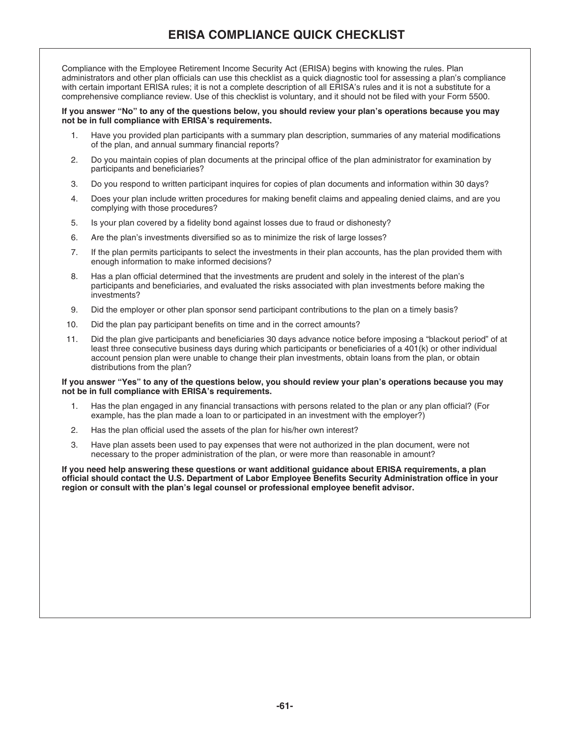Compliance with the Employee Retirement Income Security Act (ERISA) begins with knowing the rules. Plan administrators and other plan officials can use this checklist as a quick diagnostic tool for assessing a plan's compliance with certain important ERISA rules; it is not a complete description of all ERISA's rules and it is not a substitute for a comprehensive compliance review. Use of this checklist is voluntary, and it should not be filed with your Form 5500.

# **If you answer "No" to any of the questions below, you should review your plan's operations because you may not be in full compliance with ERISA's requirements.**

- 1. Have you provided plan participants with a summary plan description, summaries of any material modifications of the plan, and annual summary financial reports?
- 2. Do you maintain copies of plan documents at the principal office of the plan administrator for examination by participants and beneficiaries?
- 3. Do you respond to written participant inquires for copies of plan documents and information within 30 days?
- 4. Does your plan include written procedures for making benefit claims and appealing denied claims, and are you complying with those procedures?
- 5. Is your plan covered by a fidelity bond against losses due to fraud or dishonesty?
- 6. Are the plan's investments diversified so as to minimize the risk of large losses?
- 7. If the plan permits participants to select the investments in their plan accounts, has the plan provided them with enough information to make informed decisions?
- 8. Has a plan official determined that the investments are prudent and solely in the interest of the plan's participants and beneficiaries, and evaluated the risks associated with plan investments before making the investments?
- 9. Did the employer or other plan sponsor send participant contributions to the plan on a timely basis?
- 10. Did the plan pay participant benefits on time and in the correct amounts?
- 11. Did the plan give participants and beneficiaries 30 days advance notice before imposing a "blackout period" of at least three consecutive business days during which participants or beneficiaries of a 401(k) or other individual account pension plan were unable to change their plan investments, obtain loans from the plan, or obtain distributions from the plan?

# **If you answer "Yes" to any of the questions below, you should review your plan's operations because you may not be in full compliance with ERISA's requirements.**

- 1. Has the plan engaged in any financial transactions with persons related to the plan or any plan official? (For example, has the plan made a loan to or participated in an investment with the employer?)
- 2. Has the plan official used the assets of the plan for his/her own interest?
- 3. Have plan assets been used to pay expenses that were not authorized in the plan document, were not necessary to the proper administration of the plan, or were more than reasonable in amount?

**If you need help answering these questions or want additional guidance about ERISA requirements, a plan official should contact the U.S. Department of Labor Employee Benefits Security Administration office in your region or consult with the plan's legal counsel or professional employee benefit advisor.**